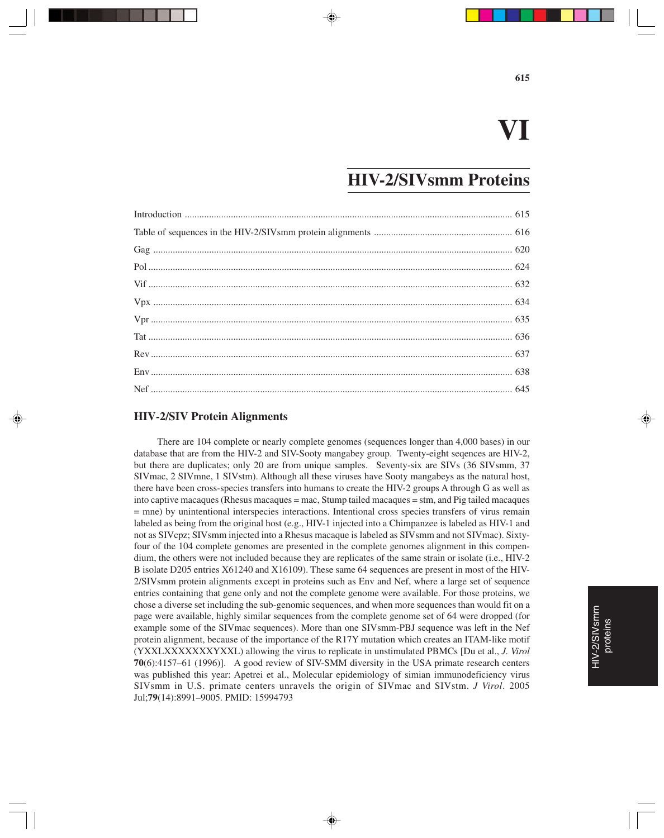# **VI**

# **HIV-2/SIVsmm Proteins**

#### **HIV-2/SIV Protein Alignments**

There are 104 complete or nearly complete genomes (sequences longer than 4,000 bases) in our database that are from the HIV-2 and SIV-Sooty mangabey group. Twenty-eight seqences are HIV-2, but there are duplicates; only 20 are from unique samples. Seventy-six are SIVs (36 SIVsmm, 37 SIVmac, 2 SIVmne, 1 SIVstm). Although all these viruses have Sooty mangabeys as the natural host, there have been cross-species transfers into humans to create the HIV-2 groups A through G as well as into captive macaques (Rhesus macaques = mac, Stump tailed macaques = stm, and Pig tailed macaques = mne) by unintentional interspecies interactions. Intentional cross species transfers of virus remain labeled as being from the original host (e.g., HIV-1 injected into a Chimpanzee is labeled as HIV-1 and not as SIVcpz; SIVsmm injected into a Rhesus macaque is labeled as SIVsmm and not SIVmac). Sixtyfour of the 104 complete genomes are presented in the complete genomes alignment in this compendium, the others were not included because they are replicates of the same strain or isolate (i.e., HIV-2 B isolate D205 entries X61240 and X16109). These same 64 sequences are present in most of the HIV-2/SIVsmm protein alignments except in proteins such as Env and Nef, where a large set of sequence entries containing that gene only and not the complete genome were available. For those proteins, we chose a diverse set including the sub-genomic sequences, and when more sequences than would fit on a page were available, highly similar sequences from the complete genome set of 64 were dropped (for example some of the SIVmac sequences). More than one SIVsmm-PBJ sequence was left in the Nef protein alignment, because of the importance of the R17Y mutation which creates an ITAM-like motif (YXXLXXXXXXXYXXL) allowing the virus to replicate in unstimulated PBMCs [Du et al., *J. Virol* **70**(6):4157–61 (1996)]. A good review of SIV-SMM diversity in the USA primate research centers was published this year: Apetrei et al., Molecular epidemiology of simian immunodeficiency virus SIVsmm in U.S. primate centers unravels the origin of SIVmac and SIVstm. *J Virol*. 2005 Jul;**79**(14):8991–9005. PMID: 15994793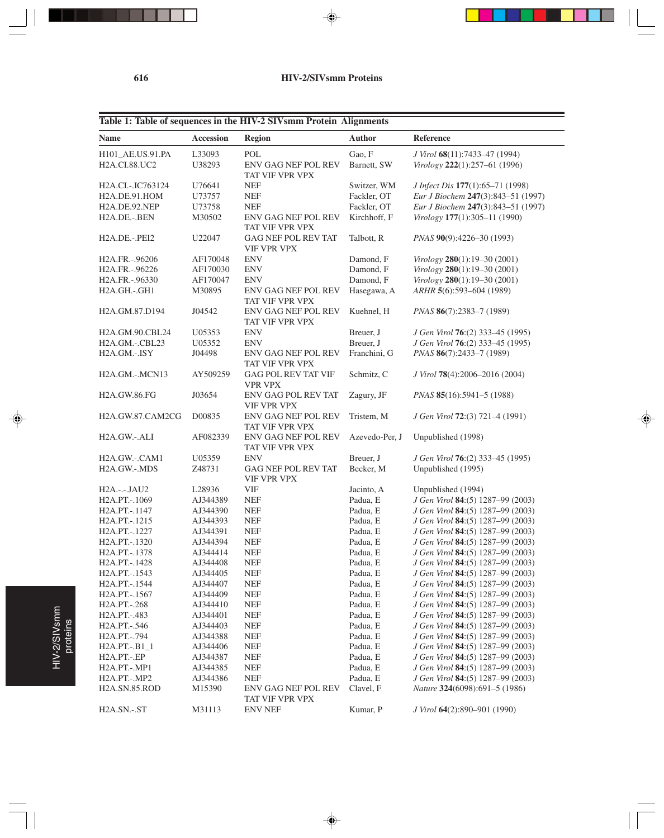|                                            |                     | Table 1: Table of sequences in the HIV-2 SIVsmm Protein Alignments |                |                                    |
|--------------------------------------------|---------------------|--------------------------------------------------------------------|----------------|------------------------------------|
| <b>Name</b>                                | Accession           | <b>Region</b>                                                      | <b>Author</b>  | Reference                          |
| H101_AE.US.91.PA                           | L33093              | POL                                                                | Gao, F         | J Virol 68(11):7433-47 (1994)      |
| H2A.CI.88.UC2                              | U38293              | ENV GAG NEF POL REV                                                | Barnett, SW    | Virology 222(1):257-61 (1996)      |
|                                            |                     | TAT VIF VPR VPX                                                    |                |                                    |
| H <sub>2</sub> A.CI.-.IC763124             | U76641              | <b>NEF</b>                                                         | Switzer, WM    | J Infect Dis 177(1):65-71 (1998)   |
| H2A.DE.91.HOM                              | U73757              | <b>NEF</b>                                                         | Fackler, OT    | Eur J Biochem 247(3):843-51 (1997) |
| H2A.DE.92.NEP                              | U73758              | <b>NEF</b>                                                         | Fackler, OT    | Eur J Biochem 247(3):843-51 (1997) |
| H2A.DE.-.BEN                               | M30502              | ENV GAG NEF POL REV                                                | Kirchhoff, F   | Virology 177(1):305-11 (1990)      |
|                                            |                     | TAT VIF VPR VPX                                                    |                |                                    |
| H2A.DE.-.PEI2                              | U22047              | GAG NEF POL REV TAT<br>VIF VPR VPX                                 | Talbott, R     | PNAS 90(9):4226-30 (1993)          |
| H2A.FR.-.96206                             | AF170048            | <b>ENV</b>                                                         | Damond, F      | Virology 280(1):19-30 (2001)       |
| H2A.FR.-.96226                             | AF170030            | <b>ENV</b>                                                         | Damond, F      | Virology 280(1):19-30 (2001)       |
| H2A.FR.-.96330                             | AF170047            | <b>ENV</b>                                                         | Damond, F      | Virology 280(1):19-30 (2001)       |
| H2A.GH.-.GH1                               | M30895              | ENV GAG NEF POL REV                                                | Hasegawa, A    | ARHR 5(6):593-604 (1989)           |
|                                            |                     | TAT VIF VPR VPX                                                    |                |                                    |
| H <sub>2</sub> A.GM.87.D <sub>194</sub>    | J04542              | <b>ENV GAG NEF POL REV</b><br>TAT VIF VPR VPX                      | Kuehnel, H     | PNAS 86(7):2383-7 (1989)           |
| H2A.GM.90.CBL24                            | U05353              | <b>ENV</b>                                                         | Breuer, J      | J Gen Virol 76:(2) 333–45 (1995)   |
| H2A.GM.-.CBL23                             | U05352              | <b>ENV</b>                                                         | Breuer, J      | J Gen Virol 76:(2) 333-45 (1995)   |
| H <sub>2</sub> A.GM.-.ISY                  | J04498              | ENV GAG NEF POL REV                                                | Franchini, G   | PNAS 86(7):2433-7 (1989)           |
|                                            |                     | TAT VIF VPR VPX                                                    |                |                                    |
| <b>H2A.GM.-.MCN13</b>                      | AY509259            | GAG POL REV TAT VIF<br><b>VPR VPX</b>                              | Schmitz, C     | J Virol 78(4):2006-2016 (2004)     |
| H2A.GW.86.FG                               | J03654              | ENV GAG POL REV TAT<br><b>VIF VPR VPX</b>                          | Zagury, JF     | PNAS 85(16):5941-5 (1988)          |
| H <sub>2</sub> A.GW.87.CAM <sub>2</sub> CG | D00835              | <b>ENV GAG NEF POL REV</b><br>TAT VIF VPR VPX                      | Tristem, M     | J Gen Virol 72:(3) 721–4 (1991)    |
| H2A.GW.-.ALI                               | AF082339            | ENV GAG NEF POL REV<br>TAT VIF VPR VPX                             | Azevedo-Per, J | Unpublished (1998)                 |
| H <sub>2</sub> A.GW.-.CAM <sub>1</sub>     | U05359              | <b>ENV</b>                                                         | Breuer, J      | J Gen Virol 76:(2) 333–45 (1995)   |
| H <sub>2</sub> A.GW.-.MDS                  | Z48731              | GAG NEF POL REV TAT<br>VIF VPR VPX                                 | Becker, M      | Unpublished (1995)                 |
| H <sub>2</sub> A.-.-.JAU <sub>2</sub>      | L <sub>2</sub> 8936 | VIF                                                                | Jacinto, A     | Unpublished (1994)                 |
| H2A.PT.-.1069                              | AJ344389            | <b>NEF</b>                                                         | Padua, E       | J Gen Virol 84:(5) 1287-99 (2003)  |
| H2A.PT.-.1147                              | AJ344390            | <b>NEF</b>                                                         | Padua, E       | J Gen Virol 84:(5) 1287-99 (2003)  |
| H2A.PT.-.1215                              | AJ344393            | <b>NEF</b>                                                         | Padua, E       | J Gen Virol 84:(5) 1287-99 (2003)  |
| H2A.PT.-.1227                              | AJ344391            | <b>NEF</b>                                                         | Padua, E       | J Gen Virol 84:(5) 1287-99 (2003)  |
| H <sub>2</sub> A.PT.-.1320                 | AJ344394            | <b>NEF</b>                                                         | Padua, E       | J Gen Virol 84:(5) 1287-99 (2003)  |
| H2A.PT.-.1378                              | AJ344414            | <b>NEF</b>                                                         | Padua, E       | J Gen Virol 84:(5) 1287-99 (2003)  |
|                                            |                     |                                                                    |                |                                    |
| H <sub>2</sub> A.PT.-.1428                 | AJ344408            | <b>NEF</b>                                                         | Padua, E       | J Gen Virol 84:(5) 1287-99 (2003)  |
| H <sub>2</sub> A.PT.-.1543                 | AJ344405            | <b>NEF</b>                                                         | Padua, E       | J Gen Virol 84:(5) 1287-99 (2003)  |
| H <sub>2</sub> A.PT.-.1544                 | AJ344407            | <b>NEF</b>                                                         | Padua, E       | J Gen Virol 84:(5) 1287-99 (2003)  |
| H <sub>2</sub> A.PT.-.1567                 | AJ344409            | <b>NEF</b>                                                         | Padua, E       | J Gen Virol 84:(5) 1287-99 (2003)  |
| H <sub>2</sub> A.PT.-.268                  | AJ344410            | <b>NEF</b>                                                         | Padua, E       | J Gen Virol 84:(5) 1287-99 (2003)  |
| H <sub>2</sub> A.PT.-.483                  | AJ344401            | <b>NEF</b>                                                         | Padua, E       | J Gen Virol 84:(5) 1287-99 (2003)  |
| H <sub>2</sub> A.PT.-.546                  | AJ344403            | <b>NEF</b>                                                         | Padua, E       | J Gen Virol 84:(5) 1287-99 (2003)  |
| H <sub>2</sub> A.PT.-.794                  | AJ344388            | <b>NEF</b>                                                         | Padua, E       | J Gen Virol 84:(5) 1287-99 (2003)  |
| H <sub>2</sub> A.PT.-.B <sub>1_1</sub>     | AJ344406            | <b>NEF</b>                                                         | Padua, E       | J Gen Virol 84:(5) 1287-99 (2003)  |
| H <sub>2</sub> A.PT.-.EP                   | AJ344387            | <b>NEF</b>                                                         | Padua, E       | J Gen Virol 84:(5) 1287-99 (2003)  |
| <b>H2A.PT.-.MP1</b>                        | AJ344385            | <b>NEF</b>                                                         | Padua, E       | J Gen Virol 84:(5) 1287-99 (2003)  |
| H <sub>2</sub> A.PT.-.MP <sub>2</sub>      | AJ344386            | <b>NEF</b>                                                         | Padua, E       | J Gen Virol 84:(5) 1287-99 (2003)  |
| H <sub>2</sub> A.SN.85.ROD                 | M15390              | ENV GAG NEF POL REV<br>TAT VIF VPR VPX                             | Clavel, F      | Nature 324(6098):691-5 (1986)      |
| H2A.SN.-.ST                                | M31113              | <b>ENV NEF</b>                                                     | Kumar, P       | J Virol 64(2):890-901 (1990)       |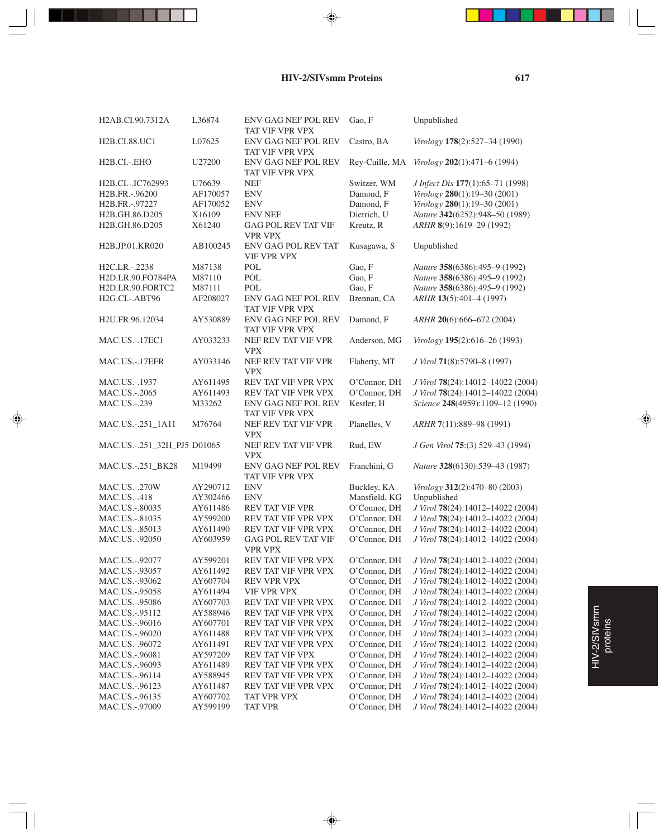| H <sub>2</sub> AB.CI.90.7312A           | L36874   | ENV GAG NEF POL REV<br>TAT VIF VPR VPX        | Gao, F         | Unpublished                       |
|-----------------------------------------|----------|-----------------------------------------------|----------------|-----------------------------------|
| H <sub>2</sub> B.CI.88.UC1              | L07625   | <b>ENV GAG NEF POL REV</b><br>TAT VIF VPR VPX | Castro, BA     | Virology 178(2):527-34 (1990)     |
| H <sub>2</sub> B.CI.-.EHO               | U27200   | <b>ENV GAG NEF POL REV</b><br>TAT VIF VPR VPX | Rey-Cuille, MA | Virology 202(1):471-6 (1994)      |
| H2B.CI.-.IC762993                       | U76639   | <b>NEF</b>                                    | Switzer, WM    | J Infect Dis 177(1):65-71 (1998)  |
| H <sub>2</sub> B.FR.-.96200             | AF170057 | <b>ENV</b>                                    | Damond, F      | Virology 280(1):19-30 (2001)      |
| H2B.FR.-.97227                          | AF170052 | <b>ENV</b>                                    | Damond, F      | Virology 280(1):19-30 (2001)      |
| H <sub>2</sub> B.GH.86.D <sub>205</sub> | X16109   | <b>ENV NEF</b>                                | Dietrich, U    | Nature 342(6252):948-50 (1989)    |
| H2B.GH.86.D205                          | X61240   | GAG POL REV TAT VIF<br><b>VPR VPX</b>         | Kreutz, R      | ARHR 8(9):1619-29 (1992)          |
| H <sub>2</sub> B.JP.01.KR020            | AB100245 | ENV GAG POL REV TAT<br><b>VIF VPR VPX</b>     | Kusagawa, S    | Unpublished                       |
| H <sub>2</sub> C.LR.-.2238              | M87138   | POL                                           | Gao, F         | Nature 358(6386):495-9 (1992)     |
| H2D.LR.90.FO784PA                       | M87110   | POL                                           | Gao, F         | Nature 358(6386):495-9 (1992)     |
| H2D.LR.90.FORTC2                        | M87111   | POL                                           | Gao, F         | Nature 358(6386):495-9 (1992)     |
| H <sub>2G.CI</sub> .-ABT96              | AF208027 | <b>ENV GAG NEF POL REV</b><br>TAT VIF VPR VPX | Brennan, CA    | ARHR 13(5):401-4 (1997)           |
| H2U.FR.96.12034                         | AY530889 | <b>ENV GAG NEF POL REV</b><br>TAT VIF VPR VPX | Damond, F      | ARHR 20(6):666-672 (2004)         |
| <b>MAC.US.-.17EC1</b>                   | AY033233 | NEF REV TAT VIF VPR<br><b>VPX</b>             | Anderson, MG   | Virology 195(2):616-26 (1993)     |
| MAC.US.-.17EFR                          | AY033146 | NEF REV TAT VIF VPR<br><b>VPX</b>             | Flaherty, MT   | J Virol 71(8):5790-8 (1997)       |
| MAC.US.-.1937                           | AY611495 | REV TAT VIF VPR VPX                           | O'Connor, DH   | J Virol 78(24):14012-14022 (2004) |
| MAC.US.-.2065                           | AY611493 | REV TAT VIF VPR VPX                           | O'Connor, DH   | J Virol 78(24):14012-14022 (2004) |
| <b>MAC.US.-.239</b>                     | M33262   | <b>ENV GAG NEF POL REV</b><br>TAT VIF VPR VPX | Kestler, H     | Science 248(4959):1109-12 (1990)  |
| MAC.US.-.251_1A11                       | M76764   | NEF REV TAT VIF VPR<br><b>VPX</b>             | Planelles, V   | ARHR 7(11):889-98 (1991)          |
| MAC.US.-.251_32H_PJ5 D01065             |          | NEF REV TAT VIF VPR<br><b>VPX</b>             | Rud, EW        | J Gen Virol 75:(3) 529-43 (1994)  |
| MAC.US.-.251_BK28                       | M19499   | <b>ENV GAG NEF POL REV</b><br>TAT VIF VPR VPX | Franchini, G   | Nature 328(6130):539-43 (1987)    |
| <b>MAC.US.-.270W</b>                    | AY290712 | <b>ENV</b>                                    | Buckley, KA    | Virology 312(2):470-80 (2003)     |
| <b>MAC.US.-.418</b>                     | AY302466 | <b>ENV</b>                                    | Mansfield, KG  | Unpublished                       |
| MAC.US.-.80035                          | AY611486 | REV TAT VIF VPR                               | O'Connor, DH   | J Virol 78(24):14012-14022 (2004) |
| MAC.US.-.81035                          | AY599200 | REV TAT VIF VPR VPX                           | O'Connor, DH   | J Virol 78(24):14012-14022 (2004) |
| MAC.US.-.85013                          | AY611490 | REV TAT VIF VPR VPX                           | O'Connor, DH   | J Virol 78(24):14012-14022 (2004) |
| MAC.US.-.92050                          | AY603959 | <b>GAG POL REV TAT VIF</b><br>VPR VPX         | O'Connor, DH   | J Virol 78(24):14012-14022 (2004) |
| MAC.US.-.92077                          | AY599201 | REV TAT VIF VPR VPX                           | O'Connor, DH   | J Virol 78(24):14012-14022 (2004) |
| MAC.US.-.93057                          | AY611492 | REV TAT VIF VPR VPX                           | O'Connor, DH   | J Virol 78(24):14012-14022 (2004) |
| MAC.US.-.93062                          | AY607704 | <b>REV VPR VPX</b>                            | O'Connor, DH   | J Virol 78(24):14012-14022 (2004) |
| MAC.US.-.95058                          | AY611494 | VIF VPR VPX                                   | O'Connor, DH   | J Virol 78(24):14012-14022 (2004) |
| MAC.US.-.95086                          | AY607703 | REV TAT VIF VPR VPX                           | O'Connor, DH   | J Virol 78(24):14012-14022 (2004) |
| MAC.US.-.95112                          | AY588946 | REV TAT VIF VPR VPX                           | O'Connor, DH   | J Virol 78(24):14012-14022 (2004) |
| MAC.US.-.96016                          | AY607701 | REV TAT VIF VPR VPX                           | O'Connor, DH   | J Virol 78(24):14012-14022 (2004) |
| MAC.US.-.96020                          | AY611488 | REV TAT VIF VPR VPX                           | O'Connor, DH   | J Virol 78(24):14012-14022 (2004) |
| MAC.US.-.96072                          | AY611491 | REV TAT VIF VPR VPX                           | O'Connor, DH   | J Virol 78(24):14012-14022 (2004) |
| MAC.US.-.96081                          | AY597209 | <b>REV TAT VIF VPX</b>                        | O'Connor, DH   | J Virol 78(24):14012-14022 (2004) |
| MAC.US.-.96093                          | AY611489 | REV TAT VIF VPR VPX                           | O'Connor, DH   | J Virol 78(24):14012-14022 (2004) |
| MAC.US.-.96114                          | AY588945 | REV TAT VIF VPR VPX                           | O'Connor, DH   | J Virol 78(24):14012-14022 (2004) |
| MAC.US.-.96123                          | AY611487 | REV TAT VIF VPR VPX                           | O'Connor, DH   | J Virol 78(24):14012-14022 (2004) |
| MAC.US.-.96135                          | AY607702 | TAT VPR VPX                                   | O'Connor, DH   | J Virol 78(24):14012-14022 (2004) |
| MAC.US.-.97009                          | AY599199 | <b>TAT VPR</b>                                | O'Connor, DH   | J Virol 78(24):14012-14022 (2004) |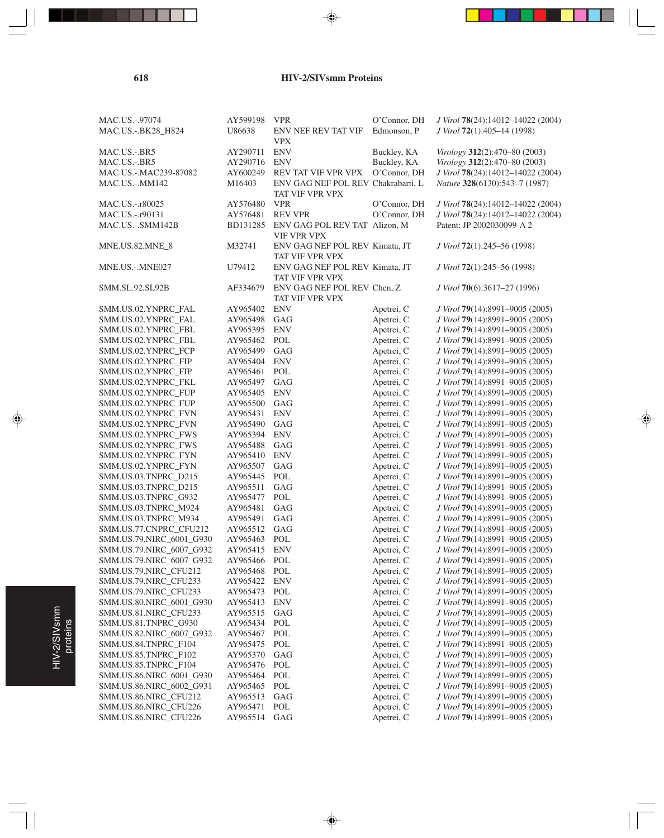| MAC.US.-.97074           | AY599198     | <b>VPR</b>                                        | O'Connor, DH | J Virol 78(24):14012-14022 (2004) |
|--------------------------|--------------|---------------------------------------------------|--------------|-----------------------------------|
| MAC.US.-.BK28_H824       | U86638       | ENV NEF REV TAT VIF<br><b>VPX</b>                 | Edmonson, P  | J Virol 72(1):405-14 (1998)       |
| MAC.US.-.BR5             | AY290711     | <b>ENV</b>                                        | Buckley, KA  | Virology 312(2):470-80 (2003)     |
| MAC.US.-.BR5             | AY290716     | <b>ENV</b>                                        | Buckley, KA  | Virology 312(2):470-80 (2003)     |
| MAC.US.-.MAC239-87082    | AY600249     | REV TAT VIF VPR VPX                               | O'Connor, DH | J Virol 78(24):14012-14022 (2004) |
| MAC.US.-.MM142           | M16403       | ENV GAG NEF POL REV Chakrabarti, L                |              | Nature 328(6130):543-7 (1987)     |
|                          |              | TAT VIF VPR VPX                                   |              |                                   |
| MAC.US.-.r80025          | AY576480     | <b>VPR</b>                                        | O'Connor, DH | J Virol 78(24):14012-14022 (2004) |
| MAC.US.-.r90131          | AY576481     | <b>REV VPR</b>                                    | O'Connor, DH | J Virol 78(24):14012-14022 (2004) |
| MAC.US.-.SMM142B         | BD131285     | ENV GAG POL REV TAT Alizon, M                     |              | Patent: JP 2002030099-A 2         |
|                          |              | <b>VIF VPR VPX</b>                                |              |                                   |
| MNE.US.82.MNE_8          | M32741       | ENV GAG NEF POL REV Kimata, JT<br>TAT VIF VPR VPX |              | J Virol 72(1):245-56 (1998)       |
| MNE.US.-.MNE027          | U79412       | ENV GAG NEF POL REV Kimata, JT<br>TAT VIF VPR VPX |              | J Virol 72(1):245–56 (1998)       |
|                          |              |                                                   |              |                                   |
| SMM.SL.92.SL92B          | AF334679     | ENV GAG NEF POL REV Chen, Z<br>TAT VIF VPR VPX    |              | J Virol 70(6):3617-27 (1996)      |
| SMM.US.02.YNPRC_FAL      | AY965402     | <b>ENV</b>                                        | Apetrei, C   | J Virol 79(14):8991-9005 (2005)   |
| SMM.US.02.YNPRC_FAL      | AY965498     | GAG                                               | Apetrei, C   | J Virol 79(14):8991-9005 (2005)   |
| SMM.US.02.YNPRC_FBL      | AY965395     | <b>ENV</b>                                        | Apetrei, C   | J Virol 79(14):8991-9005 (2005)   |
| SMM.US.02.YNPRC_FBL      | AY965462     | POL                                               | Apetrei, C   | J Virol 79(14):8991-9005 (2005)   |
| SMM.US.02.YNPRC_FCP      | AY965499     | GAG                                               | Apetrei, C   | J Virol 79(14):8991-9005 (2005)   |
| SMM.US.02.YNPRC_FIP      | AY965404     | <b>ENV</b>                                        | Apetrei, C   | J Virol 79(14):8991-9005 (2005)   |
| SMM.US.02.YNPRC_FIP      | AY965461     | POL                                               | Apetrei, C   | J Virol 79(14):8991-9005 (2005)   |
| SMM.US.02.YNPRC FKL      | AY965497     | GAG                                               | Apetrei, C   | J Virol 79(14):8991-9005 (2005)   |
| SMM.US.02.YNPRC_FUP      | AY965405     | <b>ENV</b>                                        | Apetrei, C   | J Virol 79(14):8991-9005 (2005)   |
| SMM.US.02.YNPRC_FUP      | AY965500     | GAG                                               | Apetrei, C   | J Virol 79(14):8991-9005 (2005)   |
| SMM.US.02.YNPRC_FVN      | AY965431     | <b>ENV</b>                                        | Apetrei, C   | J Virol 79(14):8991-9005 (2005)   |
| SMM.US.02.YNPRC_FVN      | AY965490     | GAG                                               | Apetrei, C   | J Virol 79(14):8991-9005 (2005)   |
| SMM.US.02.YNPRC_FWS      | AY965394     | <b>ENV</b>                                        | Apetrei, C   | J Virol 79(14):8991-9005 (2005)   |
| SMM.US.02.YNPRC_FWS      | AY965488     | GAG                                               | Apetrei, C   | J Virol 79(14):8991-9005 (2005)   |
| SMM.US.02.YNPRC_FYN      | AY965410     | <b>ENV</b>                                        | Apetrei, C   | J Virol 79(14):8991-9005 (2005)   |
| SMM.US.02.YNPRC_FYN      | AY965507     | GAG                                               | Apetrei, C   | J Virol 79(14):8991-9005 (2005)   |
| SMM.US.03.TNPRC_D215     | AY965445     | POL                                               | Apetrei, C   | J Virol 79(14):8991-9005 (2005)   |
| SMM.US.03.TNPRC_D215     | AY965511     | GAG                                               | Apetrei, C   | J Virol 79(14):8991-9005 (2005)   |
| SMM.US.03.TNPRC_G932     | AY965477     | POL                                               | Apetrei, C   | J Virol 79(14):8991-9005 (2005)   |
| SMM.US.03.TNPRC_M924     | AY965481     | GAG                                               | Apetrei, C   | J Virol 79(14):8991-9005 (2005)   |
| SMM.US.03.TNPRC_M934     | AY965491     | GAG                                               | Apetrei, C   | J Virol 79(14):8991-9005 (2005)   |
| SMM.US.77.CNPRC_CFU212   | AY965512     | GAG                                               | Apetrei, C   | J Virol 79(14):8991-9005 (2005)   |
| SMM.US.79.NIRC_6001_G930 | AY965463     | POL                                               | Apetrei, C   | J Virol 79(14):8991-9005 (2005)   |
| SMM.US.79.NIRC_6007_G932 | AY965415 ENV |                                                   | Apetrei, C   | J Virol 79(14):8991-9005 (2005)   |
| SMM.US.79.NIRC_6007_G932 | AY965466     | POL                                               | Apetrei, C   | J Virol 79(14):8991-9005 (2005)   |
| SMM.US.79.NIRC_CFU212    | AY965468     | POL                                               | Apetrei, C   | J Virol 79(14):8991-9005 (2005)   |
| SMM.US.79.NIRC_CFU233    | AY965422     | <b>ENV</b>                                        | Apetrei, C   | J Virol 79(14):8991-9005 (2005)   |
| SMM.US.79.NIRC_CFU233    | AY965473     | POL                                               | Apetrei, C   | J Virol 79(14):8991-9005 (2005)   |
| SMM.US.80.NIRC_6001_G930 | AY965413     | <b>ENV</b>                                        | Apetrei, C   | J Virol 79(14):8991-9005 (2005)   |
| SMM.US.81.NIRC_CFU233    | AY965515     | GAG                                               | Apetrei, C   | J Virol 79(14):8991-9005 (2005)   |
| SMM.US.81.TNPRC G930     | AY965434     | POL                                               | Apetrei, C   | J Virol 79(14):8991-9005 (2005)   |
| SMM.US.82.NIRC_6007_G932 | AY965467     | POL                                               | Apetrei, C   | J Virol 79(14):8991-9005 (2005)   |
| SMM.US.84.TNPRC_F104     | AY965475     | POL                                               | Apetrei, C   | J Virol 79(14):8991-9005 (2005)   |
| SMM.US.85.TNPRC_F102     | AY965370     | GAG                                               | Apetrei, C   | J Virol 79(14):8991-9005 (2005)   |
| SMM.US.85.TNPRC_F104     | AY965476     | POL                                               | Apetrei, C   | J Virol 79(14):8991-9005 (2005)   |
| SMM.US.86.NIRC_6001_G930 | AY965464     | POL                                               | Apetrei, C   | J Virol 79(14):8991-9005 (2005)   |
| SMM.US.86.NIRC_6002_G931 | AY965465     | POL                                               | Apetrei, C   | J Virol 79(14):8991-9005 (2005)   |
| SMM.US.86.NIRC_CFU212    | AY965513     | GAG                                               | Apetrei, C   | J Virol 79(14):8991-9005 (2005)   |
| SMM.US.86.NIRC_CFU226    | AY965471     | POL                                               | Apetrei, C   | J Virol 79(14):8991-9005 (2005)   |
| SMM.US.86.NIRC_CFU226    | AY965514     | GAG                                               | Apetrei, C   | J Virol 79(14):8991-9005 (2005)   |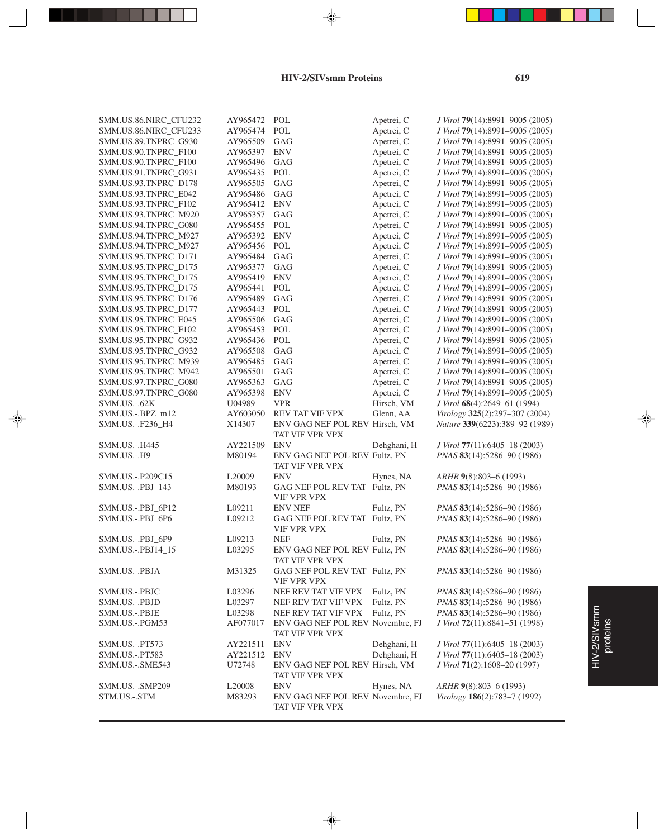| SMM.US.86.NIRC_CFU232  | AY965472 | POL                                                 | Apetrei, C  | J Virol 79(14):8991-9005 (2005) |
|------------------------|----------|-----------------------------------------------------|-------------|---------------------------------|
| SMM.US.86.NIRC_CFU233  | AY965474 | POL                                                 | Apetrei, C  | J Virol 79(14):8991-9005 (2005) |
| SMM.US.89.TNPRC_G930   | AY965509 | GAG                                                 | Apetrei, C  | J Virol 79(14):8991-9005 (2005) |
| SMM.US.90.TNPRC_F100   | AY965397 | <b>ENV</b>                                          | Apetrei, C  | J Virol 79(14):8991-9005 (2005) |
| SMM.US.90.TNPRC_F100   | AY965496 | GAG                                                 | Apetrei, C  | J Virol 79(14):8991-9005 (2005) |
| SMM.US.91.TNPRC_G931   | AY965435 | POL                                                 | Apetrei, C  | J Virol 79(14):8991-9005 (2005) |
| SMM.US.93.TNPRC_D178   | AY965505 | GAG                                                 | Apetrei, C  | J Virol 79(14):8991-9005 (2005) |
| SMM.US.93.TNPRC_E042   | AY965486 | GAG                                                 | Apetrei, C  | J Virol 79(14):8991-9005 (2005) |
| SMM.US.93.TNPRC_F102   | AY965412 | <b>ENV</b>                                          | Apetrei, C  | J Virol 79(14):8991-9005 (2005) |
| SMM.US.93.TNPRC_M920   | AY965357 | GAG                                                 | Apetrei, C  | J Virol 79(14):8991-9005 (2005) |
| SMM.US.94.TNPRC_G080   | AY965455 | POL                                                 | Apetrei, C  | J Virol 79(14):8991-9005 (2005) |
| SMM.US.94.TNPRC_M927   | AY965392 | <b>ENV</b>                                          | Apetrei, C  | J Virol 79(14):8991-9005 (2005) |
| SMM.US.94.TNPRC_M927   | AY965456 | POL                                                 | Apetrei, C  | J Virol 79(14):8991-9005 (2005) |
| SMM.US.95.TNPRC_D171   | AY965484 | GAG                                                 | Apetrei, C  | J Virol 79(14):8991-9005 (2005) |
| SMM.US.95.TNPRC_D175   | AY965377 | GAG                                                 | Apetrei, C  | J Virol 79(14):8991-9005 (2005) |
| SMM.US.95.TNPRC_D175   | AY965419 | <b>ENV</b>                                          | Apetrei, C  | J Virol 79(14):8991-9005 (2005) |
| SMM.US.95.TNPRC_D175   | AY965441 | POL                                                 | Apetrei, C  | J Virol 79(14):8991-9005 (2005) |
| SMM.US.95.TNPRC_D176   | AY965489 | GAG                                                 | Apetrei, C  | J Virol 79(14):8991-9005 (2005) |
| SMM.US.95.TNPRC_D177   | AY965443 | POL                                                 | Apetrei, C  | J Virol 79(14):8991-9005 (2005) |
| SMM.US.95.TNPRC_E045   | AY965506 | GAG                                                 | Apetrei, C  | J Virol 79(14):8991-9005 (2005) |
| SMM.US.95.TNPRC F102   | AY965453 | POL                                                 | Apetrei, C  | J Virol 79(14):8991-9005 (2005) |
| SMM.US.95.TNPRC_G932   | AY965436 | POL                                                 | Apetrei, C  | J Virol 79(14):8991-9005 (2005) |
| SMM.US.95.TNPRC_G932   | AY965508 | GAG                                                 | Apetrei, C  | J Virol 79(14):8991-9005 (2005) |
| SMM.US.95.TNPRC_M939   | AY965485 | GAG                                                 | Apetrei, C  | J Virol 79(14):8991-9005 (2005) |
| SMM.US.95.TNPRC_M942   | AY965501 | $\operatorname{GAG}$                                | Apetrei, C  | J Virol 79(14):8991-9005 (2005) |
| SMM.US.97.TNPRC_G080   | AY965363 | GAG                                                 | Apetrei, C  | J Virol 79(14):8991-9005 (2005) |
| SMM.US.97.TNPRC_G080   | AY965398 | <b>ENV</b>                                          | Apetrei, C  | J Virol 79(14):8991-9005 (2005) |
| <b>SMM.US.-.62K</b>    | U04989   | <b>VPR</b>                                          | Hirsch, VM  | J Virol 68(4):2649-61 (1994)    |
| SMM.US.-.BPZ_m12       | AY603050 | REV TAT VIF VPX                                     | Glenn, AA   | Virology 325(2):297-307 (2004)  |
| SMM.US.-.F236_H4       | X14307   | ENV GAG NEF POL REV Hirsch, VM                      |             | Nature 339(6223):389-92 (1989)  |
|                        |          | TAT VIF VPR VPX                                     |             |                                 |
| SMM.US.-.H445          | AY221509 | <b>ENV</b>                                          | Dehghani, H | J Virol 77(11):6405-18 (2003)   |
| SMM.US.-.H9            | M80194   | ENV GAG NEF POL REV Fultz, PN                       |             | PNAS 83(14):5286-90 (1986)      |
|                        |          | TAT VIF VPR VPX                                     |             |                                 |
| SMM.US.-.P209C15       | L20009   | <b>ENV</b>                                          | Hynes, NA   | ARHR 9(8):803-6 (1993)          |
| SMM.US.-.PBJ_143       | M80193   | GAG NEF POL REV TAT Fultz, PN<br><b>VIF VPR VPX</b> |             | PNAS 83(14):5286-90 (1986)      |
| SMM.US.-.PBJ_6P12      | L09211   | <b>ENV NEF</b>                                      | Fultz, PN   | PNAS 83(14):5286-90 (1986)      |
| SMM.US.-.PBJ_6P6       | L09212   | GAG NEF POL REV TAT Fultz, PN                       |             | PNAS 83(14):5286-90 (1986)      |
|                        |          | VIF VPR VPX                                         |             |                                 |
| SMM.US.-.PBJ_6P9       | L09213   | <b>NEF</b>                                          | Fultz, PN   | PNAS 83(14):5286-90 (1986)      |
| SMM.US.-.PBJ14_15      | L03295   | ENV GAG NEF POL REV Fultz, PN                       |             | PNAS 83(14):5286-90 (1986)      |
|                        |          | TAT VIF VPR VPX                                     |             |                                 |
| SMM.US.-.PBJA          | M31325   | GAG NEF POL REV TAT Fultz, PN<br><b>VIF VPR VPX</b> |             | PNAS 83(14):5286-90 (1986)      |
| SMM.US.-.PBJC          | L03296   | NEF REV TAT VIF VPX                                 | Fultz, PN   | PNAS 83(14):5286-90 (1986)      |
| SMM.US.-.PBJD          | L03297   | NEF REV TAT VIF VPX                                 | Fultz, PN   | PNAS 83(14):5286-90 (1986)      |
| SMM.US.-.PBJE          | L03298   | NEF REV TAT VIF VPX                                 | Fultz, PN   | PNAS 83(14):5286-90 (1986)      |
| SMM.US.-. PGM53        | AF077017 | ENV GAG NEF POL REV Novembre, FJ                    |             |                                 |
|                        |          | TAT VIF VPR VPX                                     |             | J Virol 72(11):8841-51 (1998)   |
| SMM.US.-.PT573         | AY221511 | <b>ENV</b>                                          | Dehghani, H | J Virol 77(11):6405-18 (2003)   |
| <b>SMM.US.-. PT583</b> | AY221512 | <b>ENV</b>                                          | Dehghani, H | J Virol 77(11):6405-18 (2003)   |
| SMM.US.-.SME543        | U72748   | ENV GAG NEF POL REV Hirsch, VM<br>TAT VIF VPR VPX   |             | J Virol 71(2):1608-20 (1997)    |
| SMM.US.-.SMP209        | L20008   | <b>ENV</b>                                          | Hynes, NA   | ARHR 9(8):803-6 (1993)          |
| STM.US.-.STM           | M83293   | ENV GAG NEF POL REV Novembre, FJ                    |             | Virology 186(2):783-7 (1992)    |
|                        |          | TAT VIF VPR VPX                                     |             |                                 |
|                        |          |                                                     |             |                                 |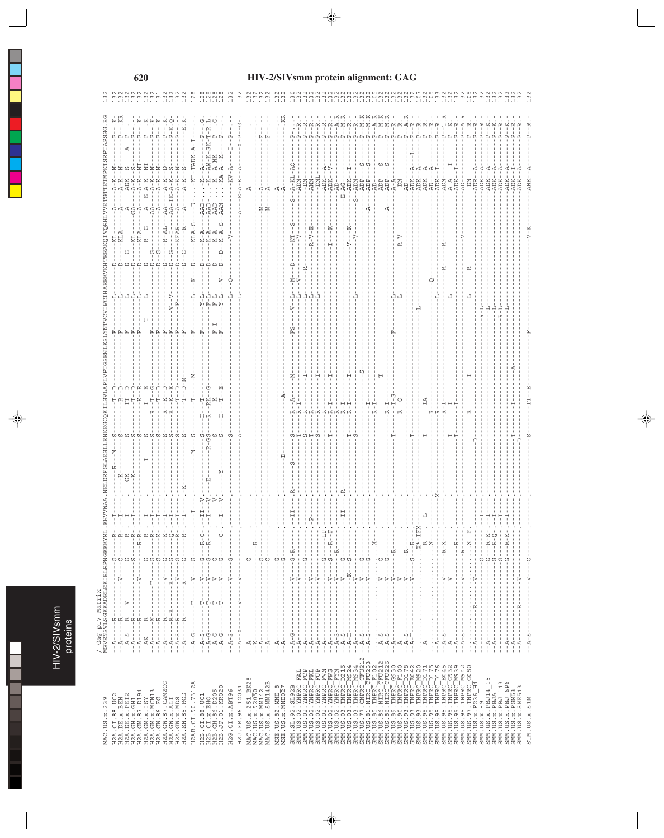| MAC.US.x.239                                                                                                                                                                                                                                                                                                                                                                          | / Gag pl7 Matrix<br>MGVRNSVLSGKKADELEKIRLRPNGKKKYML                                                                                                                                                                                                                                                                                                                                                   |                                                                                                                                                                                                                 |          |                   |                                      |                                                  |                                           | KHVVWAA. NELDRFGLAESLLENKEGCQKILSVLAPLVPTGSENLKSLYNTVCVIWCIHAEEKVKHTEEAKQIVQRHLVVETTETNEYNEKRFFAPSSG.RG |                                                            |                 |
|---------------------------------------------------------------------------------------------------------------------------------------------------------------------------------------------------------------------------------------------------------------------------------------------------------------------------------------------------------------------------------------|-------------------------------------------------------------------------------------------------------------------------------------------------------------------------------------------------------------------------------------------------------------------------------------------------------------------------------------------------------------------------------------------------------|-----------------------------------------------------------------------------------------------------------------------------------------------------------------------------------------------------------------|----------|-------------------|--------------------------------------|--------------------------------------------------|-------------------------------------------|---------------------------------------------------------------------------------------------------------|------------------------------------------------------------|-----------------|
|                                                                                                                                                                                                                                                                                                                                                                                       | $-$ A                                                                                                                                                                                                                                                                                                                                                                                                 | $\frac{c}{1}$                                                                                                                                                                                                   |          | C)<br>ż-<br>ķ     |                                      |                                                  | KL,                                       |                                                                                                         |                                                            |                 |
| H2A.CI.88.UC2<br>H2A.DE.x.BEN                                                                                                                                                                                                                                                                                                                                                         | $\mathbf{I}$<br>Ť                                                                                                                                                                                                                                                                                                                                                                                     | ひ<br>÷,<br>÷<br>$---V$                                                                                                                                                                                          |          | ×                 |                                      |                                                  | - KLA                                     | $A - K$<br>$A - K$<br>К<br>$\Delta$                                                                     | .<br>KR<br>АААААААААААА                                    |                 |
|                                                                                                                                                                                                                                                                                                                                                                                       |                                                                                                                                                                                                                                                                                                                                                                                                       | υ ω<br>$\overline{\phantom{a}}$<br>$\mathbf{I}$<br>$\mathbf{I}$                                                                                                                                                 |          | GK.               | $\Box$                               | 匤                                                | ひ<br>≏                                    | К<br>ω ω<br><b>ADK</b><br>$-AA$ -                                                                       |                                                            |                 |
|                                                                                                                                                                                                                                                                                                                                                                                       | $\mathbf{I}$<br>$\mathbf{I}$                                                                                                                                                                                                                                                                                                                                                                          | $\frac{1}{4}$<br>$\mathsf I$<br>$\blacksquare$<br>$\mathbf{I}$<br>$\,$ I<br>$\,$ I                                                                                                                              |          | $-K$              | $\mathbb H$                          | Ŀц                                               | -KL<br>≏                                  | $A - K$                                                                                                 |                                                            |                 |
|                                                                                                                                                                                                                                                                                                                                                                                       | $\mathbf{I}$<br>$\mathsf I$                                                                                                                                                                                                                                                                                                                                                                           | -11<br>$\overline{\phantom{a}}$<br>$\mathbf I$<br>$\frac{1}{4}$<br>$\overline{v}$                                                                                                                               |          | U)<br>m           | ×                                    | Ŀц,                                              | $-KLA$<br>$\Box$<br>$\Box$                | $-1$ $NT$                                                                                               |                                                            |                 |
|                                                                                                                                                                                                                                                                                                                                                                                       | $\mathbb{I}$                                                                                                                                                                                                                                                                                                                                                                                          | ひ<br>-<br>$\mathbf{I}$<br>$\mathbf{I}$<br>÷<br>$\mathbf{I}$<br>Ť                                                                                                                                                |          | U)                | 口回回の口<br>Н<br>叱                      | Ŀц,                                              | α<br>ひ<br>≏                               |                                                                                                         |                                                            |                 |
|                                                                                                                                                                                                                                                                                                                                                                                       | - 1<br>$\mathbf I$                                                                                                                                                                                                                                                                                                                                                                                    | ひひひ<br>-<br>$\mathbf{I}$<br>- 1<br>- 1                                                                                                                                                                          |          | C)                | Н                                    | Ŀц,                                              | ひ<br>$\Box$                               | 44444<br>4444<br>$-14444$                                                                               | <b>KKKKK</b>                                               | mmmm            |
|                                                                                                                                                                                                                                                                                                                                                                                       | $\mathsf I$<br>$-R$                                                                                                                                                                                                                                                                                                                                                                                   | 扫土<br>÷<br>÷<br>$\geq$                                                                                                                                                                                          |          | U)                | $\Box$<br>$---K$<br>$\approx \alpha$ | Ŀц                                               | $R - AL$<br>≏                             | $A-K$                                                                                                   |                                                            |                 |
|                                                                                                                                                                                                                                                                                                                                                                                       | ÷.<br>$\frac{1}{\sqrt{2}}$                                                                                                                                                                                                                                                                                                                                                                            | ÷<br>$\frac{1}{2}$<br>$\mathbbm{R}$<br>Ŧ                                                                                                                                                                        |          | U.                | 凹<br>$\Box$<br>×<br>⊢                | 匞<br>Ŀц<br>Ŀц,                                   | Ü<br>$\Box$                               | ω<br>$\tilde{a}$<br>$E - A - K$<br>$- -A - K$<br>$AA - I$                                               | $\circ$<br>뛰                                               |                 |
| $\begin{array}{l} \bf H2A, \bf B1Z, \bf H3Z, \bf H2Z \\ \bf H2A, \bf GH, \bf X, \bf GH, \bf Y, \bf GH \\ \bf H2A, \bf GM, \bf X, \bf I3Y \\ \bf H2A, \bf GM, \bf X, \bf I3Y \\ \bf H2A, \bf GM, \bf X, \bf H2Y \\ \bf H2A, \bf GM, \bf X, \bf M2Y \\ \bf H2A, \bf GM, \bf B', \bf CAMZ \\ \bf H2A, \bf GM, \bf Y, \bf A1Z \\ \bf H2A, \bf GM, \bf Y, \bf H2Z \\ \bf H2A, \bf GM, \bf$ | $\mathbf I$<br>$\,$ I<br>I.<br>$\mathbf I$<br>J.<br>J.<br>$\mathbf{I}$<br>$\mathbf{I}$<br>$\mathbb{I}$<br>$\blacksquare$<br>$\mathbf I$<br>$\begin{array}{cccc}\n & R & R \\  & R & R \\  & R & R \\  & R & R\n \end{array}$                                                                                                                                                                          | <b>ひ ひ ひ</b><br>Ħ<br>$\frac{1}{4}$<br>α<br>Ť<br>t                                                                                                                                                               |          | m                 | $M - G$<br>Н                         | 国                                                | -KFAR<br>$- R$<br>ひ<br>≏<br>≏             | $-4$<br>Ą                                                                                               | ≍<br>뛰<br>J.                                               | www             |
| H2AB.CI.90.7312A                                                                                                                                                                                                                                                                                                                                                                      | -<br>$\,$ $\,$<br>부<br>-<br>$-(-A - G -$                                                                                                                                                                                                                                                                                                                                                              | -<br>$\blacksquare$<br>ひ<br>÷<br>$\frac{1}{4}$<br>$\geq$                                                                                                                                                        |          | m<br>z            | ≅                                    | 匤                                                | $-KLA-S$                                  | $-KT-TADK$<br>$\overline{a}$                                                                            |                                                            |                 |
|                                                                                                                                                                                                                                                                                                                                                                                       |                                                                                                                                                                                                                                                                                                                                                                                                       |                                                                                                                                                                                                                 |          |                   |                                      |                                                  |                                           |                                                                                                         |                                                            |                 |
|                                                                                                                                                                                                                                                                                                                                                                                       | $\overline{\phantom{0}}$<br>$\blacksquare$<br>nee<br>Titl<br>$\frac{1}{4}$<br>л.<br>Ť                                                                                                                                                                                                                                                                                                                 | $-8 - C$<br><b>ひ ウ</b><br>÷<br>$\frac{1}{4}$<br>555<br>$\blacksquare$                                                                                                                                           |          | ωω<br>ט<br>R<br>囸 | ひ<br>RK                              |                                                  | $K - A$<br>$K - A$                        | $: -A---$<br>$:- AM - K$<br><b>AAD</b>                                                                  | ひ<br>$\mathbb{R}$<br>$\mathsf{p}_4$ $\mathsf{p}_4$         |                 |
|                                                                                                                                                                                                                                                                                                                                                                                       | -<br>$\mathbf{1}$<br>$\frac{1}{1}$<br>Ť                                                                                                                                                                                                                                                                                                                                                               | ٠<br>$\mathsf I$<br>I.<br>$\mathbf{I}$<br>$\mathsf I$<br>ひ<br>f,<br>$\frac{1}{4}$                                                                                                                               |          | C)                | α                                    | Ļ<br>부<br>$\mathbb{L}_1$<br>Ŀц<br><b>I</b><br>Ŀц | $K - A$                                   | $-$ SK-<br>. - NK<br>$-4$<br>AAD<br>AAD                                                                 | ひ<br>$\Omega$                                              |                 |
| $\circ$<br>H2B.CI.88.UC1<br>H2B.CI.X.EHO<br>H2B.GH.86.D205<br>H2B.JP.01.KR020                                                                                                                                                                                                                                                                                                         | $\,$ $\,$<br>부<br>Ť<br>Í                                                                                                                                                                                                                                                                                                                                                                              | $\frac{1}{2}$<br>$\mathbf{I}$<br>$\mathsf I$<br>ひ<br>÷<br>$\overline{\phantom{0}}$<br>$\sim 1-1$                                                                                                                |          | C)                | 凹<br>Ξ                               | Ē                                                | $K - A - S$<br>'n,<br>$\Box$<br>⊳         | $KA - A$<br><b>AAN</b>                                                                                  | $\mathbf{\Omega}$                                          | $\mathbf{\sim}$ |
| H2G.CI.x.ABT96                                                                                                                                                                                                                                                                                                                                                                        | ٠<br>$\mathbb{I}$<br>٠<br>$- A - S$                                                                                                                                                                                                                                                                                                                                                                   | $\mathbf{I}$<br>$\mathbf{I}$<br>$\mathsf I$<br>ひ<br>$\mathbf{I}$<br>$\frac{1}{2}$<br>$\mathsf{I}$                                                                                                               |          | C                 |                                      | ᆸ                                                | ⋗<br>$\circ$                              | Н<br>$-KV - A$                                                                                          | $\mathbf{\Omega}$                                          |                 |
| H2U. FR. 96.12034                                                                                                                                                                                                                                                                                                                                                                     | $\mathbf{I}$<br>$\,$ $\,$<br>$-1$<br>$\begin{array}{c} \rule{0.2cm}{0.15mm} \rule{0.2cm}{0.15mm} \rule{0.2cm}{0.15mm} \rule{0.2cm}{0.15mm} \rule{0.2cm}{0.15mm} \rule{0.2cm}{0.15mm} \rule{0.2cm}{0.15mm} \rule{0.2cm}{0.15mm} \rule{0.2cm}{0.15mm} \rule{0.2cm}{0.15mm} \rule{0.2cm}{0.15mm} \rule{0.2cm}{0.15mm} \rule{0.2cm}{0.15mm} \rule{0.2cm}{0.15mm} \rule{0.2cm}{0.15mm} \rule{$<br>$-4 - 8$ | $\frac{1}{2}$<br>$-1$                                                                                                                                                                                           |          |                   |                                      |                                                  |                                           | $\times$<br>$-4$<br>$A-K$<br>囟                                                                          | д<br>J,                                                    |                 |
|                                                                                                                                                                                                                                                                                                                                                                                       | ŧ                                                                                                                                                                                                                                                                                                                                                                                                     |                                                                                                                                                                                                                 |          |                   |                                      |                                                  |                                           |                                                                                                         |                                                            |                 |
|                                                                                                                                                                                                                                                                                                                                                                                       | $\mathbf I$<br>ł<br>$\mathbf I$<br>$\mathbf{I}$<br>f,<br>Ť                                                                                                                                                                                                                                                                                                                                            | Ť<br>ł<br>$\frac{1}{\sqrt{2}}$<br>$\frac{1}{4}$<br>$\mathbf{I}$                                                                                                                                                 |          |                   |                                      |                                                  |                                           |                                                                                                         |                                                            |                 |
|                                                                                                                                                                                                                                                                                                                                                                                       | $\overline{\phantom{a}}$<br>$\frac{1}{4}$<br>$\blacksquare$<br>-<br>÷<br>-                                                                                                                                                                                                                                                                                                                            | $- - R - -$<br>-<br>$\mathbf{I}$<br>ひ<br>$\mathbf{I}$<br>$\mathbf{I}$                                                                                                                                           |          |                   |                                      |                                                  |                                           | K,<br>Σ                                                                                                 | 四                                                          |                 |
| MAC.US.x.251_BK28<br>MAC.US.x.92050<br>MAC.US.x.MM142<br>MAC.US.x.SMM142B                                                                                                                                                                                                                                                                                                             | f,<br>Ť<br>$\begin{array}{c}\nA \times A \\ 1 \times A \\ 1 \times A\n\end{array}$                                                                                                                                                                                                                                                                                                                    | ł<br>I.<br>$\mathfrak l$<br>ひ<br>٠<br>f,                                                                                                                                                                        |          |                   |                                      |                                                  |                                           | Σ                                                                                                       |                                                            |                 |
| MNE. US. 82. MNE                                                                                                                                                                                                                                                                                                                                                                      | $-4$                                                                                                                                                                                                                                                                                                                                                                                                  | $\mathbf{I}$<br>a                                                                                                                                                                                               |          |                   |                                      |                                                  |                                           |                                                                                                         |                                                            |                 |
| $\infty$ $\sim$<br>MNE.US.x.MNE02                                                                                                                                                                                                                                                                                                                                                     | ł.<br>Ť<br>$\mathbb{L}$<br>$-{\bf A}$                                                                                                                                                                                                                                                                                                                                                                 | $\frac{1}{2}$<br>$\mathbf{I}$<br>$\mathsf I$<br>$\mathbb{I}$<br>ひ<br>Ť                                                                                                                                          |          |                   |                                      |                                                  |                                           |                                                                                                         | 箆                                                          |                 |
|                                                                                                                                                                                                                                                                                                                                                                                       |                                                                                                                                                                                                                                                                                                                                                                                                       |                                                                                                                                                                                                                 |          |                   |                                      |                                                  |                                           |                                                                                                         |                                                            |                 |
| FAL<br>SMM. SL. 92. SL92B<br>SMM. US. 02. YNPRC                                                                                                                                                                                                                                                                                                                                       | $\mathbb{F}$<br>$\,$ $\,$<br>$\mathbf{I}$                                                                                                                                                                                                                                                                                                                                                             | $G - R - - - -$<br>٠<br>$\mathsf{I}$<br>÷,<br>$\blacksquare$<br>$\blacksquare$<br>$\geq$<br>T,<br>Ħ                                                                                                             | $-11$    |                   | $-4$                                 | -FS                                              | 1<br>- KT<br>⊳<br>Ŗ<br>$-\mathbb{N}$<br>⋗ | $A - KL - AO$<br><b>ADN</b><br>CΟ<br>J.<br>U)                                                           |                                                            |                 |
|                                                                                                                                                                                                                                                                                                                                                                                       | $\frac{1}{1}$<br>ł.<br>$\mathsf I$                                                                                                                                                                                                                                                                                                                                                                    | $\ddot{\phi}$<br>$\mathbf{I}$<br>$\mathbf{I}$                                                                                                                                                                   |          | ω                 |                                      |                                                  | q                                         | Nd-                                                                                                     | J,<br>$\Omega$                                             |                 |
| SMM.US.02.YNPRC_FCP<br>SMM.US.02.YNPRC_FKL                                                                                                                                                                                                                                                                                                                                            |                                                                                                                                                                                                                                                                                                                                                                                                       | ł<br>$\mathbf I$<br>$-\nabla$<br>$\Gamma = 1$                                                                                                                                                                   | $\Delta$ |                   | <b>KK</b>                            |                                                  | 凹<br>$\geq$<br>œ                          | <b>ANN</b>                                                                                              | α<br>$\mathbf{a}$                                          |                 |
|                                                                                                                                                                                                                                                                                                                                                                                       | $\blacksquare$<br>$\frac{1}{4}$                                                                                                                                                                                                                                                                                                                                                                       | I<br>1<br>$\mathsf I$<br>T.                                                                                                                                                                                     |          | C)                |                                      |                                                  |                                           | DNI                                                                                                     | α<br>$\mathbf{p}$                                          |                 |
|                                                                                                                                                                                                                                                                                                                                                                                       | ÷                                                                                                                                                                                                                                                                                                                                                                                                     | $- - - - - - 1F$<br>ひ<br>$\mathbf{I}$<br>$\mathsf{I}$<br>I.<br>×.                                                                                                                                               |          |                   | $\alpha$                             |                                                  |                                           | К<br>ADK.                                                                                               | α<br>$A$ $A$ $A$ $A$                                       |                 |
|                                                                                                                                                                                                                                                                                                                                                                                       | $\mathbf{I}$<br>$\frac{1}{1}$                                                                                                                                                                                                                                                                                                                                                                         | $S - - -R - - F$<br>÷<br>$\frac{1}{4}$<br>$\overline{\phantom{0}}$                                                                                                                                              |          |                   | Ţ<br>$\mathbbm{R}$                   |                                                  | $-K$<br>Н                                 | adk                                                                                                     | α                                                          |                 |
|                                                                                                                                                                                                                                                                                                                                                                                       | ÷<br>$\overline{\phantom{a}}$                                                                                                                                                                                                                                                                                                                                                                         | -1<br>$\mathbf I$<br>$-$ R $-$<br>$\mathsf I$<br>$\ddot{\circ}$<br>$\blacksquare$<br>- 1<br>$\,$ $\,$<br>$\,$<br>$\,$ l<br>$\blacksquare$<br>$\tilde{\gamma}$<br>П<br>$\blacksquare$                            |          |                   | Ţ                                    |                                                  |                                           |                                                                                                         | K.                                                         |                 |
|                                                                                                                                                                                                                                                                                                                                                                                       | ٠<br>$\mathbf I$<br>$\frac{1}{1}$<br>$\frac{1}{1}$<br>$\mathsf I$                                                                                                                                                                                                                                                                                                                                     | $\begin{array}{c} \begin{array}{c} \text{1} \\ \text{2} \\ \text{3} \\ \text{4} \end{array} \end{array}$<br>$\sf I$<br>ı<br>1<br>w<br>$\mathbb{I}$<br>$\mathbf I$<br>$\stackrel{\cdot}{\times}$<br>$\mathbf{I}$ |          |                   | <b>KK</b>                            |                                                  | -K                                        | Н<br><b>ADK</b><br>$E-AG$                                                                               | Σ<br>R<br>$\mathbf{a}$                                     |                 |
|                                                                                                                                                                                                                                                                                                                                                                                       |                                                                                                                                                                                                                                                                                                                                                                                                       | $\frac{1}{4}$<br>$\mathsf{I}$                                                                                                                                                                                   |          |                   |                                      |                                                  |                                           | <b>ADN</b><br>C)                                                                                        | $\alpha$                                                   |                 |
|                                                                                                                                                                                                                                                                                                                                                                                       | f,<br>$\blacksquare$<br>$\frac{1}{4}$<br>j.                                                                                                                                                                                                                                                                                                                                                           | $\frac{1}{2}$<br>ひ<br>$\frac{1}{4}$<br>$\frac{1}{4}$<br>$\overline{V}$<br>$\blacksquare$                                                                                                                        |          |                   |                                      |                                                  |                                           | w                                                                                                       | ≍<br>Σ<br>Д                                                |                 |
|                                                                                                                                                                                                                                                                                                                                                                                       |                                                                                                                                                                                                                                                                                                                                                                                                       | $\,$ I<br>$\frac{1}{4}$<br>⋗                                                                                                                                                                                    |          |                   |                                      |                                                  |                                           | C)<br>ADP<br>$-4.$                                                                                      | ×<br>Σ                                                     |                 |
|                                                                                                                                                                                                                                                                                                                                                                                       | $-1$ + $-1$ + $-1$ + $-1$ + $-1$ + $-1$ + $-1$ + $-1$ + $-1$ + $-1$ + $-1$ + $-1$ + $-1$ + $-1$ + $-1$ + $-1$ + $-1$ + $-1$ + $-1$ + $-1$ + $-1$ + $-1$ + $-1$ + $-1$ + $-1$ + $-1$ + $-1$ + $-1$ + $-1$ + $-1$ + $-1$ + $-1$                                                                                                                                                                         |                                                                                                                                                                                                                 |          |                   | œ                                    |                                                  |                                           |                                                                                                         | 吖.<br>4                                                    |                 |
|                                                                                                                                                                                                                                                                                                                                                                                       | $-24 - 3$<br>$-24 - 4 - 5$<br>$-24 - 4 - 5$<br>$-24 - 3 + 5$<br>$-24 - 4 - 1 + 5$                                                                                                                                                                                                                                                                                                                     | ٦,                                                                                                                                                                                                              |          |                   |                                      |                                                  |                                           | თ თ<br><b>ADP</b>                                                                                       | $\mathbb{R} \times$<br>Σ                                   |                 |
|                                                                                                                                                                                                                                                                                                                                                                                       | j.                                                                                                                                                                                                                                                                                                                                                                                                    | $\tilde{a}$<br>$\mathbf I$                                                                                                                                                                                      |          |                   | $R - I$                              |                                                  |                                           | ADP<br>$- A -$                                                                                          | ż<br>$\mathbf{a}$                                          |                 |
|                                                                                                                                                                                                                                                                                                                                                                                       | $\,$ I<br>$\frac{1}{4}$<br>$\frac{1}{4}$                                                                                                                                                                                                                                                                                                                                                              | $---R$<br>$\mathbf{I}$<br>$\mathbf{I}$<br>$\frac{1}{1}$<br>$\tilde{\gamma}$                                                                                                                                     |          |                   | ω                                    | 匞                                                | ř                                         |                                                                                                         | $\alpha$<br>$\alpha$<br>മ                                  |                 |
|                                                                                                                                                                                                                                                                                                                                                                                       | ٠<br>$\frac{1}{4}$<br>$\blacksquare$<br>$\mathbf{I}$<br>$\frac{1}{2}$<br>÷                                                                                                                                                                                                                                                                                                                            | $\mathsf I$<br>$\blacksquare$<br>Ŷ.<br>$- - R -$<br>$\mathsf I$<br>$\mathsf I$<br>$\mathbf{I}$<br>$\mathbf{I}$<br>$\mathbf{1}$<br>÷<br>$\frac{1}{4}$<br>$\tilde{\gamma}$<br>$\,$ 1                              |          |                   | $\circ$<br>œ                         |                                                  | œ                                         | ā                                                                                                       | ≃<br>K.<br>$\triangle$ $\triangle$ $\triangle$ $\triangle$ |                 |
|                                                                                                                                                                                                                                                                                                                                                                                       |                                                                                                                                                                                                                                                                                                                                                                                                       | $\sf I$<br>$- - S - - - R$<br>$\frac{1}{4}$                                                                                                                                                                     |          |                   |                                      |                                                  |                                           | ADK--A                                                                                                  | œ                                                          |                 |
|                                                                                                                                                                                                                                                                                                                                                                                       |                                                                                                                                                                                                                                                                                                                                                                                                       |                                                                                                                                                                                                                 |          |                   |                                      |                                                  |                                           | <b>ADK</b>                                                                                              | $\alpha$                                                   | $\circ$         |
|                                                                                                                                                                                                                                                                                                                                                                                       | $\begin{array}{c} \vdots \\ -1 \end{array}$                                                                                                                                                                                                                                                                                                                                                           |                                                                                                                                                                                                                 |          |                   | .IA                                  |                                                  |                                           | ADK--A                                                                                                  | $\alpha$<br>$\mathbf{a}$                                   |                 |
|                                                                                                                                                                                                                                                                                                                                                                                       |                                                                                                                                                                                                                                                                                                                                                                                                       |                                                                                                                                                                                                                 |          |                   | α                                    |                                                  | O                                         | -A<br>$AD -$                                                                                            | œ<br>$\mathbf{a}$                                          | 0               |
|                                                                                                                                                                                                                                                                                                                                                                                       |                                                                                                                                                                                                                                                                                                                                                                                                       |                                                                                                                                                                                                                 |          |                   | $\alpha$                             |                                                  |                                           | ADK--                                                                                                   | д                                                          |                 |
|                                                                                                                                                                                                                                                                                                                                                                                       | Ì<br>$\frac{1}{1}$<br>$\frac{1}{1}$<br>Ĵ<br>$-24-5-$<br>$-4-8-$<br>$-4-7-$                                                                                                                                                                                                                                                                                                                            | $\mathbf{I}$<br>$---V---$<br>$\blacksquare$<br>$\frac{1}{2}$<br>$\mathbf{1}$                                                                                                                                    |          |                   | 7<br>$\mathbb{R}^2$                  |                                                  | œ<br>R                                    | <b>NOW</b><br>$A - A$                                                                                   | $\mathbf{a}$                                               |                 |
|                                                                                                                                                                                                                                                                                                                                                                                       | 1                                                                                                                                                                                                                                                                                                                                                                                                     | Ĵ,<br>$-R$<br>٠<br>$\mathbf{I}$<br>$\mathbf{I}$                                                                                                                                                                 |          |                   |                                      |                                                  |                                           | ADK                                                                                                     | $\alpha$                                                   |                 |
|                                                                                                                                                                                                                                                                                                                                                                                       | t<br>$- A - S$                                                                                                                                                                                                                                                                                                                                                                                        | ٠<br>$- - R - -$<br>$\mathbf{I}$<br>$\mathbf I$<br>$\frac{1}{4}$<br>$\overline{v}$<br>$\mathfrak l$                                                                                                             |          |                   |                                      |                                                  |                                           | R                                                                                                       | $\mathbf{u}$                                               |                 |
|                                                                                                                                                                                                                                                                                                                                                                                       |                                                                                                                                                                                                                                                                                                                                                                                                       | $\ldots$ $X - F$ .<br>Ħ<br>$\cdots$                                                                                                                                                                             |          |                   | œ                                    |                                                  |                                           | NG.                                                                                                     | $\alpha$                                                   |                 |
|                                                                                                                                                                                                                                                                                                                                                                                       | $\cdot$ $\overline{A}$ .                                                                                                                                                                                                                                                                                                                                                                              | $\blacksquare$                                                                                                                                                                                                  |          |                   |                                      |                                                  |                                           | К<br>ADR.                                                                                               | $\triangle$ $\triangle$ $\triangle$                        |                 |
| SMM.US.x.H9                                                                                                                                                                                                                                                                                                                                                                           | $\frac{1}{1}$<br>t<br>٠                                                                                                                                                                                                                                                                                                                                                                               | じー<br>$\,$ I<br>$\mathbf{I}$                                                                                                                                                                                    |          |                   |                                      | $R - I$                                          |                                           | ADK-                                                                                                    |                                                            |                 |
| LN,                                                                                                                                                                                                                                                                                                                                                                                   | ÷,<br>$\frac{1}{1}$<br>$-4$<br>$-4$                                                                                                                                                                                                                                                                                                                                                                   | $R - K$<br>$- - - - R - Q$<br>Ť<br>$-1$                                                                                                                                                                         |          |                   |                                      |                                                  |                                           | $\frac{1}{1}$<br><b>ADK</b><br><b>ADK</b>                                                               | д                                                          |                 |
|                                                                                                                                                                                                                                                                                                                                                                                       | п                                                                                                                                                                                                                                                                                                                                                                                                     | ٠<br>$\,$ $\,$<br>- ო<br>- - -                                                                                                                                                                                  |          |                   |                                      | $R - L$                                          |                                           | ADK.                                                                                                    |                                                            |                 |
| SMM.US.x.PBJ14_15<br>SMM.US.x.PBJA -<br>SMM.US.x.PBJ_143<br>SMM.US.x.PBJ_6P6                                                                                                                                                                                                                                                                                                          | R                                                                                                                                                                                                                                                                                                                                                                                                     | $---R-K$<br>ひ<br>-<br>J.                                                                                                                                                                                        |          |                   |                                      |                                                  |                                           | <b>ADK</b>                                                                                              | $A$ $A$ $A$ $A$                                            |                 |
| SMM.US.x.PGM5                                                                                                                                                                                                                                                                                                                                                                         | $-4$                                                                                                                                                                                                                                                                                                                                                                                                  |                                                                                                                                                                                                                 |          |                   |                                      |                                                  |                                           | <b>ADK</b>                                                                                              |                                                            |                 |
| $\infty$<br>SMM. US. x. SME54                                                                                                                                                                                                                                                                                                                                                         | 中!<br>$\mathbf{I}$<br>$-{\bf A}$                                                                                                                                                                                                                                                                                                                                                                      | $\blacksquare$<br>$\frac{1}{2}$                                                                                                                                                                                 |          | ≏                 |                                      |                                                  |                                           | <b>ADK</b>                                                                                              | $\mathbf{a}$                                               |                 |
| STM.US.x.STM                                                                                                                                                                                                                                                                                                                                                                          | $- A - S$                                                                                                                                                                                                                                                                                                                                                                                             | $\frac{1}{\zeta}$<br>$-V -$                                                                                                                                                                                     |          | U                 | Ë                                    |                                                  |                                           | <b>ANK</b>                                                                                              |                                                            |                 |

#### HIV-2/SIVsmm protein alignment: GAG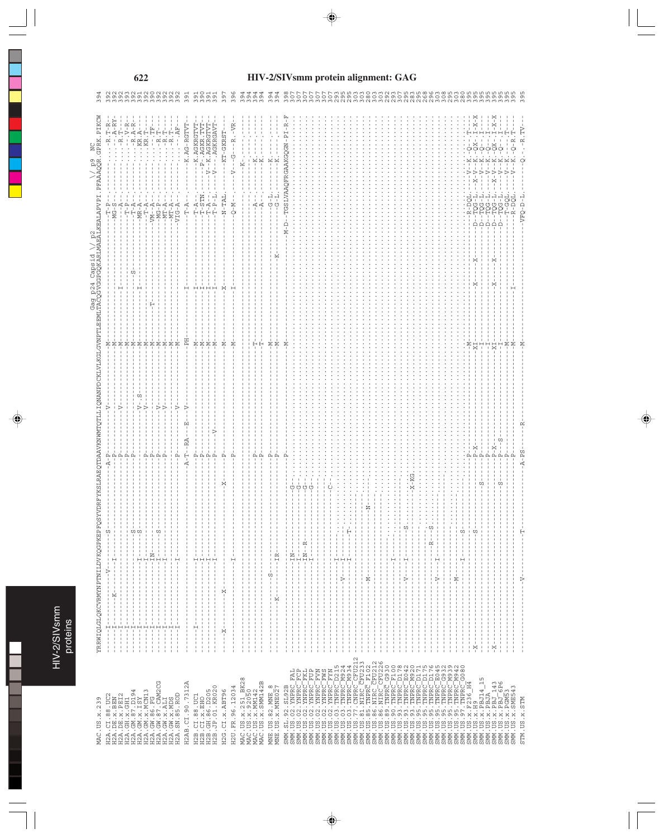| 7 | Ċ<br>n |
|---|--------|
| ţ | à      |
|   |        |
|   |        |
|   |        |

| $X-X$ - X<br>$-X-$<br>$V - R$<br>$A - R$<br>TGSLVAAOFRGAAKGOGN-PI-R<br>K.AG-RGTVT<br>$- -R - VR$<br>$\rm{AF}$ –<br>- - - K. AGKRGTVT<br>- - P - . AGKR . TVT<br>7 - - K. AGKRGTVT<br>-. AGKRGAVI<br>$-1$ $\overline{AB}$ .<br>$\begin{array}{l} \mathbf{R}.\; \mathbf{T} = \; \\ \mathbf{R}.\; \mathbf{T} = \; \\ \mathbf{R}.\; \mathbf{T} = \; \end{array}$<br>$KR.A-KR.T-$<br>К<br>-KT-GKRST<br>Ŕ.<br>i.<br>$Q - R$<br><u>ဝုံ</u> တွဲဝုံလွှင်<br>$\frac{1}{2}$<br>K<br>KK<br>Χ<br>×<br>k-<br>⊳<br>⊳<br>$\geq$<br>$-X-V$<br>$\triangleright$<br>⋗<br>$\begin{array}{cccccc} & T & -A & - & \\ -T & -S & T N & \\ -T & -A & - & \\ -T & -P & -L & \\ \end{array}$<br>급<br>TQG-I<br>TQG-I<br>$N-TAT$<br>$R-DQI$<br>.<br>GO:<br>$\frac{1}{\mathbf{C}}$<br>日日み日み<br>$\mathbb{T}$ - $\mathbb{A}$<br>Σ-<br>$-4$<br>$VM - -A$<br>$-MG - P$<br>$-NTT - A$<br>$-NTT - A$<br>$VIG-A$<br>ΑA<br>$\begin{array}{c} \mathbb{Z} \rightarrow \mathbb{Z} \rightarrow \mathbb{Z} \rightarrow \mathbb{Z} \rightarrow \mathbb{Z} \rightarrow \mathbb{Z} \rightarrow \mathbb{Z} \rightarrow \mathbb{Z} \rightarrow \mathbb{Z} \rightarrow \mathbb{Z} \rightarrow \mathbb{Z} \rightarrow \mathbb{Z} \rightarrow \mathbb{Z} \rightarrow \mathbb{Z} \rightarrow \mathbb{Z} \rightarrow \mathbb{Z} \rightarrow \mathbb{Z} \rightarrow \mathbb{Z} \rightarrow \mathbb{Z} \rightarrow \mathbb{Z} \rightarrow \mathbb{Z} \rightarrow \mathbb{Z} \rightarrow \mathbb{Z} \rightarrow \mathbb{Z} \rightarrow \mathbb{Z} \rightarrow \mathbb{Z} \rightarrow \mathbb{Z$<br>医·<br>「<br>$\circ$<br>$\bigcap_{\alpha=1}^{\infty}\bigcap_{\alpha=1}^{\infty}\bigcap_{\alpha=1}^{\infty}$<br>≏<br>×<br>C)<br>×<br>H H<br>Ķ<br>嵩<br>ΣΣΣ<br>Σ<br>ΣΣ<br>Σ<br>Σ<br>Σ<br>Σ<br>Σ<br>Σ<br>Σ<br>Σ<br>Σ<br>Σ<br>Σ<br>нн<br>Σ<br>Σ<br>$\begin{array}{c} \n 1 \\  \n 2 \\  \n 3 \\  \n 4 \\  \n 5 \\  \n 6 \\  \n 7 \\  \n 8 \\  \n 9 \\  \n 1 \\  \n 1 \\  \n 1 \\  \n 2 \\  \n 3 \\  \n 4 \\  \n 5 \\  \n 7 \\  \n 8 \\  \n 9 \\  \n 1 \\  \n 1 \\  \n 2 \\  \n 3 \\  \n 4 \\  \n 5 \\  \n 7 \\  \n 8 \\  \n 9 \\  \n 1 \\  \n 1 \\  \n 2 \\  \n 3 \\  \n 4 \\  \n 5 \\  \n 7 \\  \n 8 \\  \n 9 \\  \n 1 \\  \n 1 \\  \n 1 \\  \n 2 \\  \n 3 \\  \n $<br>Σ<br>Σ<br>C)<br>⊳<br>⊳<br>⊳<br><b>[ii]</b><br>C)<br>RA<br>$A + I + I$<br>×-<br>$\Delta$ $\Delta$ $\Delta$<br>$\triangle$ $\triangle$ $\triangle$ $\triangle$<br>$\triangle$ $\triangle$ $\triangle$ $\triangle$<br>Д<br>$\mathbf{a}$<br>$\Delta$<br>$\mathsf{p}_1$<br>$\Omega$<br>മ<br>മ<br>൧<br>н<br>മ<br>C)<br>m<br>ささささ<br>z<br>$- - - - - -$<br>S<br>i<br>$\overline{\phantom{a}}$<br>$-5$<br>$\frac{1}{2}$<br>$\begin{array}{c} 1 \\ 1 \\ 1 \\ 1 \end{array}$<br>$\mathbf{L}=-\mathbf{L}=-\mathbf{L}$<br>$-1$<br>$- -$ S<br>$\frac{1}{1}$<br>$\begin{array}{c} 1 & 0 \\ 0 & 1 \end{array}$<br>$\frac{1}{2}$<br>Ŧ<br>$\begin{array}{c} \n\cdot & \cdot & \cdot \\ \n\cdot & \cdot & \cdot \\ \n\cdot & \cdot & \cdot \n\end{array}$<br>$\begin{array}{c} 1 \\ 1 \\ 1 \\ 1 \end{array}$<br>$- - R - -$<br>f,<br>$\begin{array}{c} \begin{array}{c} \text{1} \\ \text{2} \\ \text{3} \\ \text{4} \end{array} \end{array}$<br>$- - 2I - 2I - 2I - 2I$<br>$\sf I$<br>$\begin{array}{c} 1 \\ 1 \\ 1 \\ 1 \end{array}$<br>$\frac{1}{1}$<br>$\frac{1}{1}$<br>$\frac{1}{4}$<br>$\frac{1}{1}$<br>$\overline{\phantom{a}}$<br>J,<br>$\mathbf{I}$<br>$\mathbf{I}$<br>$\frac{1}{1}$<br>İ<br>$\frac{1}{1}$<br>$\mathbf{I}$<br>$\,$ I<br>1<br>$\frac{1}{1}$<br>J.<br>$\overline{\phantom{a}}$<br>ł<br>-<br>$-1 = -1 - -1 - 1$<br>Ť<br>$\mathbf{I}$<br>Ì<br>$\frac{1}{1}$<br>$-1-\Gamma-1$<br>$\frac{1}{4}$<br>Ţ<br>$\mathsf I$<br>$\blacksquare$<br>$-IR$<br>HH<br>   <br>$\frac{1}{4}$<br>$\frac{1}{1}$<br>$\frac{1}{4}$<br>$\frac{1}{1}$<br>÷,<br>$\ddot{a}$<br>$-1$<br>$\frac{1}{1}$<br>Ţ<br><b>□ - - - - - - - - - - - - - -</b> -<br>.<br>$\frac{1}{2}$<br>$-1$<br>ţ<br>$\frac{1}{1}$<br>Ļ<br>$\mathbf{I}$<br>$\frac{1}{4}$<br>٠<br>$\frac{1}{1}$<br>$\frac{1}{1}$<br>ł<br>$\frac{1}{1}$<br>$-5 - - - -$<br>$\frac{1}{1}$<br>$\frac{1}{2}$<br>$\frac{1}{1}$<br>- - M - - - - - - - -<br>$\frac{1}{2}$<br>$\frac{1}{4}$<br>$\frac{1}{4}$<br>$-1$ - $-1$ - $-1$ - $-1$<br>$\frac{1}{1}$<br>- - M - - - - - - - -<br>$\frac{1}{1}$<br>$- - - - - - - - - -$<br>$\mathbf{I}$<br>$\,$ I<br>$\mathbf{I}$<br>$\mathbf{I}$<br>$\mathsf I$<br>$\frac{1}{2}$<br>ţ<br><b>+++++++++++++</b><br>$\mathfrak l$<br>$\,$ $\,$<br>$\mathbf{I}$<br>$\begin{array}{c} \n 1 \\  1 \\  1\n \end{array}$<br>ł<br>.<br>1<br>Ì<br>$\begin{array}{c} \begin{array}{c} \text{1} \\ \text{2} \\ \text{3} \\ \text{4} \end{array} \end{array}$<br>$\begin{array}{c} \begin{array}{c} \bullet \\ \bullet \\ \bullet \end{array} \\ \begin{array}{c} \bullet \\ \bullet \\ \bullet \end{array} \end{array}$<br>Ì<br>$\mathbf{I}$<br>J.<br>$---X---$<br>$\mathbf{I}$<br>$\frac{1}{1}$<br>$\frac{1}{1}$<br>$\frac{1}{1}$<br>$\frac{1}{1}$<br>$\frac{1}{1}$<br>$\frac{1}{1}$<br>Ť<br>ţ<br>f,<br>İ<br>$\,$ $\,$<br>ł<br>$\frac{1}{4}$<br>$- -X - - -$<br>ţ<br>$\frac{1}{1}$<br>$\frac{1}{4}$<br>i.<br>$\frac{1}{4}$<br>$\frac{1}{4}$<br>ł.<br>f,<br>$\frac{1}{4}$<br>$-1 - 1 - 1 -$<br>$\overline{\phantom{a}}$<br>$\frac{1}{1}$<br>$\begin{array}{c} \vspace{0.5mm} \rule{0.5mm}{0.5mm} \end{array}$<br>f,<br>$-1 - 1 -$<br>÷<br>$\overline{\phantom{a}}$<br>J.<br>$\overline{1}$<br>Ţ<br>f,<br>$\frac{1}{1}$<br>$\frac{1}{1}$<br>$\frac{1}{1}$<br>$\frac{1}{1}$<br>÷,<br>f,<br>$\frac{1}{4}$<br>$\frac{1}{1}$<br>$\frac{1}{1}$<br>$\frac{1}{1}$<br>$\frac{1}{1}$<br>ı<br>$\frac{1}{1}$<br>$\,$ I<br>I<br>J<br>ţ<br>ţ<br>t<br>Í<br>$\frac{1}{1}$<br>J.<br>J.<br>J.<br>$\mathbf{I}$<br>J.<br>$\mathbf{I}$<br>п<br>$\overline{\phantom{a}}$<br>J.<br>J.<br>J.<br>J.<br>$-X--$<br>J.<br>$-X--$<br>$\mathfrak l$<br>I,<br>1<br>1<br>٠<br>ı<br>J,<br>J,<br>J,<br>ı<br>1<br>٠<br>1<br>J<br>FAL<br>SMM.US.02.YNPRC_FCP<br>SMM.US.02.YNPRC_FKL<br>SMM.US.02.YNPRC_FUP<br>MAC.US.x.251_BK28<br>MAC.US.x.92050<br>MAC.US.x.MM142<br>H2A.GW.86.FG<br>H2A.GW.87.CAM2CG<br>H2A.GW.x.ALI<br>H2A.GW.x.MDS<br>H2A.SN.85.ROD<br>MAC.US.x.SMM142B<br>H2AB.CI.90.7312A<br>SMM.US.x.PBJ_143<br>SMM.US.x.PBJ_6P6<br>SMM.US.02. YNPRC<br>SMM. SL. 92. SL92B<br>$\circ$<br>H2U. FR. 96.12034<br>$\infty$ r<br>SMM.US.x.SME543<br>$\begin{array}{l} \tt H2B.CI.88.UC1\\ \tt H2B.CI.x.BHO\\ \tt H2B.GH.86.D205\\ \tt H2B.GH.86.D205\\ \tt H2B.JP.OI.KR020\\ \end{array}$<br>H2G.CI.x.ABT96<br>MNE. US. x. MNE02<br>H2A.GH.x.GH1<br>H2A.GM.87.D194<br>H2A.GM.x.ISY<br>H2A.GM.x.MCN13<br>SMM.US.x.PGM53<br>MNE.US.82.MNE<br>H2A.DE.X.PEI2 | .88.UC2<br>$_{\rm U}^{\rm H}$<br>$H2A$ . | $\frac{5}{1}$<br>$-V -$<br>J.<br>$\mathbf{I}$<br>$\vdash$                                                                                                                       | SYVDRFYKSLRAEQTDAAVKNWMTQTLLIQNANFDCKLVLKGLGVNFTLEEMLTACQGVGGFOQKARLMAEALKEALAFVFI<br>SYVDRFYKSLRAEQTDAAVKNWMTQTLLIQNANFDCKLVLKGLGVNFTLEEMLTACQGVGGFOQKARLMAEALKEALAFVFI<br>д |   |                         |
|-------------------------------------------------------------------------------------------------------------------------------------------------------------------------------------------------------------------------------------------------------------------------------------------------------------------------------------------------------------------------------------------------------------------------------------------------------------------------------------------------------------------------------------------------------------------------------------------------------------------------------------------------------------------------------------------------------------------------------------------------------------------------------------------------------------------------------------------------------------------------------------------------------------------------------------------------------------------------------------------------------------------------------------------------------------------------------------------------------------------------------------------------------------------------------------------------------------------------------------------------------------------------------------------------------------------------------------------------------------------------------------------------------------------------------------------------------------------------------------------------------------------------------------------------------------------------------------------------------------------------------------------------------------------------------------------------------------------------------------------------------------------------------------------------------------------------------------------------------------------------------------------------------------------------------------------------------------------------------------------------------------------------------------------------------------------------------------------------------------------------------------------------------------------------------------------------------------------------------------------------------------------------------------------------------------------------------------------------------------------------------------------------------------------------------------------------------------------------------------------------------------------------------------------------------------------------------------------------------------------------------------------------------------------------------------------------------------------------------------------------------------------------------------------------------------------------------------------------------------------------------------------------------------------------------------------------------------------------------------------------------------------------------------------------------------------------------------------------------------------------------------------------------------------------------------------------------------------------------------------------------------------------------------------------------------------------------------------------------------------------------------------------------------------------------------------------------------------------------------------------------------------------------------------------------------------------------------------------------------------------------------------------------------------------------------------------------------------------------------------------------------------------------------------------------------------------------------------------------------------------------------------------------------------------------------------------------------------------------------------------------------------------------------------------------------------------------------------------------------------------------------------------------------------------------------------------------------------------------------------------------------------------------------------------------------------------------------------------------------------------------------------------------------------------------------------------------------------------------------------------------------------------------------------------------------------------------------------------------------------------------------------------------------------------------------------------------------------------------------------------------------------------------------------------------------------------------------------------------------------------------------------------------------------------------------------------------------------------------------------------------------------------------------------------------------------------------------------------------------------------------------------------------------------------------------------------------------------------------------------------------------------------------------------------------------------------------------------------------------------------------------------------------------------------------------------------------------------------------------------------------------------------------------------------------------------------------------------------------------------------------------------------------------------------------------------------------------------------------------------------------------------------------------------------------------------------------------------------------------------------------------------------------------------------------------------------------------------------------------------------------------------------------------------------------------------------------------------------------------------------------------------------------------------------------------------------------------------------------------------------------------------------------------------------------------------------------------------------------------------------------------------------------------------------------------------------------------------------------------------------------------------------------------------------------------------------------------|------------------------------------------|---------------------------------------------------------------------------------------------------------------------------------------------------------------------------------|-------------------------------------------------------------------------------------------------------------------------------------------------------------------------------|---|-------------------------|
|                                                                                                                                                                                                                                                                                                                                                                                                                                                                                                                                                                                                                                                                                                                                                                                                                                                                                                                                                                                                                                                                                                                                                                                                                                                                                                                                                                                                                                                                                                                                                                                                                                                                                                                                                                                                                                                                                                                                                                                                                                                                                                                                                                                                                                                                                                                                                                                                                                                                                                                                                                                                                                                                                                                                                                                                                                                                                                                                                                                                                                                                                                                                                                                                                                                                                                                                                                                                                                                                                                                                                                                                                                                                                                                                                                                                                                                                                                                                                                                                                                                                                                                                                                                                                                                                                                                                                                                                                                                                                                                                                                                                                                                                                                                                                                                                                                                                                                                                                                                                                                                                                                                                                                                                                                                                                                                                                                                                                                                                                                                                                                                                                                                                                                                                                                                                                                                                                                                                                                                                                                                                                                                                                                                                                                                                                                                                                                                                                                                                                                                                                                                     | H2A.DE. x. BEN                           | $\mathbf{I}$<br>$\mathsf I$<br>$\mathbf{I}$<br>$\mathbf{I}$<br>$\frac{1}{4}$<br>$\frac{1}{2}$<br>t.<br>$---24 - -1 = -1$<br>$\frac{1}{1}$<br>$\mathbf{H}$<br>Ť.<br>$\mathbf{I}$ |                                                                                                                                                                               | Σ | $-A-R$<br>$-MG-$        |
|                                                                                                                                                                                                                                                                                                                                                                                                                                                                                                                                                                                                                                                                                                                                                                                                                                                                                                                                                                                                                                                                                                                                                                                                                                                                                                                                                                                                                                                                                                                                                                                                                                                                                                                                                                                                                                                                                                                                                                                                                                                                                                                                                                                                                                                                                                                                                                                                                                                                                                                                                                                                                                                                                                                                                                                                                                                                                                                                                                                                                                                                                                                                                                                                                                                                                                                                                                                                                                                                                                                                                                                                                                                                                                                                                                                                                                                                                                                                                                                                                                                                                                                                                                                                                                                                                                                                                                                                                                                                                                                                                                                                                                                                                                                                                                                                                                                                                                                                                                                                                                                                                                                                                                                                                                                                                                                                                                                                                                                                                                                                                                                                                                                                                                                                                                                                                                                                                                                                                                                                                                                                                                                                                                                                                                                                                                                                                                                                                                                                                                                                                                                     |                                          |                                                                                                                                                                                 |                                                                                                                                                                               |   |                         |
|                                                                                                                                                                                                                                                                                                                                                                                                                                                                                                                                                                                                                                                                                                                                                                                                                                                                                                                                                                                                                                                                                                                                                                                                                                                                                                                                                                                                                                                                                                                                                                                                                                                                                                                                                                                                                                                                                                                                                                                                                                                                                                                                                                                                                                                                                                                                                                                                                                                                                                                                                                                                                                                                                                                                                                                                                                                                                                                                                                                                                                                                                                                                                                                                                                                                                                                                                                                                                                                                                                                                                                                                                                                                                                                                                                                                                                                                                                                                                                                                                                                                                                                                                                                                                                                                                                                                                                                                                                                                                                                                                                                                                                                                                                                                                                                                                                                                                                                                                                                                                                                                                                                                                                                                                                                                                                                                                                                                                                                                                                                                                                                                                                                                                                                                                                                                                                                                                                                                                                                                                                                                                                                                                                                                                                                                                                                                                                                                                                                                                                                                                                                     |                                          |                                                                                                                                                                                 |                                                                                                                                                                               |   |                         |
|                                                                                                                                                                                                                                                                                                                                                                                                                                                                                                                                                                                                                                                                                                                                                                                                                                                                                                                                                                                                                                                                                                                                                                                                                                                                                                                                                                                                                                                                                                                                                                                                                                                                                                                                                                                                                                                                                                                                                                                                                                                                                                                                                                                                                                                                                                                                                                                                                                                                                                                                                                                                                                                                                                                                                                                                                                                                                                                                                                                                                                                                                                                                                                                                                                                                                                                                                                                                                                                                                                                                                                                                                                                                                                                                                                                                                                                                                                                                                                                                                                                                                                                                                                                                                                                                                                                                                                                                                                                                                                                                                                                                                                                                                                                                                                                                                                                                                                                                                                                                                                                                                                                                                                                                                                                                                                                                                                                                                                                                                                                                                                                                                                                                                                                                                                                                                                                                                                                                                                                                                                                                                                                                                                                                                                                                                                                                                                                                                                                                                                                                                                                     |                                          |                                                                                                                                                                                 |                                                                                                                                                                               |   |                         |
|                                                                                                                                                                                                                                                                                                                                                                                                                                                                                                                                                                                                                                                                                                                                                                                                                                                                                                                                                                                                                                                                                                                                                                                                                                                                                                                                                                                                                                                                                                                                                                                                                                                                                                                                                                                                                                                                                                                                                                                                                                                                                                                                                                                                                                                                                                                                                                                                                                                                                                                                                                                                                                                                                                                                                                                                                                                                                                                                                                                                                                                                                                                                                                                                                                                                                                                                                                                                                                                                                                                                                                                                                                                                                                                                                                                                                                                                                                                                                                                                                                                                                                                                                                                                                                                                                                                                                                                                                                                                                                                                                                                                                                                                                                                                                                                                                                                                                                                                                                                                                                                                                                                                                                                                                                                                                                                                                                                                                                                                                                                                                                                                                                                                                                                                                                                                                                                                                                                                                                                                                                                                                                                                                                                                                                                                                                                                                                                                                                                                                                                                                                                     |                                          |                                                                                                                                                                                 |                                                                                                                                                                               |   |                         |
|                                                                                                                                                                                                                                                                                                                                                                                                                                                                                                                                                                                                                                                                                                                                                                                                                                                                                                                                                                                                                                                                                                                                                                                                                                                                                                                                                                                                                                                                                                                                                                                                                                                                                                                                                                                                                                                                                                                                                                                                                                                                                                                                                                                                                                                                                                                                                                                                                                                                                                                                                                                                                                                                                                                                                                                                                                                                                                                                                                                                                                                                                                                                                                                                                                                                                                                                                                                                                                                                                                                                                                                                                                                                                                                                                                                                                                                                                                                                                                                                                                                                                                                                                                                                                                                                                                                                                                                                                                                                                                                                                                                                                                                                                                                                                                                                                                                                                                                                                                                                                                                                                                                                                                                                                                                                                                                                                                                                                                                                                                                                                                                                                                                                                                                                                                                                                                                                                                                                                                                                                                                                                                                                                                                                                                                                                                                                                                                                                                                                                                                                                                                     |                                          |                                                                                                                                                                                 |                                                                                                                                                                               |   |                         |
|                                                                                                                                                                                                                                                                                                                                                                                                                                                                                                                                                                                                                                                                                                                                                                                                                                                                                                                                                                                                                                                                                                                                                                                                                                                                                                                                                                                                                                                                                                                                                                                                                                                                                                                                                                                                                                                                                                                                                                                                                                                                                                                                                                                                                                                                                                                                                                                                                                                                                                                                                                                                                                                                                                                                                                                                                                                                                                                                                                                                                                                                                                                                                                                                                                                                                                                                                                                                                                                                                                                                                                                                                                                                                                                                                                                                                                                                                                                                                                                                                                                                                                                                                                                                                                                                                                                                                                                                                                                                                                                                                                                                                                                                                                                                                                                                                                                                                                                                                                                                                                                                                                                                                                                                                                                                                                                                                                                                                                                                                                                                                                                                                                                                                                                                                                                                                                                                                                                                                                                                                                                                                                                                                                                                                                                                                                                                                                                                                                                                                                                                                                                     |                                          |                                                                                                                                                                                 |                                                                                                                                                                               |   |                         |
|                                                                                                                                                                                                                                                                                                                                                                                                                                                                                                                                                                                                                                                                                                                                                                                                                                                                                                                                                                                                                                                                                                                                                                                                                                                                                                                                                                                                                                                                                                                                                                                                                                                                                                                                                                                                                                                                                                                                                                                                                                                                                                                                                                                                                                                                                                                                                                                                                                                                                                                                                                                                                                                                                                                                                                                                                                                                                                                                                                                                                                                                                                                                                                                                                                                                                                                                                                                                                                                                                                                                                                                                                                                                                                                                                                                                                                                                                                                                                                                                                                                                                                                                                                                                                                                                                                                                                                                                                                                                                                                                                                                                                                                                                                                                                                                                                                                                                                                                                                                                                                                                                                                                                                                                                                                                                                                                                                                                                                                                                                                                                                                                                                                                                                                                                                                                                                                                                                                                                                                                                                                                                                                                                                                                                                                                                                                                                                                                                                                                                                                                                                                     |                                          |                                                                                                                                                                                 |                                                                                                                                                                               |   |                         |
|                                                                                                                                                                                                                                                                                                                                                                                                                                                                                                                                                                                                                                                                                                                                                                                                                                                                                                                                                                                                                                                                                                                                                                                                                                                                                                                                                                                                                                                                                                                                                                                                                                                                                                                                                                                                                                                                                                                                                                                                                                                                                                                                                                                                                                                                                                                                                                                                                                                                                                                                                                                                                                                                                                                                                                                                                                                                                                                                                                                                                                                                                                                                                                                                                                                                                                                                                                                                                                                                                                                                                                                                                                                                                                                                                                                                                                                                                                                                                                                                                                                                                                                                                                                                                                                                                                                                                                                                                                                                                                                                                                                                                                                                                                                                                                                                                                                                                                                                                                                                                                                                                                                                                                                                                                                                                                                                                                                                                                                                                                                                                                                                                                                                                                                                                                                                                                                                                                                                                                                                                                                                                                                                                                                                                                                                                                                                                                                                                                                                                                                                                                                     |                                          |                                                                                                                                                                                 |                                                                                                                                                                               |   |                         |
|                                                                                                                                                                                                                                                                                                                                                                                                                                                                                                                                                                                                                                                                                                                                                                                                                                                                                                                                                                                                                                                                                                                                                                                                                                                                                                                                                                                                                                                                                                                                                                                                                                                                                                                                                                                                                                                                                                                                                                                                                                                                                                                                                                                                                                                                                                                                                                                                                                                                                                                                                                                                                                                                                                                                                                                                                                                                                                                                                                                                                                                                                                                                                                                                                                                                                                                                                                                                                                                                                                                                                                                                                                                                                                                                                                                                                                                                                                                                                                                                                                                                                                                                                                                                                                                                                                                                                                                                                                                                                                                                                                                                                                                                                                                                                                                                                                                                                                                                                                                                                                                                                                                                                                                                                                                                                                                                                                                                                                                                                                                                                                                                                                                                                                                                                                                                                                                                                                                                                                                                                                                                                                                                                                                                                                                                                                                                                                                                                                                                                                                                                                                     |                                          |                                                                                                                                                                                 |                                                                                                                                                                               |   |                         |
|                                                                                                                                                                                                                                                                                                                                                                                                                                                                                                                                                                                                                                                                                                                                                                                                                                                                                                                                                                                                                                                                                                                                                                                                                                                                                                                                                                                                                                                                                                                                                                                                                                                                                                                                                                                                                                                                                                                                                                                                                                                                                                                                                                                                                                                                                                                                                                                                                                                                                                                                                                                                                                                                                                                                                                                                                                                                                                                                                                                                                                                                                                                                                                                                                                                                                                                                                                                                                                                                                                                                                                                                                                                                                                                                                                                                                                                                                                                                                                                                                                                                                                                                                                                                                                                                                                                                                                                                                                                                                                                                                                                                                                                                                                                                                                                                                                                                                                                                                                                                                                                                                                                                                                                                                                                                                                                                                                                                                                                                                                                                                                                                                                                                                                                                                                                                                                                                                                                                                                                                                                                                                                                                                                                                                                                                                                                                                                                                                                                                                                                                                                                     |                                          |                                                                                                                                                                                 |                                                                                                                                                                               |   |                         |
|                                                                                                                                                                                                                                                                                                                                                                                                                                                                                                                                                                                                                                                                                                                                                                                                                                                                                                                                                                                                                                                                                                                                                                                                                                                                                                                                                                                                                                                                                                                                                                                                                                                                                                                                                                                                                                                                                                                                                                                                                                                                                                                                                                                                                                                                                                                                                                                                                                                                                                                                                                                                                                                                                                                                                                                                                                                                                                                                                                                                                                                                                                                                                                                                                                                                                                                                                                                                                                                                                                                                                                                                                                                                                                                                                                                                                                                                                                                                                                                                                                                                                                                                                                                                                                                                                                                                                                                                                                                                                                                                                                                                                                                                                                                                                                                                                                                                                                                                                                                                                                                                                                                                                                                                                                                                                                                                                                                                                                                                                                                                                                                                                                                                                                                                                                                                                                                                                                                                                                                                                                                                                                                                                                                                                                                                                                                                                                                                                                                                                                                                                                                     |                                          |                                                                                                                                                                                 |                                                                                                                                                                               |   |                         |
|                                                                                                                                                                                                                                                                                                                                                                                                                                                                                                                                                                                                                                                                                                                                                                                                                                                                                                                                                                                                                                                                                                                                                                                                                                                                                                                                                                                                                                                                                                                                                                                                                                                                                                                                                                                                                                                                                                                                                                                                                                                                                                                                                                                                                                                                                                                                                                                                                                                                                                                                                                                                                                                                                                                                                                                                                                                                                                                                                                                                                                                                                                                                                                                                                                                                                                                                                                                                                                                                                                                                                                                                                                                                                                                                                                                                                                                                                                                                                                                                                                                                                                                                                                                                                                                                                                                                                                                                                                                                                                                                                                                                                                                                                                                                                                                                                                                                                                                                                                                                                                                                                                                                                                                                                                                                                                                                                                                                                                                                                                                                                                                                                                                                                                                                                                                                                                                                                                                                                                                                                                                                                                                                                                                                                                                                                                                                                                                                                                                                                                                                                                                     |                                          |                                                                                                                                                                                 |                                                                                                                                                                               |   |                         |
|                                                                                                                                                                                                                                                                                                                                                                                                                                                                                                                                                                                                                                                                                                                                                                                                                                                                                                                                                                                                                                                                                                                                                                                                                                                                                                                                                                                                                                                                                                                                                                                                                                                                                                                                                                                                                                                                                                                                                                                                                                                                                                                                                                                                                                                                                                                                                                                                                                                                                                                                                                                                                                                                                                                                                                                                                                                                                                                                                                                                                                                                                                                                                                                                                                                                                                                                                                                                                                                                                                                                                                                                                                                                                                                                                                                                                                                                                                                                                                                                                                                                                                                                                                                                                                                                                                                                                                                                                                                                                                                                                                                                                                                                                                                                                                                                                                                                                                                                                                                                                                                                                                                                                                                                                                                                                                                                                                                                                                                                                                                                                                                                                                                                                                                                                                                                                                                                                                                                                                                                                                                                                                                                                                                                                                                                                                                                                                                                                                                                                                                                                                                     |                                          |                                                                                                                                                                                 |                                                                                                                                                                               |   |                         |
|                                                                                                                                                                                                                                                                                                                                                                                                                                                                                                                                                                                                                                                                                                                                                                                                                                                                                                                                                                                                                                                                                                                                                                                                                                                                                                                                                                                                                                                                                                                                                                                                                                                                                                                                                                                                                                                                                                                                                                                                                                                                                                                                                                                                                                                                                                                                                                                                                                                                                                                                                                                                                                                                                                                                                                                                                                                                                                                                                                                                                                                                                                                                                                                                                                                                                                                                                                                                                                                                                                                                                                                                                                                                                                                                                                                                                                                                                                                                                                                                                                                                                                                                                                                                                                                                                                                                                                                                                                                                                                                                                                                                                                                                                                                                                                                                                                                                                                                                                                                                                                                                                                                                                                                                                                                                                                                                                                                                                                                                                                                                                                                                                                                                                                                                                                                                                                                                                                                                                                                                                                                                                                                                                                                                                                                                                                                                                                                                                                                                                                                                                                                     |                                          |                                                                                                                                                                                 |                                                                                                                                                                               |   |                         |
|                                                                                                                                                                                                                                                                                                                                                                                                                                                                                                                                                                                                                                                                                                                                                                                                                                                                                                                                                                                                                                                                                                                                                                                                                                                                                                                                                                                                                                                                                                                                                                                                                                                                                                                                                                                                                                                                                                                                                                                                                                                                                                                                                                                                                                                                                                                                                                                                                                                                                                                                                                                                                                                                                                                                                                                                                                                                                                                                                                                                                                                                                                                                                                                                                                                                                                                                                                                                                                                                                                                                                                                                                                                                                                                                                                                                                                                                                                                                                                                                                                                                                                                                                                                                                                                                                                                                                                                                                                                                                                                                                                                                                                                                                                                                                                                                                                                                                                                                                                                                                                                                                                                                                                                                                                                                                                                                                                                                                                                                                                                                                                                                                                                                                                                                                                                                                                                                                                                                                                                                                                                                                                                                                                                                                                                                                                                                                                                                                                                                                                                                                                                     |                                          |                                                                                                                                                                                 |                                                                                                                                                                               |   |                         |
|                                                                                                                                                                                                                                                                                                                                                                                                                                                                                                                                                                                                                                                                                                                                                                                                                                                                                                                                                                                                                                                                                                                                                                                                                                                                                                                                                                                                                                                                                                                                                                                                                                                                                                                                                                                                                                                                                                                                                                                                                                                                                                                                                                                                                                                                                                                                                                                                                                                                                                                                                                                                                                                                                                                                                                                                                                                                                                                                                                                                                                                                                                                                                                                                                                                                                                                                                                                                                                                                                                                                                                                                                                                                                                                                                                                                                                                                                                                                                                                                                                                                                                                                                                                                                                                                                                                                                                                                                                                                                                                                                                                                                                                                                                                                                                                                                                                                                                                                                                                                                                                                                                                                                                                                                                                                                                                                                                                                                                                                                                                                                                                                                                                                                                                                                                                                                                                                                                                                                                                                                                                                                                                                                                                                                                                                                                                                                                                                                                                                                                                                                                                     |                                          |                                                                                                                                                                                 |                                                                                                                                                                               |   |                         |
|                                                                                                                                                                                                                                                                                                                                                                                                                                                                                                                                                                                                                                                                                                                                                                                                                                                                                                                                                                                                                                                                                                                                                                                                                                                                                                                                                                                                                                                                                                                                                                                                                                                                                                                                                                                                                                                                                                                                                                                                                                                                                                                                                                                                                                                                                                                                                                                                                                                                                                                                                                                                                                                                                                                                                                                                                                                                                                                                                                                                                                                                                                                                                                                                                                                                                                                                                                                                                                                                                                                                                                                                                                                                                                                                                                                                                                                                                                                                                                                                                                                                                                                                                                                                                                                                                                                                                                                                                                                                                                                                                                                                                                                                                                                                                                                                                                                                                                                                                                                                                                                                                                                                                                                                                                                                                                                                                                                                                                                                                                                                                                                                                                                                                                                                                                                                                                                                                                                                                                                                                                                                                                                                                                                                                                                                                                                                                                                                                                                                                                                                                                                     |                                          |                                                                                                                                                                                 |                                                                                                                                                                               |   |                         |
|                                                                                                                                                                                                                                                                                                                                                                                                                                                                                                                                                                                                                                                                                                                                                                                                                                                                                                                                                                                                                                                                                                                                                                                                                                                                                                                                                                                                                                                                                                                                                                                                                                                                                                                                                                                                                                                                                                                                                                                                                                                                                                                                                                                                                                                                                                                                                                                                                                                                                                                                                                                                                                                                                                                                                                                                                                                                                                                                                                                                                                                                                                                                                                                                                                                                                                                                                                                                                                                                                                                                                                                                                                                                                                                                                                                                                                                                                                                                                                                                                                                                                                                                                                                                                                                                                                                                                                                                                                                                                                                                                                                                                                                                                                                                                                                                                                                                                                                                                                                                                                                                                                                                                                                                                                                                                                                                                                                                                                                                                                                                                                                                                                                                                                                                                                                                                                                                                                                                                                                                                                                                                                                                                                                                                                                                                                                                                                                                                                                                                                                                                                                     |                                          |                                                                                                                                                                                 |                                                                                                                                                                               |   |                         |
|                                                                                                                                                                                                                                                                                                                                                                                                                                                                                                                                                                                                                                                                                                                                                                                                                                                                                                                                                                                                                                                                                                                                                                                                                                                                                                                                                                                                                                                                                                                                                                                                                                                                                                                                                                                                                                                                                                                                                                                                                                                                                                                                                                                                                                                                                                                                                                                                                                                                                                                                                                                                                                                                                                                                                                                                                                                                                                                                                                                                                                                                                                                                                                                                                                                                                                                                                                                                                                                                                                                                                                                                                                                                                                                                                                                                                                                                                                                                                                                                                                                                                                                                                                                                                                                                                                                                                                                                                                                                                                                                                                                                                                                                                                                                                                                                                                                                                                                                                                                                                                                                                                                                                                                                                                                                                                                                                                                                                                                                                                                                                                                                                                                                                                                                                                                                                                                                                                                                                                                                                                                                                                                                                                                                                                                                                                                                                                                                                                                                                                                                                                                     |                                          |                                                                                                                                                                                 |                                                                                                                                                                               |   |                         |
|                                                                                                                                                                                                                                                                                                                                                                                                                                                                                                                                                                                                                                                                                                                                                                                                                                                                                                                                                                                                                                                                                                                                                                                                                                                                                                                                                                                                                                                                                                                                                                                                                                                                                                                                                                                                                                                                                                                                                                                                                                                                                                                                                                                                                                                                                                                                                                                                                                                                                                                                                                                                                                                                                                                                                                                                                                                                                                                                                                                                                                                                                                                                                                                                                                                                                                                                                                                                                                                                                                                                                                                                                                                                                                                                                                                                                                                                                                                                                                                                                                                                                                                                                                                                                                                                                                                                                                                                                                                                                                                                                                                                                                                                                                                                                                                                                                                                                                                                                                                                                                                                                                                                                                                                                                                                                                                                                                                                                                                                                                                                                                                                                                                                                                                                                                                                                                                                                                                                                                                                                                                                                                                                                                                                                                                                                                                                                                                                                                                                                                                                                                                     |                                          |                                                                                                                                                                                 |                                                                                                                                                                               |   |                         |
|                                                                                                                                                                                                                                                                                                                                                                                                                                                                                                                                                                                                                                                                                                                                                                                                                                                                                                                                                                                                                                                                                                                                                                                                                                                                                                                                                                                                                                                                                                                                                                                                                                                                                                                                                                                                                                                                                                                                                                                                                                                                                                                                                                                                                                                                                                                                                                                                                                                                                                                                                                                                                                                                                                                                                                                                                                                                                                                                                                                                                                                                                                                                                                                                                                                                                                                                                                                                                                                                                                                                                                                                                                                                                                                                                                                                                                                                                                                                                                                                                                                                                                                                                                                                                                                                                                                                                                                                                                                                                                                                                                                                                                                                                                                                                                                                                                                                                                                                                                                                                                                                                                                                                                                                                                                                                                                                                                                                                                                                                                                                                                                                                                                                                                                                                                                                                                                                                                                                                                                                                                                                                                                                                                                                                                                                                                                                                                                                                                                                                                                                                                                     |                                          |                                                                                                                                                                                 |                                                                                                                                                                               |   |                         |
|                                                                                                                                                                                                                                                                                                                                                                                                                                                                                                                                                                                                                                                                                                                                                                                                                                                                                                                                                                                                                                                                                                                                                                                                                                                                                                                                                                                                                                                                                                                                                                                                                                                                                                                                                                                                                                                                                                                                                                                                                                                                                                                                                                                                                                                                                                                                                                                                                                                                                                                                                                                                                                                                                                                                                                                                                                                                                                                                                                                                                                                                                                                                                                                                                                                                                                                                                                                                                                                                                                                                                                                                                                                                                                                                                                                                                                                                                                                                                                                                                                                                                                                                                                                                                                                                                                                                                                                                                                                                                                                                                                                                                                                                                                                                                                                                                                                                                                                                                                                                                                                                                                                                                                                                                                                                                                                                                                                                                                                                                                                                                                                                                                                                                                                                                                                                                                                                                                                                                                                                                                                                                                                                                                                                                                                                                                                                                                                                                                                                                                                                                                                     |                                          |                                                                                                                                                                                 |                                                                                                                                                                               |   |                         |
|                                                                                                                                                                                                                                                                                                                                                                                                                                                                                                                                                                                                                                                                                                                                                                                                                                                                                                                                                                                                                                                                                                                                                                                                                                                                                                                                                                                                                                                                                                                                                                                                                                                                                                                                                                                                                                                                                                                                                                                                                                                                                                                                                                                                                                                                                                                                                                                                                                                                                                                                                                                                                                                                                                                                                                                                                                                                                                                                                                                                                                                                                                                                                                                                                                                                                                                                                                                                                                                                                                                                                                                                                                                                                                                                                                                                                                                                                                                                                                                                                                                                                                                                                                                                                                                                                                                                                                                                                                                                                                                                                                                                                                                                                                                                                                                                                                                                                                                                                                                                                                                                                                                                                                                                                                                                                                                                                                                                                                                                                                                                                                                                                                                                                                                                                                                                                                                                                                                                                                                                                                                                                                                                                                                                                                                                                                                                                                                                                                                                                                                                                                                     |                                          |                                                                                                                                                                                 |                                                                                                                                                                               |   |                         |
|                                                                                                                                                                                                                                                                                                                                                                                                                                                                                                                                                                                                                                                                                                                                                                                                                                                                                                                                                                                                                                                                                                                                                                                                                                                                                                                                                                                                                                                                                                                                                                                                                                                                                                                                                                                                                                                                                                                                                                                                                                                                                                                                                                                                                                                                                                                                                                                                                                                                                                                                                                                                                                                                                                                                                                                                                                                                                                                                                                                                                                                                                                                                                                                                                                                                                                                                                                                                                                                                                                                                                                                                                                                                                                                                                                                                                                                                                                                                                                                                                                                                                                                                                                                                                                                                                                                                                                                                                                                                                                                                                                                                                                                                                                                                                                                                                                                                                                                                                                                                                                                                                                                                                                                                                                                                                                                                                                                                                                                                                                                                                                                                                                                                                                                                                                                                                                                                                                                                                                                                                                                                                                                                                                                                                                                                                                                                                                                                                                                                                                                                                                                     |                                          |                                                                                                                                                                                 |                                                                                                                                                                               |   |                         |
|                                                                                                                                                                                                                                                                                                                                                                                                                                                                                                                                                                                                                                                                                                                                                                                                                                                                                                                                                                                                                                                                                                                                                                                                                                                                                                                                                                                                                                                                                                                                                                                                                                                                                                                                                                                                                                                                                                                                                                                                                                                                                                                                                                                                                                                                                                                                                                                                                                                                                                                                                                                                                                                                                                                                                                                                                                                                                                                                                                                                                                                                                                                                                                                                                                                                                                                                                                                                                                                                                                                                                                                                                                                                                                                                                                                                                                                                                                                                                                                                                                                                                                                                                                                                                                                                                                                                                                                                                                                                                                                                                                                                                                                                                                                                                                                                                                                                                                                                                                                                                                                                                                                                                                                                                                                                                                                                                                                                                                                                                                                                                                                                                                                                                                                                                                                                                                                                                                                                                                                                                                                                                                                                                                                                                                                                                                                                                                                                                                                                                                                                                                                     |                                          |                                                                                                                                                                                 |                                                                                                                                                                               |   |                         |
|                                                                                                                                                                                                                                                                                                                                                                                                                                                                                                                                                                                                                                                                                                                                                                                                                                                                                                                                                                                                                                                                                                                                                                                                                                                                                                                                                                                                                                                                                                                                                                                                                                                                                                                                                                                                                                                                                                                                                                                                                                                                                                                                                                                                                                                                                                                                                                                                                                                                                                                                                                                                                                                                                                                                                                                                                                                                                                                                                                                                                                                                                                                                                                                                                                                                                                                                                                                                                                                                                                                                                                                                                                                                                                                                                                                                                                                                                                                                                                                                                                                                                                                                                                                                                                                                                                                                                                                                                                                                                                                                                                                                                                                                                                                                                                                                                                                                                                                                                                                                                                                                                                                                                                                                                                                                                                                                                                                                                                                                                                                                                                                                                                                                                                                                                                                                                                                                                                                                                                                                                                                                                                                                                                                                                                                                                                                                                                                                                                                                                                                                                                                     |                                          |                                                                                                                                                                                 |                                                                                                                                                                               |   |                         |
|                                                                                                                                                                                                                                                                                                                                                                                                                                                                                                                                                                                                                                                                                                                                                                                                                                                                                                                                                                                                                                                                                                                                                                                                                                                                                                                                                                                                                                                                                                                                                                                                                                                                                                                                                                                                                                                                                                                                                                                                                                                                                                                                                                                                                                                                                                                                                                                                                                                                                                                                                                                                                                                                                                                                                                                                                                                                                                                                                                                                                                                                                                                                                                                                                                                                                                                                                                                                                                                                                                                                                                                                                                                                                                                                                                                                                                                                                                                                                                                                                                                                                                                                                                                                                                                                                                                                                                                                                                                                                                                                                                                                                                                                                                                                                                                                                                                                                                                                                                                                                                                                                                                                                                                                                                                                                                                                                                                                                                                                                                                                                                                                                                                                                                                                                                                                                                                                                                                                                                                                                                                                                                                                                                                                                                                                                                                                                                                                                                                                                                                                                                                     |                                          |                                                                                                                                                                                 |                                                                                                                                                                               |   |                         |
|                                                                                                                                                                                                                                                                                                                                                                                                                                                                                                                                                                                                                                                                                                                                                                                                                                                                                                                                                                                                                                                                                                                                                                                                                                                                                                                                                                                                                                                                                                                                                                                                                                                                                                                                                                                                                                                                                                                                                                                                                                                                                                                                                                                                                                                                                                                                                                                                                                                                                                                                                                                                                                                                                                                                                                                                                                                                                                                                                                                                                                                                                                                                                                                                                                                                                                                                                                                                                                                                                                                                                                                                                                                                                                                                                                                                                                                                                                                                                                                                                                                                                                                                                                                                                                                                                                                                                                                                                                                                                                                                                                                                                                                                                                                                                                                                                                                                                                                                                                                                                                                                                                                                                                                                                                                                                                                                                                                                                                                                                                                                                                                                                                                                                                                                                                                                                                                                                                                                                                                                                                                                                                                                                                                                                                                                                                                                                                                                                                                                                                                                                                                     |                                          |                                                                                                                                                                                 |                                                                                                                                                                               |   |                         |
|                                                                                                                                                                                                                                                                                                                                                                                                                                                                                                                                                                                                                                                                                                                                                                                                                                                                                                                                                                                                                                                                                                                                                                                                                                                                                                                                                                                                                                                                                                                                                                                                                                                                                                                                                                                                                                                                                                                                                                                                                                                                                                                                                                                                                                                                                                                                                                                                                                                                                                                                                                                                                                                                                                                                                                                                                                                                                                                                                                                                                                                                                                                                                                                                                                                                                                                                                                                                                                                                                                                                                                                                                                                                                                                                                                                                                                                                                                                                                                                                                                                                                                                                                                                                                                                                                                                                                                                                                                                                                                                                                                                                                                                                                                                                                                                                                                                                                                                                                                                                                                                                                                                                                                                                                                                                                                                                                                                                                                                                                                                                                                                                                                                                                                                                                                                                                                                                                                                                                                                                                                                                                                                                                                                                                                                                                                                                                                                                                                                                                                                                                                                     |                                          |                                                                                                                                                                                 |                                                                                                                                                                               |   |                         |
|                                                                                                                                                                                                                                                                                                                                                                                                                                                                                                                                                                                                                                                                                                                                                                                                                                                                                                                                                                                                                                                                                                                                                                                                                                                                                                                                                                                                                                                                                                                                                                                                                                                                                                                                                                                                                                                                                                                                                                                                                                                                                                                                                                                                                                                                                                                                                                                                                                                                                                                                                                                                                                                                                                                                                                                                                                                                                                                                                                                                                                                                                                                                                                                                                                                                                                                                                                                                                                                                                                                                                                                                                                                                                                                                                                                                                                                                                                                                                                                                                                                                                                                                                                                                                                                                                                                                                                                                                                                                                                                                                                                                                                                                                                                                                                                                                                                                                                                                                                                                                                                                                                                                                                                                                                                                                                                                                                                                                                                                                                                                                                                                                                                                                                                                                                                                                                                                                                                                                                                                                                                                                                                                                                                                                                                                                                                                                                                                                                                                                                                                                                                     |                                          |                                                                                                                                                                                 |                                                                                                                                                                               |   |                         |
|                                                                                                                                                                                                                                                                                                                                                                                                                                                                                                                                                                                                                                                                                                                                                                                                                                                                                                                                                                                                                                                                                                                                                                                                                                                                                                                                                                                                                                                                                                                                                                                                                                                                                                                                                                                                                                                                                                                                                                                                                                                                                                                                                                                                                                                                                                                                                                                                                                                                                                                                                                                                                                                                                                                                                                                                                                                                                                                                                                                                                                                                                                                                                                                                                                                                                                                                                                                                                                                                                                                                                                                                                                                                                                                                                                                                                                                                                                                                                                                                                                                                                                                                                                                                                                                                                                                                                                                                                                                                                                                                                                                                                                                                                                                                                                                                                                                                                                                                                                                                                                                                                                                                                                                                                                                                                                                                                                                                                                                                                                                                                                                                                                                                                                                                                                                                                                                                                                                                                                                                                                                                                                                                                                                                                                                                                                                                                                                                                                                                                                                                                                                     |                                          |                                                                                                                                                                                 |                                                                                                                                                                               |   |                         |
|                                                                                                                                                                                                                                                                                                                                                                                                                                                                                                                                                                                                                                                                                                                                                                                                                                                                                                                                                                                                                                                                                                                                                                                                                                                                                                                                                                                                                                                                                                                                                                                                                                                                                                                                                                                                                                                                                                                                                                                                                                                                                                                                                                                                                                                                                                                                                                                                                                                                                                                                                                                                                                                                                                                                                                                                                                                                                                                                                                                                                                                                                                                                                                                                                                                                                                                                                                                                                                                                                                                                                                                                                                                                                                                                                                                                                                                                                                                                                                                                                                                                                                                                                                                                                                                                                                                                                                                                                                                                                                                                                                                                                                                                                                                                                                                                                                                                                                                                                                                                                                                                                                                                                                                                                                                                                                                                                                                                                                                                                                                                                                                                                                                                                                                                                                                                                                                                                                                                                                                                                                                                                                                                                                                                                                                                                                                                                                                                                                                                                                                                                                                     |                                          |                                                                                                                                                                                 |                                                                                                                                                                               |   |                         |
|                                                                                                                                                                                                                                                                                                                                                                                                                                                                                                                                                                                                                                                                                                                                                                                                                                                                                                                                                                                                                                                                                                                                                                                                                                                                                                                                                                                                                                                                                                                                                                                                                                                                                                                                                                                                                                                                                                                                                                                                                                                                                                                                                                                                                                                                                                                                                                                                                                                                                                                                                                                                                                                                                                                                                                                                                                                                                                                                                                                                                                                                                                                                                                                                                                                                                                                                                                                                                                                                                                                                                                                                                                                                                                                                                                                                                                                                                                                                                                                                                                                                                                                                                                                                                                                                                                                                                                                                                                                                                                                                                                                                                                                                                                                                                                                                                                                                                                                                                                                                                                                                                                                                                                                                                                                                                                                                                                                                                                                                                                                                                                                                                                                                                                                                                                                                                                                                                                                                                                                                                                                                                                                                                                                                                                                                                                                                                                                                                                                                                                                                                                                     |                                          |                                                                                                                                                                                 |                                                                                                                                                                               |   |                         |
|                                                                                                                                                                                                                                                                                                                                                                                                                                                                                                                                                                                                                                                                                                                                                                                                                                                                                                                                                                                                                                                                                                                                                                                                                                                                                                                                                                                                                                                                                                                                                                                                                                                                                                                                                                                                                                                                                                                                                                                                                                                                                                                                                                                                                                                                                                                                                                                                                                                                                                                                                                                                                                                                                                                                                                                                                                                                                                                                                                                                                                                                                                                                                                                                                                                                                                                                                                                                                                                                                                                                                                                                                                                                                                                                                                                                                                                                                                                                                                                                                                                                                                                                                                                                                                                                                                                                                                                                                                                                                                                                                                                                                                                                                                                                                                                                                                                                                                                                                                                                                                                                                                                                                                                                                                                                                                                                                                                                                                                                                                                                                                                                                                                                                                                                                                                                                                                                                                                                                                                                                                                                                                                                                                                                                                                                                                                                                                                                                                                                                                                                                                                     |                                          |                                                                                                                                                                                 |                                                                                                                                                                               |   |                         |
|                                                                                                                                                                                                                                                                                                                                                                                                                                                                                                                                                                                                                                                                                                                                                                                                                                                                                                                                                                                                                                                                                                                                                                                                                                                                                                                                                                                                                                                                                                                                                                                                                                                                                                                                                                                                                                                                                                                                                                                                                                                                                                                                                                                                                                                                                                                                                                                                                                                                                                                                                                                                                                                                                                                                                                                                                                                                                                                                                                                                                                                                                                                                                                                                                                                                                                                                                                                                                                                                                                                                                                                                                                                                                                                                                                                                                                                                                                                                                                                                                                                                                                                                                                                                                                                                                                                                                                                                                                                                                                                                                                                                                                                                                                                                                                                                                                                                                                                                                                                                                                                                                                                                                                                                                                                                                                                                                                                                                                                                                                                                                                                                                                                                                                                                                                                                                                                                                                                                                                                                                                                                                                                                                                                                                                                                                                                                                                                                                                                                                                                                                                                     |                                          |                                                                                                                                                                                 |                                                                                                                                                                               |   |                         |
|                                                                                                                                                                                                                                                                                                                                                                                                                                                                                                                                                                                                                                                                                                                                                                                                                                                                                                                                                                                                                                                                                                                                                                                                                                                                                                                                                                                                                                                                                                                                                                                                                                                                                                                                                                                                                                                                                                                                                                                                                                                                                                                                                                                                                                                                                                                                                                                                                                                                                                                                                                                                                                                                                                                                                                                                                                                                                                                                                                                                                                                                                                                                                                                                                                                                                                                                                                                                                                                                                                                                                                                                                                                                                                                                                                                                                                                                                                                                                                                                                                                                                                                                                                                                                                                                                                                                                                                                                                                                                                                                                                                                                                                                                                                                                                                                                                                                                                                                                                                                                                                                                                                                                                                                                                                                                                                                                                                                                                                                                                                                                                                                                                                                                                                                                                                                                                                                                                                                                                                                                                                                                                                                                                                                                                                                                                                                                                                                                                                                                                                                                                                     |                                          |                                                                                                                                                                                 |                                                                                                                                                                               |   |                         |
|                                                                                                                                                                                                                                                                                                                                                                                                                                                                                                                                                                                                                                                                                                                                                                                                                                                                                                                                                                                                                                                                                                                                                                                                                                                                                                                                                                                                                                                                                                                                                                                                                                                                                                                                                                                                                                                                                                                                                                                                                                                                                                                                                                                                                                                                                                                                                                                                                                                                                                                                                                                                                                                                                                                                                                                                                                                                                                                                                                                                                                                                                                                                                                                                                                                                                                                                                                                                                                                                                                                                                                                                                                                                                                                                                                                                                                                                                                                                                                                                                                                                                                                                                                                                                                                                                                                                                                                                                                                                                                                                                                                                                                                                                                                                                                                                                                                                                                                                                                                                                                                                                                                                                                                                                                                                                                                                                                                                                                                                                                                                                                                                                                                                                                                                                                                                                                                                                                                                                                                                                                                                                                                                                                                                                                                                                                                                                                                                                                                                                                                                                                                     |                                          |                                                                                                                                                                                 |                                                                                                                                                                               |   |                         |
|                                                                                                                                                                                                                                                                                                                                                                                                                                                                                                                                                                                                                                                                                                                                                                                                                                                                                                                                                                                                                                                                                                                                                                                                                                                                                                                                                                                                                                                                                                                                                                                                                                                                                                                                                                                                                                                                                                                                                                                                                                                                                                                                                                                                                                                                                                                                                                                                                                                                                                                                                                                                                                                                                                                                                                                                                                                                                                                                                                                                                                                                                                                                                                                                                                                                                                                                                                                                                                                                                                                                                                                                                                                                                                                                                                                                                                                                                                                                                                                                                                                                                                                                                                                                                                                                                                                                                                                                                                                                                                                                                                                                                                                                                                                                                                                                                                                                                                                                                                                                                                                                                                                                                                                                                                                                                                                                                                                                                                                                                                                                                                                                                                                                                                                                                                                                                                                                                                                                                                                                                                                                                                                                                                                                                                                                                                                                                                                                                                                                                                                                                                                     |                                          |                                                                                                                                                                                 |                                                                                                                                                                               |   |                         |
|                                                                                                                                                                                                                                                                                                                                                                                                                                                                                                                                                                                                                                                                                                                                                                                                                                                                                                                                                                                                                                                                                                                                                                                                                                                                                                                                                                                                                                                                                                                                                                                                                                                                                                                                                                                                                                                                                                                                                                                                                                                                                                                                                                                                                                                                                                                                                                                                                                                                                                                                                                                                                                                                                                                                                                                                                                                                                                                                                                                                                                                                                                                                                                                                                                                                                                                                                                                                                                                                                                                                                                                                                                                                                                                                                                                                                                                                                                                                                                                                                                                                                                                                                                                                                                                                                                                                                                                                                                                                                                                                                                                                                                                                                                                                                                                                                                                                                                                                                                                                                                                                                                                                                                                                                                                                                                                                                                                                                                                                                                                                                                                                                                                                                                                                                                                                                                                                                                                                                                                                                                                                                                                                                                                                                                                                                                                                                                                                                                                                                                                                                                                     |                                          |                                                                                                                                                                                 |                                                                                                                                                                               |   |                         |
|                                                                                                                                                                                                                                                                                                                                                                                                                                                                                                                                                                                                                                                                                                                                                                                                                                                                                                                                                                                                                                                                                                                                                                                                                                                                                                                                                                                                                                                                                                                                                                                                                                                                                                                                                                                                                                                                                                                                                                                                                                                                                                                                                                                                                                                                                                                                                                                                                                                                                                                                                                                                                                                                                                                                                                                                                                                                                                                                                                                                                                                                                                                                                                                                                                                                                                                                                                                                                                                                                                                                                                                                                                                                                                                                                                                                                                                                                                                                                                                                                                                                                                                                                                                                                                                                                                                                                                                                                                                                                                                                                                                                                                                                                                                                                                                                                                                                                                                                                                                                                                                                                                                                                                                                                                                                                                                                                                                                                                                                                                                                                                                                                                                                                                                                                                                                                                                                                                                                                                                                                                                                                                                                                                                                                                                                                                                                                                                                                                                                                                                                                                                     |                                          |                                                                                                                                                                                 |                                                                                                                                                                               |   |                         |
|                                                                                                                                                                                                                                                                                                                                                                                                                                                                                                                                                                                                                                                                                                                                                                                                                                                                                                                                                                                                                                                                                                                                                                                                                                                                                                                                                                                                                                                                                                                                                                                                                                                                                                                                                                                                                                                                                                                                                                                                                                                                                                                                                                                                                                                                                                                                                                                                                                                                                                                                                                                                                                                                                                                                                                                                                                                                                                                                                                                                                                                                                                                                                                                                                                                                                                                                                                                                                                                                                                                                                                                                                                                                                                                                                                                                                                                                                                                                                                                                                                                                                                                                                                                                                                                                                                                                                                                                                                                                                                                                                                                                                                                                                                                                                                                                                                                                                                                                                                                                                                                                                                                                                                                                                                                                                                                                                                                                                                                                                                                                                                                                                                                                                                                                                                                                                                                                                                                                                                                                                                                                                                                                                                                                                                                                                                                                                                                                                                                                                                                                                                                     |                                          |                                                                                                                                                                                 |                                                                                                                                                                               |   |                         |
|                                                                                                                                                                                                                                                                                                                                                                                                                                                                                                                                                                                                                                                                                                                                                                                                                                                                                                                                                                                                                                                                                                                                                                                                                                                                                                                                                                                                                                                                                                                                                                                                                                                                                                                                                                                                                                                                                                                                                                                                                                                                                                                                                                                                                                                                                                                                                                                                                                                                                                                                                                                                                                                                                                                                                                                                                                                                                                                                                                                                                                                                                                                                                                                                                                                                                                                                                                                                                                                                                                                                                                                                                                                                                                                                                                                                                                                                                                                                                                                                                                                                                                                                                                                                                                                                                                                                                                                                                                                                                                                                                                                                                                                                                                                                                                                                                                                                                                                                                                                                                                                                                                                                                                                                                                                                                                                                                                                                                                                                                                                                                                                                                                                                                                                                                                                                                                                                                                                                                                                                                                                                                                                                                                                                                                                                                                                                                                                                                                                                                                                                                                                     |                                          |                                                                                                                                                                                 |                                                                                                                                                                               |   |                         |
|                                                                                                                                                                                                                                                                                                                                                                                                                                                                                                                                                                                                                                                                                                                                                                                                                                                                                                                                                                                                                                                                                                                                                                                                                                                                                                                                                                                                                                                                                                                                                                                                                                                                                                                                                                                                                                                                                                                                                                                                                                                                                                                                                                                                                                                                                                                                                                                                                                                                                                                                                                                                                                                                                                                                                                                                                                                                                                                                                                                                                                                                                                                                                                                                                                                                                                                                                                                                                                                                                                                                                                                                                                                                                                                                                                                                                                                                                                                                                                                                                                                                                                                                                                                                                                                                                                                                                                                                                                                                                                                                                                                                                                                                                                                                                                                                                                                                                                                                                                                                                                                                                                                                                                                                                                                                                                                                                                                                                                                                                                                                                                                                                                                                                                                                                                                                                                                                                                                                                                                                                                                                                                                                                                                                                                                                                                                                                                                                                                                                                                                                                                                     |                                          |                                                                                                                                                                                 |                                                                                                                                                                               |   |                         |
|                                                                                                                                                                                                                                                                                                                                                                                                                                                                                                                                                                                                                                                                                                                                                                                                                                                                                                                                                                                                                                                                                                                                                                                                                                                                                                                                                                                                                                                                                                                                                                                                                                                                                                                                                                                                                                                                                                                                                                                                                                                                                                                                                                                                                                                                                                                                                                                                                                                                                                                                                                                                                                                                                                                                                                                                                                                                                                                                                                                                                                                                                                                                                                                                                                                                                                                                                                                                                                                                                                                                                                                                                                                                                                                                                                                                                                                                                                                                                                                                                                                                                                                                                                                                                                                                                                                                                                                                                                                                                                                                                                                                                                                                                                                                                                                                                                                                                                                                                                                                                                                                                                                                                                                                                                                                                                                                                                                                                                                                                                                                                                                                                                                                                                                                                                                                                                                                                                                                                                                                                                                                                                                                                                                                                                                                                                                                                                                                                                                                                                                                                                                     |                                          |                                                                                                                                                                                 |                                                                                                                                                                               |   |                         |
|                                                                                                                                                                                                                                                                                                                                                                                                                                                                                                                                                                                                                                                                                                                                                                                                                                                                                                                                                                                                                                                                                                                                                                                                                                                                                                                                                                                                                                                                                                                                                                                                                                                                                                                                                                                                                                                                                                                                                                                                                                                                                                                                                                                                                                                                                                                                                                                                                                                                                                                                                                                                                                                                                                                                                                                                                                                                                                                                                                                                                                                                                                                                                                                                                                                                                                                                                                                                                                                                                                                                                                                                                                                                                                                                                                                                                                                                                                                                                                                                                                                                                                                                                                                                                                                                                                                                                                                                                                                                                                                                                                                                                                                                                                                                                                                                                                                                                                                                                                                                                                                                                                                                                                                                                                                                                                                                                                                                                                                                                                                                                                                                                                                                                                                                                                                                                                                                                                                                                                                                                                                                                                                                                                                                                                                                                                                                                                                                                                                                                                                                                                                     |                                          |                                                                                                                                                                                 |                                                                                                                                                                               |   |                         |
|                                                                                                                                                                                                                                                                                                                                                                                                                                                                                                                                                                                                                                                                                                                                                                                                                                                                                                                                                                                                                                                                                                                                                                                                                                                                                                                                                                                                                                                                                                                                                                                                                                                                                                                                                                                                                                                                                                                                                                                                                                                                                                                                                                                                                                                                                                                                                                                                                                                                                                                                                                                                                                                                                                                                                                                                                                                                                                                                                                                                                                                                                                                                                                                                                                                                                                                                                                                                                                                                                                                                                                                                                                                                                                                                                                                                                                                                                                                                                                                                                                                                                                                                                                                                                                                                                                                                                                                                                                                                                                                                                                                                                                                                                                                                                                                                                                                                                                                                                                                                                                                                                                                                                                                                                                                                                                                                                                                                                                                                                                                                                                                                                                                                                                                                                                                                                                                                                                                                                                                                                                                                                                                                                                                                                                                                                                                                                                                                                                                                                                                                                                                     |                                          |                                                                                                                                                                                 |                                                                                                                                                                               |   |                         |
|                                                                                                                                                                                                                                                                                                                                                                                                                                                                                                                                                                                                                                                                                                                                                                                                                                                                                                                                                                                                                                                                                                                                                                                                                                                                                                                                                                                                                                                                                                                                                                                                                                                                                                                                                                                                                                                                                                                                                                                                                                                                                                                                                                                                                                                                                                                                                                                                                                                                                                                                                                                                                                                                                                                                                                                                                                                                                                                                                                                                                                                                                                                                                                                                                                                                                                                                                                                                                                                                                                                                                                                                                                                                                                                                                                                                                                                                                                                                                                                                                                                                                                                                                                                                                                                                                                                                                                                                                                                                                                                                                                                                                                                                                                                                                                                                                                                                                                                                                                                                                                                                                                                                                                                                                                                                                                                                                                                                                                                                                                                                                                                                                                                                                                                                                                                                                                                                                                                                                                                                                                                                                                                                                                                                                                                                                                                                                                                                                                                                                                                                                                                     |                                          |                                                                                                                                                                                 |                                                                                                                                                                               |   |                         |
|                                                                                                                                                                                                                                                                                                                                                                                                                                                                                                                                                                                                                                                                                                                                                                                                                                                                                                                                                                                                                                                                                                                                                                                                                                                                                                                                                                                                                                                                                                                                                                                                                                                                                                                                                                                                                                                                                                                                                                                                                                                                                                                                                                                                                                                                                                                                                                                                                                                                                                                                                                                                                                                                                                                                                                                                                                                                                                                                                                                                                                                                                                                                                                                                                                                                                                                                                                                                                                                                                                                                                                                                                                                                                                                                                                                                                                                                                                                                                                                                                                                                                                                                                                                                                                                                                                                                                                                                                                                                                                                                                                                                                                                                                                                                                                                                                                                                                                                                                                                                                                                                                                                                                                                                                                                                                                                                                                                                                                                                                                                                                                                                                                                                                                                                                                                                                                                                                                                                                                                                                                                                                                                                                                                                                                                                                                                                                                                                                                                                                                                                                                                     |                                          |                                                                                                                                                                                 |                                                                                                                                                                               |   |                         |
|                                                                                                                                                                                                                                                                                                                                                                                                                                                                                                                                                                                                                                                                                                                                                                                                                                                                                                                                                                                                                                                                                                                                                                                                                                                                                                                                                                                                                                                                                                                                                                                                                                                                                                                                                                                                                                                                                                                                                                                                                                                                                                                                                                                                                                                                                                                                                                                                                                                                                                                                                                                                                                                                                                                                                                                                                                                                                                                                                                                                                                                                                                                                                                                                                                                                                                                                                                                                                                                                                                                                                                                                                                                                                                                                                                                                                                                                                                                                                                                                                                                                                                                                                                                                                                                                                                                                                                                                                                                                                                                                                                                                                                                                                                                                                                                                                                                                                                                                                                                                                                                                                                                                                                                                                                                                                                                                                                                                                                                                                                                                                                                                                                                                                                                                                                                                                                                                                                                                                                                                                                                                                                                                                                                                                                                                                                                                                                                                                                                                                                                                                                                     |                                          |                                                                                                                                                                                 |                                                                                                                                                                               |   |                         |
|                                                                                                                                                                                                                                                                                                                                                                                                                                                                                                                                                                                                                                                                                                                                                                                                                                                                                                                                                                                                                                                                                                                                                                                                                                                                                                                                                                                                                                                                                                                                                                                                                                                                                                                                                                                                                                                                                                                                                                                                                                                                                                                                                                                                                                                                                                                                                                                                                                                                                                                                                                                                                                                                                                                                                                                                                                                                                                                                                                                                                                                                                                                                                                                                                                                                                                                                                                                                                                                                                                                                                                                                                                                                                                                                                                                                                                                                                                                                                                                                                                                                                                                                                                                                                                                                                                                                                                                                                                                                                                                                                                                                                                                                                                                                                                                                                                                                                                                                                                                                                                                                                                                                                                                                                                                                                                                                                                                                                                                                                                                                                                                                                                                                                                                                                                                                                                                                                                                                                                                                                                                                                                                                                                                                                                                                                                                                                                                                                                                                                                                                                                                     |                                          |                                                                                                                                                                                 |                                                                                                                                                                               |   |                         |
|                                                                                                                                                                                                                                                                                                                                                                                                                                                                                                                                                                                                                                                                                                                                                                                                                                                                                                                                                                                                                                                                                                                                                                                                                                                                                                                                                                                                                                                                                                                                                                                                                                                                                                                                                                                                                                                                                                                                                                                                                                                                                                                                                                                                                                                                                                                                                                                                                                                                                                                                                                                                                                                                                                                                                                                                                                                                                                                                                                                                                                                                                                                                                                                                                                                                                                                                                                                                                                                                                                                                                                                                                                                                                                                                                                                                                                                                                                                                                                                                                                                                                                                                                                                                                                                                                                                                                                                                                                                                                                                                                                                                                                                                                                                                                                                                                                                                                                                                                                                                                                                                                                                                                                                                                                                                                                                                                                                                                                                                                                                                                                                                                                                                                                                                                                                                                                                                                                                                                                                                                                                                                                                                                                                                                                                                                                                                                                                                                                                                                                                                                                                     |                                          |                                                                                                                                                                                 |                                                                                                                                                                               |   |                         |
|                                                                                                                                                                                                                                                                                                                                                                                                                                                                                                                                                                                                                                                                                                                                                                                                                                                                                                                                                                                                                                                                                                                                                                                                                                                                                                                                                                                                                                                                                                                                                                                                                                                                                                                                                                                                                                                                                                                                                                                                                                                                                                                                                                                                                                                                                                                                                                                                                                                                                                                                                                                                                                                                                                                                                                                                                                                                                                                                                                                                                                                                                                                                                                                                                                                                                                                                                                                                                                                                                                                                                                                                                                                                                                                                                                                                                                                                                                                                                                                                                                                                                                                                                                                                                                                                                                                                                                                                                                                                                                                                                                                                                                                                                                                                                                                                                                                                                                                                                                                                                                                                                                                                                                                                                                                                                                                                                                                                                                                                                                                                                                                                                                                                                                                                                                                                                                                                                                                                                                                                                                                                                                                                                                                                                                                                                                                                                                                                                                                                                                                                                                                     |                                          |                                                                                                                                                                                 |                                                                                                                                                                               |   |                         |
|                                                                                                                                                                                                                                                                                                                                                                                                                                                                                                                                                                                                                                                                                                                                                                                                                                                                                                                                                                                                                                                                                                                                                                                                                                                                                                                                                                                                                                                                                                                                                                                                                                                                                                                                                                                                                                                                                                                                                                                                                                                                                                                                                                                                                                                                                                                                                                                                                                                                                                                                                                                                                                                                                                                                                                                                                                                                                                                                                                                                                                                                                                                                                                                                                                                                                                                                                                                                                                                                                                                                                                                                                                                                                                                                                                                                                                                                                                                                                                                                                                                                                                                                                                                                                                                                                                                                                                                                                                                                                                                                                                                                                                                                                                                                                                                                                                                                                                                                                                                                                                                                                                                                                                                                                                                                                                                                                                                                                                                                                                                                                                                                                                                                                                                                                                                                                                                                                                                                                                                                                                                                                                                                                                                                                                                                                                                                                                                                                                                                                                                                                                                     |                                          |                                                                                                                                                                                 |                                                                                                                                                                               |   |                         |
|                                                                                                                                                                                                                                                                                                                                                                                                                                                                                                                                                                                                                                                                                                                                                                                                                                                                                                                                                                                                                                                                                                                                                                                                                                                                                                                                                                                                                                                                                                                                                                                                                                                                                                                                                                                                                                                                                                                                                                                                                                                                                                                                                                                                                                                                                                                                                                                                                                                                                                                                                                                                                                                                                                                                                                                                                                                                                                                                                                                                                                                                                                                                                                                                                                                                                                                                                                                                                                                                                                                                                                                                                                                                                                                                                                                                                                                                                                                                                                                                                                                                                                                                                                                                                                                                                                                                                                                                                                                                                                                                                                                                                                                                                                                                                                                                                                                                                                                                                                                                                                                                                                                                                                                                                                                                                                                                                                                                                                                                                                                                                                                                                                                                                                                                                                                                                                                                                                                                                                                                                                                                                                                                                                                                                                                                                                                                                                                                                                                                                                                                                                                     |                                          |                                                                                                                                                                                 |                                                                                                                                                                               |   |                         |
|                                                                                                                                                                                                                                                                                                                                                                                                                                                                                                                                                                                                                                                                                                                                                                                                                                                                                                                                                                                                                                                                                                                                                                                                                                                                                                                                                                                                                                                                                                                                                                                                                                                                                                                                                                                                                                                                                                                                                                                                                                                                                                                                                                                                                                                                                                                                                                                                                                                                                                                                                                                                                                                                                                                                                                                                                                                                                                                                                                                                                                                                                                                                                                                                                                                                                                                                                                                                                                                                                                                                                                                                                                                                                                                                                                                                                                                                                                                                                                                                                                                                                                                                                                                                                                                                                                                                                                                                                                                                                                                                                                                                                                                                                                                                                                                                                                                                                                                                                                                                                                                                                                                                                                                                                                                                                                                                                                                                                                                                                                                                                                                                                                                                                                                                                                                                                                                                                                                                                                                                                                                                                                                                                                                                                                                                                                                                                                                                                                                                                                                                                                                     |                                          |                                                                                                                                                                                 |                                                                                                                                                                               |   |                         |
|                                                                                                                                                                                                                                                                                                                                                                                                                                                                                                                                                                                                                                                                                                                                                                                                                                                                                                                                                                                                                                                                                                                                                                                                                                                                                                                                                                                                                                                                                                                                                                                                                                                                                                                                                                                                                                                                                                                                                                                                                                                                                                                                                                                                                                                                                                                                                                                                                                                                                                                                                                                                                                                                                                                                                                                                                                                                                                                                                                                                                                                                                                                                                                                                                                                                                                                                                                                                                                                                                                                                                                                                                                                                                                                                                                                                                                                                                                                                                                                                                                                                                                                                                                                                                                                                                                                                                                                                                                                                                                                                                                                                                                                                                                                                                                                                                                                                                                                                                                                                                                                                                                                                                                                                                                                                                                                                                                                                                                                                                                                                                                                                                                                                                                                                                                                                                                                                                                                                                                                                                                                                                                                                                                                                                                                                                                                                                                                                                                                                                                                                                                                     |                                          |                                                                                                                                                                                 |                                                                                                                                                                               |   |                         |
|                                                                                                                                                                                                                                                                                                                                                                                                                                                                                                                                                                                                                                                                                                                                                                                                                                                                                                                                                                                                                                                                                                                                                                                                                                                                                                                                                                                                                                                                                                                                                                                                                                                                                                                                                                                                                                                                                                                                                                                                                                                                                                                                                                                                                                                                                                                                                                                                                                                                                                                                                                                                                                                                                                                                                                                                                                                                                                                                                                                                                                                                                                                                                                                                                                                                                                                                                                                                                                                                                                                                                                                                                                                                                                                                                                                                                                                                                                                                                                                                                                                                                                                                                                                                                                                                                                                                                                                                                                                                                                                                                                                                                                                                                                                                                                                                                                                                                                                                                                                                                                                                                                                                                                                                                                                                                                                                                                                                                                                                                                                                                                                                                                                                                                                                                                                                                                                                                                                                                                                                                                                                                                                                                                                                                                                                                                                                                                                                                                                                                                                                                                                     |                                          |                                                                                                                                                                                 |                                                                                                                                                                               |   |                         |
|                                                                                                                                                                                                                                                                                                                                                                                                                                                                                                                                                                                                                                                                                                                                                                                                                                                                                                                                                                                                                                                                                                                                                                                                                                                                                                                                                                                                                                                                                                                                                                                                                                                                                                                                                                                                                                                                                                                                                                                                                                                                                                                                                                                                                                                                                                                                                                                                                                                                                                                                                                                                                                                                                                                                                                                                                                                                                                                                                                                                                                                                                                                                                                                                                                                                                                                                                                                                                                                                                                                                                                                                                                                                                                                                                                                                                                                                                                                                                                                                                                                                                                                                                                                                                                                                                                                                                                                                                                                                                                                                                                                                                                                                                                                                                                                                                                                                                                                                                                                                                                                                                                                                                                                                                                                                                                                                                                                                                                                                                                                                                                                                                                                                                                                                                                                                                                                                                                                                                                                                                                                                                                                                                                                                                                                                                                                                                                                                                                                                                                                                                                                     |                                          |                                                                                                                                                                                 |                                                                                                                                                                               |   |                         |
|                                                                                                                                                                                                                                                                                                                                                                                                                                                                                                                                                                                                                                                                                                                                                                                                                                                                                                                                                                                                                                                                                                                                                                                                                                                                                                                                                                                                                                                                                                                                                                                                                                                                                                                                                                                                                                                                                                                                                                                                                                                                                                                                                                                                                                                                                                                                                                                                                                                                                                                                                                                                                                                                                                                                                                                                                                                                                                                                                                                                                                                                                                                                                                                                                                                                                                                                                                                                                                                                                                                                                                                                                                                                                                                                                                                                                                                                                                                                                                                                                                                                                                                                                                                                                                                                                                                                                                                                                                                                                                                                                                                                                                                                                                                                                                                                                                                                                                                                                                                                                                                                                                                                                                                                                                                                                                                                                                                                                                                                                                                                                                                                                                                                                                                                                                                                                                                                                                                                                                                                                                                                                                                                                                                                                                                                                                                                                                                                                                                                                                                                                                                     |                                          |                                                                                                                                                                                 |                                                                                                                                                                               |   |                         |
|                                                                                                                                                                                                                                                                                                                                                                                                                                                                                                                                                                                                                                                                                                                                                                                                                                                                                                                                                                                                                                                                                                                                                                                                                                                                                                                                                                                                                                                                                                                                                                                                                                                                                                                                                                                                                                                                                                                                                                                                                                                                                                                                                                                                                                                                                                                                                                                                                                                                                                                                                                                                                                                                                                                                                                                                                                                                                                                                                                                                                                                                                                                                                                                                                                                                                                                                                                                                                                                                                                                                                                                                                                                                                                                                                                                                                                                                                                                                                                                                                                                                                                                                                                                                                                                                                                                                                                                                                                                                                                                                                                                                                                                                                                                                                                                                                                                                                                                                                                                                                                                                                                                                                                                                                                                                                                                                                                                                                                                                                                                                                                                                                                                                                                                                                                                                                                                                                                                                                                                                                                                                                                                                                                                                                                                                                                                                                                                                                                                                                                                                                                                     |                                          |                                                                                                                                                                                 |                                                                                                                                                                               |   |                         |
|                                                                                                                                                                                                                                                                                                                                                                                                                                                                                                                                                                                                                                                                                                                                                                                                                                                                                                                                                                                                                                                                                                                                                                                                                                                                                                                                                                                                                                                                                                                                                                                                                                                                                                                                                                                                                                                                                                                                                                                                                                                                                                                                                                                                                                                                                                                                                                                                                                                                                                                                                                                                                                                                                                                                                                                                                                                                                                                                                                                                                                                                                                                                                                                                                                                                                                                                                                                                                                                                                                                                                                                                                                                                                                                                                                                                                                                                                                                                                                                                                                                                                                                                                                                                                                                                                                                                                                                                                                                                                                                                                                                                                                                                                                                                                                                                                                                                                                                                                                                                                                                                                                                                                                                                                                                                                                                                                                                                                                                                                                                                                                                                                                                                                                                                                                                                                                                                                                                                                                                                                                                                                                                                                                                                                                                                                                                                                                                                                                                                                                                                                                                     |                                          |                                                                                                                                                                                 |                                                                                                                                                                               |   |                         |
|                                                                                                                                                                                                                                                                                                                                                                                                                                                                                                                                                                                                                                                                                                                                                                                                                                                                                                                                                                                                                                                                                                                                                                                                                                                                                                                                                                                                                                                                                                                                                                                                                                                                                                                                                                                                                                                                                                                                                                                                                                                                                                                                                                                                                                                                                                                                                                                                                                                                                                                                                                                                                                                                                                                                                                                                                                                                                                                                                                                                                                                                                                                                                                                                                                                                                                                                                                                                                                                                                                                                                                                                                                                                                                                                                                                                                                                                                                                                                                                                                                                                                                                                                                                                                                                                                                                                                                                                                                                                                                                                                                                                                                                                                                                                                                                                                                                                                                                                                                                                                                                                                                                                                                                                                                                                                                                                                                                                                                                                                                                                                                                                                                                                                                                                                                                                                                                                                                                                                                                                                                                                                                                                                                                                                                                                                                                                                                                                                                                                                                                                                                                     |                                          |                                                                                                                                                                                 |                                                                                                                                                                               |   |                         |
|                                                                                                                                                                                                                                                                                                                                                                                                                                                                                                                                                                                                                                                                                                                                                                                                                                                                                                                                                                                                                                                                                                                                                                                                                                                                                                                                                                                                                                                                                                                                                                                                                                                                                                                                                                                                                                                                                                                                                                                                                                                                                                                                                                                                                                                                                                                                                                                                                                                                                                                                                                                                                                                                                                                                                                                                                                                                                                                                                                                                                                                                                                                                                                                                                                                                                                                                                                                                                                                                                                                                                                                                                                                                                                                                                                                                                                                                                                                                                                                                                                                                                                                                                                                                                                                                                                                                                                                                                                                                                                                                                                                                                                                                                                                                                                                                                                                                                                                                                                                                                                                                                                                                                                                                                                                                                                                                                                                                                                                                                                                                                                                                                                                                                                                                                                                                                                                                                                                                                                                                                                                                                                                                                                                                                                                                                                                                                                                                                                                                                                                                                                                     |                                          |                                                                                                                                                                                 |                                                                                                                                                                               |   |                         |
|                                                                                                                                                                                                                                                                                                                                                                                                                                                                                                                                                                                                                                                                                                                                                                                                                                                                                                                                                                                                                                                                                                                                                                                                                                                                                                                                                                                                                                                                                                                                                                                                                                                                                                                                                                                                                                                                                                                                                                                                                                                                                                                                                                                                                                                                                                                                                                                                                                                                                                                                                                                                                                                                                                                                                                                                                                                                                                                                                                                                                                                                                                                                                                                                                                                                                                                                                                                                                                                                                                                                                                                                                                                                                                                                                                                                                                                                                                                                                                                                                                                                                                                                                                                                                                                                                                                                                                                                                                                                                                                                                                                                                                                                                                                                                                                                                                                                                                                                                                                                                                                                                                                                                                                                                                                                                                                                                                                                                                                                                                                                                                                                                                                                                                                                                                                                                                                                                                                                                                                                                                                                                                                                                                                                                                                                                                                                                                                                                                                                                                                                                                                     |                                          |                                                                                                                                                                                 |                                                                                                                                                                               |   |                         |
|                                                                                                                                                                                                                                                                                                                                                                                                                                                                                                                                                                                                                                                                                                                                                                                                                                                                                                                                                                                                                                                                                                                                                                                                                                                                                                                                                                                                                                                                                                                                                                                                                                                                                                                                                                                                                                                                                                                                                                                                                                                                                                                                                                                                                                                                                                                                                                                                                                                                                                                                                                                                                                                                                                                                                                                                                                                                                                                                                                                                                                                                                                                                                                                                                                                                                                                                                                                                                                                                                                                                                                                                                                                                                                                                                                                                                                                                                                                                                                                                                                                                                                                                                                                                                                                                                                                                                                                                                                                                                                                                                                                                                                                                                                                                                                                                                                                                                                                                                                                                                                                                                                                                                                                                                                                                                                                                                                                                                                                                                                                                                                                                                                                                                                                                                                                                                                                                                                                                                                                                                                                                                                                                                                                                                                                                                                                                                                                                                                                                                                                                                                                     |                                          |                                                                                                                                                                                 |                                                                                                                                                                               |   |                         |
|                                                                                                                                                                                                                                                                                                                                                                                                                                                                                                                                                                                                                                                                                                                                                                                                                                                                                                                                                                                                                                                                                                                                                                                                                                                                                                                                                                                                                                                                                                                                                                                                                                                                                                                                                                                                                                                                                                                                                                                                                                                                                                                                                                                                                                                                                                                                                                                                                                                                                                                                                                                                                                                                                                                                                                                                                                                                                                                                                                                                                                                                                                                                                                                                                                                                                                                                                                                                                                                                                                                                                                                                                                                                                                                                                                                                                                                                                                                                                                                                                                                                                                                                                                                                                                                                                                                                                                                                                                                                                                                                                                                                                                                                                                                                                                                                                                                                                                                                                                                                                                                                                                                                                                                                                                                                                                                                                                                                                                                                                                                                                                                                                                                                                                                                                                                                                                                                                                                                                                                                                                                                                                                                                                                                                                                                                                                                                                                                                                                                                                                                                                                     |                                          |                                                                                                                                                                                 |                                                                                                                                                                               |   |                         |
|                                                                                                                                                                                                                                                                                                                                                                                                                                                                                                                                                                                                                                                                                                                                                                                                                                                                                                                                                                                                                                                                                                                                                                                                                                                                                                                                                                                                                                                                                                                                                                                                                                                                                                                                                                                                                                                                                                                                                                                                                                                                                                                                                                                                                                                                                                                                                                                                                                                                                                                                                                                                                                                                                                                                                                                                                                                                                                                                                                                                                                                                                                                                                                                                                                                                                                                                                                                                                                                                                                                                                                                                                                                                                                                                                                                                                                                                                                                                                                                                                                                                                                                                                                                                                                                                                                                                                                                                                                                                                                                                                                                                                                                                                                                                                                                                                                                                                                                                                                                                                                                                                                                                                                                                                                                                                                                                                                                                                                                                                                                                                                                                                                                                                                                                                                                                                                                                                                                                                                                                                                                                                                                                                                                                                                                                                                                                                                                                                                                                                                                                                                                     |                                          |                                                                                                                                                                                 |                                                                                                                                                                               |   |                         |
|                                                                                                                                                                                                                                                                                                                                                                                                                                                                                                                                                                                                                                                                                                                                                                                                                                                                                                                                                                                                                                                                                                                                                                                                                                                                                                                                                                                                                                                                                                                                                                                                                                                                                                                                                                                                                                                                                                                                                                                                                                                                                                                                                                                                                                                                                                                                                                                                                                                                                                                                                                                                                                                                                                                                                                                                                                                                                                                                                                                                                                                                                                                                                                                                                                                                                                                                                                                                                                                                                                                                                                                                                                                                                                                                                                                                                                                                                                                                                                                                                                                                                                                                                                                                                                                                                                                                                                                                                                                                                                                                                                                                                                                                                                                                                                                                                                                                                                                                                                                                                                                                                                                                                                                                                                                                                                                                                                                                                                                                                                                                                                                                                                                                                                                                                                                                                                                                                                                                                                                                                                                                                                                                                                                                                                                                                                                                                                                                                                                                                                                                                                                     |                                          |                                                                                                                                                                                 |                                                                                                                                                                               |   |                         |
|                                                                                                                                                                                                                                                                                                                                                                                                                                                                                                                                                                                                                                                                                                                                                                                                                                                                                                                                                                                                                                                                                                                                                                                                                                                                                                                                                                                                                                                                                                                                                                                                                                                                                                                                                                                                                                                                                                                                                                                                                                                                                                                                                                                                                                                                                                                                                                                                                                                                                                                                                                                                                                                                                                                                                                                                                                                                                                                                                                                                                                                                                                                                                                                                                                                                                                                                                                                                                                                                                                                                                                                                                                                                                                                                                                                                                                                                                                                                                                                                                                                                                                                                                                                                                                                                                                                                                                                                                                                                                                                                                                                                                                                                                                                                                                                                                                                                                                                                                                                                                                                                                                                                                                                                                                                                                                                                                                                                                                                                                                                                                                                                                                                                                                                                                                                                                                                                                                                                                                                                                                                                                                                                                                                                                                                                                                                                                                                                                                                                                                                                                                                     |                                          |                                                                                                                                                                                 |                                                                                                                                                                               |   |                         |
|                                                                                                                                                                                                                                                                                                                                                                                                                                                                                                                                                                                                                                                                                                                                                                                                                                                                                                                                                                                                                                                                                                                                                                                                                                                                                                                                                                                                                                                                                                                                                                                                                                                                                                                                                                                                                                                                                                                                                                                                                                                                                                                                                                                                                                                                                                                                                                                                                                                                                                                                                                                                                                                                                                                                                                                                                                                                                                                                                                                                                                                                                                                                                                                                                                                                                                                                                                                                                                                                                                                                                                                                                                                                                                                                                                                                                                                                                                                                                                                                                                                                                                                                                                                                                                                                                                                                                                                                                                                                                                                                                                                                                                                                                                                                                                                                                                                                                                                                                                                                                                                                                                                                                                                                                                                                                                                                                                                                                                                                                                                                                                                                                                                                                                                                                                                                                                                                                                                                                                                                                                                                                                                                                                                                                                                                                                                                                                                                                                                                                                                                                                                     |                                          |                                                                                                                                                                                 |                                                                                                                                                                               |   |                         |
|                                                                                                                                                                                                                                                                                                                                                                                                                                                                                                                                                                                                                                                                                                                                                                                                                                                                                                                                                                                                                                                                                                                                                                                                                                                                                                                                                                                                                                                                                                                                                                                                                                                                                                                                                                                                                                                                                                                                                                                                                                                                                                                                                                                                                                                                                                                                                                                                                                                                                                                                                                                                                                                                                                                                                                                                                                                                                                                                                                                                                                                                                                                                                                                                                                                                                                                                                                                                                                                                                                                                                                                                                                                                                                                                                                                                                                                                                                                                                                                                                                                                                                                                                                                                                                                                                                                                                                                                                                                                                                                                                                                                                                                                                                                                                                                                                                                                                                                                                                                                                                                                                                                                                                                                                                                                                                                                                                                                                                                                                                                                                                                                                                                                                                                                                                                                                                                                                                                                                                                                                                                                                                                                                                                                                                                                                                                                                                                                                                                                                                                                                                                     |                                          |                                                                                                                                                                                 |                                                                                                                                                                               |   |                         |
|                                                                                                                                                                                                                                                                                                                                                                                                                                                                                                                                                                                                                                                                                                                                                                                                                                                                                                                                                                                                                                                                                                                                                                                                                                                                                                                                                                                                                                                                                                                                                                                                                                                                                                                                                                                                                                                                                                                                                                                                                                                                                                                                                                                                                                                                                                                                                                                                                                                                                                                                                                                                                                                                                                                                                                                                                                                                                                                                                                                                                                                                                                                                                                                                                                                                                                                                                                                                                                                                                                                                                                                                                                                                                                                                                                                                                                                                                                                                                                                                                                                                                                                                                                                                                                                                                                                                                                                                                                                                                                                                                                                                                                                                                                                                                                                                                                                                                                                                                                                                                                                                                                                                                                                                                                                                                                                                                                                                                                                                                                                                                                                                                                                                                                                                                                                                                                                                                                                                                                                                                                                                                                                                                                                                                                                                                                                                                                                                                                                                                                                                                                                     |                                          |                                                                                                                                                                                 |                                                                                                                                                                               |   |                         |
|                                                                                                                                                                                                                                                                                                                                                                                                                                                                                                                                                                                                                                                                                                                                                                                                                                                                                                                                                                                                                                                                                                                                                                                                                                                                                                                                                                                                                                                                                                                                                                                                                                                                                                                                                                                                                                                                                                                                                                                                                                                                                                                                                                                                                                                                                                                                                                                                                                                                                                                                                                                                                                                                                                                                                                                                                                                                                                                                                                                                                                                                                                                                                                                                                                                                                                                                                                                                                                                                                                                                                                                                                                                                                                                                                                                                                                                                                                                                                                                                                                                                                                                                                                                                                                                                                                                                                                                                                                                                                                                                                                                                                                                                                                                                                                                                                                                                                                                                                                                                                                                                                                                                                                                                                                                                                                                                                                                                                                                                                                                                                                                                                                                                                                                                                                                                                                                                                                                                                                                                                                                                                                                                                                                                                                                                                                                                                                                                                                                                                                                                                                                     |                                          |                                                                                                                                                                                 |                                                                                                                                                                               |   |                         |
|                                                                                                                                                                                                                                                                                                                                                                                                                                                                                                                                                                                                                                                                                                                                                                                                                                                                                                                                                                                                                                                                                                                                                                                                                                                                                                                                                                                                                                                                                                                                                                                                                                                                                                                                                                                                                                                                                                                                                                                                                                                                                                                                                                                                                                                                                                                                                                                                                                                                                                                                                                                                                                                                                                                                                                                                                                                                                                                                                                                                                                                                                                                                                                                                                                                                                                                                                                                                                                                                                                                                                                                                                                                                                                                                                                                                                                                                                                                                                                                                                                                                                                                                                                                                                                                                                                                                                                                                                                                                                                                                                                                                                                                                                                                                                                                                                                                                                                                                                                                                                                                                                                                                                                                                                                                                                                                                                                                                                                                                                                                                                                                                                                                                                                                                                                                                                                                                                                                                                                                                                                                                                                                                                                                                                                                                                                                                                                                                                                                                                                                                                                                     |                                          |                                                                                                                                                                                 |                                                                                                                                                                               |   |                         |
|                                                                                                                                                                                                                                                                                                                                                                                                                                                                                                                                                                                                                                                                                                                                                                                                                                                                                                                                                                                                                                                                                                                                                                                                                                                                                                                                                                                                                                                                                                                                                                                                                                                                                                                                                                                                                                                                                                                                                                                                                                                                                                                                                                                                                                                                                                                                                                                                                                                                                                                                                                                                                                                                                                                                                                                                                                                                                                                                                                                                                                                                                                                                                                                                                                                                                                                                                                                                                                                                                                                                                                                                                                                                                                                                                                                                                                                                                                                                                                                                                                                                                                                                                                                                                                                                                                                                                                                                                                                                                                                                                                                                                                                                                                                                                                                                                                                                                                                                                                                                                                                                                                                                                                                                                                                                                                                                                                                                                                                                                                                                                                                                                                                                                                                                                                                                                                                                                                                                                                                                                                                                                                                                                                                                                                                                                                                                                                                                                                                                                                                                                                                     |                                          |                                                                                                                                                                                 |                                                                                                                                                                               |   |                         |
|                                                                                                                                                                                                                                                                                                                                                                                                                                                                                                                                                                                                                                                                                                                                                                                                                                                                                                                                                                                                                                                                                                                                                                                                                                                                                                                                                                                                                                                                                                                                                                                                                                                                                                                                                                                                                                                                                                                                                                                                                                                                                                                                                                                                                                                                                                                                                                                                                                                                                                                                                                                                                                                                                                                                                                                                                                                                                                                                                                                                                                                                                                                                                                                                                                                                                                                                                                                                                                                                                                                                                                                                                                                                                                                                                                                                                                                                                                                                                                                                                                                                                                                                                                                                                                                                                                                                                                                                                                                                                                                                                                                                                                                                                                                                                                                                                                                                                                                                                                                                                                                                                                                                                                                                                                                                                                                                                                                                                                                                                                                                                                                                                                                                                                                                                                                                                                                                                                                                                                                                                                                                                                                                                                                                                                                                                                                                                                                                                                                                                                                                                                                     |                                          |                                                                                                                                                                                 |                                                                                                                                                                               |   |                         |
|                                                                                                                                                                                                                                                                                                                                                                                                                                                                                                                                                                                                                                                                                                                                                                                                                                                                                                                                                                                                                                                                                                                                                                                                                                                                                                                                                                                                                                                                                                                                                                                                                                                                                                                                                                                                                                                                                                                                                                                                                                                                                                                                                                                                                                                                                                                                                                                                                                                                                                                                                                                                                                                                                                                                                                                                                                                                                                                                                                                                                                                                                                                                                                                                                                                                                                                                                                                                                                                                                                                                                                                                                                                                                                                                                                                                                                                                                                                                                                                                                                                                                                                                                                                                                                                                                                                                                                                                                                                                                                                                                                                                                                                                                                                                                                                                                                                                                                                                                                                                                                                                                                                                                                                                                                                                                                                                                                                                                                                                                                                                                                                                                                                                                                                                                                                                                                                                                                                                                                                                                                                                                                                                                                                                                                                                                                                                                                                                                                                                                                                                                                                     |                                          |                                                                                                                                                                                 |                                                                                                                                                                               |   |                         |
|                                                                                                                                                                                                                                                                                                                                                                                                                                                                                                                                                                                                                                                                                                                                                                                                                                                                                                                                                                                                                                                                                                                                                                                                                                                                                                                                                                                                                                                                                                                                                                                                                                                                                                                                                                                                                                                                                                                                                                                                                                                                                                                                                                                                                                                                                                                                                                                                                                                                                                                                                                                                                                                                                                                                                                                                                                                                                                                                                                                                                                                                                                                                                                                                                                                                                                                                                                                                                                                                                                                                                                                                                                                                                                                                                                                                                                                                                                                                                                                                                                                                                                                                                                                                                                                                                                                                                                                                                                                                                                                                                                                                                                                                                                                                                                                                                                                                                                                                                                                                                                                                                                                                                                                                                                                                                                                                                                                                                                                                                                                                                                                                                                                                                                                                                                                                                                                                                                                                                                                                                                                                                                                                                                                                                                                                                                                                                                                                                                                                                                                                                                                     |                                          |                                                                                                                                                                                 |                                                                                                                                                                               |   |                         |
|                                                                                                                                                                                                                                                                                                                                                                                                                                                                                                                                                                                                                                                                                                                                                                                                                                                                                                                                                                                                                                                                                                                                                                                                                                                                                                                                                                                                                                                                                                                                                                                                                                                                                                                                                                                                                                                                                                                                                                                                                                                                                                                                                                                                                                                                                                                                                                                                                                                                                                                                                                                                                                                                                                                                                                                                                                                                                                                                                                                                                                                                                                                                                                                                                                                                                                                                                                                                                                                                                                                                                                                                                                                                                                                                                                                                                                                                                                                                                                                                                                                                                                                                                                                                                                                                                                                                                                                                                                                                                                                                                                                                                                                                                                                                                                                                                                                                                                                                                                                                                                                                                                                                                                                                                                                                                                                                                                                                                                                                                                                                                                                                                                                                                                                                                                                                                                                                                                                                                                                                                                                                                                                                                                                                                                                                                                                                                                                                                                                                                                                                                                                     |                                          |                                                                                                                                                                                 |                                                                                                                                                                               |   |                         |
|                                                                                                                                                                                                                                                                                                                                                                                                                                                                                                                                                                                                                                                                                                                                                                                                                                                                                                                                                                                                                                                                                                                                                                                                                                                                                                                                                                                                                                                                                                                                                                                                                                                                                                                                                                                                                                                                                                                                                                                                                                                                                                                                                                                                                                                                                                                                                                                                                                                                                                                                                                                                                                                                                                                                                                                                                                                                                                                                                                                                                                                                                                                                                                                                                                                                                                                                                                                                                                                                                                                                                                                                                                                                                                                                                                                                                                                                                                                                                                                                                                                                                                                                                                                                                                                                                                                                                                                                                                                                                                                                                                                                                                                                                                                                                                                                                                                                                                                                                                                                                                                                                                                                                                                                                                                                                                                                                                                                                                                                                                                                                                                                                                                                                                                                                                                                                                                                                                                                                                                                                                                                                                                                                                                                                                                                                                                                                                                                                                                                                                                                                                                     |                                          |                                                                                                                                                                                 |                                                                                                                                                                               |   |                         |
|                                                                                                                                                                                                                                                                                                                                                                                                                                                                                                                                                                                                                                                                                                                                                                                                                                                                                                                                                                                                                                                                                                                                                                                                                                                                                                                                                                                                                                                                                                                                                                                                                                                                                                                                                                                                                                                                                                                                                                                                                                                                                                                                                                                                                                                                                                                                                                                                                                                                                                                                                                                                                                                                                                                                                                                                                                                                                                                                                                                                                                                                                                                                                                                                                                                                                                                                                                                                                                                                                                                                                                                                                                                                                                                                                                                                                                                                                                                                                                                                                                                                                                                                                                                                                                                                                                                                                                                                                                                                                                                                                                                                                                                                                                                                                                                                                                                                                                                                                                                                                                                                                                                                                                                                                                                                                                                                                                                                                                                                                                                                                                                                                                                                                                                                                                                                                                                                                                                                                                                                                                                                                                                                                                                                                                                                                                                                                                                                                                                                                                                                                                                     | STM.US.x.STM                             | ÷.<br>$\frac{1}{2}$                                                                                                                                                             | $A - PS$                                                                                                                                                                      | Σ | È<br>$\circ$<br>VFO-D-I |
|                                                                                                                                                                                                                                                                                                                                                                                                                                                                                                                                                                                                                                                                                                                                                                                                                                                                                                                                                                                                                                                                                                                                                                                                                                                                                                                                                                                                                                                                                                                                                                                                                                                                                                                                                                                                                                                                                                                                                                                                                                                                                                                                                                                                                                                                                                                                                                                                                                                                                                                                                                                                                                                                                                                                                                                                                                                                                                                                                                                                                                                                                                                                                                                                                                                                                                                                                                                                                                                                                                                                                                                                                                                                                                                                                                                                                                                                                                                                                                                                                                                                                                                                                                                                                                                                                                                                                                                                                                                                                                                                                                                                                                                                                                                                                                                                                                                                                                                                                                                                                                                                                                                                                                                                                                                                                                                                                                                                                                                                                                                                                                                                                                                                                                                                                                                                                                                                                                                                                                                                                                                                                                                                                                                                                                                                                                                                                                                                                                                                                                                                                                                     |                                          |                                                                                                                                                                                 |                                                                                                                                                                               |   |                         |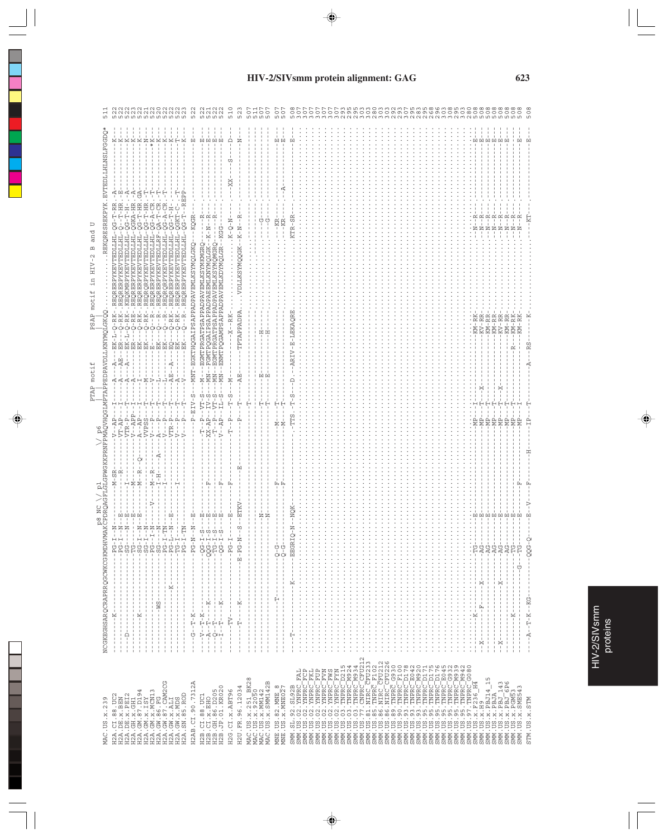|                                                                                                                                                                                                                                                                                                                                                                                                                                   | XC<br>$_{\rm p}^{\rm g}$                                                                                                                                                                                                                                                                                                                                                                                                                                                                                                                                     | 9q<br>$\Omega$                                                                                                                                                                                                                                                                                                                                                           | motif<br>PTAP                                                                                                                                                                                                                                                        | and<br>$\mathbf{\underline{\alpha}}$<br>$HIV-2$<br>$\overline{11}$<br>motif<br>PSAP                                                                                                                                                                           | Þ                                                           |                                       |
|-----------------------------------------------------------------------------------------------------------------------------------------------------------------------------------------------------------------------------------------------------------------------------------------------------------------------------------------------------------------------------------------------------------------------------------|--------------------------------------------------------------------------------------------------------------------------------------------------------------------------------------------------------------------------------------------------------------------------------------------------------------------------------------------------------------------------------------------------------------------------------------------------------------------------------------------------------------------------------------------------------------|--------------------------------------------------------------------------------------------------------------------------------------------------------------------------------------------------------------------------------------------------------------------------------------------------------------------------------------------------------------------------|----------------------------------------------------------------------------------------------------------------------------------------------------------------------------------------------------------------------------------------------------------------------|---------------------------------------------------------------------------------------------------------------------------------------------------------------------------------------------------------------------------------------------------------------|-------------------------------------------------------------|---------------------------------------|
| MAC.US.x.239                                                                                                                                                                                                                                                                                                                                                                                                                      | NCGKEGHSARQCRAPRRQGCWKCGKMDHVMZ                                                                                                                                                                                                                                                                                                                                                                                                                                                                                                                              |                                                                                                                                                                                                                                                                                                                                                                          | KČPDRQAGFLĞLGPWGKKPRNFPMAQVHQGLMPTAPPEDPAVDLLKNYMQLGKQQ                                                                                                                                                                                                              |                                                                                                                                                                                                                                                               | EVTEDLLHLNSLFGGDQ<br>REKQRESREKPYK.                         | 51                                    |
| H2A.CI.88.UC2                                                                                                                                                                                                                                                                                                                                                                                                                     | z<br>$---DG--I$<br>$- - K - -$<br>Ť<br>J.<br>J.                                                                                                                                                                                                                                                                                                                                                                                                                                                                                                              | $V = AP$<br>$VT = AP$<br>$-M-SR$                                                                                                                                                                                                                                                                                                                                         | $-4$<br>К<br>$\mathbf{I}$<br>$\mapsto$                                                                                                                                                                                                                               | REQRERPYKEVTEDLLHL-<br>Ĵ<br>$Q - RK$                                                                                                                                                                                                                          | ×<br>RR.<br>Ė<br>$\ddot{\circ}$                             |                                       |
|                                                                                                                                                                                                                                                                                                                                                                                                                                   | ÷<br>z<br>$-5d-1$                                                                                                                                                                                                                                                                                                                                                                                                                                                                                                                                            | α<br>J.                                                                                                                                                                                                                                                                                                                                                                  | - EK - L - C<br>- ER - - - - C<br>- EK - L - C<br>$-AE$<br>ΑA<br>HHH                                                                                                                                                                                                 | REQRERPYKEVTEDLLHL-<br>ć<br>$-RK$<br>$\circ$                                                                                                                                                                                                                  | $\begin{array}{c}\nA \\ 1\n\end{array}$<br>'-HR.-<br>-<br>O |                                       |
|                                                                                                                                                                                                                                                                                                                                                                                                                                   | $\frac{1}{1}$<br>$\simeq$                                                                                                                                                                                                                                                                                                                                                                                                                                                                                                                                    | $VTR-P$<br>$\,$ I<br>$\overline{\phantom{a}}$<br>$\overline{a}$                                                                                                                                                                                                                                                                                                          | $\,$ I<br>$\mathbf{I}$<br>$\,$ $\,$<br>$- - A$<br>$\,$ $\,$<br>Ť<br>$\frac{1}{1}$<br>$\mathsf I$                                                                                                                                                                     | KEQKMRPYKEVTEDLLHL-<br>ċ<br>$-RK$<br>$\circ$                                                                                                                                                                                                                  | Ŧ<br>$T-5Q$                                                 |                                       |
| $\begin{array}{l} \text{HZA}, \text{DE}, \text{X-BIM} \\ \text{HZA}, \text{DE}, \text{X-BIM} \\ \text{HZA}, \text{DE}, \text{X-BIM} \\ \text{HZA}, \text{GOL}, \text{B7}, \text{D194} \\ \text{HZA}, \text{GOL}, \text{M}, \text{X, L} \\ \text{HZA}, \text{GML}, \text{M}, \text{B6}, \text{FOL} \\ \text{HZA}, \text{GW}, \text{B6}, \text{FQG} \\ \text{HZA}, \text{GW}, \text{B}, \text{FQG} \\ \text{HZA}, \text{GW}, \text$ | 凹凹凹凹<br>$\,$ $\,$<br>÷<br>J.<br>$\simeq$                                                                                                                                                                                                                                                                                                                                                                                                                                                                                                                     | $V - -APP$<br>÷<br>$\mathcal{A}$<br>$\circ$<br>$\mathbf{1}$<br>α<br>$\frac{1}{4}$<br>$-\frac{1}{2}$<br>Σ                                                                                                                                                                                                                                                                 | ER-<br>$\overline{\phantom{a}}$<br>$\,$ I<br>٠<br>$\overline{1}$<br>К<br>$\begin{array}{c} \vspace{0.5mm} \rule{0.5mm}{0.5mm} \end{array}$<br>J.<br>$\frac{1}{1}$<br>$\frac{1}{4}$<br>$\frac{1}{4}$<br>$\blacksquare$<br>$\blacksquare$<br>$\mathbb{A}^{\mathbf{p}}$ | REQRERPYKEVTEDLLHL-<br>÷,<br>$-RE$<br>$\circ$<br>$K - - -Q$<br>I                                                                                                                                                                                              | $-4$<br>GA.<br>QGKA-HR                                      |                                       |
|                                                                                                                                                                                                                                                                                                                                                                                                                                   | ≍                                                                                                                                                                                                                                                                                                                                                                                                                                                                                                                                                            | <b>WPS</b>                                                                                                                                                                                                                                                                                                                                                               | $\overline{\phantom{a}}$<br>Σ<br>$\,$ I<br>CΩ                                                                                                                                                                                                                        | $- RK$<br>$\frac{1}{\sqrt{2}}$                                                                                                                                                                                                                                | ۲.                                                          |                                       |
|                                                                                                                                                                                                                                                                                                                                                                                                                                   | 运<br>$-1$ - $-1$ - $-1$ - $-1$                                                                                                                                                                                                                                                                                                                                                                                                                                                                                                                               | $\,$ I<br>J.<br>$\mathbf{I}$<br>⊳<br>α<br>$\,$ l<br>$\geq$                                                                                                                                                                                                                                                                                                               | $\,$<br>J.<br>$\,$ I<br>$\frac{1}{4}$<br>부부부<br>$\mathbf{p}$                                                                                                                                                                                                         | $-R$<br>$\frac{1}{\sqrt{2}}$                                                                                                                                                                                                                                  | $\star$<br>۳.                                               |                                       |
|                                                                                                                                                                                                                                                                                                                                                                                                                                   | z                                                                                                                                                                                                                                                                                                                                                                                                                                                                                                                                                            | $\begin{array}{c} \rule{0.2cm}{0.15mm} \rule{0.2cm}{0.15mm} \rule{0.2cm}{0.15mm} \rule{0.2cm}{0.15mm} \rule{0.2cm}{0.15mm} \rule{0.2cm}{0.15mm} \rule{0.2cm}{0.15mm} \rule{0.2cm}{0.15mm} \rule{0.2cm}{0.15mm} \rule{0.2cm}{0.15mm} \rule{0.2cm}{0.15mm} \rule{0.2cm}{0.15mm} \rule{0.2cm}{0.15mm} \rule{0.2cm}{0.15mm} \rule{0.2cm}{0.15mm} \rule{$<br>٠<br>К<br>t<br>푸 | $\,$ I<br>٠<br>$\mathbf{I}$<br>н<br>ï<br>$\mathbf{p}$                                                                                                                                                                                                                | $\begin{array}{ll} -. \texttt{RBQRBRYKRYTBDLLHL}-\texttt{QG-T-HR} \\ \texttt{ARQRORFYKRYTBDLLHL}-\texttt{QG-T-HR} \\ \texttt{HRQRQRRYKRYTBDLLHL}-\texttt{QG-T-HR} \\ \texttt{PRQRBRYKRYTBDLLRF}-\texttt{QA-T-CR} \end{array}$<br>$-R$<br>$\frac{1}{\sqrt{2}}$ | ⊢<br>Î,                                                     |                                       |
|                                                                                                                                                                                                                                                                                                                                                                                                                                   |                                                                                                                                                                                                                                                                                                                                                                                                                                                                                                                                                              | $\triangle$                                                                                                                                                                                                                                                                                                                                                              | $\mathbf{I}$<br>ᆸ<br>$\blacksquare$<br>е<br>$\mathbf{\Omega}$                                                                                                                                                                                                        | - REQRQRPYKEVTEDLLHL-QG-A<br>$-R$<br>$\circ$                                                                                                                                                                                                                  | ۲,<br>œ<br>نځ<br>پا                                         |                                       |
|                                                                                                                                                                                                                                                                                                                                                                                                                                   | 凹<br>÷<br>z<br>$-1 - 1 - 1 - - - -$                                                                                                                                                                                                                                                                                                                                                                                                                                                                                                                          | VTR-                                                                                                                                                                                                                                                                                                                                                                     | $\mathbf{I}$<br>$\circ$<br>凹<br>$- - A -$<br>AE.<br>부<br>$\mathsf{p}_4$                                                                                                                                                                                              | - REQRERPYKEVTEDLLHL-<br>$-RK$<br>$\circ$                                                                                                                                                                                                                     | ⊻<br>Ŧ<br>$-50$                                             |                                       |
| H2A.GW.x.MDS<br>H2A.SN.85.ROD                                                                                                                                                                                                                                                                                                                                                                                                     |                                                                                                                                                                                                                                                                                                                                                                                                                                                                                                                                                              | I,<br>J.<br>$\mathbf{I}$<br>⋗<br>н                                                                                                                                                                                                                                                                                                                                       | 国<br>К<br>부부<br>$\mathbf{a}$                                                                                                                                                                                                                                         | REQRERPYKEVTEDLLHL-<br>-RK<br>$\circ$                                                                                                                                                                                                                         | ⊢<br>부<br>ပု<br><b>OGKT</b>                                 |                                       |
|                                                                                                                                                                                                                                                                                                                                                                                                                                   | Þ                                                                                                                                                                                                                                                                                                                                                                                                                                                                                                                                                            | Þ                                                                                                                                                                                                                                                                                                                                                                        | EK-<br>⋗<br>$\Omega$                                                                                                                                                                                                                                                 | REQRERPYKEVTEDLLHL-<br>$\overline{1}$<br>α<br>$\frac{1}{4}$<br>$\circ$                                                                                                                                                                                        | ×<br>$\mathsf{D}$<br>REP <sub>1</sub><br>$QG-T$ -           |                                       |
| H2AB.CI.90.7312A                                                                                                                                                                                                                                                                                                                                                                                                                  | 囜<br>$\square$<br>$-1$<br>$-1$<br>$-1$<br>$-1$<br>$-1$                                                                                                                                                                                                                                                                                                                                                                                                                                                                                                       |                                                                                                                                                                                                                                                                                                                                                                          | EIV-S<br>٠                                                                                                                                                                                                                                                           | -MNT-EGKTHQGAIPSAPPADPAVEMLKSYMQLGKQ                                                                                                                                                                                                                          | <b>[x]</b><br>$-$ - $KQ$ GR                                 | 522                                   |
|                                                                                                                                                                                                                                                                                                                                                                                                                                   |                                                                                                                                                                                                                                                                                                                                                                                                                                                                                                                                                              | J,<br>ь                                                                                                                                                                                                                                                                                                                                                                  | t<br>$\overline{\mathbb{M}}$ –<br>л<br>$VT-S$<br>Ţ<br>$\mathbf{p}$                                                                                                                                                                                                   |                                                                                                                                                                                                                                                               | $\overline{\phantom{a}}$                                    |                                       |
|                                                                                                                                                                                                                                                                                                                                                                                                                                   |                                                                                                                                                                                                                                                                                                                                                                                                                                                                                                                                                              | $\Xi$<br>$\overline{\phantom{a}}$<br>XX                                                                                                                                                                                                                                                                                                                                  | $\frac{1}{1}$<br>ΣM<br>$\geq$<br>$\overline{\phantom{a}}$<br>$\mathbf{\Omega}$                                                                                                                                                                                       | EGMTPRGATPSAPPADPAVEMLKSYMKMGRQ                                                                                                                                                                                                                               | <b>KKR</b>                                                  |                                       |
|                                                                                                                                                                                                                                                                                                                                                                                                                                   |                                                                                                                                                                                                                                                                                                                                                                                                                                                                                                                                                              | $\frac{1}{4}$<br>Н                                                                                                                                                                                                                                                                                                                                                       | $\frac{1}{1}$<br>$M -$<br>$-5.5$<br>ÿ<br>J.<br>$\mathbf{p}_i$                                                                                                                                                                                                        | FGMTPQGAIPSAPPADPABEMLKNYMQLGK--X-N<br>EGMTPRGATPSAPPADPAVEMLKSYMQMGRQ----                                                                                                                                                                                    | 1                                                           |                                       |
| H2B.CI.88.UC1<br>H2B.CI.x.EHO<br>H2B.GH.86.D205<br>H2B.JP.01.KR020                                                                                                                                                                                                                                                                                                                                                                | 凹凹凹凹<br>$1 - 500 - 1 - 2$<br>$-1 - 200 - 1 - 2$<br>$-1 - 200 - 1 - 2 - 1 - 2 - 1 - 2 - 1 - 2 - 1 - 2 - 1 - 2 - 1 - 2 - 1 - 2 - 1 - 2 - 1 - 2 - 1 - 2 - 1 - 2 - 1 - 2 - 1 - 2 - 1 - 2 - 1 - 2 - 1 - 2 - 1 - 2 - 1 - 2 - 1 - 2 - 1 - 2 - 1 - 2 - 1 - 2 - 1 - 2 - 1 - 2 - 1 - 2 - 1 - 2 - 1 - 2 - 1 - 2 - 1 - 2$<br>ŧ<br>$\begin{split} &\cdots - 0 - \text{T-K} - \cdots - \cdots \\ &\cdots - \text{V-T-K} - \cdots \\ &\cdots - \text{V-T-K} - \cdots \\ &\cdots - \text{V-T-K} - \cdots \\ &\cdots \\ &\cdots \\ &\cdots \\ &\cdots \\ &\cdots \end{split}$ | $-4AP$<br>⊳<br>匞                                                                                                                                                                                                                                                                                                                                                         | Í<br>$-MN -$<br>$IL - S$<br>J.                                                                                                                                                                                                                                       | -- KGG-<br>ENMTPOGAMPSAPPADPAVEMLKDYMOLGR                                                                                                                                                                                                                     | 凹凹凹凹                                                        | 2 1 1 2 2<br>2 2 2 2 2<br>2 3 2 2 2 2 |
| H2G.CI.x.ABT96                                                                                                                                                                                                                                                                                                                                                                                                                    | 凹<br>$-1 - 5 - 1 - 1$                                                                                                                                                                                                                                                                                                                                                                                                                                                                                                                                        | н<br>四                                                                                                                                                                                                                                                                                                                                                                   | Σ<br>S<br>$\vdash$<br>$\mathbf{a}$                                                                                                                                                                                                                                   | $- RK -$                                                                                                                                                                                                                                                      | $\Delta$<br>C)<br>XX<br>$N-Q-N$ .                           | 510                                   |
|                                                                                                                                                                                                                                                                                                                                                                                                                                   |                                                                                                                                                                                                                                                                                                                                                                                                                                                                                                                                                              |                                                                                                                                                                                                                                                                                                                                                                          |                                                                                                                                                                                                                                                                      |                                                                                                                                                                                                                                                               |                                                             |                                       |
| H2U.FR.96.12034                                                                                                                                                                                                                                                                                                                                                                                                                   | <b>ETKV</b><br>C)<br>$E - DG - N -$                                                                                                                                                                                                                                                                                                                                                                                                                                                                                                                          | 凹                                                                                                                                                                                                                                                                                                                                                                        | AE<br>Н<br>$\mathbf{\Omega}$                                                                                                                                                                                                                                         | VDLLKSYMQQGK--K-N--R<br>TPTAPPADPA.                                                                                                                                                                                                                           | $\mathbb Z$                                                 | 523                                   |
|                                                                                                                                                                                                                                                                                                                                                                                                                                   | ٠<br>$\mathbf{I}$<br>1                                                                                                                                                                                                                                                                                                                                                                                                                                                                                                                                       |                                                                                                                                                                                                                                                                                                                                                                          | Н                                                                                                                                                                                                                                                                    |                                                                                                                                                                                                                                                               |                                                             |                                       |
|                                                                                                                                                                                                                                                                                                                                                                                                                                   | $\mathbf{I}$                                                                                                                                                                                                                                                                                                                                                                                                                                                                                                                                                 |                                                                                                                                                                                                                                                                                                                                                                          |                                                                                                                                                                                                                                                                      |                                                                                                                                                                                                                                                               |                                                             |                                       |
|                                                                                                                                                                                                                                                                                                                                                                                                                                   | z<br>$\frac{1}{2}$<br>$\frac{1}{1}$<br>$\frac{1}{1}$<br>$\frac{1}{1}$                                                                                                                                                                                                                                                                                                                                                                                                                                                                                        |                                                                                                                                                                                                                                                                                                                                                                          | 囯<br>$\mathsf{H}$                                                                                                                                                                                                                                                    | Ξ<br>J.                                                                                                                                                                                                                                                       | ひ                                                           |                                       |
| $\begin{array}{l} \mathtt{MAC}, \mathtt{US} : \mathtt{x}. \mathtt{251} \hspace{-0.08cm}\textbf{B} \mathtt{K28} \\ \mathtt{MAC}, \mathtt{US} : \mathtt{x}. \mathtt{92050} \\ \mathtt{MAC}, \mathtt{US} : \mathtt{x}. \mathtt{MM142} \\ \mathtt{MAC}, \mathtt{US} : \mathtt{x}. \mathtt{SMM142B} \end{array}$                                                                                                                       | z<br>ł<br>$\frac{1}{1}$<br>$\frac{1}{1}$<br>$\overline{\phantom{a}}$                                                                                                                                                                                                                                                                                                                                                                                                                                                                                         |                                                                                                                                                                                                                                                                                                                                                                          | [1]<br>E                                                                                                                                                                                                                                                             | 耳                                                                                                                                                                                                                                                             | ひ                                                           | nnnn<br>0100<br>Dunn                  |
|                                                                                                                                                                                                                                                                                                                                                                                                                                   |                                                                                                                                                                                                                                                                                                                                                                                                                                                                                                                                                              |                                                                                                                                                                                                                                                                                                                                                                          |                                                                                                                                                                                                                                                                      |                                                                                                                                                                                                                                                               |                                                             |                                       |
| $\begin{array}{lll} \texttt{MME} & \texttt{US} & \texttt{82} & \texttt{MME} & \texttt{8} \\ \texttt{MME} & \texttt{US} & \texttt{x} & \texttt{MME} & \texttt{0} \overline{2} \, \texttt{7} \end{array}$                                                                                                                                                                                                                           |                                                                                                                                                                                                                                                                                                                                                                                                                                                                                                                                                              | Σ<br>Σ<br>Ŀц<br>E,                                                                                                                                                                                                                                                                                                                                                       | нн                                                                                                                                                                                                                                                                   |                                                                                                                                                                                                                                                               | 向向<br>KR<br>KR<br>$\mathbf{I}$                              | 507<br>507                            |
|                                                                                                                                                                                                                                                                                                                                                                                                                                   |                                                                                                                                                                                                                                                                                                                                                                                                                                                                                                                                                              |                                                                                                                                                                                                                                                                                                                                                                          |                                                                                                                                                                                                                                                                      |                                                                                                                                                                                                                                                               |                                                             |                                       |
|                                                                                                                                                                                                                                                                                                                                                                                                                                   | - NQK<br>Z                                                                                                                                                                                                                                                                                                                                                                                                                                                                                                                                                   |                                                                                                                                                                                                                                                                                                                                                                          | ARIV<br>$\Box$<br>CΩ<br>⊢<br><b>TTS</b>                                                                                                                                                                                                                              | E-LEKAQRE                                                                                                                                                                                                                                                     | 囯<br>≃<br>.KTR-S                                            | 508                                   |
|                                                                                                                                                                                                                                                                                                                                                                                                                                   |                                                                                                                                                                                                                                                                                                                                                                                                                                                                                                                                                              |                                                                                                                                                                                                                                                                                                                                                                          |                                                                                                                                                                                                                                                                      |                                                                                                                                                                                                                                                               |                                                             |                                       |
|                                                                                                                                                                                                                                                                                                                                                                                                                                   |                                                                                                                                                                                                                                                                                                                                                                                                                                                                                                                                                              |                                                                                                                                                                                                                                                                                                                                                                          |                                                                                                                                                                                                                                                                      |                                                                                                                                                                                                                                                               |                                                             |                                       |
|                                                                                                                                                                                                                                                                                                                                                                                                                                   |                                                                                                                                                                                                                                                                                                                                                                                                                                                                                                                                                              |                                                                                                                                                                                                                                                                                                                                                                          |                                                                                                                                                                                                                                                                      |                                                                                                                                                                                                                                                               |                                                             |                                       |
|                                                                                                                                                                                                                                                                                                                                                                                                                                   |                                                                                                                                                                                                                                                                                                                                                                                                                                                                                                                                                              |                                                                                                                                                                                                                                                                                                                                                                          |                                                                                                                                                                                                                                                                      |                                                                                                                                                                                                                                                               |                                                             |                                       |
|                                                                                                                                                                                                                                                                                                                                                                                                                                   |                                                                                                                                                                                                                                                                                                                                                                                                                                                                                                                                                              |                                                                                                                                                                                                                                                                                                                                                                          |                                                                                                                                                                                                                                                                      |                                                                                                                                                                                                                                                               |                                                             |                                       |
|                                                                                                                                                                                                                                                                                                                                                                                                                                   |                                                                                                                                                                                                                                                                                                                                                                                                                                                                                                                                                              |                                                                                                                                                                                                                                                                                                                                                                          |                                                                                                                                                                                                                                                                      |                                                                                                                                                                                                                                                               |                                                             |                                       |
|                                                                                                                                                                                                                                                                                                                                                                                                                                   |                                                                                                                                                                                                                                                                                                                                                                                                                                                                                                                                                              |                                                                                                                                                                                                                                                                                                                                                                          |                                                                                                                                                                                                                                                                      |                                                                                                                                                                                                                                                               |                                                             |                                       |
|                                                                                                                                                                                                                                                                                                                                                                                                                                   |                                                                                                                                                                                                                                                                                                                                                                                                                                                                                                                                                              |                                                                                                                                                                                                                                                                                                                                                                          |                                                                                                                                                                                                                                                                      |                                                                                                                                                                                                                                                               |                                                             |                                       |
|                                                                                                                                                                                                                                                                                                                                                                                                                                   |                                                                                                                                                                                                                                                                                                                                                                                                                                                                                                                                                              |                                                                                                                                                                                                                                                                                                                                                                          |                                                                                                                                                                                                                                                                      |                                                                                                                                                                                                                                                               |                                                             |                                       |
|                                                                                                                                                                                                                                                                                                                                                                                                                                   |                                                                                                                                                                                                                                                                                                                                                                                                                                                                                                                                                              |                                                                                                                                                                                                                                                                                                                                                                          |                                                                                                                                                                                                                                                                      |                                                                                                                                                                                                                                                               |                                                             |                                       |
|                                                                                                                                                                                                                                                                                                                                                                                                                                   |                                                                                                                                                                                                                                                                                                                                                                                                                                                                                                                                                              |                                                                                                                                                                                                                                                                                                                                                                          |                                                                                                                                                                                                                                                                      |                                                                                                                                                                                                                                                               |                                                             |                                       |
|                                                                                                                                                                                                                                                                                                                                                                                                                                   |                                                                                                                                                                                                                                                                                                                                                                                                                                                                                                                                                              |                                                                                                                                                                                                                                                                                                                                                                          |                                                                                                                                                                                                                                                                      |                                                                                                                                                                                                                                                               |                                                             |                                       |
|                                                                                                                                                                                                                                                                                                                                                                                                                                   |                                                                                                                                                                                                                                                                                                                                                                                                                                                                                                                                                              |                                                                                                                                                                                                                                                                                                                                                                          |                                                                                                                                                                                                                                                                      |                                                                                                                                                                                                                                                               |                                                             |                                       |
|                                                                                                                                                                                                                                                                                                                                                                                                                                   |                                                                                                                                                                                                                                                                                                                                                                                                                                                                                                                                                              |                                                                                                                                                                                                                                                                                                                                                                          |                                                                                                                                                                                                                                                                      |                                                                                                                                                                                                                                                               |                                                             |                                       |
|                                                                                                                                                                                                                                                                                                                                                                                                                                   |                                                                                                                                                                                                                                                                                                                                                                                                                                                                                                                                                              |                                                                                                                                                                                                                                                                                                                                                                          |                                                                                                                                                                                                                                                                      |                                                                                                                                                                                                                                                               |                                                             |                                       |
|                                                                                                                                                                                                                                                                                                                                                                                                                                   |                                                                                                                                                                                                                                                                                                                                                                                                                                                                                                                                                              |                                                                                                                                                                                                                                                                                                                                                                          |                                                                                                                                                                                                                                                                      |                                                                                                                                                                                                                                                               |                                                             |                                       |
|                                                                                                                                                                                                                                                                                                                                                                                                                                   |                                                                                                                                                                                                                                                                                                                                                                                                                                                                                                                                                              |                                                                                                                                                                                                                                                                                                                                                                          |                                                                                                                                                                                                                                                                      |                                                                                                                                                                                                                                                               |                                                             |                                       |
|                                                                                                                                                                                                                                                                                                                                                                                                                                   |                                                                                                                                                                                                                                                                                                                                                                                                                                                                                                                                                              |                                                                                                                                                                                                                                                                                                                                                                          |                                                                                                                                                                                                                                                                      |                                                                                                                                                                                                                                                               |                                                             |                                       |
|                                                                                                                                                                                                                                                                                                                                                                                                                                   |                                                                                                                                                                                                                                                                                                                                                                                                                                                                                                                                                              |                                                                                                                                                                                                                                                                                                                                                                          |                                                                                                                                                                                                                                                                      |                                                                                                                                                                                                                                                               |                                                             |                                       |
|                                                                                                                                                                                                                                                                                                                                                                                                                                   |                                                                                                                                                                                                                                                                                                                                                                                                                                                                                                                                                              |                                                                                                                                                                                                                                                                                                                                                                          |                                                                                                                                                                                                                                                                      |                                                                                                                                                                                                                                                               |                                                             |                                       |
|                                                                                                                                                                                                                                                                                                                                                                                                                                   |                                                                                                                                                                                                                                                                                                                                                                                                                                                                                                                                                              |                                                                                                                                                                                                                                                                                                                                                                          |                                                                                                                                                                                                                                                                      |                                                                                                                                                                                                                                                               |                                                             |                                       |
|                                                                                                                                                                                                                                                                                                                                                                                                                                   |                                                                                                                                                                                                                                                                                                                                                                                                                                                                                                                                                              |                                                                                                                                                                                                                                                                                                                                                                          |                                                                                                                                                                                                                                                                      |                                                                                                                                                                                                                                                               |                                                             |                                       |
|                                                                                                                                                                                                                                                                                                                                                                                                                                   |                                                                                                                                                                                                                                                                                                                                                                                                                                                                                                                                                              |                                                                                                                                                                                                                                                                                                                                                                          |                                                                                                                                                                                                                                                                      |                                                                                                                                                                                                                                                               |                                                             |                                       |
|                                                                                                                                                                                                                                                                                                                                                                                                                                   |                                                                                                                                                                                                                                                                                                                                                                                                                                                                                                                                                              |                                                                                                                                                                                                                                                                                                                                                                          |                                                                                                                                                                                                                                                                      |                                                                                                                                                                                                                                                               |                                                             |                                       |
|                                                                                                                                                                                                                                                                                                                                                                                                                                   |                                                                                                                                                                                                                                                                                                                                                                                                                                                                                                                                                              |                                                                                                                                                                                                                                                                                                                                                                          |                                                                                                                                                                                                                                                                      |                                                                                                                                                                                                                                                               |                                                             |                                       |
|                                                                                                                                                                                                                                                                                                                                                                                                                                   |                                                                                                                                                                                                                                                                                                                                                                                                                                                                                                                                                              |                                                                                                                                                                                                                                                                                                                                                                          |                                                                                                                                                                                                                                                                      |                                                                                                                                                                                                                                                               |                                                             |                                       |
|                                                                                                                                                                                                                                                                                                                                                                                                                                   |                                                                                                                                                                                                                                                                                                                                                                                                                                                                                                                                                              |                                                                                                                                                                                                                                                                                                                                                                          |                                                                                                                                                                                                                                                                      |                                                                                                                                                                                                                                                               |                                                             |                                       |
|                                                                                                                                                                                                                                                                                                                                                                                                                                   |                                                                                                                                                                                                                                                                                                                                                                                                                                                                                                                                                              |                                                                                                                                                                                                                                                                                                                                                                          |                                                                                                                                                                                                                                                                      |                                                                                                                                                                                                                                                               |                                                             |                                       |
|                                                                                                                                                                                                                                                                                                                                                                                                                                   |                                                                                                                                                                                                                                                                                                                                                                                                                                                                                                                                                              |                                                                                                                                                                                                                                                                                                                                                                          |                                                                                                                                                                                                                                                                      |                                                                                                                                                                                                                                                               |                                                             |                                       |
|                                                                                                                                                                                                                                                                                                                                                                                                                                   |                                                                                                                                                                                                                                                                                                                                                                                                                                                                                                                                                              |                                                                                                                                                                                                                                                                                                                                                                          | NР                                                                                                                                                                                                                                                                   | :-RK<br>KM.                                                                                                                                                                                                                                                   | [1]<br>$\mathfrak l$<br>z                                   |                                       |
|                                                                                                                                                                                                                                                                                                                                                                                                                                   |                                                                                                                                                                                                                                                                                                                                                                                                                                                                                                                                                              |                                                                                                                                                                                                                                                                                                                                                                          | Ķ<br>$\blacksquare$<br>н<br>ŊБ                                                                                                                                                                                                                                       |                                                                                                                                                                                                                                                               | t<br>z<br>٠                                                 |                                       |
|                                                                                                                                                                                                                                                                                                                                                                                                                                   |                                                                                                                                                                                                                                                                                                                                                                                                                                                                                                                                                              |                                                                                                                                                                                                                                                                                                                                                                          | е<br><b>Q</b>                                                                                                                                                                                                                                                        | $\frac{KV - RR}{KN - RR}.$                                                                                                                                                                                                                                    | ÷<br>z                                                      |                                       |
|                                                                                                                                                                                                                                                                                                                                                                                                                                   | $-76$                                                                                                                                                                                                                                                                                                                                                                                                                                                                                                                                                        |                                                                                                                                                                                                                                                                                                                                                                          | È                                                                                                                                                                                                                                                                    | $KM - RR$                                                                                                                                                                                                                                                     | Ţ<br>$\frac{1}{2}$                                          |                                       |
| 143<br>SMM.US.x.PBJ_                                                                                                                                                                                                                                                                                                                                                                                                              | 因因因因因因因因<br>$- - A$ G                                                                                                                                                                                                                                                                                                                                                                                                                                                                                                                                        |                                                                                                                                                                                                                                                                                                                                                                          | $-\frac{X}{A}$<br>٠<br>Н<br>Ρ                                                                                                                                                                                                                                        | $KV - RR$                                                                                                                                                                                                                                                     | 凹凹凹凹<br><b>KKKKKKKK</b><br>Ţ<br>z<br>ı                      |                                       |
| 6P6<br>SMM.US.x.PBJ                                                                                                                                                                                                                                                                                                                                                                                                               | $- -P(G - -$                                                                                                                                                                                                                                                                                                                                                                                                                                                                                                                                                 |                                                                                                                                                                                                                                                                                                                                                                          | E<br>È                                                                                                                                                                                                                                                               | $KM - RR$                                                                                                                                                                                                                                                     | 凹<br>t<br>z<br>1                                            |                                       |
|                                                                                                                                                                                                                                                                                                                                                                                                                                   | $-101 - 1$                                                                                                                                                                                                                                                                                                                                                                                                                                                                                                                                                   |                                                                                                                                                                                                                                                                                                                                                                          | α<br>ь<br>È                                                                                                                                                                                                                                                          | KM-RK                                                                                                                                                                                                                                                         | z                                                           |                                       |
| SMM. US. x. PGM53<br>SMM. US. x. SME543                                                                                                                                                                                                                                                                                                                                                                                           | $- - - - - - - - - - -$<br>ţ                                                                                                                                                                                                                                                                                                                                                                                                                                                                                                                                 | Γz.                                                                                                                                                                                                                                                                                                                                                                      | н<br>ġ                                                                                                                                                                                                                                                               | KM-RK                                                                                                                                                                                                                                                         | 囟<br>z                                                      |                                       |
| STM.US.x.STM                                                                                                                                                                                                                                                                                                                                                                                                                      | ⋗<br>匡<br>$-0-500-$                                                                                                                                                                                                                                                                                                                                                                                                                                                                                                                                          | Þ                                                                                                                                                                                                                                                                                                                                                                        | RS.<br>$\mathbf{a}$                                                                                                                                                                                                                                                  |                                                                                                                                                                                                                                                               | 庢<br>ţ                                                      | 508                                   |
|                                                                                                                                                                                                                                                                                                                                                                                                                                   |                                                                                                                                                                                                                                                                                                                                                                                                                                                                                                                                                              |                                                                                                                                                                                                                                                                                                                                                                          |                                                                                                                                                                                                                                                                      |                                                                                                                                                                                                                                                               |                                                             |                                       |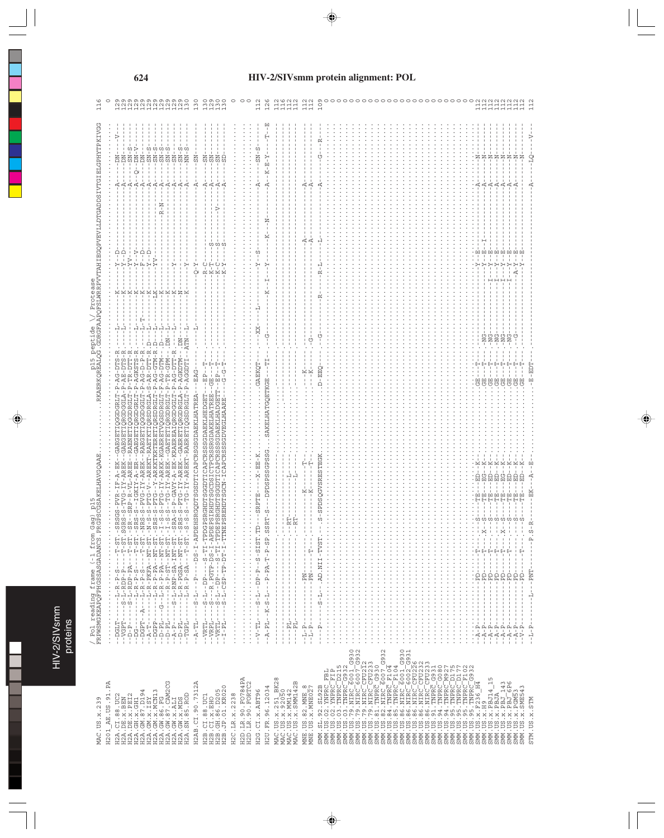HIV-2/SIVsmm<br>proteins

| $\sigma$<br>MAC. US. x. 23                                                                                                                                                                                                                                                                                                                                                                                                               | Gag) p15<br>PRGPSCGSAKELHAVGQAAE<br>/ Pol reading frame (-1 from<br>FRPWSMGKEAPQFPHGSSASGADANCS.                                                                                                                                                                                                                                                                                                                                                                                                                    | RKAERKQREALQG.GDRGFAAPQFSLMRRPVVTAHIEGQPVEVLLDTGADDSIVTGIELGPHYTPKIVGG<br>RKAERKQREALQG.GDRGFAAPQFSLMRRPVVTAHIEGQPVEVLLDTGADDSIVTGIELGPHYTPKIVGG |                             |
|------------------------------------------------------------------------------------------------------------------------------------------------------------------------------------------------------------------------------------------------------------------------------------------------------------------------------------------------------------------------------------------------------------------------------------------|---------------------------------------------------------------------------------------------------------------------------------------------------------------------------------------------------------------------------------------------------------------------------------------------------------------------------------------------------------------------------------------------------------------------------------------------------------------------------------------------------------------------|--------------------------------------------------------------------------------------------------------------------------------------------------|-----------------------------|
| Ã<br>H201 AE.US.91.                                                                                                                                                                                                                                                                                                                                                                                                                      |                                                                                                                                                                                                                                                                                                                                                                                                                                                                                                                     |                                                                                                                                                  |                             |
| H2A.CI.88.UC2                                                                                                                                                                                                                                                                                                                                                                                                                            | PVR-IF-A-EK<br>$-$ SRSGS-                                                                                                                                                                                                                                                                                                                                                                                                                                                                                           | ă<br>$\Box$                                                                                                                                      | ᡡ                           |
|                                                                                                                                                                                                                                                                                                                                                                                                                                          | $\begin{tabular}{ll} $3\&$51\&$-GABGETQGODGBLT-L\rightarrow AG-DTS-R~.\\ $2\&$-R\&RSTQGODGGLA-P-RE-DTS-R~.\\ $2\&$-R\&RSTQGODGGLA-P-RE-DTS-R~.\\ $2\&$-R\&RSTQGDDGGLT-L\rightarrow AGKSTS-R~.\\ $2\&$-R\&RSTQGDDGGLT-L\rightarrow AGKSTS-R~.\\ $2\&$-R\&R\&RSTQGDDGGLT-L\rightarrow AG-L\rightarrow P-R~.\\ $2\&$-R\&R\&RSTQGDDGGLT-L\rightarrow AG-L\rightarrow P-R~.\\ $3\&$-R\&R$<br>TVG-IY-AREK<br>ູ່<br>ທ<br>ή<br>SGR.                                                                                         | $\Box$<br>÷                                                                                                                                      | ᡡ                           |
|                                                                                                                                                                                                                                                                                                                                                                                                                                          | ÷<br>-R-VL-AREE<br>$-LGKTY - A - ER$<br>SRP.<br>÷<br>SR                                                                                                                                                                                                                                                                                                                                                                                                                                                             | $S-N-S$<br>$-10N - 7$<br>$\alpha$<br>$-1$<br>YV-                                                                                                 | の                           |
|                                                                                                                                                                                                                                                                                                                                                                                                                                          | ÷<br>부                                                                                                                                                                                                                                                                                                                                                                                                                                                                                                              | NO<br>$\frac{1}{2}$                                                                                                                              |                             |
|                                                                                                                                                                                                                                                                                                                                                                                                                                          | ÷<br>Ą                                                                                                                                                                                                                                                                                                                                                                                                                                                                                                              | $\Box$<br>÷                                                                                                                                      |                             |
|                                                                                                                                                                                                                                                                                                                                                                                                                                          | ÷<br>ĔK<br>$\blacksquare$<br>ņ<br>  0 - 0 - 0 - 0<br>  0 - 0 - 0 - 0 - 0<br>  0 - 0 - 0 - 0 - 0<br>  - 0 - 0 - 0 - 0 - 0<br>  - 0 - 0 - 0 - 0 -                                                                                                                                                                                                                                                                                                                                                                     | ន<br>នី<br>នី នី នី<br>នី នី<br>ž<br>α                                                                                                           | のののの                        |
|                                                                                                                                                                                                                                                                                                                                                                                                                                          | NG.<br>$-PP-TR-GPM-$<br>-GAETETIQRGDRGLT<br>TG-IY-AREK<br>w                                                                                                                                                                                                                                                                                                                                                                                                                                                         | $SN-S$                                                                                                                                           | ന                           |
|                                                                                                                                                                                                                                                                                                                                                                                                                                          | $\times z$<br>$\mathbb{R}$<br>-GAVY-A-EK-KRAEREAIQRGDGGLT-P-AG-DTT<br>$5 - p$                                                                                                                                                                                                                                                                                                                                                                                                                                       | SN                                                                                                                                               | ന                           |
| $\begin{array}{l} \text{H2A}, \text{DE}, \text{V2BW} \\ \text{H2A}, \text{DE}, \text{V}, \text{BER1} \\ \text{H2A}, \text{CH}, \text{37}, \text{CH}, \text{38}, \\ \text{H2A}, \text{CH}, \text{37}, \text{CH}, \text{39}, \\ \text{H2A}, \text{CH}, \text{38}, \text{K}, \text{H23} \\ \text{H2A}, \text{CH}, \text{19}, \text{19}, \\ \text{H2A}, \text{CH}, \text{18}, \text{17}, \text{CAM2CG} \\ \text{H2A}, \text{CH}, \text{19},$ | ă<br>--GAERETIQRGDRGLA-P-AGKDTM<br>$-PTG-TY-AREK$<br>CΩ<br>$1 - 8 - 8$<br>$3RA - 8$<br>$3RB - 8$<br>$3 - 8 - 8$                                                                                                                                                                                                                                                                                                                                                                                                     | $\texttt{SN-S}$<br><b>AAAAAAAAA</b>                                                                                                              | ጣ<br>anananananan           |
|                                                                                                                                                                                                                                                                                                                                                                                                                                          | -ATN<br>P-AGGDT<br>-TG-IY-AREKT-RAERETIQGSDRGLT<br>C)                                                                                                                                                                                                                                                                                                                                                                                                                                                               | U)<br>ï<br>ğ<br>↣                                                                                                                                | $\circ$                     |
| H2AB.CI.90.7312A                                                                                                                                                                                                                                                                                                                                                                                                                         | -EAG<br>DEHSRGQDTSGSDTICAPCRSGSGDAEKLHATREA                                                                                                                                                                                                                                                                                                                                                                                                                                                                         | SN<br>К<br>≻<br>ά                                                                                                                                | 3                           |
| H2B.CI.88.UC1<br>H2B.CI.x.EHO<br>H2B.CH.86.D205<br>H2B.JP.01.KR020                                                                                                                                                                                                                                                                                                                                                                       | 66 6<br>-1<br>$\begin{array}{cccc}\n & \dot{B} & \dot{B} & \dot{B} \\  & \ddot{B} & \ddot{B} & \ddot{B} \\  & \ddots & \ddots & \ddots\n\end{array}$<br>DGPSRGHDTSGGDTICAPCRSSGGDAEKLHEDGET<br>DEPSIRHDTSGCDSICTPCRSSRGDAKELHATREE<br>DEPSRGHDTSGGDTICAPCRSSGGDAEKLHADGET                                                                                                                                                                                                                                           | 5N<br>SN<br>$A \land A$<br>U)<br>$R - T$<br>$K - T$<br>$\mathbf{I}$                                                                              | 11111                       |
|                                                                                                                                                                                                                                                                                                                                                                                                                                          | J.<br>RGDAKELHATREE-<br>SGDAEKLHADGETT<br><b>EBIO</b> c                                                                                                                                                                                                                                                                                                                                                                                                                                                             | 5N<br>U)<br>K-C                                                                                                                                  | ◯                           |
| $\circ$                                                                                                                                                                                                                                                                                                                                                                                                                                  | ローワー<br>Ġ<br>SGDVEGLHAARE<br>SREHDTSGCN-ICAPCRSS<br>д<br>EN                                                                                                                                                                                                                                                                                                                                                                                                                                                         | K.<br>C)                                                                                                                                         | ○                           |
| H2C.LR.x.2238                                                                                                                                                                                                                                                                                                                                                                                                                            |                                                                                                                                                                                                                                                                                                                                                                                                                                                                                                                     |                                                                                                                                                  | $\circ$                     |
| H2D.LR.90.FO784PA<br>H2D.LR.90.FORTC2                                                                                                                                                                                                                                                                                                                                                                                                    |                                                                                                                                                                                                                                                                                                                                                                                                                                                                                                                     |                                                                                                                                                  | $\circ$                     |
|                                                                                                                                                                                                                                                                                                                                                                                                                                          |                                                                                                                                                                                                                                                                                                                                                                                                                                                                                                                     |                                                                                                                                                  |                             |
| H2G.CI.x.ABT96                                                                                                                                                                                                                                                                                                                                                                                                                           | GAEKOT<br>- EE - K<br><b>SRPTE</b><br>Ê                                                                                                                                                                                                                                                                                                                                                                                                                                                                             | 5N                                                                                                                                               |                             |
| 4<br>H2U. FR. 96.1203                                                                                                                                                                                                                                                                                                                                                                                                                    | ×<br>II-<br>SAKELHATGOETKGE<br>--DPDSPSSGPSSG<br>S<br>SSRT-                                                                                                                                                                                                                                                                                                                                                                                                                                                         | $X - H -$<br>×<br>К<br>ž<br>×                                                                                                                    | $\frac{2}{1}$               |
| $\infty$<br>MAC - US - x - 251_BK28<br>MAC - US - x - 92050<br>MAC - US - x - MM142<br>MAC - US - x - SMM142B                                                                                                                                                                                                                                                                                                                            |                                                                                                                                                                                                                                                                                                                                                                                                                                                                                                                     |                                                                                                                                                  |                             |
|                                                                                                                                                                                                                                                                                                                                                                                                                                          |                                                                                                                                                                                                                                                                                                                                                                                                                                                                                                                     |                                                                                                                                                  | ৩<br>블를                     |
|                                                                                                                                                                                                                                                                                                                                                                                                                                          | RT<br>R                                                                                                                                                                                                                                                                                                                                                                                                                                                                                                             |                                                                                                                                                  | 112                         |
|                                                                                                                                                                                                                                                                                                                                                                                                                                          |                                                                                                                                                                                                                                                                                                                                                                                                                                                                                                                     |                                                                                                                                                  |                             |
| $\begin{array}{l} \tt{MME}.\tt{US}.\tt{82}.\tt{MNE} \tt{8}\\ \tt{MNE}.\tt{US}.\tt{x}.\tt{MNE} \tt{0} \tt{2} \tt{7} \end{array}$                                                                                                                                                                                                                                                                                                          | ×<br>×<br>$\mathbb H$<br>≍<br>≍                                                                                                                                                                                                                                                                                                                                                                                                                                                                                     | К<br>A,<br>К<br>Æ                                                                                                                                | 112<br>112                  |
|                                                                                                                                                                                                                                                                                                                                                                                                                                          |                                                                                                                                                                                                                                                                                                                                                                                                                                                                                                                     |                                                                                                                                                  |                             |
|                                                                                                                                                                                                                                                                                                                                                                                                                                          | ひ<br>D-EEQ<br>SPDSQGVSRESTEGK<br>CΩ                                                                                                                                                                                                                                                                                                                                                                                                                                                                                 | œ<br>К<br>R                                                                                                                                      | 109                         |
|                                                                                                                                                                                                                                                                                                                                                                                                                                          |                                                                                                                                                                                                                                                                                                                                                                                                                                                                                                                     |                                                                                                                                                  |                             |
|                                                                                                                                                                                                                                                                                                                                                                                                                                          |                                                                                                                                                                                                                                                                                                                                                                                                                                                                                                                     |                                                                                                                                                  |                             |
|                                                                                                                                                                                                                                                                                                                                                                                                                                          |                                                                                                                                                                                                                                                                                                                                                                                                                                                                                                                     |                                                                                                                                                  |                             |
|                                                                                                                                                                                                                                                                                                                                                                                                                                          |                                                                                                                                                                                                                                                                                                                                                                                                                                                                                                                     |                                                                                                                                                  |                             |
|                                                                                                                                                                                                                                                                                                                                                                                                                                          |                                                                                                                                                                                                                                                                                                                                                                                                                                                                                                                     |                                                                                                                                                  |                             |
|                                                                                                                                                                                                                                                                                                                                                                                                                                          |                                                                                                                                                                                                                                                                                                                                                                                                                                                                                                                     |                                                                                                                                                  |                             |
|                                                                                                                                                                                                                                                                                                                                                                                                                                          |                                                                                                                                                                                                                                                                                                                                                                                                                                                                                                                     |                                                                                                                                                  |                             |
|                                                                                                                                                                                                                                                                                                                                                                                                                                          |                                                                                                                                                                                                                                                                                                                                                                                                                                                                                                                     |                                                                                                                                                  |                             |
|                                                                                                                                                                                                                                                                                                                                                                                                                                          |                                                                                                                                                                                                                                                                                                                                                                                                                                                                                                                     |                                                                                                                                                  |                             |
|                                                                                                                                                                                                                                                                                                                                                                                                                                          |                                                                                                                                                                                                                                                                                                                                                                                                                                                                                                                     |                                                                                                                                                  |                             |
|                                                                                                                                                                                                                                                                                                                                                                                                                                          |                                                                                                                                                                                                                                                                                                                                                                                                                                                                                                                     |                                                                                                                                                  |                             |
|                                                                                                                                                                                                                                                                                                                                                                                                                                          |                                                                                                                                                                                                                                                                                                                                                                                                                                                                                                                     |                                                                                                                                                  |                             |
|                                                                                                                                                                                                                                                                                                                                                                                                                                          |                                                                                                                                                                                                                                                                                                                                                                                                                                                                                                                     |                                                                                                                                                  |                             |
|                                                                                                                                                                                                                                                                                                                                                                                                                                          |                                                                                                                                                                                                                                                                                                                                                                                                                                                                                                                     |                                                                                                                                                  |                             |
|                                                                                                                                                                                                                                                                                                                                                                                                                                          |                                                                                                                                                                                                                                                                                                                                                                                                                                                                                                                     |                                                                                                                                                  |                             |
|                                                                                                                                                                                                                                                                                                                                                                                                                                          |                                                                                                                                                                                                                                                                                                                                                                                                                                                                                                                     |                                                                                                                                                  |                             |
|                                                                                                                                                                                                                                                                                                                                                                                                                                          |                                                                                                                                                                                                                                                                                                                                                                                                                                                                                                                     |                                                                                                                                                  |                             |
|                                                                                                                                                                                                                                                                                                                                                                                                                                          |                                                                                                                                                                                                                                                                                                                                                                                                                                                                                                                     |                                                                                                                                                  |                             |
|                                                                                                                                                                                                                                                                                                                                                                                                                                          |                                                                                                                                                                                                                                                                                                                                                                                                                                                                                                                     |                                                                                                                                                  |                             |
|                                                                                                                                                                                                                                                                                                                                                                                                                                          |                                                                                                                                                                                                                                                                                                                                                                                                                                                                                                                     |                                                                                                                                                  |                             |
|                                                                                                                                                                                                                                                                                                                                                                                                                                          | ÷<br>÷                                                                                                                                                                                                                                                                                                                                                                                                                                                                                                              | $\mathbb{I}$<br>÷                                                                                                                                |                             |
|                                                                                                                                                                                                                                                                                                                                                                                                                                          | ひ<br>666<br>÷,<br>$\,$ 1                                                                                                                                                                                                                                                                                                                                                                                                                                                                                            | ž<br>÷                                                                                                                                           |                             |
|                                                                                                                                                                                                                                                                                                                                                                                                                                          | $\dot{g}$<br>$\frac{1}{4}$<br>68668<br>$\blacksquare$                                                                                                                                                                                                                                                                                                                                                                                                                                                               | z<br>$A \land A$<br>国国国国<br>$\frac{1}{1}$                                                                                                        |                             |
|                                                                                                                                                                                                                                                                                                                                                                                                                                          | ġ<br>н<br>$\frac{1}{4}$<br>$\,$ I                                                                                                                                                                                                                                                                                                                                                                                                                                                                                   | z<br>$\mathbb{A} \, \mathbb{A}$<br>÷                                                                                                             |                             |
|                                                                                                                                                                                                                                                                                                                                                                                                                                          | Ō<br>ひ<br>н<br>÷<br>白白                                                                                                                                                                                                                                                                                                                                                                                                                                                                                              | z<br>К<br>国国区<br>÷<br>$-A$ -                                                                                                                     |                             |
|                                                                                                                                                                                                                                                                                                                                                                                                                                          | FF<br>88888888<br>KK<br>$\dot{B}$<br>ARARARAR<br>ARARA<br><b>a</b> a a a a a a<br>$\begin{array}{l} \begin{array}{l} \begin{array}{l} \text{1.4}\ \text{1.5}\ \text{2.6}\ \text{2.6}\ \text{3.6}\ \text{3.6}\ \text{4.7}\ \text{-3.7}\ \text{-4.7}\ \text{-5.7}\ \text{-5.7}\ \text{-6.7}\ \text{-7.7}\ \text{-7.7}\ \text{-8.7}\ \text{-8.7}\ \text{-8.7}\ \text{-8.7}\ \text{-8.7}\ \text{-8.7}\ \text{-8.7}\ \text{-8.7}\ \text{-8.7}\ \text{-8.7}\ \text{-8.7}\ \text{-8.7}\ \text{-8.7}\ \text{-8.7}\ \text{-$ | ž<br>z                                                                                                                                           | HHHHHHH<br>HHHHHH<br>HHHHHH |
| STM.US.x.STM                                                                                                                                                                                                                                                                                                                                                                                                                             | $E - EDT$<br>- FK<br>$- - -$<br>$\frac{1}{1}$<br>- - L- P - - - - - - - L - - - PNT -                                                                                                                                                                                                                                                                                                                                                                                                                               | Ē                                                                                                                                                |                             |
|                                                                                                                                                                                                                                                                                                                                                                                                                                          |                                                                                                                                                                                                                                                                                                                                                                                                                                                                                                                     |                                                                                                                                                  |                             |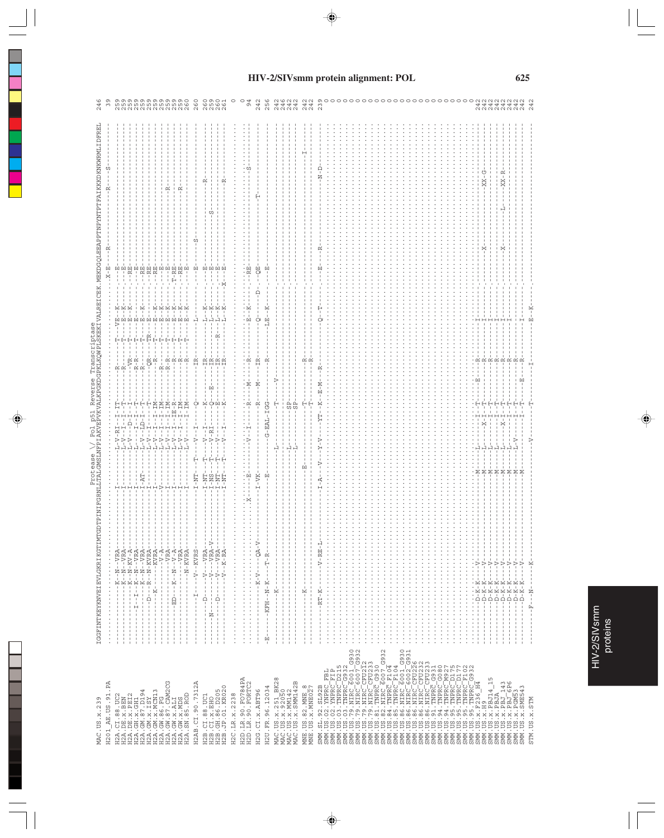| <b>[x]</b><br>因因因因因因因因因因<br>凹<br>[1]<br>凹凹凹凹<br>・国<br>BQ<br>囯<br>α<br>$\mathsf I$<br>$\simeq$<br><b>KK</b><br>$T - RI$<br>α<br>$\approx$<br>$\,$ I<br>$\frac{1}{1}$<br>÷<br>÷<br>$\,$<br>ę<br>$-K-$<br>×<br>KKKK<br>ĸĸ<br>×<br>ᅑᅑᅑ<br>⊻<br>$\mathbf{I}$<br>E<br>$\overline{\phantom{a}}$<br>$\overline{\phantom{a}}$<br>- 1<br>$\overline{\phantom{a}}$<br>$\overline{\phantom{a}}$<br>$\mathbf{I}$<br>$\mathbf{I}$<br>-1<br>回<br>6969686866666<br>д<br>급<br>н<br>급<br>・口<br>$\circ$<br>O<br>Н<br>$\blacksquare$<br>$\mathbf{I}$<br>$\overline{\phantom{a}}$<br>-1<br>-<br>-<br>$\mathbf{I}$<br>- 11<br>Ŗ<br>HHH<br>$\vdash$<br>Н<br>E<br>FН<br>1<br>$\mathbbm{R}$<br><b>KK</b><br><b>RRRRRRR</b><br>$\begin{array}{c}\n-R \\ R \\ R\n\end{array}$<br>α<br>民民<br>$\cdot \propto$<br>$\approx$<br>$\propto \propto$<br>$\blacksquare$<br>$\alpha$<br>$\mathbf{I}$<br>-1<br>凹<br>۰Σ<br>Σ<br>$E - M$<br>$\blacksquare$<br>囜<br>T<br>$\mathbf{I}$<br>$\mathbf{I}$<br>$\overline{\phantom{a}}$<br>$-12$<br>$\circ$<br>KOEK<br>$-100$<br>$\mathbf{\Omega}$<br>$\mathbf{a}$<br>eééé<br>Titul<br>α<br>н<br><b>HP</b><br>×<br>$\cdot \propto$<br>Н<br>н<br>E<br>$\frac{1}{4}$<br>C)<br>C)<br>Ŧ<br>Ţ<br>$\mathbf{I}$<br>н<br>H<br><b>-------</b><br>$-1$<br>$-X -$<br>EAL<br>$\mathbf{x}$ <sup>-</sup><br>$\,$<br>J.<br>Ţ<br>$-RL$<br>Ţ<br>$\frac{1}{2}$<br>Ļ<br>$-RT$<br>Ţ<br>$\frac{1}{4}$<br>ά<br>$V-T$<br>$L - V$<br>⊳<br>⋗<br>$V - T$<br>$\frac{1}{2}$<br>⊳<br>₽<br>$V - T$<br>$\tilde{\zeta}$<br>AAAA<br>Ĥ<br>Н<br>⋥<br>ᆞ<br>д<br>≻<br>ш<br>ᆸ<br>Н<br>нн<br>$\tilde{\varepsilon}$<br>囸<br><b>ΣΣΣΣΣΣ</b><br>Σ<br>$-AT$<br>$I - NT$<br>ESSE<br>PSSE<br>-NT<br>・国<br>$-VK$<br>凹<br>$\mathbf{I}$<br>-<br>$\mathbf{I}$<br>٠<br>$\mathbf{I}$<br>Ą.<br>$\begin{bmatrix} 1 & 1 & 1 & 1 \\ 1 & 1 & 1 & 1 \\ 1 & 1 & 1 & 1 \\ 1 & 1 & 1 & 1 \\ 1 & 1 & 1 & 1 \\ 1 & 1 & 1 & 1 \\ 1 & 1 & 1 & 1 \\ 1 & 1 & 1 & 1 \\ 1 & 1 & 1 & 1 \\ 1 & 1 & 1 & 1 \\ 1 & 1 & 1 & 1 \\ 1 & 1 & 1 & 1 & 1 \\ 1 & 1 & 1 & 1 & 1 \\ 1 & 1 & 1 & 1 & 1 \\ 1 & 1 & 1 & 1 & 1 \\ 1 & 1 & 1 & 1 & 1 \\ 1 & 1 & $<br>$\begin{split} \mathbf{1}_{\{1,2,3\}} & \mathbf{1}_{\{1,3,4\}} & \mathbf{1}_{\{1,3,4\}} & \mathbf{1}_{\{1,3,4\}} & \mathbf{1}_{\{1,3,4\}} & \mathbf{1}_{\{1,3,4\}} & \mathbf{1}_{\{1,3,4\}} & \mathbf{1}_{\{1,3,4\}} & \mathbf{1}_{\{1,3,4\}} & \mathbf{1}_{\{1,3,4\}} & \mathbf{1}_{\{1,3,4\}} & \mathbf{1}_{\{1,3,4\}} & \mathbf{1}_{\{1,3,4\}} & \mathbf{1}_{\$<br>$- - - - - - - - -$<br>--- KVRA-<br>$-1 - -QA - V$<br>--------------------------<br>$\begin{split} \mathbb{L} \left\{ \begin{aligned} &\mathbb{L} \left\{ \mathbf{L} \mathbf{L} \mathbf{L} \mathbf{L} \right\} = -\mathbf{L} \mathbf{L} - \mathbf{N} \mathbf{L} - \mathbf{V} \mathbf{R} \mathbf{A} = -1 \right. \\ & \left. - \mathbf{L} \mathbf{L} \mathbf{L} \mathbf{L} \mathbf{L} \mathbf{L} \mathbf{L} \mathbf{L} \mathbf{L} \mathbf{L} \mathbf{L} \mathbf{L} \right\} = -\mathbf{L} \mathbf{L} - \mathbf{L} \mathbf{L}$<br>$- - - - - - - - -$<br>$-VRA$ -<br>$- - KFH - -N - K - - - -T - R - -$<br>$\frac{1}{2}$<br>$\frac{1}{4}$<br>t<br>$\frac{1}{1}$<br>$\frac{1}{4}$<br>$--V---$<br>Ť<br>$\frac{1}{4}$<br>$\frac{1}{4}$<br>$\mathbf{1}$<br>Ì<br>$---X - V$<br>Ì<br>.<br>$---X---$<br>$\,$ I<br>Ħ<br>$-D-K-K-K$<br>Ě<br>$---D-K$<br>$\frac{1}{4}$<br>$\mathbb{L}$<br>$\mathbf{I}$<br>$\overline{\phantom{a}}$<br>$\ddot{\cdot}$<br>Ĵ<br>$\frac{1}{2}$<br>$\begin{array}{c} \begin{array}{c} \bullet \\ \bullet \\ \bullet \end{array} \end{array}$<br>$\mathsf I$<br>$\mathsf I$<br>$\mathsf I$<br>$\frac{1}{4}$<br>$\mathbf{1}$<br>$\frac{1}{1}$<br>$\blacksquare$<br>$\frac{1}{4}$<br>Ť<br>$\mathbf{I}$<br>J.<br>$\mathbf{I}$<br>$\,$ $\,$<br>$\mathsf I$<br>ţ<br>t<br>$\mathbf{I}$<br>$\frac{1}{1}$<br>ı<br>J.<br>J.<br>J.<br>$\frac{1}{4}$<br>ı<br>t<br>$\overline{\phantom{a}}$<br>$\mathbf{I}$<br>$\mathbf{I}$<br>J.<br>$\mathbf{I}$<br>$\overline{\phantom{a}}$<br>-1<br>$\mathbf{I}$<br>٠<br>٠<br>J.<br>$\mathbf I$<br>$\overline{\phantom{a}}$<br>J,<br>$\,$ I<br>$\,$<br>1<br>٠<br>1<br>囸<br>$\,$ I<br>AE.US.91.PA<br>$\circ$<br>H2A.CI.88.UC2<br>H201 |                 | $\vdots$<br>$\vdots$<br><b>+++++++++++++</b> |  |   |     |                 |
|--------------------------------------------------------------------------------------------------------------------------------------------------------------------------------------------------------------------------------------------------------------------------------------------------------------------------------------------------------------------------------------------------------------------------------------------------------------------------------------------------------------------------------------------------------------------------------------------------------------------------------------------------------------------------------------------------------------------------------------------------------------------------------------------------------------------------------------------------------------------------------------------------------------------------------------------------------------------------------------------------------------------------------------------------------------------------------------------------------------------------------------------------------------------------------------------------------------------------------------------------------------------------------------------------------------------------------------------------------------------------------------------------------------------------------------------------------------------------------------------------------------------------------------------------------------------------------------------------------------------------------------------------------------------------------------------------------------------------------------------------------------------------------------------------------------------------------------------------------------------------------------------------------------------------------------------------------------------------------------------------------------------------------------------------------------------------------------------------------------------------------------------------------------------------------------------------------------------------------------------------------------------------------------------------------------------------------------------------------------------------------------------------------------------------------------------------------------------------------------------------------------------------------------------------------------------------------------------------------------------------------------------------------------------------------------------------------------------------------------------------------------------------------------------------------------------------------------------------------------------------------------------------------------------------------------------------------------------------------------------------------------------------------------------------------------------------------------------------------------------------------------------------------------------------------------------------------------------------------------------------------------------------------------------------------------------------------------------------------------------------------------------------------------------------------------------------------------------------------------------------------------------------------------------------------------------------------------------------------------------------------------------------------------------------------------------------------------------------------------------------------------------------------------------------------------------------------------------------------------------------------------------------------------------------------------------------------------------------------------------------------------------------------------------------------------------------------------------------------------------------------|-----------------|----------------------------------------------|--|---|-----|-----------------|
| H2A.DE.x.BEN                                                                                                                                                                                                                                                                                                                                                                                                                                                                                                                                                                                                                                                                                                                                                                                                                                                                                                                                                                                                                                                                                                                                                                                                                                                                                                                                                                                                                                                                                                                                                                                                                                                                                                                                                                                                                                                                                                                                                                                                                                                                                                                                                                                                                                                                                                                                                                                                                                                                                                                                                                                                                                                                                                                                                                                                                                                                                                                                                                                                                                                                                                                                                                                                                                                                                                                                                                                                                                                                                                                                                                                                                                                                                                                                                                                                                                                                                                                                                                                                                                                                                                                   |                 |                                              |  |   |     |                 |
| H2A, GM, x, MCN13<br>H2A, GM, 86, FG<br>H2A, GM, 87, CAM2CG<br>H2A, GM, x, ALI<br>H2A, GM, x, MDS<br>HZA, GH, X, GH1<br>HZA, GM, 87, D194<br>HZA, GM, X, ISY<br>H2A.DE.x.PEI2                                                                                                                                                                                                                                                                                                                                                                                                                                                                                                                                                                                                                                                                                                                                                                                                                                                                                                                                                                                                                                                                                                                                                                                                                                                                                                                                                                                                                                                                                                                                                                                                                                                                                                                                                                                                                                                                                                                                                                                                                                                                                                                                                                                                                                                                                                                                                                                                                                                                                                                                                                                                                                                                                                                                                                                                                                                                                                                                                                                                                                                                                                                                                                                                                                                                                                                                                                                                                                                                                                                                                                                                                                                                                                                                                                                                                                                                                                                                                  |                 |                                              |  |   |     |                 |
|                                                                                                                                                                                                                                                                                                                                                                                                                                                                                                                                                                                                                                                                                                                                                                                                                                                                                                                                                                                                                                                                                                                                                                                                                                                                                                                                                                                                                                                                                                                                                                                                                                                                                                                                                                                                                                                                                                                                                                                                                                                                                                                                                                                                                                                                                                                                                                                                                                                                                                                                                                                                                                                                                                                                                                                                                                                                                                                                                                                                                                                                                                                                                                                                                                                                                                                                                                                                                                                                                                                                                                                                                                                                                                                                                                                                                                                                                                                                                                                                                                                                                                                                |                 |                                              |  |   |     |                 |
|                                                                                                                                                                                                                                                                                                                                                                                                                                                                                                                                                                                                                                                                                                                                                                                                                                                                                                                                                                                                                                                                                                                                                                                                                                                                                                                                                                                                                                                                                                                                                                                                                                                                                                                                                                                                                                                                                                                                                                                                                                                                                                                                                                                                                                                                                                                                                                                                                                                                                                                                                                                                                                                                                                                                                                                                                                                                                                                                                                                                                                                                                                                                                                                                                                                                                                                                                                                                                                                                                                                                                                                                                                                                                                                                                                                                                                                                                                                                                                                                                                                                                                                                |                 |                                              |  |   |     |                 |
|                                                                                                                                                                                                                                                                                                                                                                                                                                                                                                                                                                                                                                                                                                                                                                                                                                                                                                                                                                                                                                                                                                                                                                                                                                                                                                                                                                                                                                                                                                                                                                                                                                                                                                                                                                                                                                                                                                                                                                                                                                                                                                                                                                                                                                                                                                                                                                                                                                                                                                                                                                                                                                                                                                                                                                                                                                                                                                                                                                                                                                                                                                                                                                                                                                                                                                                                                                                                                                                                                                                                                                                                                                                                                                                                                                                                                                                                                                                                                                                                                                                                                                                                |                 |                                              |  |   |     |                 |
| $\begin{small} &\texttt{SINRIC} & \texttt{FBL} \\ \texttt{SINRIC} & \texttt{JFL} \\ \texttt{SINRIC} & \texttt{JFL} \\ \texttt{SINRIC} & \texttt{JFL} \\ \texttt{SINRIC} & \texttt{SOL} \\ \texttt{SINRIC} & \texttt{SOL} \\ \texttt{SINRIC} & \texttt{SOL} \\ \texttt{SINRIC} & \texttt{SOL} \\ \texttt{SINRIC} & \texttt{SOL} \\ \texttt{SINRIC} & \texttt{SOL} \\ \texttt{SINRIC} & \texttt{SOL} \\ \texttt{SINRIC} & \texttt{SLO$<br>H2D.LR.90.FO784PA<br>H2D.LR.90.FORTC2<br>MAC.US.x.251_BK28<br>MAC.US.x.92050<br>$SMM.US.x.PBJ14_15$<br>H2AB.CI.90.7312A<br>MAC.US.x.SMM142B<br>SMM.US.x.PBJ 143<br>SMM.US.x.PBJ 6P6<br>SMM.SL.92.SL92B<br>H2U. FR. 96.12034<br>$\begin{array}{l} \tt MME.UG.S.32.MME 8 \\ \tt MME.UG.A.ME0Z7 \end{array}$<br>H2B.CI.88.UC1<br>H2B.CI.x.EHO<br>H2B.GH.86.D205<br>H2B.JP.01.KR020<br>H2G.CI.x.ABT96<br>MAC.US.x.MM142<br>SMM.US.x.PGM53<br>SMM. US. x. PBJA<br>H2A.SN.85.ROD<br>H2C.LR.x.2238                                                                                                                                                                                                                                                                                                                                                                                                                                                                                                                                                                                                                                                                                                                                                                                                                                                                                                                                                                                                                                                                                                                                                                                                                                                                                                                                                                                                                                                                                                                                                                                                                                                                                                                                                                                                                                                                                                                                                                                                                                                                                                                                                                                                                                                                                                                                                                                                                                                                                                                                                                                                                                                                                                                                                                                                                                                                                                                                                                                                                                                                                                                                                                                            |                 |                                              |  |   |     |                 |
|                                                                                                                                                                                                                                                                                                                                                                                                                                                                                                                                                                                                                                                                                                                                                                                                                                                                                                                                                                                                                                                                                                                                                                                                                                                                                                                                                                                                                                                                                                                                                                                                                                                                                                                                                                                                                                                                                                                                                                                                                                                                                                                                                                                                                                                                                                                                                                                                                                                                                                                                                                                                                                                                                                                                                                                                                                                                                                                                                                                                                                                                                                                                                                                                                                                                                                                                                                                                                                                                                                                                                                                                                                                                                                                                                                                                                                                                                                                                                                                                                                                                                                                                |                 |                                              |  |   |     | ≃               |
|                                                                                                                                                                                                                                                                                                                                                                                                                                                                                                                                                                                                                                                                                                                                                                                                                                                                                                                                                                                                                                                                                                                                                                                                                                                                                                                                                                                                                                                                                                                                                                                                                                                                                                                                                                                                                                                                                                                                                                                                                                                                                                                                                                                                                                                                                                                                                                                                                                                                                                                                                                                                                                                                                                                                                                                                                                                                                                                                                                                                                                                                                                                                                                                                                                                                                                                                                                                                                                                                                                                                                                                                                                                                                                                                                                                                                                                                                                                                                                                                                                                                                                                                |                 |                                              |  |   |     |                 |
|                                                                                                                                                                                                                                                                                                                                                                                                                                                                                                                                                                                                                                                                                                                                                                                                                                                                                                                                                                                                                                                                                                                                                                                                                                                                                                                                                                                                                                                                                                                                                                                                                                                                                                                                                                                                                                                                                                                                                                                                                                                                                                                                                                                                                                                                                                                                                                                                                                                                                                                                                                                                                                                                                                                                                                                                                                                                                                                                                                                                                                                                                                                                                                                                                                                                                                                                                                                                                                                                                                                                                                                                                                                                                                                                                                                                                                                                                                                                                                                                                                                                                                                                |                 |                                              |  |   |     | $\mathbbm{R}$   |
|                                                                                                                                                                                                                                                                                                                                                                                                                                                                                                                                                                                                                                                                                                                                                                                                                                                                                                                                                                                                                                                                                                                                                                                                                                                                                                                                                                                                                                                                                                                                                                                                                                                                                                                                                                                                                                                                                                                                                                                                                                                                                                                                                                                                                                                                                                                                                                                                                                                                                                                                                                                                                                                                                                                                                                                                                                                                                                                                                                                                                                                                                                                                                                                                                                                                                                                                                                                                                                                                                                                                                                                                                                                                                                                                                                                                                                                                                                                                                                                                                                                                                                                                |                 |                                              |  |   |     |                 |
|                                                                                                                                                                                                                                                                                                                                                                                                                                                                                                                                                                                                                                                                                                                                                                                                                                                                                                                                                                                                                                                                                                                                                                                                                                                                                                                                                                                                                                                                                                                                                                                                                                                                                                                                                                                                                                                                                                                                                                                                                                                                                                                                                                                                                                                                                                                                                                                                                                                                                                                                                                                                                                                                                                                                                                                                                                                                                                                                                                                                                                                                                                                                                                                                                                                                                                                                                                                                                                                                                                                                                                                                                                                                                                                                                                                                                                                                                                                                                                                                                                                                                                                                |                 |                                              |  |   |     | C)              |
|                                                                                                                                                                                                                                                                                                                                                                                                                                                                                                                                                                                                                                                                                                                                                                                                                                                                                                                                                                                                                                                                                                                                                                                                                                                                                                                                                                                                                                                                                                                                                                                                                                                                                                                                                                                                                                                                                                                                                                                                                                                                                                                                                                                                                                                                                                                                                                                                                                                                                                                                                                                                                                                                                                                                                                                                                                                                                                                                                                                                                                                                                                                                                                                                                                                                                                                                                                                                                                                                                                                                                                                                                                                                                                                                                                                                                                                                                                                                                                                                                                                                                                                                |                 |                                              |  |   |     | R               |
|                                                                                                                                                                                                                                                                                                                                                                                                                                                                                                                                                                                                                                                                                                                                                                                                                                                                                                                                                                                                                                                                                                                                                                                                                                                                                                                                                                                                                                                                                                                                                                                                                                                                                                                                                                                                                                                                                                                                                                                                                                                                                                                                                                                                                                                                                                                                                                                                                                                                                                                                                                                                                                                                                                                                                                                                                                                                                                                                                                                                                                                                                                                                                                                                                                                                                                                                                                                                                                                                                                                                                                                                                                                                                                                                                                                                                                                                                                                                                                                                                                                                                                                                |                 |                                              |  |   |     |                 |
|                                                                                                                                                                                                                                                                                                                                                                                                                                                                                                                                                                                                                                                                                                                                                                                                                                                                                                                                                                                                                                                                                                                                                                                                                                                                                                                                                                                                                                                                                                                                                                                                                                                                                                                                                                                                                                                                                                                                                                                                                                                                                                                                                                                                                                                                                                                                                                                                                                                                                                                                                                                                                                                                                                                                                                                                                                                                                                                                                                                                                                                                                                                                                                                                                                                                                                                                                                                                                                                                                                                                                                                                                                                                                                                                                                                                                                                                                                                                                                                                                                                                                                                                |                 |                                              |  |   |     | $\alpha$        |
|                                                                                                                                                                                                                                                                                                                                                                                                                                                                                                                                                                                                                                                                                                                                                                                                                                                                                                                                                                                                                                                                                                                                                                                                                                                                                                                                                                                                                                                                                                                                                                                                                                                                                                                                                                                                                                                                                                                                                                                                                                                                                                                                                                                                                                                                                                                                                                                                                                                                                                                                                                                                                                                                                                                                                                                                                                                                                                                                                                                                                                                                                                                                                                                                                                                                                                                                                                                                                                                                                                                                                                                                                                                                                                                                                                                                                                                                                                                                                                                                                                                                                                                                |                 |                                              |  |   |     |                 |
|                                                                                                                                                                                                                                                                                                                                                                                                                                                                                                                                                                                                                                                                                                                                                                                                                                                                                                                                                                                                                                                                                                                                                                                                                                                                                                                                                                                                                                                                                                                                                                                                                                                                                                                                                                                                                                                                                                                                                                                                                                                                                                                                                                                                                                                                                                                                                                                                                                                                                                                                                                                                                                                                                                                                                                                                                                                                                                                                                                                                                                                                                                                                                                                                                                                                                                                                                                                                                                                                                                                                                                                                                                                                                                                                                                                                                                                                                                                                                                                                                                                                                                                                |                 |                                              |  |   |     | ٠c              |
|                                                                                                                                                                                                                                                                                                                                                                                                                                                                                                                                                                                                                                                                                                                                                                                                                                                                                                                                                                                                                                                                                                                                                                                                                                                                                                                                                                                                                                                                                                                                                                                                                                                                                                                                                                                                                                                                                                                                                                                                                                                                                                                                                                                                                                                                                                                                                                                                                                                                                                                                                                                                                                                                                                                                                                                                                                                                                                                                                                                                                                                                                                                                                                                                                                                                                                                                                                                                                                                                                                                                                                                                                                                                                                                                                                                                                                                                                                                                                                                                                                                                                                                                |                 |                                              |  |   |     |                 |
|                                                                                                                                                                                                                                                                                                                                                                                                                                                                                                                                                                                                                                                                                                                                                                                                                                                                                                                                                                                                                                                                                                                                                                                                                                                                                                                                                                                                                                                                                                                                                                                                                                                                                                                                                                                                                                                                                                                                                                                                                                                                                                                                                                                                                                                                                                                                                                                                                                                                                                                                                                                                                                                                                                                                                                                                                                                                                                                                                                                                                                                                                                                                                                                                                                                                                                                                                                                                                                                                                                                                                                                                                                                                                                                                                                                                                                                                                                                                                                                                                                                                                                                                |                 |                                              |  |   |     |                 |
|                                                                                                                                                                                                                                                                                                                                                                                                                                                                                                                                                                                                                                                                                                                                                                                                                                                                                                                                                                                                                                                                                                                                                                                                                                                                                                                                                                                                                                                                                                                                                                                                                                                                                                                                                                                                                                                                                                                                                                                                                                                                                                                                                                                                                                                                                                                                                                                                                                                                                                                                                                                                                                                                                                                                                                                                                                                                                                                                                                                                                                                                                                                                                                                                                                                                                                                                                                                                                                                                                                                                                                                                                                                                                                                                                                                                                                                                                                                                                                                                                                                                                                                                |                 |                                              |  |   |     |                 |
|                                                                                                                                                                                                                                                                                                                                                                                                                                                                                                                                                                                                                                                                                                                                                                                                                                                                                                                                                                                                                                                                                                                                                                                                                                                                                                                                                                                                                                                                                                                                                                                                                                                                                                                                                                                                                                                                                                                                                                                                                                                                                                                                                                                                                                                                                                                                                                                                                                                                                                                                                                                                                                                                                                                                                                                                                                                                                                                                                                                                                                                                                                                                                                                                                                                                                                                                                                                                                                                                                                                                                                                                                                                                                                                                                                                                                                                                                                                                                                                                                                                                                                                                |                 |                                              |  |   |     |                 |
|                                                                                                                                                                                                                                                                                                                                                                                                                                                                                                                                                                                                                                                                                                                                                                                                                                                                                                                                                                                                                                                                                                                                                                                                                                                                                                                                                                                                                                                                                                                                                                                                                                                                                                                                                                                                                                                                                                                                                                                                                                                                                                                                                                                                                                                                                                                                                                                                                                                                                                                                                                                                                                                                                                                                                                                                                                                                                                                                                                                                                                                                                                                                                                                                                                                                                                                                                                                                                                                                                                                                                                                                                                                                                                                                                                                                                                                                                                                                                                                                                                                                                                                                |                 |                                              |  |   |     |                 |
|                                                                                                                                                                                                                                                                                                                                                                                                                                                                                                                                                                                                                                                                                                                                                                                                                                                                                                                                                                                                                                                                                                                                                                                                                                                                                                                                                                                                                                                                                                                                                                                                                                                                                                                                                                                                                                                                                                                                                                                                                                                                                                                                                                                                                                                                                                                                                                                                                                                                                                                                                                                                                                                                                                                                                                                                                                                                                                                                                                                                                                                                                                                                                                                                                                                                                                                                                                                                                                                                                                                                                                                                                                                                                                                                                                                                                                                                                                                                                                                                                                                                                                                                |                 |                                              |  |   |     |                 |
|                                                                                                                                                                                                                                                                                                                                                                                                                                                                                                                                                                                                                                                                                                                                                                                                                                                                                                                                                                                                                                                                                                                                                                                                                                                                                                                                                                                                                                                                                                                                                                                                                                                                                                                                                                                                                                                                                                                                                                                                                                                                                                                                                                                                                                                                                                                                                                                                                                                                                                                                                                                                                                                                                                                                                                                                                                                                                                                                                                                                                                                                                                                                                                                                                                                                                                                                                                                                                                                                                                                                                                                                                                                                                                                                                                                                                                                                                                                                                                                                                                                                                                                                |                 |                                              |  |   |     |                 |
|                                                                                                                                                                                                                                                                                                                                                                                                                                                                                                                                                                                                                                                                                                                                                                                                                                                                                                                                                                                                                                                                                                                                                                                                                                                                                                                                                                                                                                                                                                                                                                                                                                                                                                                                                                                                                                                                                                                                                                                                                                                                                                                                                                                                                                                                                                                                                                                                                                                                                                                                                                                                                                                                                                                                                                                                                                                                                                                                                                                                                                                                                                                                                                                                                                                                                                                                                                                                                                                                                                                                                                                                                                                                                                                                                                                                                                                                                                                                                                                                                                                                                                                                |                 |                                              |  |   |     | $D - D$<br>≃    |
|                                                                                                                                                                                                                                                                                                                                                                                                                                                                                                                                                                                                                                                                                                                                                                                                                                                                                                                                                                                                                                                                                                                                                                                                                                                                                                                                                                                                                                                                                                                                                                                                                                                                                                                                                                                                                                                                                                                                                                                                                                                                                                                                                                                                                                                                                                                                                                                                                                                                                                                                                                                                                                                                                                                                                                                                                                                                                                                                                                                                                                                                                                                                                                                                                                                                                                                                                                                                                                                                                                                                                                                                                                                                                                                                                                                                                                                                                                                                                                                                                                                                                                                                |                 |                                              |  |   |     |                 |
|                                                                                                                                                                                                                                                                                                                                                                                                                                                                                                                                                                                                                                                                                                                                                                                                                                                                                                                                                                                                                                                                                                                                                                                                                                                                                                                                                                                                                                                                                                                                                                                                                                                                                                                                                                                                                                                                                                                                                                                                                                                                                                                                                                                                                                                                                                                                                                                                                                                                                                                                                                                                                                                                                                                                                                                                                                                                                                                                                                                                                                                                                                                                                                                                                                                                                                                                                                                                                                                                                                                                                                                                                                                                                                                                                                                                                                                                                                                                                                                                                                                                                                                                |                 |                                              |  |   |     |                 |
|                                                                                                                                                                                                                                                                                                                                                                                                                                                                                                                                                                                                                                                                                                                                                                                                                                                                                                                                                                                                                                                                                                                                                                                                                                                                                                                                                                                                                                                                                                                                                                                                                                                                                                                                                                                                                                                                                                                                                                                                                                                                                                                                                                                                                                                                                                                                                                                                                                                                                                                                                                                                                                                                                                                                                                                                                                                                                                                                                                                                                                                                                                                                                                                                                                                                                                                                                                                                                                                                                                                                                                                                                                                                                                                                                                                                                                                                                                                                                                                                                                                                                                                                |                 |                                              |  |   |     |                 |
|                                                                                                                                                                                                                                                                                                                                                                                                                                                                                                                                                                                                                                                                                                                                                                                                                                                                                                                                                                                                                                                                                                                                                                                                                                                                                                                                                                                                                                                                                                                                                                                                                                                                                                                                                                                                                                                                                                                                                                                                                                                                                                                                                                                                                                                                                                                                                                                                                                                                                                                                                                                                                                                                                                                                                                                                                                                                                                                                                                                                                                                                                                                                                                                                                                                                                                                                                                                                                                                                                                                                                                                                                                                                                                                                                                                                                                                                                                                                                                                                                                                                                                                                |                 |                                              |  |   |     |                 |
|                                                                                                                                                                                                                                                                                                                                                                                                                                                                                                                                                                                                                                                                                                                                                                                                                                                                                                                                                                                                                                                                                                                                                                                                                                                                                                                                                                                                                                                                                                                                                                                                                                                                                                                                                                                                                                                                                                                                                                                                                                                                                                                                                                                                                                                                                                                                                                                                                                                                                                                                                                                                                                                                                                                                                                                                                                                                                                                                                                                                                                                                                                                                                                                                                                                                                                                                                                                                                                                                                                                                                                                                                                                                                                                                                                                                                                                                                                                                                                                                                                                                                                                                |                 |                                              |  |   |     |                 |
|                                                                                                                                                                                                                                                                                                                                                                                                                                                                                                                                                                                                                                                                                                                                                                                                                                                                                                                                                                                                                                                                                                                                                                                                                                                                                                                                                                                                                                                                                                                                                                                                                                                                                                                                                                                                                                                                                                                                                                                                                                                                                                                                                                                                                                                                                                                                                                                                                                                                                                                                                                                                                                                                                                                                                                                                                                                                                                                                                                                                                                                                                                                                                                                                                                                                                                                                                                                                                                                                                                                                                                                                                                                                                                                                                                                                                                                                                                                                                                                                                                                                                                                                |                 |                                              |  |   |     |                 |
|                                                                                                                                                                                                                                                                                                                                                                                                                                                                                                                                                                                                                                                                                                                                                                                                                                                                                                                                                                                                                                                                                                                                                                                                                                                                                                                                                                                                                                                                                                                                                                                                                                                                                                                                                                                                                                                                                                                                                                                                                                                                                                                                                                                                                                                                                                                                                                                                                                                                                                                                                                                                                                                                                                                                                                                                                                                                                                                                                                                                                                                                                                                                                                                                                                                                                                                                                                                                                                                                                                                                                                                                                                                                                                                                                                                                                                                                                                                                                                                                                                                                                                                                |                 |                                              |  |   |     |                 |
|                                                                                                                                                                                                                                                                                                                                                                                                                                                                                                                                                                                                                                                                                                                                                                                                                                                                                                                                                                                                                                                                                                                                                                                                                                                                                                                                                                                                                                                                                                                                                                                                                                                                                                                                                                                                                                                                                                                                                                                                                                                                                                                                                                                                                                                                                                                                                                                                                                                                                                                                                                                                                                                                                                                                                                                                                                                                                                                                                                                                                                                                                                                                                                                                                                                                                                                                                                                                                                                                                                                                                                                                                                                                                                                                                                                                                                                                                                                                                                                                                                                                                                                                |                 |                                              |  |   |     |                 |
|                                                                                                                                                                                                                                                                                                                                                                                                                                                                                                                                                                                                                                                                                                                                                                                                                                                                                                                                                                                                                                                                                                                                                                                                                                                                                                                                                                                                                                                                                                                                                                                                                                                                                                                                                                                                                                                                                                                                                                                                                                                                                                                                                                                                                                                                                                                                                                                                                                                                                                                                                                                                                                                                                                                                                                                                                                                                                                                                                                                                                                                                                                                                                                                                                                                                                                                                                                                                                                                                                                                                                                                                                                                                                                                                                                                                                                                                                                                                                                                                                                                                                                                                |                 |                                              |  |   |     |                 |
|                                                                                                                                                                                                                                                                                                                                                                                                                                                                                                                                                                                                                                                                                                                                                                                                                                                                                                                                                                                                                                                                                                                                                                                                                                                                                                                                                                                                                                                                                                                                                                                                                                                                                                                                                                                                                                                                                                                                                                                                                                                                                                                                                                                                                                                                                                                                                                                                                                                                                                                                                                                                                                                                                                                                                                                                                                                                                                                                                                                                                                                                                                                                                                                                                                                                                                                                                                                                                                                                                                                                                                                                                                                                                                                                                                                                                                                                                                                                                                                                                                                                                                                                |                 |                                              |  |   |     |                 |
|                                                                                                                                                                                                                                                                                                                                                                                                                                                                                                                                                                                                                                                                                                                                                                                                                                                                                                                                                                                                                                                                                                                                                                                                                                                                                                                                                                                                                                                                                                                                                                                                                                                                                                                                                                                                                                                                                                                                                                                                                                                                                                                                                                                                                                                                                                                                                                                                                                                                                                                                                                                                                                                                                                                                                                                                                                                                                                                                                                                                                                                                                                                                                                                                                                                                                                                                                                                                                                                                                                                                                                                                                                                                                                                                                                                                                                                                                                                                                                                                                                                                                                                                |                 |                                              |  |   |     |                 |
|                                                                                                                                                                                                                                                                                                                                                                                                                                                                                                                                                                                                                                                                                                                                                                                                                                                                                                                                                                                                                                                                                                                                                                                                                                                                                                                                                                                                                                                                                                                                                                                                                                                                                                                                                                                                                                                                                                                                                                                                                                                                                                                                                                                                                                                                                                                                                                                                                                                                                                                                                                                                                                                                                                                                                                                                                                                                                                                                                                                                                                                                                                                                                                                                                                                                                                                                                                                                                                                                                                                                                                                                                                                                                                                                                                                                                                                                                                                                                                                                                                                                                                                                |                 |                                              |  |   |     |                 |
|                                                                                                                                                                                                                                                                                                                                                                                                                                                                                                                                                                                                                                                                                                                                                                                                                                                                                                                                                                                                                                                                                                                                                                                                                                                                                                                                                                                                                                                                                                                                                                                                                                                                                                                                                                                                                                                                                                                                                                                                                                                                                                                                                                                                                                                                                                                                                                                                                                                                                                                                                                                                                                                                                                                                                                                                                                                                                                                                                                                                                                                                                                                                                                                                                                                                                                                                                                                                                                                                                                                                                                                                                                                                                                                                                                                                                                                                                                                                                                                                                                                                                                                                |                 |                                              |  |   |     |                 |
|                                                                                                                                                                                                                                                                                                                                                                                                                                                                                                                                                                                                                                                                                                                                                                                                                                                                                                                                                                                                                                                                                                                                                                                                                                                                                                                                                                                                                                                                                                                                                                                                                                                                                                                                                                                                                                                                                                                                                                                                                                                                                                                                                                                                                                                                                                                                                                                                                                                                                                                                                                                                                                                                                                                                                                                                                                                                                                                                                                                                                                                                                                                                                                                                                                                                                                                                                                                                                                                                                                                                                                                                                                                                                                                                                                                                                                                                                                                                                                                                                                                                                                                                |                 |                                              |  |   |     |                 |
|                                                                                                                                                                                                                                                                                                                                                                                                                                                                                                                                                                                                                                                                                                                                                                                                                                                                                                                                                                                                                                                                                                                                                                                                                                                                                                                                                                                                                                                                                                                                                                                                                                                                                                                                                                                                                                                                                                                                                                                                                                                                                                                                                                                                                                                                                                                                                                                                                                                                                                                                                                                                                                                                                                                                                                                                                                                                                                                                                                                                                                                                                                                                                                                                                                                                                                                                                                                                                                                                                                                                                                                                                                                                                                                                                                                                                                                                                                                                                                                                                                                                                                                                |                 |                                              |  |   |     |                 |
|                                                                                                                                                                                                                                                                                                                                                                                                                                                                                                                                                                                                                                                                                                                                                                                                                                                                                                                                                                                                                                                                                                                                                                                                                                                                                                                                                                                                                                                                                                                                                                                                                                                                                                                                                                                                                                                                                                                                                                                                                                                                                                                                                                                                                                                                                                                                                                                                                                                                                                                                                                                                                                                                                                                                                                                                                                                                                                                                                                                                                                                                                                                                                                                                                                                                                                                                                                                                                                                                                                                                                                                                                                                                                                                                                                                                                                                                                                                                                                                                                                                                                                                                |                 |                                              |  |   |     |                 |
|                                                                                                                                                                                                                                                                                                                                                                                                                                                                                                                                                                                                                                                                                                                                                                                                                                                                                                                                                                                                                                                                                                                                                                                                                                                                                                                                                                                                                                                                                                                                                                                                                                                                                                                                                                                                                                                                                                                                                                                                                                                                                                                                                                                                                                                                                                                                                                                                                                                                                                                                                                                                                                                                                                                                                                                                                                                                                                                                                                                                                                                                                                                                                                                                                                                                                                                                                                                                                                                                                                                                                                                                                                                                                                                                                                                                                                                                                                                                                                                                                                                                                                                                |                 |                                              |  |   |     |                 |
|                                                                                                                                                                                                                                                                                                                                                                                                                                                                                                                                                                                                                                                                                                                                                                                                                                                                                                                                                                                                                                                                                                                                                                                                                                                                                                                                                                                                                                                                                                                                                                                                                                                                                                                                                                                                                                                                                                                                                                                                                                                                                                                                                                                                                                                                                                                                                                                                                                                                                                                                                                                                                                                                                                                                                                                                                                                                                                                                                                                                                                                                                                                                                                                                                                                                                                                                                                                                                                                                                                                                                                                                                                                                                                                                                                                                                                                                                                                                                                                                                                                                                                                                |                 |                                              |  |   |     |                 |
|                                                                                                                                                                                                                                                                                                                                                                                                                                                                                                                                                                                                                                                                                                                                                                                                                                                                                                                                                                                                                                                                                                                                                                                                                                                                                                                                                                                                                                                                                                                                                                                                                                                                                                                                                                                                                                                                                                                                                                                                                                                                                                                                                                                                                                                                                                                                                                                                                                                                                                                                                                                                                                                                                                                                                                                                                                                                                                                                                                                                                                                                                                                                                                                                                                                                                                                                                                                                                                                                                                                                                                                                                                                                                                                                                                                                                                                                                                                                                                                                                                                                                                                                |                 |                                              |  |   |     |                 |
|                                                                                                                                                                                                                                                                                                                                                                                                                                                                                                                                                                                                                                                                                                                                                                                                                                                                                                                                                                                                                                                                                                                                                                                                                                                                                                                                                                                                                                                                                                                                                                                                                                                                                                                                                                                                                                                                                                                                                                                                                                                                                                                                                                                                                                                                                                                                                                                                                                                                                                                                                                                                                                                                                                                                                                                                                                                                                                                                                                                                                                                                                                                                                                                                                                                                                                                                                                                                                                                                                                                                                                                                                                                                                                                                                                                                                                                                                                                                                                                                                                                                                                                                |                 |                                              |  |   |     |                 |
|                                                                                                                                                                                                                                                                                                                                                                                                                                                                                                                                                                                                                                                                                                                                                                                                                                                                                                                                                                                                                                                                                                                                                                                                                                                                                                                                                                                                                                                                                                                                                                                                                                                                                                                                                                                                                                                                                                                                                                                                                                                                                                                                                                                                                                                                                                                                                                                                                                                                                                                                                                                                                                                                                                                                                                                                                                                                                                                                                                                                                                                                                                                                                                                                                                                                                                                                                                                                                                                                                                                                                                                                                                                                                                                                                                                                                                                                                                                                                                                                                                                                                                                                |                 |                                              |  |   |     |                 |
|                                                                                                                                                                                                                                                                                                                                                                                                                                                                                                                                                                                                                                                                                                                                                                                                                                                                                                                                                                                                                                                                                                                                                                                                                                                                                                                                                                                                                                                                                                                                                                                                                                                                                                                                                                                                                                                                                                                                                                                                                                                                                                                                                                                                                                                                                                                                                                                                                                                                                                                                                                                                                                                                                                                                                                                                                                                                                                                                                                                                                                                                                                                                                                                                                                                                                                                                                                                                                                                                                                                                                                                                                                                                                                                                                                                                                                                                                                                                                                                                                                                                                                                                |                 |                                              |  |   |     |                 |
|                                                                                                                                                                                                                                                                                                                                                                                                                                                                                                                                                                                                                                                                                                                                                                                                                                                                                                                                                                                                                                                                                                                                                                                                                                                                                                                                                                                                                                                                                                                                                                                                                                                                                                                                                                                                                                                                                                                                                                                                                                                                                                                                                                                                                                                                                                                                                                                                                                                                                                                                                                                                                                                                                                                                                                                                                                                                                                                                                                                                                                                                                                                                                                                                                                                                                                                                                                                                                                                                                                                                                                                                                                                                                                                                                                                                                                                                                                                                                                                                                                                                                                                                |                 |                                              |  |   |     | 먹<br>XX<br>×    |
|                                                                                                                                                                                                                                                                                                                                                                                                                                                                                                                                                                                                                                                                                                                                                                                                                                                                                                                                                                                                                                                                                                                                                                                                                                                                                                                                                                                                                                                                                                                                                                                                                                                                                                                                                                                                                                                                                                                                                                                                                                                                                                                                                                                                                                                                                                                                                                                                                                                                                                                                                                                                                                                                                                                                                                                                                                                                                                                                                                                                                                                                                                                                                                                                                                                                                                                                                                                                                                                                                                                                                                                                                                                                                                                                                                                                                                                                                                                                                                                                                                                                                                                                |                 |                                              |  |   |     |                 |
|                                                                                                                                                                                                                                                                                                                                                                                                                                                                                                                                                                                                                                                                                                                                                                                                                                                                                                                                                                                                                                                                                                                                                                                                                                                                                                                                                                                                                                                                                                                                                                                                                                                                                                                                                                                                                                                                                                                                                                                                                                                                                                                                                                                                                                                                                                                                                                                                                                                                                                                                                                                                                                                                                                                                                                                                                                                                                                                                                                                                                                                                                                                                                                                                                                                                                                                                                                                                                                                                                                                                                                                                                                                                                                                                                                                                                                                                                                                                                                                                                                                                                                                                |                 |                                              |  |   |     | R<br>$-XX$<br>× |
|                                                                                                                                                                                                                                                                                                                                                                                                                                                                                                                                                                                                                                                                                                                                                                                                                                                                                                                                                                                                                                                                                                                                                                                                                                                                                                                                                                                                                                                                                                                                                                                                                                                                                                                                                                                                                                                                                                                                                                                                                                                                                                                                                                                                                                                                                                                                                                                                                                                                                                                                                                                                                                                                                                                                                                                                                                                                                                                                                                                                                                                                                                                                                                                                                                                                                                                                                                                                                                                                                                                                                                                                                                                                                                                                                                                                                                                                                                                                                                                                                                                                                                                                |                 |                                              |  |   |     |                 |
|                                                                                                                                                                                                                                                                                                                                                                                                                                                                                                                                                                                                                                                                                                                                                                                                                                                                                                                                                                                                                                                                                                                                                                                                                                                                                                                                                                                                                                                                                                                                                                                                                                                                                                                                                                                                                                                                                                                                                                                                                                                                                                                                                                                                                                                                                                                                                                                                                                                                                                                                                                                                                                                                                                                                                                                                                                                                                                                                                                                                                                                                                                                                                                                                                                                                                                                                                                                                                                                                                                                                                                                                                                                                                                                                                                                                                                                                                                                                                                                                                                                                                                                                |                 |                                              |  |   |     |                 |
| $\blacksquare$                                                                                                                                                                                                                                                                                                                                                                                                                                                                                                                                                                                                                                                                                                                                                                                                                                                                                                                                                                                                                                                                                                                                                                                                                                                                                                                                                                                                                                                                                                                                                                                                                                                                                                                                                                                                                                                                                                                                                                                                                                                                                                                                                                                                                                                                                                                                                                                                                                                                                                                                                                                                                                                                                                                                                                                                                                                                                                                                                                                                                                                                                                                                                                                                                                                                                                                                                                                                                                                                                                                                                                                                                                                                                                                                                                                                                                                                                                                                                                                                                                                                                                                 | SMM.US.x.SME543 | $-V -$<br>$-$ -D $-K$ -K                     |  | 凹 |     |                 |
|                                                                                                                                                                                                                                                                                                                                                                                                                                                                                                                                                                                                                                                                                                                                                                                                                                                                                                                                                                                                                                                                                                                                                                                                                                                                                                                                                                                                                                                                                                                                                                                                                                                                                                                                                                                                                                                                                                                                                                                                                                                                                                                                                                                                                                                                                                                                                                                                                                                                                                                                                                                                                                                                                                                                                                                                                                                                                                                                                                                                                                                                                                                                                                                                                                                                                                                                                                                                                                                                                                                                                                                                                                                                                                                                                                                                                                                                                                                                                                                                                                                                                                                                | STM.US.x.STM    | $-1 - K -$<br>ř<br>$\frac{1}{2}$             |  |   | Cr3 |                 |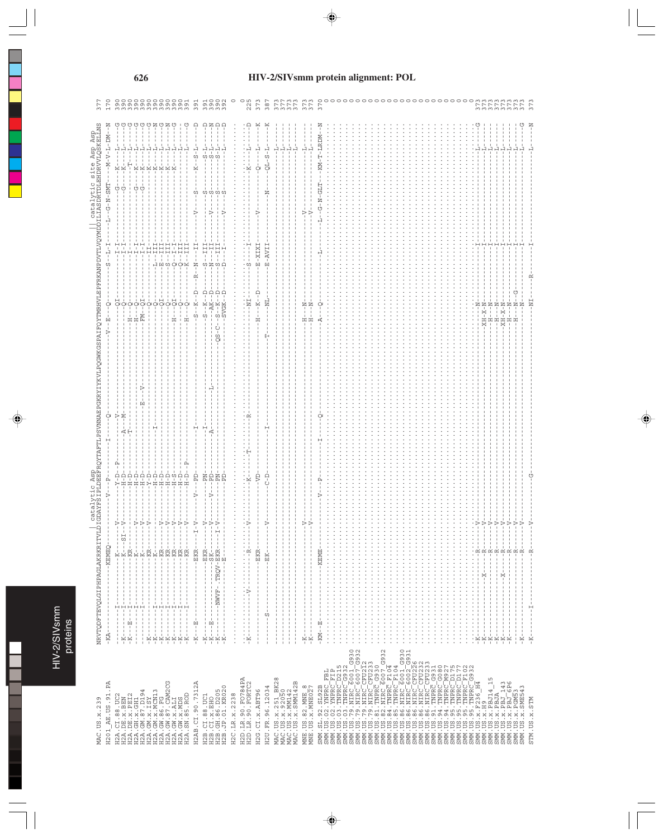| G<br>MAC. US. x. 23                                                                                                                                                                                                                                                                                                    | NRVTQDFTEVQLGIPHPAGLAKRKRITV                                                                                                                                                                                                                                                                                                                                                                                                                                                                                                                                                                      |                                      |    |                                | catalytic Asp<br>DIGDAYFSIPLDEEFRQYTAFTLPSVNNARPGKRYIYKVLPQGWKGSPAIFQYTMRHVLEPFRKANPDVTLVQYMDDILIASDRTDLEHDRVVLQSKELLNS |                                                                                                                                                                                                                                                                                                                                                                                                                                            |                                                                            |                                           |                                   |
|------------------------------------------------------------------------------------------------------------------------------------------------------------------------------------------------------------------------------------------------------------------------------------------------------------------------|---------------------------------------------------------------------------------------------------------------------------------------------------------------------------------------------------------------------------------------------------------------------------------------------------------------------------------------------------------------------------------------------------------------------------------------------------------------------------------------------------------------------------------------------------------------------------------------------------|--------------------------------------|----|--------------------------------|-------------------------------------------------------------------------------------------------------------------------|--------------------------------------------------------------------------------------------------------------------------------------------------------------------------------------------------------------------------------------------------------------------------------------------------------------------------------------------------------------------------------------------------------------------------------------------|----------------------------------------------------------------------------|-------------------------------------------|-----------------------------------|
| AE.US.91.PA<br>H201                                                                                                                                                                                                                                                                                                    | $-KA$ -                                                                                                                                                                                                                                                                                                                                                                                                                                                                                                                                                                                           | $-$ KEMEQ                            | Þ  |                                |                                                                                                                         | $\circ$<br>囜                                                                                                                                                                                                                                                                                                                                                                                                                               |                                                                            | $-M - N - L - L - M -$<br>$-G-N-SMT$<br>÷ |                                   |
| H2A.CI.88.UC2                                                                                                                                                                                                                                                                                                          | $\overline{\phantom{a}}$<br>J.<br>J.                                                                                                                                                                                                                                                                                                                                                                                                                                                                                                                                                              |                                      | ⋗  | $\overline{a}$                 | ₽                                                                                                                       | 능                                                                                                                                                                                                                                                                                                                                                                                                                                          |                                                                            |                                           |                                   |
| $\begin{array}{l} \rm H2A\,,\rm DE\,\cdot X\,. \,BEN \\ \rm H2A\,,\rm DE\,\cdot X\,. \,BEN \\ \rm H2A\,\cdot GH\,\cdot X\,. \,GH1 \\ \rm H2A\,\cdot GH\,\cdot X\,. \,GH1 \\ \rm H2A\,\cdot GM\,\cdot X\,. \,I\,\,SY \\ \rm H2A\,\cdot QN\,\cdot X\,. \,I\,\,SY \\ \rm H2A\,\cdot QN\,\cdot X\,. \,I\,\,SY \end{array}$ | $\frac{1}{1}$<br>$\frac{1}{1}$<br>$\frac{1}{1}$<br>ĤНН<br>   <br>$\overline{\phantom{a}}$<br>$\mathsf I$<br>$\,$<br>$-K$                                                                                                                                                                                                                                                                                                                                                                                                                                                                          | $-55-$<br>$-1 - K -$<br>$\mathbf{I}$ |    | $\Box$                         | N-<br>К                                                                                                                 |                                                                                                                                                                                                                                                                                                                                                                                                                                            |                                                                            | ᆸ<br>KK<br><b>ひ ひ</b>                     |                                   |
|                                                                                                                                                                                                                                                                                                                        | $\frac{1}{4}$<br>$-K---E$                                                                                                                                                                                                                                                                                                                                                                                                                                                                                                                                                                         | ----------                           |    |                                |                                                                                                                         | $\alpha$                                                                                                                                                                                                                                                                                                                                                                                                                                   |                                                                            | ⊢⊧<br>н                                   |                                   |
|                                                                                                                                                                                                                                                                                                                        | $\frac{1}{4}$<br>$\frac{1}{4}$<br>$\mathbf{I}$<br>부<br>-                                                                                                                                                                                                                                                                                                                                                                                                                                                                                                                                          | j.<br>$- - K$                        |    |                                |                                                                                                                         | $\circ$<br>$\begin{array}{c} -1 \\ -1 \\ \hline \text{FM} \\ -1 \end{array}$                                                                                                                                                                                                                                                                                                                                                               | $\blacksquare$                                                             | KK<br><b>ひ ひ</b>                          |                                   |
|                                                                                                                                                                                                                                                                                                                        | $\frac{1}{2} - \frac{1}{2} - \frac{1}{2} - \frac{1}{2} - \frac{1}{2} - \frac{1}{2} - \frac{1}{2} - \frac{1}{2} - \frac{1}{2} - \frac{1}{2} - \frac{1}{2} - \frac{1}{2} - \frac{1}{2} - \frac{1}{2} - \frac{1}{2} - \frac{1}{2} - \frac{1}{2} - \frac{1}{2} - \frac{1}{2} - \frac{1}{2} - \frac{1}{2} - \frac{1}{2} - \frac{1}{2} - \frac{1}{2} - \frac{1}{2} - \frac{1}{2} - \frac{1}{2} - \frac{1$<br>t<br>$-\tilde{K}$<br>$\mathbf{I}$                                                                                                                                                          | ----------                           |    |                                | [1]                                                                                                                     | $\mathbf{H}$<br>$\circ$                                                                                                                                                                                                                                                                                                                                                                                                                    | $\mathbf{1}$                                                               | ٠                                         |                                   |
| H2A.GM.x.MCN13                                                                                                                                                                                                                                                                                                         | $\frac{1}{1}$<br>$\,$ I<br>J.<br>t,<br>$-K--$                                                                                                                                                                                                                                                                                                                                                                                                                                                                                                                                                     | $---RR$                              |    |                                |                                                                                                                         | $\circ$<br>O                                                                                                                                                                                                                                                                                                                                                                                                                               | III<br>$\mathsf{H}$                                                        |                                           |                                   |
| H2A. GW. 86. FG                                                                                                                                                                                                                                                                                                        | $\begin{array}{cccc}\n & - & \times & - \\  & - & \times & - \\  & - & \times & - \\  & - & \times & - \\  & - & \times & - \\  & - & \times & - \\  & - & \times & - \\  & - & \times & - \\  & - & \times & - \\  & - & \times & - \\  & - & \times & - \\  & - & \times & - \\  & - & \times & - \\  & - & \times & - \\  & - & \times & - \\  & - & \times & - \\  & - & \times & - \\  & - & \times & - \\  & - & \times & - \\  & - & \times & - \\  & - & \times & - \\  & - & \times & - \\  & - & \times & - \\  & - & \times & - \\  & - & \times & - \\  & - & \times & - \\  & - & \$ |                                      |    |                                |                                                                                                                         | $\overline{a}$                                                                                                                                                                                                                                                                                                                                                                                                                             | 븝<br>$\vdash$                                                              | KKKK                                      |                                   |
| H2A.GW.87.CAM2CG<br>H2A.GW.x.ALI                                                                                                                                                                                                                                                                                       |                                                                                                                                                                                                                                                                                                                                                                                                                                                                                                                                                                                                   |                                      |    |                                |                                                                                                                         | $\alpha$                                                                                                                                                                                                                                                                                                                                                                                                                                   | 듭<br>$\mathbf{I}$                                                          |                                           |                                   |
|                                                                                                                                                                                                                                                                                                                        |                                                                                                                                                                                                                                                                                                                                                                                                                                                                                                                                                                                                   |                                      |    |                                |                                                                                                                         | $\overline{C}$<br>f,<br>부                                                                                                                                                                                                                                                                                                                                                                                                                  | $\,$ $\,$<br>$\frac{1}{1}$                                                 |                                           |                                   |
| H2A.GW.x.MDS                                                                                                                                                                                                                                                                                                           | $\begin{picture}(120,140)(0,0) \put(0,0){\vector(1,0){100}} \put(15,0){\vector(1,0){100}} \put(15,0){\vector(1,0){100}} \put(15,0){\vector(1,0){100}} \put(15,0){\vector(1,0){100}} \put(15,0){\vector(1,0){100}} \put(15,0){\vector(1,0){100}} \put(15,0){\vector(1,0){100}} \put(15,0){\vector(1,0){100}} \put(15,0){\vector(1,0){100}} \put(15,0){\vector(1,0$<br>ŧ<br>$-K - -$<br>ž                                                                                                                                                                                                           |                                      |    | $\frac{D}{H}$<br>$\frac{1}{2}$ |                                                                                                                         | $\circ$                                                                                                                                                                                                                                                                                                                                                                                                                                    | ΞI<br>$\mathrel{\mathop{\mapsto}\,}$<br>$\blacksquare$<br><b>互 S O O K</b> |                                           | 00000000000d<br>ติดติดติดติดติดติ |
| H2A.SN.85.ROD                                                                                                                                                                                                                                                                                                          |                                                                                                                                                                                                                                                                                                                                                                                                                                                                                                                                                                                                   |                                      |    |                                |                                                                                                                         | $\circ$<br>푸                                                                                                                                                                                                                                                                                                                                                                                                                               |                                                                            | ᇦ                                         |                                   |
| H2AB.CI.90.7312A                                                                                                                                                                                                                                                                                                       | $\frac{1}{1}$<br>$\,$<br>$-K---B$                                                                                                                                                                                                                                                                                                                                                                                                                                                                                                                                                                 | $- - EKR - -$                        |    | E                              |                                                                                                                         | α<br>≏<br>ĸ<br>C)                                                                                                                                                                                                                                                                                                                                                                                                                          | z                                                                          | ᆸ<br>C)<br>⊻<br>CO.                       | $\overline{5}$                    |
| H2B.CI.88.UC1<br>H2B.CI.X.EHO                                                                                                                                                                                                                                                                                          | $\frac{1}{1}$<br>$\frac{1}{1}$<br>$\frac{1}{4}$<br>$\mathbf{I}$<br>$-K--$                                                                                                                                                                                                                                                                                                                                                                                                                                                                                                                         | --EKR--                              |    | Kd                             |                                                                                                                         | $\overset{\circ}{\Gamma} \overset{\circ}{\Gamma}$<br>Ŕ<br>$\overline{a}$                                                                                                                                                                                                                                                                                                                                                                   | $\overline{H}$ $\overline{H}$<br>$\omega \geq$                             | 부<br>ωω                                   |                                   |
|                                                                                                                                                                                                                                                                                                                        | $\frac{1}{1}$<br>$\mathsf I$<br>$\mathbf{I}$<br>$\mathbf{I}$<br>南十九                                                                                                                                                                                                                                                                                                                                                                                                                                                                                                                               | $-$ - SK- $-$ -                      | ⋗  | Ê                              | К                                                                                                                       | $-AK$                                                                                                                                                                                                                                                                                                                                                                                                                                      | $\Box$                                                                     | 부                                         |                                   |
| $\circ$<br>H2B.GH.86.D205<br>H2B.JP.01.KR02                                                                                                                                                                                                                                                                            | $\frac{1}{1}$<br>$\frac{1}{1}$<br>$\mathsf I$<br>$\frac{1}{1}$<br>$-K-$<br>$-\kappa$                                                                                                                                                                                                                                                                                                                                                                                                                                                                                                              |                                      | ٠, | K<br><b>A</b>                  | SO.                                                                                                                     | Ĥ<br>$\begin{array}{c} 1 \ \hline 1 \end{array}$<br>SVGK<br>$-5 - K$<br>٠<br>U<br>٠                                                                                                                                                                                                                                                                                                                                                        | $\vdash$<br>$\omega \cap$                                                  | ᆸ<br>Ē<br>C)<br>ທ ທ ທ ທ                   | 100N<br>m <sub>0</sub><br>≏       |
| H2C.LR.x.2238                                                                                                                                                                                                                                                                                                          |                                                                                                                                                                                                                                                                                                                                                                                                                                                                                                                                                                                                   |                                      |    |                                |                                                                                                                         |                                                                                                                                                                                                                                                                                                                                                                                                                                            |                                                                            |                                           |                                   |
|                                                                                                                                                                                                                                                                                                                        |                                                                                                                                                                                                                                                                                                                                                                                                                                                                                                                                                                                                   |                                      |    |                                |                                                                                                                         |                                                                                                                                                                                                                                                                                                                                                                                                                                            |                                                                            |                                           |                                   |
| H2D. LR. 90. FO784PA<br>H2D.LR.90.FORTC2                                                                                                                                                                                                                                                                               | ÷Ř                                                                                                                                                                                                                                                                                                                                                                                                                                                                                                                                                                                                |                                      |    | ٠Ε<br>$\cdot \Join$            | $\mathbf{\underline{\alpha}}$                                                                                           | $: \Xi$                                                                                                                                                                                                                                                                                                                                                                                                                                    |                                                                            | ۰×                                        | 22<br>$\Box$                      |
| H2G.CI.x.ABT96                                                                                                                                                                                                                                                                                                         | $\frac{1}{4}$<br>$\frac{1}{1}$<br>$\overline{\phantom{a}}$<br>$\,$ I<br>$\,$ I<br>$\,$ I<br>$\overline{\phantom{a}}$                                                                                                                                                                                                                                                                                                                                                                                                                                                                              | --EKR--                              |    | ₿                              |                                                                                                                         | ę<br>k-<br>보                                                                                                                                                                                                                                                                                                                                                                                                                               | -XIXI<br>凹                                                                 | ᆸ<br>$\circ$                              | 37.                               |
| H2U.FR.96.12034                                                                                                                                                                                                                                                                                                        | $-5 -$                                                                                                                                                                                                                                                                                                                                                                                                                                                                                                                                                                                            | --BK--                               |    | $\frac{1}{\sqrt{2}}$<br>U      |                                                                                                                         |                                                                                                                                                                                                                                                                                                                                                                                                                                            | 亩                                                                          | 부<br>C)<br>z                              | $\frac{38}{3}$                    |
|                                                                                                                                                                                                                                                                                                                        |                                                                                                                                                                                                                                                                                                                                                                                                                                                                                                                                                                                                   |                                      |    |                                |                                                                                                                         |                                                                                                                                                                                                                                                                                                                                                                                                                                            | IIVET.                                                                     | å                                         |                                   |
| ∞<br>MAC.US.x.251_BK2<br>MAC.US.x.92050<br>MAC.US.x.MM142                                                                                                                                                                                                                                                              | $\frac{1}{1}$<br>f,<br>I.<br>J.                                                                                                                                                                                                                                                                                                                                                                                                                                                                                                                                                                   | -------------                        |    |                                |                                                                                                                         |                                                                                                                                                                                                                                                                                                                                                                                                                                            |                                                                            | ᇦ<br>루                                    | M<br>LLL<br>WWWW                  |
|                                                                                                                                                                                                                                                                                                                        | $\frac{1}{1}$<br>Ť                                                                                                                                                                                                                                                                                                                                                                                                                                                                                                                                                                                | ł<br>$\frac{1}{2}$                   |    |                                |                                                                                                                         |                                                                                                                                                                                                                                                                                                                                                                                                                                            |                                                                            | 占                                         |                                   |
| MAC.US.x.SMM142B                                                                                                                                                                                                                                                                                                       | $\frac{1}{1}$                                                                                                                                                                                                                                                                                                                                                                                                                                                                                                                                                                                     |                                      |    |                                |                                                                                                                         |                                                                                                                                                                                                                                                                                                                                                                                                                                            |                                                                            | ÷.                                        |                                   |
|                                                                                                                                                                                                                                                                                                                        |                                                                                                                                                                                                                                                                                                                                                                                                                                                                                                                                                                                                   |                                      |    |                                |                                                                                                                         | z                                                                                                                                                                                                                                                                                                                                                                                                                                          |                                                                            | Á                                         |                                   |
| $\begin{array}{ll} & \dots \circ \circ \dots \text{MNE} & 8 \\ \text{MNE } \text{US } \cdot \text{x } \cdot \text{MNE} \text{027} \\ & \dots \circ \end{array}$                                                                                                                                                        | $\begin{array}{c} \begin{array}{c} \begin{array}{c} \begin{array}{c} \begin{array}{c} \end{array} \\ \end{array} \\ \begin{array}{c} \end{array} \\ \begin{array}{c} \end{array} \\ \end{array} \end{array} \end{array}$<br>$- K - -$                                                                                                                                                                                                                                                                                                                                                             | $\frac{1}{2}$                        |    |                                |                                                                                                                         | $\square$<br>出出                                                                                                                                                                                                                                                                                                                                                                                                                            |                                                                            | 己                                         | 373<br>373                        |
| SMM. SL. 92. SL92B                                                                                                                                                                                                                                                                                                     | $-$ KM $-$ - E $-$ -                                                                                                                                                                                                                                                                                                                                                                                                                                                                                                                                                                              | -- - KEME --                         |    |                                |                                                                                                                         | $\circ$<br>K.                                                                                                                                                                                                                                                                                                                                                                                                                              |                                                                            | $-LRDM$<br>Е<br>KM-<br><b>UID-N-D</b>     | 37                                |
|                                                                                                                                                                                                                                                                                                                        |                                                                                                                                                                                                                                                                                                                                                                                                                                                                                                                                                                                                   |                                      |    |                                |                                                                                                                         |                                                                                                                                                                                                                                                                                                                                                                                                                                            |                                                                            |                                           |                                   |
|                                                                                                                                                                                                                                                                                                                        |                                                                                                                                                                                                                                                                                                                                                                                                                                                                                                                                                                                                   |                                      |    |                                |                                                                                                                         |                                                                                                                                                                                                                                                                                                                                                                                                                                            |                                                                            |                                           |                                   |
|                                                                                                                                                                                                                                                                                                                        |                                                                                                                                                                                                                                                                                                                                                                                                                                                                                                                                                                                                   |                                      |    |                                |                                                                                                                         |                                                                                                                                                                                                                                                                                                                                                                                                                                            |                                                                            |                                           |                                   |
|                                                                                                                                                                                                                                                                                                                        |                                                                                                                                                                                                                                                                                                                                                                                                                                                                                                                                                                                                   |                                      |    |                                |                                                                                                                         |                                                                                                                                                                                                                                                                                                                                                                                                                                            |                                                                            |                                           |                                   |
|                                                                                                                                                                                                                                                                                                                        |                                                                                                                                                                                                                                                                                                                                                                                                                                                                                                                                                                                                   |                                      |    |                                |                                                                                                                         |                                                                                                                                                                                                                                                                                                                                                                                                                                            |                                                                            |                                           |                                   |
|                                                                                                                                                                                                                                                                                                                        |                                                                                                                                                                                                                                                                                                                                                                                                                                                                                                                                                                                                   |                                      |    |                                |                                                                                                                         |                                                                                                                                                                                                                                                                                                                                                                                                                                            |                                                                            |                                           |                                   |
|                                                                                                                                                                                                                                                                                                                        |                                                                                                                                                                                                                                                                                                                                                                                                                                                                                                                                                                                                   |                                      |    |                                |                                                                                                                         |                                                                                                                                                                                                                                                                                                                                                                                                                                            |                                                                            |                                           |                                   |
|                                                                                                                                                                                                                                                                                                                        |                                                                                                                                                                                                                                                                                                                                                                                                                                                                                                                                                                                                   |                                      |    |                                |                                                                                                                         |                                                                                                                                                                                                                                                                                                                                                                                                                                            |                                                                            |                                           |                                   |
|                                                                                                                                                                                                                                                                                                                        |                                                                                                                                                                                                                                                                                                                                                                                                                                                                                                                                                                                                   |                                      |    |                                |                                                                                                                         |                                                                                                                                                                                                                                                                                                                                                                                                                                            |                                                                            |                                           |                                   |
|                                                                                                                                                                                                                                                                                                                        |                                                                                                                                                                                                                                                                                                                                                                                                                                                                                                                                                                                                   |                                      |    |                                |                                                                                                                         |                                                                                                                                                                                                                                                                                                                                                                                                                                            |                                                                            |                                           |                                   |
|                                                                                                                                                                                                                                                                                                                        |                                                                                                                                                                                                                                                                                                                                                                                                                                                                                                                                                                                                   |                                      |    |                                |                                                                                                                         |                                                                                                                                                                                                                                                                                                                                                                                                                                            |                                                                            |                                           |                                   |
|                                                                                                                                                                                                                                                                                                                        |                                                                                                                                                                                                                                                                                                                                                                                                                                                                                                                                                                                                   |                                      |    |                                |                                                                                                                         |                                                                                                                                                                                                                                                                                                                                                                                                                                            |                                                                            |                                           |                                   |
|                                                                                                                                                                                                                                                                                                                        |                                                                                                                                                                                                                                                                                                                                                                                                                                                                                                                                                                                                   |                                      |    |                                |                                                                                                                         |                                                                                                                                                                                                                                                                                                                                                                                                                                            |                                                                            |                                           |                                   |
|                                                                                                                                                                                                                                                                                                                        |                                                                                                                                                                                                                                                                                                                                                                                                                                                                                                                                                                                                   |                                      |    |                                |                                                                                                                         |                                                                                                                                                                                                                                                                                                                                                                                                                                            |                                                                            |                                           |                                   |
|                                                                                                                                                                                                                                                                                                                        |                                                                                                                                                                                                                                                                                                                                                                                                                                                                                                                                                                                                   |                                      |    |                                |                                                                                                                         |                                                                                                                                                                                                                                                                                                                                                                                                                                            |                                                                            |                                           |                                   |
|                                                                                                                                                                                                                                                                                                                        |                                                                                                                                                                                                                                                                                                                                                                                                                                                                                                                                                                                                   |                                      |    |                                |                                                                                                                         |                                                                                                                                                                                                                                                                                                                                                                                                                                            |                                                                            |                                           |                                   |
|                                                                                                                                                                                                                                                                                                                        |                                                                                                                                                                                                                                                                                                                                                                                                                                                                                                                                                                                                   |                                      |    |                                |                                                                                                                         |                                                                                                                                                                                                                                                                                                                                                                                                                                            |                                                                            |                                           |                                   |
|                                                                                                                                                                                                                                                                                                                        |                                                                                                                                                                                                                                                                                                                                                                                                                                                                                                                                                                                                   |                                      |    |                                |                                                                                                                         |                                                                                                                                                                                                                                                                                                                                                                                                                                            |                                                                            |                                           |                                   |
|                                                                                                                                                                                                                                                                                                                        |                                                                                                                                                                                                                                                                                                                                                                                                                                                                                                                                                                                                   |                                      |    |                                |                                                                                                                         |                                                                                                                                                                                                                                                                                                                                                                                                                                            |                                                                            |                                           |                                   |
|                                                                                                                                                                                                                                                                                                                        |                                                                                                                                                                                                                                                                                                                                                                                                                                                                                                                                                                                                   |                                      |    |                                |                                                                                                                         |                                                                                                                                                                                                                                                                                                                                                                                                                                            |                                                                            |                                           |                                   |
|                                                                                                                                                                                                                                                                                                                        |                                                                                                                                                                                                                                                                                                                                                                                                                                                                                                                                                                                                   |                                      |    |                                |                                                                                                                         |                                                                                                                                                                                                                                                                                                                                                                                                                                            |                                                                            |                                           |                                   |
|                                                                                                                                                                                                                                                                                                                        |                                                                                                                                                                                                                                                                                                                                                                                                                                                                                                                                                                                                   |                                      |    |                                |                                                                                                                         |                                                                                                                                                                                                                                                                                                                                                                                                                                            |                                                                            |                                           |                                   |
|                                                                                                                                                                                                                                                                                                                        |                                                                                                                                                                                                                                                                                                                                                                                                                                                                                                                                                                                                   |                                      |    |                                |                                                                                                                         |                                                                                                                                                                                                                                                                                                                                                                                                                                            |                                                                            |                                           |                                   |
|                                                                                                                                                                                                                                                                                                                        |                                                                                                                                                                                                                                                                                                                                                                                                                                                                                                                                                                                                   |                                      |    |                                |                                                                                                                         |                                                                                                                                                                                                                                                                                                                                                                                                                                            |                                                                            |                                           |                                   |
|                                                                                                                                                                                                                                                                                                                        |                                                                                                                                                                                                                                                                                                                                                                                                                                                                                                                                                                                                   |                                      |    |                                |                                                                                                                         |                                                                                                                                                                                                                                                                                                                                                                                                                                            |                                                                            |                                           |                                   |
|                                                                                                                                                                                                                                                                                                                        | $- -x - - - - - - -$<br>$-K--$                                                                                                                                                                                                                                                                                                                                                                                                                                                                                                                                                                    | Ť<br>$\frac{1}{1}$                   |    |                                |                                                                                                                         | $XH-X-N$                                                                                                                                                                                                                                                                                                                                                                                                                                   |                                                                            | ᆸ                                         |                                   |
|                                                                                                                                                                                                                                                                                                                        | ÷,<br>$\frac{1}{4}$<br>$-K--$                                                                                                                                                                                                                                                                                                                                                                                                                                                                                                                                                                     | $\frac{1}{4}$<br>Ţ                   |    |                                |                                                                                                                         |                                                                                                                                                                                                                                                                                                                                                                                                                                            |                                                                            | $\Box$                                    |                                   |
| SMM. US . X. H9<br>SMM. US . X. PBJ14<br>SMM. US . X. PBJ14<br>SMM. US . X. PBJ 143<br>SMM. US . X. PBJ 66                                                                                                                                                                                                             | $- - X - -$<br>$\frac{1}{4}$<br>$-K--$                                                                                                                                                                                                                                                                                                                                                                                                                                                                                                                                                            | ÷<br>$\frac{1}{4}$<br>t              |    |                                |                                                                                                                         | $\begin{array}{r} \mathbf{H} = \mathbf{H} = \mathbf{N} \\ \mathbf{H} = \mathbf{X} - \mathbf{H} \\ \mathbf{H} = \mathbf{X} - \mathbf{H} \\ \mathbf{H} = \mathbf{X} - \mathbf{H} \\ \mathbf{H} = \mathbf{H} - \mathbf{H} \\ \mathbf{H} = \mathbf{H} + \mathbf{H} \\ \mathbf{H} = \mathbf{H} + \mathbf{H} \\ \mathbf{H} = \mathbf{H} + \mathbf{H} \\ \mathbf{H} = \mathbf{H} + \mathbf{H} \\ \mathbf{H} = \mathbf{H} + \mathbf{H} \\ \mathbf$ |                                                                            | ロロロ                                       | ろうろうろうろう ファファファリアリアリアリアリアリアリアリア   |
|                                                                                                                                                                                                                                                                                                                        | $-K--$                                                                                                                                                                                                                                                                                                                                                                                                                                                                                                                                                                                            | f,<br>ł                              |    |                                |                                                                                                                         |                                                                                                                                                                                                                                                                                                                                                                                                                                            |                                                                            |                                           |                                   |
| S.X.PGM53<br>SMM.U                                                                                                                                                                                                                                                                                                     | ٠                                                                                                                                                                                                                                                                                                                                                                                                                                                                                                                                                                                                 | t<br>$\sf I$                         |    |                                |                                                                                                                         | Ο<br>z<br>ᄑ                                                                                                                                                                                                                                                                                                                                                                                                                                |                                                                            | ᅼ                                         |                                   |
| SMM. US. x. SME543                                                                                                                                                                                                                                                                                                     | $-K-$                                                                                                                                                                                                                                                                                                                                                                                                                                                                                                                                                                                             | $R -$                                |    |                                |                                                                                                                         | Z                                                                                                                                                                                                                                                                                                                                                                                                                                          |                                                                            | д                                         | 37.                               |
| STM.US.X.STM                                                                                                                                                                                                                                                                                                           | $-1 - 1$<br>$-K-$                                                                                                                                                                                                                                                                                                                                                                                                                                                                                                                                                                                 | $\overline{R}$                       |    |                                |                                                                                                                         |                                                                                                                                                                                                                                                                                                                                                                                                                                            |                                                                            |                                           |                                   |
|                                                                                                                                                                                                                                                                                                                        | $\frac{1}{1}$                                                                                                                                                                                                                                                                                                                                                                                                                                                                                                                                                                                     | t                                    |    |                                |                                                                                                                         | E                                                                                                                                                                                                                                                                                                                                                                                                                                          |                                                                            |                                           |                                   |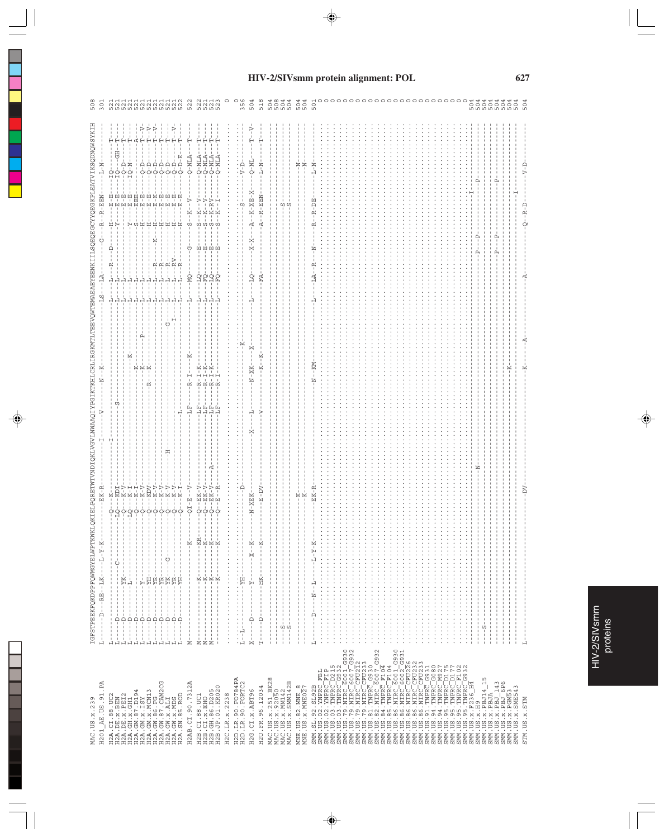| MAC.US.x.239                                                                                                                                                                                                                                                                                                                                                                                           | 1G78YOQRXDPPFQWVBLAZBLOWSYAZBLOWGYAWARANATWOXATAChTAXAZDATXATASAANATYOXATAGHANATYOQRTATAGDATXONTATAGHANATAXSWW                                                                                                                                                                                                                                           |                                                                                                                                                                                                                                                                                        |                                                           |                                                             |                                                                                               |                                                                                          | $\frac{8}{5}$             |
|--------------------------------------------------------------------------------------------------------------------------------------------------------------------------------------------------------------------------------------------------------------------------------------------------------------------------------------------------------------------------------------------------------|----------------------------------------------------------------------------------------------------------------------------------------------------------------------------------------------------------------------------------------------------------------------------------------------------------------------------------------------------------|----------------------------------------------------------------------------------------------------------------------------------------------------------------------------------------------------------------------------------------------------------------------------------------|-----------------------------------------------------------|-------------------------------------------------------------|-----------------------------------------------------------------------------------------------|------------------------------------------------------------------------------------------|---------------------------|
| РÃ<br>AE.US.91.<br>H201                                                                                                                                                                                                                                                                                                                                                                                | $\frac{1}{4}$                                                                                                                                                                                                                                                                                                                                            | $EK - R$                                                                                                                                                                                                                                                                               | ×<br>$\frac{1}{2}$<br>$\overline{V}$                      | $\overset{+}{\circ}$<br>$-LA$<br>$-21$                      | $R - EEN$<br>Ř                                                                                | $N-T$                                                                                    | 301                       |
|                                                                                                                                                                                                                                                                                                                                                                                                        | ٠<br>$\mathbf{I}$                                                                                                                                                                                                                                                                                                                                        |                                                                                                                                                                                                                                                                                        |                                                           | $\Box$<br>α                                                 | 革                                                                                             |                                                                                          |                           |
| $\begin{array}{l} \tt H2A, \tt C1, 88, \tt UC2 \\ \tt H2A, \tt DE1X, \tt DE1X, \tt DE1Z \\ \tt H2A, \tt GE1, \tt C11, \tt X, \tt CE1Z \\ \tt H2A, \tt CE1, \tt CE1, \tt CE1, \tt CE1 \\ \tt H2A, \tt CE1, \tt CE1, \tt CE1, \tt CE2, \tt IC1Z) \\ \tt H2A, \tt CE1, \tt CE1, \tt CE2, \tt CE1Z \\ \tt H2A, \tt CE2, \tt CE3, \tt CE1, \tt CE4, \tt CE2, \tt CE1Z \\ \tt H2A, \tt CE3, \tt CE4, \tt DE$ | $-1 - C -$<br>$\frac{1}{4}$                                                                                                                                                                                                                                                                                                                              | 주집주주도<br>주십주 부부                                                                                                                                                                                                                                                                        |                                                           |                                                             | बंधवे वे वे वे वे वे वे वे वे वे वे वे<br>बंधवे वे वे वे वे वे वे वे वे वे वे वे              | 5                                                                                        |                           |
|                                                                                                                                                                                                                                                                                                                                                                                                        | i<br>I<br>$---XK---$<br>ŧ<br>$\frac{1}{2}$                                                                                                                                                                                                                                                                                                               |                                                                                                                                                                                                                                                                                        | ×                                                         |                                                             | $\mathbf{I}$                                                                                  |                                                                                          |                           |
|                                                                                                                                                                                                                                                                                                                                                                                                        |                                                                                                                                                                                                                                                                                                                                                          |                                                                                                                                                                                                                                                                                        |                                                           | $\mathbf{I}$                                                |                                                                                               |                                                                                          |                           |
|                                                                                                                                                                                                                                                                                                                                                                                                        |                                                                                                                                                                                                                                                                                                                                                          |                                                                                                                                                                                                                                                                                        | J.<br>KKK<br>$\mathfrak l$                                |                                                             | t                                                                                             | $V -$                                                                                    |                           |
|                                                                                                                                                                                                                                                                                                                                                                                                        |                                                                                                                                                                                                                                                                                                                                                          | <b>KDV</b>                                                                                                                                                                                                                                                                             | $\,$ $\,$<br>$\mathbf{I}$<br>α                            |                                                             | $\frac{1}{1}$<br><b>&gt;SHHHHHH</b>                                                           | $- - \sqrt{}$                                                                            |                           |
|                                                                                                                                                                                                                                                                                                                                                                                                        |                                                                                                                                                                                                                                                                                                                                                          | $K - V$<br>$K - V$                                                                                                                                                                                                                                                                     |                                                           | Ŕ<br>T<br>$\stackrel{+}{\Box} \stackrel{+}{\Box}$           | ÷                                                                                             | $-7$                                                                                     |                           |
|                                                                                                                                                                                                                                                                                                                                                                                                        |                                                                                                                                                                                                                                                                                                                                                          | $K-N$                                                                                                                                                                                                                                                                                  | ひ                                                         | RRRN-<br>$\mathsf I$<br>山                                   | ÷<br>÷                                                                                        |                                                                                          |                           |
|                                                                                                                                                                                                                                                                                                                                                                                                        |                                                                                                                                                                                                                                                                                                                                                          | $K-N$                                                                                                                                                                                                                                                                                  | Н                                                         | Ť<br>큐                                                      | ÷                                                                                             | $\tilde{\phantom{0}}$                                                                    |                           |
|                                                                                                                                                                                                                                                                                                                                                                                                        | $\begin{picture}(180,170)(-0.000,0){\line(1,0){100}} \put(10,0){\line(1,0){100}} \put(10,0){\line(1,0){100}} \put(10,0){\line(1,0){100}} \put(10,0){\line(1,0){100}} \put(10,0){\line(1,0){100}} \put(10,0){\line(1,0){100}} \put(10,0){\line(1,0){100}} \put(10,0){\line(1,0){100}} \put(10,0){\line(1,0){100}} \put(10,0){\line(1,0){1$<br>$\,$ I<br>á | $K - I$                                                                                                                                                                                                                                                                                |                                                           | $\frac{1}{1}$                                               | ÷                                                                                             |                                                                                          |                           |
| H2AB. CI.90.7312A                                                                                                                                                                                                                                                                                                                                                                                      | $-3I -$<br>f,<br>Σ                                                                                                                                                                                                                                                                                                                                       | $-7$<br>囟<br>$\overline{C}$                                                                                                                                                                                                                                                            | α<br>百                                                    | ひ<br>$- M$                                                  | $K - V$<br>ω                                                                                  | $Q-NLA$                                                                                  | 522                       |
|                                                                                                                                                                                                                                                                                                                                                                                                        | $- - KR$<br>$\mathbf{I}$                                                                                                                                                                                                                                                                                                                                 |                                                                                                                                                                                                                                                                                        |                                                           |                                                             |                                                                                               |                                                                                          |                           |
|                                                                                                                                                                                                                                                                                                                                                                                                        | ţ<br>Ħ<br>$\,$ I<br>ΣΣΣ                                                                                                                                                                                                                                                                                                                                  |                                                                                                                                                                                                                                                                                        | $   -$                                                    | $1 - 1$<br>$\mathbf{I}$                                     | ÷                                                                                             |                                                                                          |                           |
| H2B.CI.88.UC1<br>H2B.CI.X.EHO<br>H2B.GH.86.D205<br>H2B.JP.01.KR020                                                                                                                                                                                                                                                                                                                                     | $\begin{array}{c}\n -K - \\  -K - \\  -K -\n \end{array}$<br>$\frac{1}{4}$<br>÷                                                                                                                                                                                                                                                                          | Ą<br>$\begin{array}{r} -\text{E}{\bf K}{\bf -}{\bf V}\\ -\text{E}{\bf K}{\bf -}{\bf V}\\ -\text{E}{\bf K}{\bf -}{\bf V}\\ -\text{E}{\bf K}{\bf -}{\bf V}\\ -\text{E}{\bf K}{\bf -}{\bf K}\\ \end{array}$<br>$\overset{1}{\circ}\overset{1}{\circ}\overset{1}{\circ}\overset{1}{\circ}$ | HHHH<br>L<br>R<br>R<br>R<br>R<br>R<br><b>AAAA</b><br>AAAA | $\mathbf{I}$<br>凹凹凹凹<br>$\blacksquare$<br>.<br>오요요요<br>ᆸ급급급 | $\begin{array}{l} K - V \\ K - V \\ K - RV \\ K - 1 \end{array}$<br>$\blacksquare$<br>ហ ហ ហ ហ | $\begin{array}{c} Q-\text{NLA}\\ Q-\text{NLA}\\ \text{NLA}\\ Q-\text{NLA}\\ \end{array}$ | 2112<br>2222<br>2222      |
| $\circ$                                                                                                                                                                                                                                                                                                                                                                                                | $\overline{\phantom{0}}$<br>$\overline{\phantom{a}}$<br>$\overline{\phantom{a}}$<br>$\overline{\phantom{0}}$                                                                                                                                                                                                                                             |                                                                                                                                                                                                                                                                                        |                                                           |                                                             |                                                                                               |                                                                                          |                           |
| H2C.LR.x.2238                                                                                                                                                                                                                                                                                                                                                                                          | $\vdots$<br>.<br>.                                                                                                                                                                                                                                                                                                                                       |                                                                                                                                                                                                                                                                                        |                                                           |                                                             |                                                                                               |                                                                                          |                           |
| H2D.LR.90.FO784PA<br>H2D.LR.90.FORTC2                                                                                                                                                                                                                                                                                                                                                                  |                                                                                                                                                                                                                                                                                                                                                          |                                                                                                                                                                                                                                                                                        |                                                           |                                                             |                                                                                               | i<br>V−D                                                                                 |                           |
|                                                                                                                                                                                                                                                                                                                                                                                                        |                                                                                                                                                                                                                                                                                                                                                          | ≏                                                                                                                                                                                                                                                                                      |                                                           |                                                             |                                                                                               |                                                                                          | 356                       |
| H2G.CI.x.ABT96                                                                                                                                                                                                                                                                                                                                                                                         | $-X$ - - $X$ - - - - - - - - X -<br>$\bowtie$                                                                                                                                                                                                                                                                                                            | $N - XER$                                                                                                                                                                                                                                                                              | ž<br>$N - XK$<br>ᆞ                                        | $-X-X$<br>9⊐<br>-                                           | $-A - K - XE - X$                                                                             | $Q - NL$                                                                                 | 504                       |
| H2U.FR.96.12034                                                                                                                                                                                                                                                                                                                                                                                        | $-1 - 1 - 1 - 1 = 1$<br>---HK--<br>$\vdash$                                                                                                                                                                                                                                                                                                              | ΡŚ<br>囟                                                                                                                                                                                                                                                                                | ×<br>×-                                                   | FA                                                          | $-R - EEN$<br>$\rm A$ -                                                                       | $\overline{L}$ – $\overline{N}$                                                          | 518                       |
| $\infty$<br>MAC.US.x.251_BK2<br>MAC.US.x.92050<br>MAC.US.x.MM142                                                                                                                                                                                                                                                                                                                                       | $\,$ I<br>$\mathbf{I}$                                                                                                                                                                                                                                                                                                                                   |                                                                                                                                                                                                                                                                                        |                                                           |                                                             |                                                                                               |                                                                                          |                           |
|                                                                                                                                                                                                                                                                                                                                                                                                        | J.<br>ł                                                                                                                                                                                                                                                                                                                                                  |                                                                                                                                                                                                                                                                                        |                                                           |                                                             |                                                                                               |                                                                                          | 5<br>0000<br>0000         |
|                                                                                                                                                                                                                                                                                                                                                                                                        | $-1 - 5$                                                                                                                                                                                                                                                                                                                                                 |                                                                                                                                                                                                                                                                                        |                                                           |                                                             | თ თ                                                                                           |                                                                                          |                           |
| MAC.US.x.SMM142B                                                                                                                                                                                                                                                                                                                                                                                       | $- - -$                                                                                                                                                                                                                                                                                                                                                  |                                                                                                                                                                                                                                                                                        |                                                           |                                                             |                                                                                               |                                                                                          |                           |
| $\begin{array}{l} \tt MME. \tt US. \ 82. \tt MME. \ 8 \\ \tt MME. \  US. \ x. \  \tt MME027 \end{array}$                                                                                                                                                                                                                                                                                               | $\frac{1}{1}$<br>ł.                                                                                                                                                                                                                                                                                                                                      | ⊻ ≍                                                                                                                                                                                                                                                                                    |                                                           |                                                             |                                                                                               | zz                                                                                       | 504<br>504                |
|                                                                                                                                                                                                                                                                                                                                                                                                        | $\frac{1}{1}$<br>$\begin{array}{c} \n\cdot & \cdot & \cdot \\ \n\cdot & \cdot & \cdot \\ \n\cdot & \cdot & \cdot \n\end{array}$<br>$\,$<br>$\mathbf{I}$                                                                                                                                                                                                  |                                                                                                                                                                                                                                                                                        |                                                           |                                                             |                                                                                               |                                                                                          |                           |
|                                                                                                                                                                                                                                                                                                                                                                                                        |                                                                                                                                                                                                                                                                                                                                                          | EK-R                                                                                                                                                                                                                                                                                   | Ķ<br>2                                                    | z<br>LA                                                     | $R - DE$<br>≃                                                                                 | $\frac{1}{2}$                                                                            | 50 <sup>2</sup>           |
|                                                                                                                                                                                                                                                                                                                                                                                                        |                                                                                                                                                                                                                                                                                                                                                          |                                                                                                                                                                                                                                                                                        |                                                           |                                                             |                                                                                               |                                                                                          |                           |
|                                                                                                                                                                                                                                                                                                                                                                                                        |                                                                                                                                                                                                                                                                                                                                                          |                                                                                                                                                                                                                                                                                        |                                                           |                                                             |                                                                                               |                                                                                          |                           |
|                                                                                                                                                                                                                                                                                                                                                                                                        |                                                                                                                                                                                                                                                                                                                                                          |                                                                                                                                                                                                                                                                                        |                                                           |                                                             |                                                                                               |                                                                                          |                           |
|                                                                                                                                                                                                                                                                                                                                                                                                        |                                                                                                                                                                                                                                                                                                                                                          |                                                                                                                                                                                                                                                                                        |                                                           |                                                             |                                                                                               |                                                                                          |                           |
|                                                                                                                                                                                                                                                                                                                                                                                                        |                                                                                                                                                                                                                                                                                                                                                          |                                                                                                                                                                                                                                                                                        |                                                           |                                                             |                                                                                               |                                                                                          |                           |
|                                                                                                                                                                                                                                                                                                                                                                                                        |                                                                                                                                                                                                                                                                                                                                                          |                                                                                                                                                                                                                                                                                        |                                                           |                                                             |                                                                                               |                                                                                          |                           |
|                                                                                                                                                                                                                                                                                                                                                                                                        |                                                                                                                                                                                                                                                                                                                                                          |                                                                                                                                                                                                                                                                                        |                                                           |                                                             |                                                                                               |                                                                                          |                           |
|                                                                                                                                                                                                                                                                                                                                                                                                        |                                                                                                                                                                                                                                                                                                                                                          |                                                                                                                                                                                                                                                                                        |                                                           |                                                             |                                                                                               |                                                                                          |                           |
|                                                                                                                                                                                                                                                                                                                                                                                                        |                                                                                                                                                                                                                                                                                                                                                          |                                                                                                                                                                                                                                                                                        |                                                           |                                                             |                                                                                               |                                                                                          |                           |
|                                                                                                                                                                                                                                                                                                                                                                                                        |                                                                                                                                                                                                                                                                                                                                                          |                                                                                                                                                                                                                                                                                        |                                                           |                                                             |                                                                                               |                                                                                          |                           |
|                                                                                                                                                                                                                                                                                                                                                                                                        |                                                                                                                                                                                                                                                                                                                                                          |                                                                                                                                                                                                                                                                                        |                                                           |                                                             |                                                                                               |                                                                                          |                           |
|                                                                                                                                                                                                                                                                                                                                                                                                        |                                                                                                                                                                                                                                                                                                                                                          |                                                                                                                                                                                                                                                                                        |                                                           |                                                             |                                                                                               |                                                                                          |                           |
|                                                                                                                                                                                                                                                                                                                                                                                                        |                                                                                                                                                                                                                                                                                                                                                          |                                                                                                                                                                                                                                                                                        |                                                           |                                                             |                                                                                               |                                                                                          |                           |
|                                                                                                                                                                                                                                                                                                                                                                                                        |                                                                                                                                                                                                                                                                                                                                                          |                                                                                                                                                                                                                                                                                        |                                                           |                                                             |                                                                                               |                                                                                          |                           |
|                                                                                                                                                                                                                                                                                                                                                                                                        |                                                                                                                                                                                                                                                                                                                                                          |                                                                                                                                                                                                                                                                                        |                                                           |                                                             |                                                                                               |                                                                                          |                           |
|                                                                                                                                                                                                                                                                                                                                                                                                        |                                                                                                                                                                                                                                                                                                                                                          |                                                                                                                                                                                                                                                                                        |                                                           |                                                             |                                                                                               |                                                                                          |                           |
|                                                                                                                                                                                                                                                                                                                                                                                                        |                                                                                                                                                                                                                                                                                                                                                          |                                                                                                                                                                                                                                                                                        |                                                           |                                                             |                                                                                               |                                                                                          |                           |
|                                                                                                                                                                                                                                                                                                                                                                                                        |                                                                                                                                                                                                                                                                                                                                                          |                                                                                                                                                                                                                                                                                        |                                                           |                                                             |                                                                                               |                                                                                          |                           |
|                                                                                                                                                                                                                                                                                                                                                                                                        |                                                                                                                                                                                                                                                                                                                                                          |                                                                                                                                                                                                                                                                                        |                                                           |                                                             |                                                                                               |                                                                                          |                           |
|                                                                                                                                                                                                                                                                                                                                                                                                        |                                                                                                                                                                                                                                                                                                                                                          |                                                                                                                                                                                                                                                                                        |                                                           |                                                             |                                                                                               |                                                                                          |                           |
|                                                                                                                                                                                                                                                                                                                                                                                                        |                                                                                                                                                                                                                                                                                                                                                          |                                                                                                                                                                                                                                                                                        |                                                           |                                                             |                                                                                               |                                                                                          |                           |
|                                                                                                                                                                                                                                                                                                                                                                                                        |                                                                                                                                                                                                                                                                                                                                                          |                                                                                                                                                                                                                                                                                        |                                                           |                                                             |                                                                                               |                                                                                          |                           |
|                                                                                                                                                                                                                                                                                                                                                                                                        |                                                                                                                                                                                                                                                                                                                                                          |                                                                                                                                                                                                                                                                                        |                                                           |                                                             |                                                                                               |                                                                                          |                           |
|                                                                                                                                                                                                                                                                                                                                                                                                        |                                                                                                                                                                                                                                                                                                                                                          |                                                                                                                                                                                                                                                                                        |                                                           |                                                             |                                                                                               |                                                                                          |                           |
|                                                                                                                                                                                                                                                                                                                                                                                                        | ł                                                                                                                                                                                                                                                                                                                                                        |                                                                                                                                                                                                                                                                                        |                                                           |                                                             |                                                                                               |                                                                                          |                           |
| LN,<br>SIMM, 103 . x, 1 BB114 .<br>SIMM, 103 . x, 1 BB114 .<br>SIMM, 103 . x, 1 BB11<br>SIMM, 103 . x, 1 BM15 .<br>SIMM, 103 . x, SIME543<br>SIMM, 103 . x, SIME543                                                                                                                                                                                                                                    | -----------                                                                                                                                                                                                                                                                                                                                              |                                                                                                                                                                                                                                                                                        |                                                           |                                                             |                                                                                               |                                                                                          | 5<br>00000000<br>44444444 |
|                                                                                                                                                                                                                                                                                                                                                                                                        | $\frac{1}{1}$<br>$\frac{1}{1}$                                                                                                                                                                                                                                                                                                                           |                                                                                                                                                                                                                                                                                        |                                                           | д<br>д                                                      | $\mathbf{\Omega}$                                                                             |                                                                                          |                           |
|                                                                                                                                                                                                                                                                                                                                                                                                        | $\frac{1}{1}$                                                                                                                                                                                                                                                                                                                                            |                                                                                                                                                                                                                                                                                        |                                                           |                                                             |                                                                                               |                                                                                          |                           |
|                                                                                                                                                                                                                                                                                                                                                                                                        | ł<br>$\frac{1}{4}$                                                                                                                                                                                                                                                                                                                                       |                                                                                                                                                                                                                                                                                        |                                                           |                                                             |                                                                                               |                                                                                          |                           |
|                                                                                                                                                                                                                                                                                                                                                                                                        |                                                                                                                                                                                                                                                                                                                                                          |                                                                                                                                                                                                                                                                                        |                                                           |                                                             |                                                                                               |                                                                                          |                           |
|                                                                                                                                                                                                                                                                                                                                                                                                        |                                                                                                                                                                                                                                                                                                                                                          |                                                                                                                                                                                                                                                                                        |                                                           |                                                             |                                                                                               |                                                                                          |                           |
| STM.US.x.STM                                                                                                                                                                                                                                                                                                                                                                                           |                                                                                                                                                                                                                                                                                                                                                          | ă                                                                                                                                                                                                                                                                                      |                                                           |                                                             | $-R-D$<br>់                                                                                   | Ŗ                                                                                        | 504                       |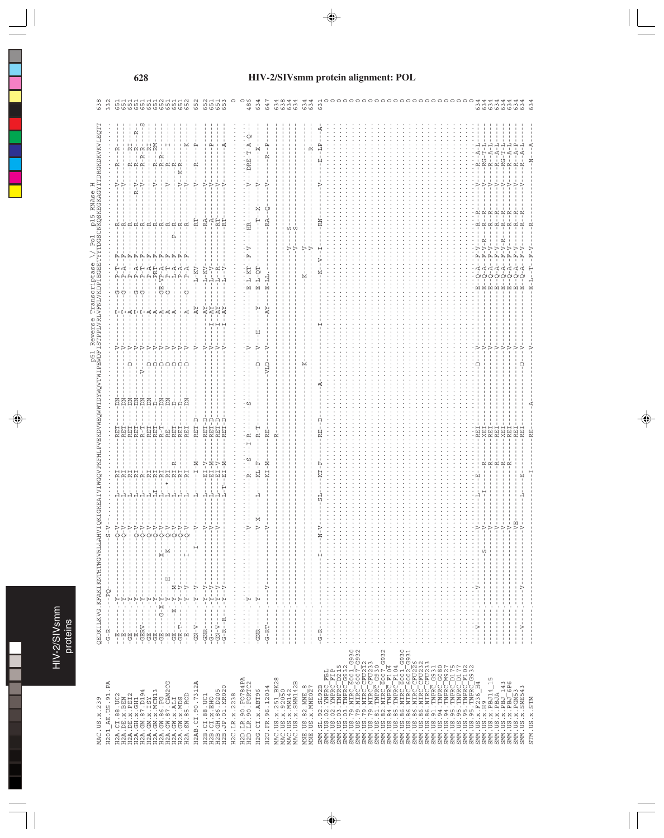| ſ<br><u>ა</u> | <u>V</u> |
|---------------|----------|
| ₫             | E        |
|               |          |
|               |          |

| MAC.US.x.239                                                                                                                                                                                                                                                                                                                                                                                                        |                                                                                                                                                                                                                                                                                                                                                                                                                                                             | QEDKILKVG. KFAKIKNTHTNGV                                                                      |                                      | GKEAIVIMGOVPKFHLPVEKDVWEQWWTDYWQ |                         |                                              | STP.<br>EWDF:                |                                 |                                                                                                                                                                                                                                                                                                                                                 |                                                                                                                    | TORU<br>TDRGKDKVKN                                                                                                                             |
|---------------------------------------------------------------------------------------------------------------------------------------------------------------------------------------------------------------------------------------------------------------------------------------------------------------------------------------------------------------------------------------------------------------------|-------------------------------------------------------------------------------------------------------------------------------------------------------------------------------------------------------------------------------------------------------------------------------------------------------------------------------------------------------------------------------------------------------------------------------------------------------------|-----------------------------------------------------------------------------------------------|--------------------------------------|----------------------------------|-------------------------|----------------------------------------------|------------------------------|---------------------------------|-------------------------------------------------------------------------------------------------------------------------------------------------------------------------------------------------------------------------------------------------------------------------------------------------------------------------------------------------|--------------------------------------------------------------------------------------------------------------------|------------------------------------------------------------------------------------------------------------------------------------------------|
| H201 AE.US.91.PA                                                                                                                                                                                                                                                                                                                                                                                                    | $-6 - R -$                                                                                                                                                                                                                                                                                                                                                                                                                                                  | $-59$                                                                                         |                                      |                                  |                         |                                              |                              |                                 |                                                                                                                                                                                                                                                                                                                                                 |                                                                                                                    |                                                                                                                                                |
| H2A.CI.88.UC2                                                                                                                                                                                                                                                                                                                                                                                                       | $\begin{array}{l} -\frac{1}{2} \cdot \frac{1}{2} \cdot \frac{1}{2} \cdot \frac{1}{2} \cdot \frac{1}{2} \cdot \frac{1}{2} \cdot \frac{1}{2} \cdot \frac{1}{2} \cdot \frac{1}{2} \cdot \frac{1}{2} \cdot \frac{1}{2} \cdot \frac{1}{2} \cdot \frac{1}{2} \cdot \frac{1}{2} \cdot \frac{1}{2} \cdot \frac{1}{2} \cdot \frac{1}{2} \cdot \frac{1}{2} \cdot \frac{1}{2} \cdot \frac{1}{2} \cdot \frac{1}{2} \cdot \frac{1}{2} \cdot \frac{1}{2} \cdot \frac{1}{$ | j.<br>$---X -$                                                                                | $\alpha$                             | 77777737777                      | 5555                    | ăă                                           | $>$ $>$                      | もっ<br>HHAHHAAAA                 | <b>AAAAAAAAAAAA</b><br>$-7$                                                                                                                                                                                                                                                                                                                     | <b>GAGGGGGGGGGG</b>                                                                                                | Ŕ                                                                                                                                              |
| $\begin{array}{l} \text{HZ}\bar{A}, \ \bar{D}\bar{B}, \ \bar{X}, \ \bar{C}\bar{B}\bar{B}\bar{X} \\ \text{HZ}\bar{A}, \ \bar{D}\bar{B}, \ X, \ \bar{D}\bar{B}\bar{I}, \ \bar{D}\bar{B}, \ \bar{D}\bar{B}, \ \bar{D}\bar{B}\bar{I}, \\ \text{HZ}\bar{A}, \ \bar{G}\bar{M}, \ \bar{G}\bar{N}, \ \bar{D}\bar{I}, \ \bar{D}\bar{I}, \ \bar{D}\bar{A}\bar{A}\\ \text{HZ}\bar{A}, \ \bar{G}\bar{M}, \ \bar{X}, \ \bar{L}\$ |                                                                                                                                                                                                                                                                                                                                                                                                                                                             | $-----X------$<br>$\frac{1}{2}$                                                               | ⋗<br>, 000000000                     |                                  |                         | <b>ARABLE</b>                                | ⋗<br>ė                       |                                 | $\mathbf{I}$<br>$\begin{bmatrix} 1 & 1 & 1 & 1 \\ 1 & 1 & 1 & 1 \\ 1 & 1 & 1 & 1 \\ 1 & 1 & 1 & 1 \\ 1 & 1 & 1 & 1 \\ 1 & 1 & 1 & 1 \\ 1 & 1 & 1 & 1 \\ 1 & 1 & 1 & 1 \\ 1 & 1 & 1 & 1 \\ 1 & 1 & 1 & 1 \\ 1 & 1 & 1 & 1 \\ 1 & 1 & 1 & 1 \\ 1 & 1 & 1 & 1 \\ 1 & 1 & 1 & 1 \\ 1 & 1 & 1 & 1 \\ 1 & 1 & 1 & 1 \\ 1 & 1 & 1 & 1 \\ 1 & 1 & 1 & $ |                                                                                                                    | $\alpha$<br>$- 24 + 24$<br>$\sum$                                                                                                              |
|                                                                                                                                                                                                                                                                                                                                                                                                                     |                                                                                                                                                                                                                                                                                                                                                                                                                                                             | $\begin{bmatrix} 1 \\ 1 \\ 1 \\ 1 \end{bmatrix}$<br>İ                                         |                                      |                                  |                         |                                              | ⋗<br>$\mathbf{1}=\mathbf{1}$ |                                 | $1 - 1$                                                                                                                                                                                                                                                                                                                                         |                                                                                                                    | $\overline{R}$                                                                                                                                 |
|                                                                                                                                                                                                                                                                                                                                                                                                                     |                                                                                                                                                                                                                                                                                                                                                                                                                                                             |                                                                                               |                                      |                                  |                         |                                              | $>$ $>$                      |                                 | $1 - 1$                                                                                                                                                                                                                                                                                                                                         | ٠                                                                                                                  | $\begin{array}{c}\n- R \perp \\ - R \parallel \\ R \parallel\n\end{array}$                                                                     |
|                                                                                                                                                                                                                                                                                                                                                                                                                     |                                                                                                                                                                                                                                                                                                                                                                                                                                                             | $\hat{ }$ $\hat{ }$<br>$-1 - 1 - 1 - 1 - 1$                                                   | ×                                    |                                  |                         | ă                                            | $\tilde{\phantom{0}}$<br>⋗   |                                 | $\mathbf{L}$                                                                                                                                                                                                                                                                                                                                    | ٠                                                                                                                  | ⊳                                                                                                                                              |
|                                                                                                                                                                                                                                                                                                                                                                                                                     | $- - - 12 - 12$                                                                                                                                                                                                                                                                                                                                                                                                                                             | $- -M - -$                                                                                    | S > > > > > > > > ><br>' - - - - - - |                                  | HEEH LEEE<br>REEL BEER  | $\overline{a}$ $\overline{b}$ $\overline{a}$ | ⋗<br><u>ėsesės </u>          | Ħ<br>$\overline{1}$             |                                                                                                                                                                                                                                                                                                                                                 | $\frac{p}{p}$                                                                                                      |                                                                                                                                                |
| H2A. GW. X. ALI<br>H2A. GW. X. MDS<br>H2A. SN. 85. ROD                                                                                                                                                                                                                                                                                                                                                              | Ţ                                                                                                                                                                                                                                                                                                                                                                                                                                                           | j.<br>$-1 - V - -$<br>$V - 1$<br>$\ddot{X}$<br>$X - 7$                                        |                                      |                                  |                         |                                              | $\Rightarrow$                | ප්<br>$\mathbf{A}^{\mathbf{-}}$ | ŦŦ                                                                                                                                                                                                                                                                                                                                              |                                                                                                                    | $\frac{1}{2}$                                                                                                                                  |
| H2AB.CI.90.7312A                                                                                                                                                                                                                                                                                                                                                                                                    | $\frac{1}{4}$<br>Ť<br>$V - N5 -$                                                                                                                                                                                                                                                                                                                                                                                                                            | $-1 - 1 - 1$<br>$\ddot{X}$                                                                    | ⋗                                    | Σ-<br>$\mapsto$<br>A             | $\Box$<br>RET.          |                                              | $\geq$                       | ΆY                              | $L - KV$                                                                                                                                                                                                                                                                                                                                        | 뒪                                                                                                                  | $\mathbf{p}$<br>α<br>$\geq$                                                                                                                    |
| H2B. CI.88. UC1                                                                                                                                                                                                                                                                                                                                                                                                     | $-$ GNR $  -$                                                                                                                                                                                                                                                                                                                                                                                                                                               | $- - \sqrt{-}$<br>$\ddot{X}$ -                                                                | > > >                                |                                  | $RET-$                  |                                              | ⋗<br>⋗                       |                                 |                                                                                                                                                                                                                                                                                                                                                 | RA                                                                                                                 | $\,>$                                                                                                                                          |
| $\circ$<br>H2B.CI.x.EHO<br>H2B.GH.86.D205<br>H2B.JP.01.KR020                                                                                                                                                                                                                                                                                                                                                        | $-G - R - - R - -$<br>$\frac{1}{1}$<br>$-$ GN $-$ V $ -$<br>$\frac{1}{1}$<br>Ġ                                                                                                                                                                                                                                                                                                                                                                              | $- - -\sqrt{1 - - -}$<br>j.<br>$---V---$<br>$-1$<br>$X$ -<br>$\ddot{X}$<br>$\ddot{X}$ -       |                                      | <b>EEEE</b><br>부부부부              | 유유유유<br>$\frac{1}{2}$   |                                              |                              |                                 | E > 4                                                                                                                                                                                                                                                                                                                                           |                                                                                                                    | $\mathbf{p}$                                                                                                                                   |
| H2C.LR.x.2238                                                                                                                                                                                                                                                                                                                                                                                                       | $\frac{1}{2}$ , $\frac{1}{2}$ , $\frac{1}{2}$ , $\frac{1}{2}$ , $\frac{1}{2}$ , $\frac{1}{2}$                                                                                                                                                                                                                                                                                                                                                               | $\frac{1}{2}$ : $\frac{1}{2}$ : $\frac{1}{2}$ : $\frac{1}{2}$ : $\frac{1}{2}$ : $\frac{1}{2}$ |                                      |                                  |                         |                                              |                              |                                 |                                                                                                                                                                                                                                                                                                                                                 |                                                                                                                    |                                                                                                                                                |
| H2D.LR.90.FO784PA<br>H2D.LR.90. FORTC2                                                                                                                                                                                                                                                                                                                                                                              |                                                                                                                                                                                                                                                                                                                                                                                                                                                             |                                                                                               |                                      | $\vdots$                         | ∶∠                      |                                              |                              |                                 | $E - L - KT.$                                                                                                                                                                                                                                                                                                                                   |                                                                                                                    | A<br>$DRE-T-1$                                                                                                                                 |
| H2G.CI.x.ABT96                                                                                                                                                                                                                                                                                                                                                                                                      | $\blacksquare$<br>$-$ GNR $-$                                                                                                                                                                                                                                                                                                                                                                                                                               | $---X - - - -$                                                                                | $X - Y$                              | 叫<br>KL-                         | $R - T$                 |                                              | $\overline{a}$               |                                 | $E-L-QT$                                                                                                                                                                                                                                                                                                                                        | ×                                                                                                                  |                                                                                                                                                |
| H2U.FR.96.12034                                                                                                                                                                                                                                                                                                                                                                                                     | $\overline{\phantom{a}}$<br>$-G - RT - -$                                                                                                                                                                                                                                                                                                                                                                                                                   | $-1 - V - -$<br>$\frac{1}{1}$                                                                 |                                      | ΣĻ<br>KI.                        | 뮍                       | <b>CLIV</b>                                  |                              |                                 | 븝<br>菌                                                                                                                                                                                                                                                                                                                                          | Ř                                                                                                                  | $\mathbf{\Omega}$<br>$\alpha$                                                                                                                  |
| MAC.US. x.251_BK28<br>MAC.US. x.92050<br>MAC.US. x.MM142<br>MAC.US. x.SMM142B                                                                                                                                                                                                                                                                                                                                       | J.<br>٠<br>I,<br>$\frac{1}{1}$                                                                                                                                                                                                                                                                                                                                                                                                                              | $-1$<br>ı<br>ŀ                                                                                |                                      |                                  | ≃                       |                                              |                              |                                 |                                                                                                                                                                                                                                                                                                                                                 |                                                                                                                    |                                                                                                                                                |
|                                                                                                                                                                                                                                                                                                                                                                                                                     | $\,$ I<br>$\frac{1}{1}$                                                                                                                                                                                                                                                                                                                                                                                                                                     | Ť<br>$\frac{1}{1}$<br>$\mathsf I$<br>÷.                                                       |                                      |                                  |                         |                                              |                              |                                 | ⋗                                                                                                                                                                                                                                                                                                                                               |                                                                                                                    |                                                                                                                                                |
|                                                                                                                                                                                                                                                                                                                                                                                                                     | $\frac{1}{1}$                                                                                                                                                                                                                                                                                                                                                                                                                                               | ļ.                                                                                            |                                      |                                  |                         |                                              |                              |                                 |                                                                                                                                                                                                                                                                                                                                                 | ωω                                                                                                                 |                                                                                                                                                |
| $\infty$ $\sim$<br>MNE.US.x.MNE02<br>MNE. US. 82. MNE                                                                                                                                                                                                                                                                                                                                                               | $\,$ I<br>$\frac{1}{1}$                                                                                                                                                                                                                                                                                                                                                                                                                                     | $\sf I$<br>ļ.                                                                                 |                                      |                                  |                         |                                              |                              |                                 | ⊳                                                                                                                                                                                                                                                                                                                                               |                                                                                                                    |                                                                                                                                                |
|                                                                                                                                                                                                                                                                                                                                                                                                                     |                                                                                                                                                                                                                                                                                                                                                                                                                                                             |                                                                                               |                                      |                                  |                         |                                              |                              |                                 |                                                                                                                                                                                                                                                                                                                                                 |                                                                                                                    |                                                                                                                                                |
| SMM. SL. 92. SL92B                                                                                                                                                                                                                                                                                                                                                                                                  | -G-R----------                                                                                                                                                                                                                                                                                                                                                                                                                                              |                                                                                               |                                      |                                  |                         |                                              |                              |                                 |                                                                                                                                                                                                                                                                                                                                                 |                                                                                                                    |                                                                                                                                                |
|                                                                                                                                                                                                                                                                                                                                                                                                                     |                                                                                                                                                                                                                                                                                                                                                                                                                                                             |                                                                                               |                                      |                                  |                         |                                              |                              |                                 |                                                                                                                                                                                                                                                                                                                                                 |                                                                                                                    |                                                                                                                                                |
|                                                                                                                                                                                                                                                                                                                                                                                                                     |                                                                                                                                                                                                                                                                                                                                                                                                                                                             | .                                                                                             |                                      |                                  |                         |                                              |                              |                                 |                                                                                                                                                                                                                                                                                                                                                 |                                                                                                                    |                                                                                                                                                |
|                                                                                                                                                                                                                                                                                                                                                                                                                     |                                                                                                                                                                                                                                                                                                                                                                                                                                                             |                                                                                               |                                      |                                  |                         |                                              |                              |                                 |                                                                                                                                                                                                                                                                                                                                                 |                                                                                                                    |                                                                                                                                                |
|                                                                                                                                                                                                                                                                                                                                                                                                                     |                                                                                                                                                                                                                                                                                                                                                                                                                                                             |                                                                                               |                                      |                                  |                         |                                              |                              |                                 |                                                                                                                                                                                                                                                                                                                                                 |                                                                                                                    |                                                                                                                                                |
|                                                                                                                                                                                                                                                                                                                                                                                                                     |                                                                                                                                                                                                                                                                                                                                                                                                                                                             |                                                                                               |                                      |                                  |                         |                                              |                              |                                 |                                                                                                                                                                                                                                                                                                                                                 |                                                                                                                    |                                                                                                                                                |
|                                                                                                                                                                                                                                                                                                                                                                                                                     |                                                                                                                                                                                                                                                                                                                                                                                                                                                             |                                                                                               |                                      |                                  |                         |                                              |                              |                                 |                                                                                                                                                                                                                                                                                                                                                 |                                                                                                                    |                                                                                                                                                |
|                                                                                                                                                                                                                                                                                                                                                                                                                     |                                                                                                                                                                                                                                                                                                                                                                                                                                                             |                                                                                               |                                      |                                  |                         |                                              |                              |                                 |                                                                                                                                                                                                                                                                                                                                                 |                                                                                                                    |                                                                                                                                                |
| $\begin{small} &\texttt{9961} & \texttt{1976} & \texttt{1987} & \texttt{1987} & \texttt{1987} & \texttt{1987} & \texttt{1987} & \texttt{1987} & \texttt{1988} & \texttt{1987} & \texttt{1988} & \texttt{1988} & \texttt{1988} & \texttt{1988} & \texttt{1988} & \texttt{1988} & \texttt{1988} & \texttt{1988} & \texttt{1988} & \texttt{1988} & \texttt{1988} & \texttt{$                                           |                                                                                                                                                                                                                                                                                                                                                                                                                                                             |                                                                                               |                                      |                                  |                         |                                              |                              |                                 |                                                                                                                                                                                                                                                                                                                                                 |                                                                                                                    |                                                                                                                                                |
|                                                                                                                                                                                                                                                                                                                                                                                                                     |                                                                                                                                                                                                                                                                                                                                                                                                                                                             |                                                                                               |                                      |                                  |                         |                                              |                              |                                 |                                                                                                                                                                                                                                                                                                                                                 |                                                                                                                    |                                                                                                                                                |
|                                                                                                                                                                                                                                                                                                                                                                                                                     |                                                                                                                                                                                                                                                                                                                                                                                                                                                             |                                                                                               |                                      |                                  |                         |                                              |                              |                                 |                                                                                                                                                                                                                                                                                                                                                 |                                                                                                                    |                                                                                                                                                |
|                                                                                                                                                                                                                                                                                                                                                                                                                     |                                                                                                                                                                                                                                                                                                                                                                                                                                                             |                                                                                               |                                      |                                  |                         |                                              |                              |                                 |                                                                                                                                                                                                                                                                                                                                                 |                                                                                                                    |                                                                                                                                                |
|                                                                                                                                                                                                                                                                                                                                                                                                                     |                                                                                                                                                                                                                                                                                                                                                                                                                                                             | .                                                                                             |                                      |                                  |                         |                                              |                              |                                 |                                                                                                                                                                                                                                                                                                                                                 |                                                                                                                    |                                                                                                                                                |
|                                                                                                                                                                                                                                                                                                                                                                                                                     |                                                                                                                                                                                                                                                                                                                                                                                                                                                             |                                                                                               |                                      |                                  |                         |                                              |                              |                                 |                                                                                                                                                                                                                                                                                                                                                 |                                                                                                                    |                                                                                                                                                |
|                                                                                                                                                                                                                                                                                                                                                                                                                     |                                                                                                                                                                                                                                                                                                                                                                                                                                                             |                                                                                               |                                      |                                  |                         |                                              |                              |                                 |                                                                                                                                                                                                                                                                                                                                                 |                                                                                                                    |                                                                                                                                                |
|                                                                                                                                                                                                                                                                                                                                                                                                                     |                                                                                                                                                                                                                                                                                                                                                                                                                                                             |                                                                                               |                                      |                                  |                         |                                              |                              |                                 |                                                                                                                                                                                                                                                                                                                                                 |                                                                                                                    |                                                                                                                                                |
|                                                                                                                                                                                                                                                                                                                                                                                                                     | $\frac{1}{2}$<br>$\begin{array}{c} \vdots \\ \vdots \\ \vdots \end{array}$                                                                                                                                                                                                                                                                                                                                                                                  | .                                                                                             |                                      |                                  |                         |                                              |                              |                                 |                                                                                                                                                                                                                                                                                                                                                 |                                                                                                                    |                                                                                                                                                |
|                                                                                                                                                                                                                                                                                                                                                                                                                     |                                                                                                                                                                                                                                                                                                                                                                                                                                                             |                                                                                               |                                      |                                  |                         |                                              |                              |                                 |                                                                                                                                                                                                                                                                                                                                                 |                                                                                                                    |                                                                                                                                                |
|                                                                                                                                                                                                                                                                                                                                                                                                                     | $\mathbf{I}$                                                                                                                                                                                                                                                                                                                                                                                                                                                |                                                                                               | 55555                                |                                  | <b>ENERGE</b><br>EREERE |                                              |                              |                                 |                                                                                                                                                                                                                                                                                                                                                 | :777777<br>$^-\mathrm{R}$ –                                                                                        | $>$ $>$ $>$ $>$ $>$ $>$ $>$ $>$                                                                                                                |
|                                                                                                                                                                                                                                                                                                                                                                                                                     | $\,$<br>J.                                                                                                                                                                                                                                                                                                                                                                                                                                                  |                                                                                               |                                      |                                  |                         |                                              | $>$ $>$                      |                                 |                                                                                                                                                                                                                                                                                                                                                 |                                                                                                                    |                                                                                                                                                |
|                                                                                                                                                                                                                                                                                                                                                                                                                     |                                                                                                                                                                                                                                                                                                                                                                                                                                                             |                                                                                               |                                      |                                  |                         |                                              | ⊳<br>⊵                       |                                 | $\pm 1.1$                                                                                                                                                                                                                                                                                                                                       | $\begin{array}{c} \cdot \cdot \cdot \cdot \cdot \\ \cdot \cdot \cdot \cdot \\ \cdot \cdot \cdot \cdot \end{array}$ |                                                                                                                                                |
| SMM.US.x.PBJ_143<br>SMM.US.x.PBJ_6P6<br>SMM.US.x.PBJ                                                                                                                                                                                                                                                                                                                                                                |                                                                                                                                                                                                                                                                                                                                                                                                                                                             |                                                                                               |                                      | <b>RRRRR</b>                     |                         |                                              | ⋗                            |                                 | >>>>>>                                                                                                                                                                                                                                                                                                                                          |                                                                                                                    |                                                                                                                                                |
| SMM.US.x.SME543<br>SMM.US.x.PGM53                                                                                                                                                                                                                                                                                                                                                                                   | $-1 - 1 - 1$                                                                                                                                                                                                                                                                                                                                                                                                                                                | --V--                                                                                         | F                                    |                                  | 凹                       |                                              |                              | 88888888                        | $\geq$<br><b>For For For For For For For</b>                                                                                                                                                                                                                                                                                                    | · R R R R R R R<br>÷<br><b>KKKKKKKK</b>                                                                            | ו בובדות<br>בין בין בין בין בין בין בין<br>בין בין בין בין בין בין בין<br>בין בין בין בין בין בין בין<br>בין בין בין בין בין בין בין<br>$\geq$ |
|                                                                                                                                                                                                                                                                                                                                                                                                                     |                                                                                                                                                                                                                                                                                                                                                                                                                                                             |                                                                                               |                                      |                                  |                         |                                              |                              |                                 |                                                                                                                                                                                                                                                                                                                                                 |                                                                                                                    |                                                                                                                                                |
| STM.US.x.STM                                                                                                                                                                                                                                                                                                                                                                                                        |                                                                                                                                                                                                                                                                                                                                                                                                                                                             |                                                                                               |                                      |                                  |                         |                                              |                              | 凹                               |                                                                                                                                                                                                                                                                                                                                                 |                                                                                                                    |                                                                                                                                                |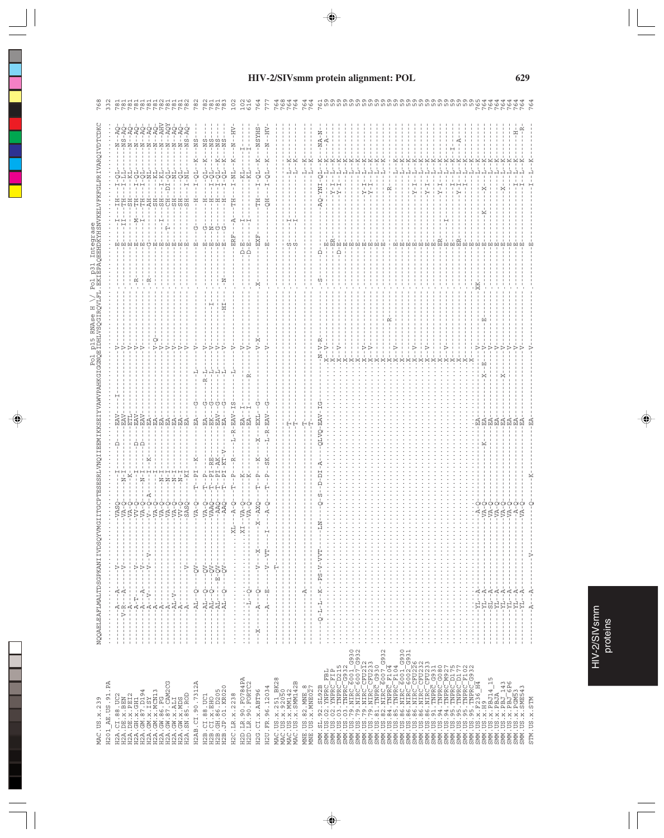| MAC.US.x.239                                                                                                                                                                                                                                                                                | NQQAELEAFLMALTDSGPKANIIVDSQY                                                                                                                                                                                                                                                                                                                                                                                                                                                                                                    |                     | MGITTGCPTESESRLVMOIIEEMIKKSEIYVAWVPAHKGIGGNOE |                                                   | KELVFKFGLPRIVAROIVDTCDKC |  |
|---------------------------------------------------------------------------------------------------------------------------------------------------------------------------------------------------------------------------------------------------------------------------------------------|---------------------------------------------------------------------------------------------------------------------------------------------------------------------------------------------------------------------------------------------------------------------------------------------------------------------------------------------------------------------------------------------------------------------------------------------------------------------------------------------------------------------------------|---------------------|-----------------------------------------------|---------------------------------------------------|--------------------------|--|
| AE.US.91.PA<br>H201                                                                                                                                                                                                                                                                         | $\frac{1}{2}$                                                                                                                                                                                                                                                                                                                                                                                                                                                                                                                   |                     |                                               |                                                   |                          |  |
| $\begin{array}{l} \rm H2A.\ CI.\ 88.\ UC2\\ \rm H2A.\ DE.\ x.\ BEN\\ \rm H2A.\ DE.\ x.\ PEI2\\ \rm H2A.\ GH.\ x.\ CH12\\ \end{array}$                                                                                                                                                       | ÷<br>÷<br>$\frac{1}{2}$<br>$\blacksquare$                                                                                                                                                                                                                                                                                                                                                                                                                                                                                       |                     |                                               |                                                   |                          |  |
|                                                                                                                                                                                                                                                                                             | $\overline{\phantom{a}}$<br>$\frac{1}{2}$<br>$- -A - -$                                                                                                                                                                                                                                                                                                                                                                                                                                                                         |                     |                                               |                                                   |                          |  |
|                                                                                                                                                                                                                                                                                             | ---------<br>-------------                                                                                                                                                                                                                                                                                                                                                                                                                                                                                                      |                     | $\Box$                                        |                                                   | $-70$<br>Σ               |  |
| H2A.GM.87.D194<br>H2A.GM.x.ISY                                                                                                                                                                                                                                                              | ÷<br>$-7$<br>$- -A - - -A -$<br>$\,$                                                                                                                                                                                                                                                                                                                                                                                                                                                                                            |                     | $\Box$                                        |                                                   |                          |  |
| H2A.GM.x.MCN13                                                                                                                                                                                                                                                                              | $-V - -V - -$<br>$\frac{1}{1}$<br>$-1 - A - 1 - V -$<br>Ť<br>$- -A - -$<br>I.<br>ı<br>t                                                                                                                                                                                                                                                                                                                                                                                                                                         |                     |                                               | $\stackrel{\scriptscriptstyle\mathsf{L}}{\simeq}$ |                          |  |
|                                                                                                                                                                                                                                                                                             | $\begin{bmatrix} 1 & 0 & 0 \\ 0 & 1 & 0 \\ 0 & 0 & 0 \\ 0 & 0 & 0 \\ 0 & 0 & 0 \\ 0 & 0 & 0 \\ 0 & 0 & 0 \\ 0 & 0 & 0 & 0 \\ 0 & 0 & 0 & 0 \\ 0 & 0 & 0 & 0 \\ 0 & 0 & 0 & 0 & 0 \\ 0 & 0 & 0 & 0 & 0 \\ 0 & 0 & 0 & 0 & 0 \\ 0 & 0 & 0 & 0 & 0 & 0 \\ 0 & 0 & 0 & 0 & 0 & 0 \\ 0 & 0 & 0 & 0 & 0 & 0 \\ 0 & 0 & 0 & 0 & 0 & $<br>Î<br>$\mathbf{I}$                                                                                                                                                                             |                     |                                               |                                                   | ÷                        |  |
| H2A.GW.86.FG<br>H2A.GW.87.CAM2CG                                                                                                                                                                                                                                                            | $\frac{1}{1}$<br>$\frac{1}{1}$                                                                                                                                                                                                                                                                                                                                                                                                                                                                                                  | $\overline{V}$      |                                               |                                                   | $-101 -$                 |  |
|                                                                                                                                                                                                                                                                                             | Ħ<br>$- -7 - 24 - 1 - 4 - 7$<br>$- - A - -$<br>J.<br>ï<br>$\frac{1}{1}$<br>Ť                                                                                                                                                                                                                                                                                                                                                                                                                                                    |                     |                                               |                                                   | HЗ<br>퓨                  |  |
| H2A. GW. X. ALI<br>H2A. GW. X. MDS<br>H2A. SM. 85. ROD                                                                                                                                                                                                                                      | $\blacksquare$<br>$- -V - -$<br>$- -A - -$                                                                                                                                                                                                                                                                                                                                                                                                                                                                                      | SAS                 |                                               |                                                   | $N = -AQ$<br>$NS - AQ$   |  |
| H2AB.CI.90.7312A                                                                                                                                                                                                                                                                            | $- -QV - -$<br>$-1A1 - 2$<br>J.                                                                                                                                                                                                                                                                                                                                                                                                                                                                                                 | $V - Q$             |                                               |                                                   | <b>NS</b>                |  |
| H2B.CI.88.UC1                                                                                                                                                                                                                                                                               | $- -QV - -$<br>I,<br>I,                                                                                                                                                                                                                                                                                                                                                                                                                                                                                                         |                     | てり                                            |                                                   | ひ                        |  |
| H2B.CI.X.EHO                                                                                                                                                                                                                                                                                | ł<br>÷<br>$NQ-$<br>$\frac{1}{1}$                                                                                                                                                                                                                                                                                                                                                                                                                                                                                                |                     | ひ                                             |                                                   |                          |  |
| H2B.GH.86.D205<br>H2B.JP.01.KR020                                                                                                                                                                                                                                                           | $\frac{1}{1}$<br>$\frac{1}{4}$<br>$-7QV -$<br>$-5 - 2 - 2$<br>$- -2L - -Q - -$<br>--- AL---<br>$\frac{1}{1}$<br>$\mathbf{I}$<br>t<br>÷<br>$\mathbf{I}$                                                                                                                                                                                                                                                                                                                                                                          | PI-KJ<br><b>PAO</b> | ひ                                             |                                                   | ZO                       |  |
| H2C.LR.x.2238                                                                                                                                                                                                                                                                               | $\vdots$<br>$\ddot{\phantom{0}}$<br>$\frac{1}{2}$                                                                                                                                                                                                                                                                                                                                                                                                                                                                               | $\mathsf{p}_4$      | $R - EAV - IS$                                |                                                   | ERF                      |  |
| H2D.LR.90.FO784PA<br>H2D.LR.90. FORTC2                                                                                                                                                                                                                                                      |                                                                                                                                                                                                                                                                                                                                                                                                                                                                                                                                 | ×<br>$V - Q$        |                                               |                                                   |                          |  |
| H2G.CI.x.ABT96                                                                                                                                                                                                                                                                              | $- - - - - - - - - - -$<br>$- -2 - - -2 - -$<br>$- -X - -$                                                                                                                                                                                                                                                                                                                                                                                                                                                                      | д<br>ь<br>$-AXO$    | EXIL                                          |                                                   | <b>SHASN-</b><br>đ       |  |
| H2U.FR.96.12034                                                                                                                                                                                                                                                                             | $--TU--V---$<br>$-1 - A - - -E -$<br>$\mathbf{I}$<br>$\mathsf I$<br>1                                                                                                                                                                                                                                                                                                                                                                                                                                                           |                     | $R - EAV$                                     |                                                   | $N - HV$                 |  |
|                                                                                                                                                                                                                                                                                             | f,<br>Ť<br>$\mathbf I$<br>J.<br>İ                                                                                                                                                                                                                                                                                                                                                                                                                                                                                               |                     |                                               |                                                   |                          |  |
|                                                                                                                                                                                                                                                                                             | $\mathbf{I}$<br>$\mathbf{I}$<br>$\mathbf{I}$                                                                                                                                                                                                                                                                                                                                                                                                                                                                                    |                     |                                               |                                                   |                          |  |
| $\begin{array}{l} \mathtt{MAC}.\mathtt{US}.\mathtt{x}.\mathtt{251} \hspace{-0.08cm}\textbf{B} \mathtt{K28} \\ \mathtt{MAC}.\mathtt{US}.\mathtt{x}.\mathtt{92050} \\ \mathtt{MAC}.\mathtt{US}.\mathtt{x}.\mathtt{MM142} \\ \mathtt{MAC}.\mathtt{US}.\mathtt{x}.\mathtt{SMN142B} \end{array}$ | Ì<br>Ì<br>İ<br>$\frac{1}{1}$<br>$\frac{1}{4}$<br>$\,$ I<br>$\frac{1}{1}$<br>f,<br>İ<br>$\begin{array}{c} \rule{0.2cm}{0.15mm} \rule{0.2cm}{0.15mm} \rule{0.2cm}{0.15mm} \rule{0.2cm}{0.15mm} \rule{0.2cm}{0.15mm} \rule{0.2cm}{0.15mm} \rule{0.2cm}{0.15mm} \rule{0.2cm}{0.15mm} \rule{0.2cm}{0.15mm} \rule{0.2cm}{0.15mm} \rule{0.2cm}{0.15mm} \rule{0.2cm}{0.15mm} \rule{0.2cm}{0.15mm} \rule{0.2cm}{0.15mm} \rule{0.2cm}{0.15mm} \rule{$<br>$\frac{1}{1}$<br>f,<br>$\frac{1}{1}$<br>I<br>I<br>t<br>$\,$<br>$\mathbf{I}$<br>٠ |                     |                                               |                                                   |                          |  |
|                                                                                                                                                                                                                                                                                             |                                                                                                                                                                                                                                                                                                                                                                                                                                                                                                                                 |                     |                                               |                                                   |                          |  |
| $\infty$<br>MNE. US. x. MNE027<br>MNE. US. 82. MNE                                                                                                                                                                                                                                          | $\overline{\phantom{a}}$<br>$\frac{1}{1}$<br>$\frac{1}{1}$<br>$-4 - 2$<br>$\overline{\phantom{a}}$<br>ł<br>$\mathbf{I}$<br>$\,$<br>$\,$ I<br>$\mathbf{I}$                                                                                                                                                                                                                                                                                                                                                                       |                     | е                                             |                                                   |                          |  |
| SMM.SL.92.SL92B                                                                                                                                                                                                                                                                             | $\frac{1}{1}$                                                                                                                                                                                                                                                                                                                                                                                                                                                                                                                   |                     | QLVQ-EAV-                                     |                                                   | $-NA-N$<br>INL-OW        |  |
|                                                                                                                                                                                                                                                                                             |                                                                                                                                                                                                                                                                                                                                                                                                                                                                                                                                 |                     |                                               |                                                   |                          |  |
|                                                                                                                                                                                                                                                                                             |                                                                                                                                                                                                                                                                                                                                                                                                                                                                                                                                 |                     |                                               | $-D - E$                                          | t                        |  |
|                                                                                                                                                                                                                                                                                             |                                                                                                                                                                                                                                                                                                                                                                                                                                                                                                                                 |                     |                                               |                                                   |                          |  |
|                                                                                                                                                                                                                                                                                             |                                                                                                                                                                                                                                                                                                                                                                                                                                                                                                                                 |                     |                                               |                                                   |                          |  |
|                                                                                                                                                                                                                                                                                             |                                                                                                                                                                                                                                                                                                                                                                                                                                                                                                                                 |                     |                                               |                                                   |                          |  |
|                                                                                                                                                                                                                                                                                             |                                                                                                                                                                                                                                                                                                                                                                                                                                                                                                                                 |                     |                                               |                                                   |                          |  |
|                                                                                                                                                                                                                                                                                             |                                                                                                                                                                                                                                                                                                                                                                                                                                                                                                                                 |                     |                                               |                                                   |                          |  |
|                                                                                                                                                                                                                                                                                             |                                                                                                                                                                                                                                                                                                                                                                                                                                                                                                                                 |                     |                                               |                                                   |                          |  |
|                                                                                                                                                                                                                                                                                             |                                                                                                                                                                                                                                                                                                                                                                                                                                                                                                                                 |                     |                                               |                                                   |                          |  |
|                                                                                                                                                                                                                                                                                             |                                                                                                                                                                                                                                                                                                                                                                                                                                                                                                                                 |                     |                                               | $-7$                                              |                          |  |
|                                                                                                                                                                                                                                                                                             |                                                                                                                                                                                                                                                                                                                                                                                                                                                                                                                                 |                     |                                               |                                                   |                          |  |
|                                                                                                                                                                                                                                                                                             |                                                                                                                                                                                                                                                                                                                                                                                                                                                                                                                                 |                     |                                               | $-1$                                              | $T - X -$                |  |
|                                                                                                                                                                                                                                                                                             |                                                                                                                                                                                                                                                                                                                                                                                                                                                                                                                                 |                     |                                               |                                                   |                          |  |
|                                                                                                                                                                                                                                                                                             |                                                                                                                                                                                                                                                                                                                                                                                                                                                                                                                                 |                     |                                               | $ \sim$                                           | $I - X -$                |  |
|                                                                                                                                                                                                                                                                                             |                                                                                                                                                                                                                                                                                                                                                                                                                                                                                                                                 |                     |                                               |                                                   | $-Y - I$                 |  |
|                                                                                                                                                                                                                                                                                             |                                                                                                                                                                                                                                                                                                                                                                                                                                                                                                                                 |                     |                                               |                                                   |                          |  |
|                                                                                                                                                                                                                                                                                             | .                                                                                                                                                                                                                                                                                                                                                                                                                                                                                                                               |                     |                                               |                                                   |                          |  |
|                                                                                                                                                                                                                                                                                             |                                                                                                                                                                                                                                                                                                                                                                                                                                                                                                                                 |                     |                                               |                                                   | Ť<br>$T - X -$           |  |
|                                                                                                                                                                                                                                                                                             | $\frac{1}{2}$ $\frac{1}{2}$ $\frac{1}{2}$ $\frac{1}{2}$ $\frac{1}{2}$ $\frac{1}{2}$ $\frac{1}{2}$ $\frac{1}{2}$ $\frac{1}{2}$ $\frac{1}{2}$ $\frac{1}{2}$ $\frac{1}{2}$ $\frac{1}{2}$ $\frac{1}{2}$ $\frac{1}{2}$ $\frac{1}{2}$ $\frac{1}{2}$ $\frac{1}{2}$ $\frac{1}{2}$ $\frac{1}{2}$ $\frac{1}{2}$ $\frac{1}{2}$                                                                                                                                                                                                             |                     |                                               |                                                   |                          |  |
|                                                                                                                                                                                                                                                                                             | .                                                                                                                                                                                                                                                                                                                                                                                                                                                                                                                               |                     |                                               |                                                   |                          |  |
|                                                                                                                                                                                                                                                                                             | $---A---Y$<br>$\mathbf{I}$                                                                                                                                                                                                                                                                                                                                                                                                                                                                                                      |                     | 凹                                             |                                                   |                          |  |
|                                                                                                                                                                                                                                                                                             | $- - - 12 - - - - - - - -$<br>÷                                                                                                                                                                                                                                                                                                                                                                                                                                                                                                 |                     | <b>ERRA</b><br>ERRA                           |                                                   |                          |  |
|                                                                                                                                                                                                                                                                                             | $-1X$ -T<br>$\,$                                                                                                                                                                                                                                                                                                                                                                                                                                                                                                                |                     |                                               |                                                   |                          |  |
|                                                                                                                                                                                                                                                                                             | $-1XI - A$<br>1                                                                                                                                                                                                                                                                                                                                                                                                                                                                                                                 |                     |                                               |                                                   |                          |  |
| SMM. US. x. PGM53                                                                                                                                                                                                                                                                           | $-XL--A-$<br>$-1Y-1$                                                                                                                                                                                                                                                                                                                                                                                                                                                                                                            |                     | 믾                                             |                                                   |                          |  |
| SMM.US.x.SME543                                                                                                                                                                                                                                                                             | $-$ - $-$ - $\Gamma$ - $-$ - $\Gamma$ -                                                                                                                                                                                                                                                                                                                                                                                                                                                                                         |                     |                                               |                                                   |                          |  |
| STM.US.x.STM                                                                                                                                                                                                                                                                                | $-1 - 1 - 1$<br>--A----A-<br>t                                                                                                                                                                                                                                                                                                                                                                                                                                                                                                  |                     |                                               |                                                   |                          |  |
|                                                                                                                                                                                                                                                                                             |                                                                                                                                                                                                                                                                                                                                                                                                                                                                                                                                 |                     |                                               |                                                   |                          |  |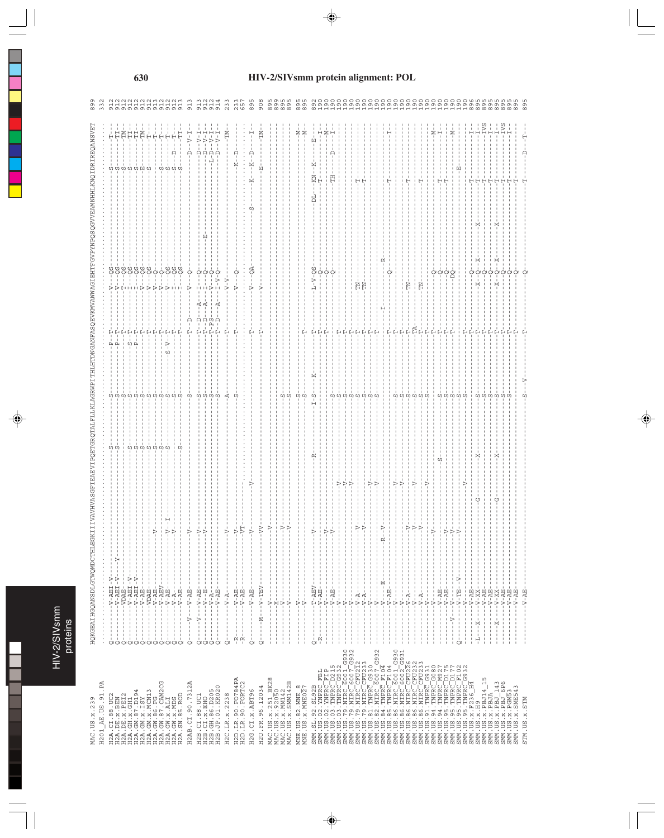|                                                                                                                                                                                                                                                                                                                                                                                                                                                | proteins                                                                                     |                                                                           |               |                               |                                                                                                                                                                                                                                                                                                                                                                                                                                             |
|------------------------------------------------------------------------------------------------------------------------------------------------------------------------------------------------------------------------------------------------------------------------------------------------------------------------------------------------------------------------------------------------------------------------------------------------|----------------------------------------------------------------------------------------------|---------------------------------------------------------------------------|---------------|-------------------------------|---------------------------------------------------------------------------------------------------------------------------------------------------------------------------------------------------------------------------------------------------------------------------------------------------------------------------------------------------------------------------------------------------------------------------------------------|
| (IAC. US. x. 239                                                                                                                                                                                                                                                                                                                                                                                                                               | HQKGEAIHGQANSDLGTWQMDCTH                                                                     |                                                                           |               | TFGVPYNPOSOGVVEAMNHHLKN       | IREOANSVET                                                                                                                                                                                                                                                                                                                                                                                                                                  |
| H201 AE.US.91.PA                                                                                                                                                                                                                                                                                                                                                                                                                               |                                                                                              |                                                                           |               |                               |                                                                                                                                                                                                                                                                                                                                                                                                                                             |
|                                                                                                                                                                                                                                                                                                                                                                                                                                                |                                                                                              |                                                                           |               |                               |                                                                                                                                                                                                                                                                                                                                                                                                                                             |
|                                                                                                                                                                                                                                                                                                                                                                                                                                                |                                                                                              |                                                                           |               |                               |                                                                                                                                                                                                                                                                                                                                                                                                                                             |
|                                                                                                                                                                                                                                                                                                                                                                                                                                                |                                                                                              |                                                                           |               |                               |                                                                                                                                                                                                                                                                                                                                                                                                                                             |
|                                                                                                                                                                                                                                                                                                                                                                                                                                                |                                                                                              | $\overset{\scriptscriptstyle\mathsf{I}}{\circ}\hspace{-0.5pt} \mathsf{I}$ |               |                               | $- - - - - - - -$                                                                                                                                                                                                                                                                                                                                                                                                                           |
|                                                                                                                                                                                                                                                                                                                                                                                                                                                |                                                                                              |                                                                           |               |                               |                                                                                                                                                                                                                                                                                                                                                                                                                                             |
|                                                                                                                                                                                                                                                                                                                                                                                                                                                |                                                                                              |                                                                           |               |                               |                                                                                                                                                                                                                                                                                                                                                                                                                                             |
|                                                                                                                                                                                                                                                                                                                                                                                                                                                |                                                                                              |                                                                           |               |                               |                                                                                                                                                                                                                                                                                                                                                                                                                                             |
|                                                                                                                                                                                                                                                                                                                                                                                                                                                | $-1 - 1 -$                                                                                   |                                                                           |               |                               |                                                                                                                                                                                                                                                                                                                                                                                                                                             |
|                                                                                                                                                                                                                                                                                                                                                                                                                                                |                                                                                              |                                                                           |               |                               |                                                                                                                                                                                                                                                                                                                                                                                                                                             |
|                                                                                                                                                                                                                                                                                                                                                                                                                                                |                                                                                              |                                                                           |               |                               |                                                                                                                                                                                                                                                                                                                                                                                                                                             |
|                                                                                                                                                                                                                                                                                                                                                                                                                                                |                                                                                              |                                                                           |               |                               |                                                                                                                                                                                                                                                                                                                                                                                                                                             |
| $\begin{array}{ll} \text{H2A}, \text{C1}, \text{88}, \text{UC2}\\ \text{H2A}, \text{DE}, \text{x}, \text{BEL1}\\ \text{H2A}, \text{DE}, \text{x}, \text{GEL1}\\ \text{H2A}, \text{GH}, \text{x}, \text{GEL1}\\ \text{H2A}, \text{GH}, \text{x}, \text{D2}, \text{GAL2}\\ \text{H2A}, \text{GW}, \text{x}, \text{MCM13}\\ \text{H2A}, \text{GW}, \text{x}, \text{MCM21}\\ \text{H2A}, \text{GW}, \text{GW}, \text{GAL1}\\ \text{H2A}, \text{GW$ |                                                                                              |                                                                           |               |                               | $-5 - -$                                                                                                                                                                                                                                                                                                                                                                                                                                    |
| H2AB.CI.90.7312A                                                                                                                                                                                                                                                                                                                                                                                                                               |                                                                                              |                                                                           |               |                               |                                                                                                                                                                                                                                                                                                                                                                                                                                             |
|                                                                                                                                                                                                                                                                                                                                                                                                                                                |                                                                                              |                                                                           |               |                               |                                                                                                                                                                                                                                                                                                                                                                                                                                             |
| H2B.CI.88.UC1<br>H2B.CI.x.BHO<br>H2B.GH.86.D205<br>H2B.JP.01.KR020                                                                                                                                                                                                                                                                                                                                                                             | $-7 -$                                                                                       |                                                                           |               |                               | $\begin{array}{l} \ddots \vspace{0.2cm} -1 - \Delta - - (\Delta - -1) \vspace{0.2cm} -1 \\ \vspace{0.2cm} -1 - \Delta - - (\Delta - 1) \vspace{0.2cm} -1 \\ \vspace{0.2cm} -1 - \Delta - - (\Delta - 1) \vspace{0.2cm} -1 \\ \vspace{0.2cm} -1 - \Delta - - (\Delta - 1) \vspace{0.2cm} -1 \\ \vspace{0.2cm} -1 - \Delta - - (\Delta - 1) \vspace{0.2cm} -1 \\ \vspace{0.2cm} -1 - \Delta - - (\Delta - 1) \vspace{0.2cm} -1 \\ \vspace{0.$ |
|                                                                                                                                                                                                                                                                                                                                                                                                                                                |                                                                                              |                                                                           |               |                               |                                                                                                                                                                                                                                                                                                                                                                                                                                             |
|                                                                                                                                                                                                                                                                                                                                                                                                                                                |                                                                                              |                                                                           |               |                               |                                                                                                                                                                                                                                                                                                                                                                                                                                             |
| H2C. LR. x. 2238                                                                                                                                                                                                                                                                                                                                                                                                                               |                                                                                              |                                                                           | -------       | $-\nabla-\nabla-$             | $- \mathbf{M} \mathbf{I} = - - - - -$                                                                                                                                                                                                                                                                                                                                                                                                       |
|                                                                                                                                                                                                                                                                                                                                                                                                                                                | -V-                                                                                          |                                                                           | $\frac{1}{1}$ | $- - - - - - - - - - - - - -$ |                                                                                                                                                                                                                                                                                                                                                                                                                                             |
| H2D.LR.90.FO784PA<br>H2D.LR.90.FORTC2                                                                                                                                                                                                                                                                                                                                                                                                          | - R - - - - - - - V - AE - - - - - - - - - -<br>- R - - - - - - - V - AE - - - - - - - - - - |                                                                           |               |                               |                                                                                                                                                                                                                                                                                                                                                                                                                                             |
| H2G.CI.x.ABT96                                                                                                                                                                                                                                                                                                                                                                                                                                 |                                                                                              |                                                                           |               | $-50 - -7 - -7$               | $-K--K--K--D---I-$                                                                                                                                                                                                                                                                                                                                                                                                                          |
| H2U. FR. 96.12034                                                                                                                                                                                                                                                                                                                                                                                                                              |                                                                                              |                                                                           |               |                               | Ė,                                                                                                                                                                                                                                                                                                                                                                                                                                          |
|                                                                                                                                                                                                                                                                                                                                                                                                                                                |                                                                                              |                                                                           |               |                               |                                                                                                                                                                                                                                                                                                                                                                                                                                             |

|                                                                                                                                                                                                                                                                                                                                                                                                                              | J.<br>$-$ -VDAE <sup>--</sup>                                                                                                                                                                                                                                                                                                                                                                                         |    |                          |    |                       |                |
|------------------------------------------------------------------------------------------------------------------------------------------------------------------------------------------------------------------------------------------------------------------------------------------------------------------------------------------------------------------------------------------------------------------------------|-----------------------------------------------------------------------------------------------------------------------------------------------------------------------------------------------------------------------------------------------------------------------------------------------------------------------------------------------------------------------------------------------------------------------|----|--------------------------|----|-----------------------|----------------|
|                                                                                                                                                                                                                                                                                                                                                                                                                              |                                                                                                                                                                                                                                                                                                                                                                                                                       |    |                          |    |                       |                |
|                                                                                                                                                                                                                                                                                                                                                                                                                              | $- -V - AEL - V$<br>$\mathbf{I}$                                                                                                                                                                                                                                                                                                                                                                                      |    |                          | ωA |                       |                |
|                                                                                                                                                                                                                                                                                                                                                                                                                              | $-1 - 24E$<br>t<br>٠<br>ŧ                                                                                                                                                                                                                                                                                                                                                                                             |    |                          |    | <b>00 00 00</b>       | <b>0000HO</b>  |
|                                                                                                                                                                                                                                                                                                                                                                                                                              | ٠<br>$- -124 - 7 - 7$<br>$\begin{array}{c} \rule{0.2cm}{0.15mm} \rule{0.2cm}{0.15mm} \rule{0.2cm}{0.15mm} \rule{0.2cm}{0.15mm} \rule{0.2cm}{0.15mm} \rule{0.2cm}{0.15mm} \rule{0.2cm}{0.15mm} \rule{0.2cm}{0.15mm} \rule{0.2cm}{0.15mm} \rule{0.2cm}{0.15mm} \rule{0.2cm}{0.15mm} \rule{0.2cm}{0.15mm} \rule{0.2cm}{0.15mm} \rule{0.2cm}{0.15mm} \rule{0.2cm}{0.15mm} \rule{$<br>I<br>J.<br>$\mathbf I$<br>$\,$<br>f, |    |                          |    |                       |                |
|                                                                                                                                                                                                                                                                                                                                                                                                                              |                                                                                                                                                                                                                                                                                                                                                                                                                       |    |                          |    |                       |                |
|                                                                                                                                                                                                                                                                                                                                                                                                                              | $-$ VDAE $-$<br>t                                                                                                                                                                                                                                                                                                                                                                                                     |    |                          |    |                       |                |
|                                                                                                                                                                                                                                                                                                                                                                                                                              | J.                                                                                                                                                                                                                                                                                                                                                                                                                    |    |                          |    |                       |                |
|                                                                                                                                                                                                                                                                                                                                                                                                                              | $-7 - 7 - 7 - 1$<br>I<br>t<br>J.<br>ţ                                                                                                                                                                                                                                                                                                                                                                                 |    |                          |    |                       |                |
|                                                                                                                                                                                                                                                                                                                                                                                                                              | $-72EV -$<br>J.<br>J.<br>J.<br>$\,$                                                                                                                                                                                                                                                                                                                                                                                   |    |                          |    |                       |                |
|                                                                                                                                                                                                                                                                                                                                                                                                                              | $-7 - 4 - 4 = 5$<br>$\,$<br>$\mathbf{I}$<br>$\mathbf{I}$<br>$\,$<br>$\frac{1}{1}$                                                                                                                                                                                                                                                                                                                                     |    | <b>00 00 00 00 00 00</b> |    | <u>າ ຜູ້ຜູ້ຜູ້</u>    | ω ω ω ω        |
|                                                                                                                                                                                                                                                                                                                                                                                                                              | $- -N - A - -$<br>I<br>t<br>$\mathsf I$<br>$\,$ $\,$<br>$\frac{1}{1}$                                                                                                                                                                                                                                                                                                                                                 |    |                          |    |                       | ≏              |
|                                                                                                                                                                                                                                                                                                                                                                                                                              |                                                                                                                                                                                                                                                                                                                                                                                                                       |    |                          |    |                       |                |
| $\begin{array}{ll} \text{H2A}, \text{IBI}, \text{C}, \text{H1}, \text{H2}, \text{H3}, \text{H4}, \text{H5}, \text{H6}, \text{H7}, \text{H8}, \text{H8}, \text{H8}, \text{H8}, \text{H8}, \text{H8}, \text{H8}, \text{H8}, \text{H8}, \text{H8}, \text{H8}, \text{H8}, \text{H8}, \text{H8}, \text{H8}, \text{H8}, \text{H8}, \text{H8}, \text{H8}, \text{H8}, \text{H8}, \text{H8}, \text{H8}, \text{H8}, \text{H8}, \text{$ | $- -V - BE$<br>$\,$ I<br>$\frac{1}{4}$<br>$\mathbf I$<br>$\,$<br>J.<br>0000000000                                                                                                                                                                                                                                                                                                                                     |    |                          |    |                       |                |
|                                                                                                                                                                                                                                                                                                                                                                                                                              |                                                                                                                                                                                                                                                                                                                                                                                                                       |    |                          |    |                       |                |
| H2AB.CI.90.7312A                                                                                                                                                                                                                                                                                                                                                                                                             | $-7 - 7 - 24 = -$<br>$-1$<br>$\mathbf{I}$<br>$\circ$                                                                                                                                                                                                                                                                                                                                                                  |    | $\Omega$                 |    | $\alpha$              |                |
|                                                                                                                                                                                                                                                                                                                                                                                                                              | $\mathbf{I}$<br>$- -1V - 24E - 1$<br>$-1$<br>$\begin{array}{c} \rule{0.2cm}{0.15mm} \rule{0.2cm}{0.15mm} \rule{0.2cm}{0.15mm} \rule{0.2cm}{0.15mm} \rule{0.2cm}{0.15mm} \rule{0.2cm}{0.15mm} \rule{0.2cm}{0.15mm} \rule{0.2cm}{0.15mm} \rule{0.2cm}{0.15mm} \rule{0.2cm}{0.15mm} \rule{0.2cm}{0.15mm} \rule{0.2cm}{0.15mm} \rule{0.2cm}{0.15mm} \rule{0.2cm}{0.15mm} \rule{0.2cm}{0.15mm} \rule{$<br>J.               |    |                          |    |                       |                |
|                                                                                                                                                                                                                                                                                                                                                                                                                              |                                                                                                                                                                                                                                                                                                                                                                                                                       |    | <b>00 00 00</b>          |    |                       |                |
|                                                                                                                                                                                                                                                                                                                                                                                                                              | -<br>$\mathbf{I}$<br>٠<br>$\,$<br>J.                                                                                                                                                                                                                                                                                                                                                                                  |    |                          |    |                       |                |
|                                                                                                                                                                                                                                                                                                                                                                                                                              | $- -V - A -$<br>$\sf I$<br>$\frac{1}{1}$<br>$\,$ I                                                                                                                                                                                                                                                                                                                                                                    |    |                          |    |                       |                |
| $\circ$<br>H2B.CI.88.UC1<br>H2B.CI.X.EHO<br>H2B.GH.86.D205<br>H2B.JP.01.KR020                                                                                                                                                                                                                                                                                                                                                | $-V-AE-$<br>J.<br>п<br>$\,$ I<br>$\mathsf I$<br>Ť<br>O'O'O                                                                                                                                                                                                                                                                                                                                                            |    | σò                       |    | aaaa                  |                |
|                                                                                                                                                                                                                                                                                                                                                                                                                              |                                                                                                                                                                                                                                                                                                                                                                                                                       |    |                          |    |                       |                |
| H2C.LR.X.2238                                                                                                                                                                                                                                                                                                                                                                                                                | $- -N - R - -$<br>$\mathbf{I}$<br>$\mathbf{I}$<br>$\mathsf I$<br>Ť<br>$\circ$                                                                                                                                                                                                                                                                                                                                         |    |                          |    |                       |                |
|                                                                                                                                                                                                                                                                                                                                                                                                                              |                                                                                                                                                                                                                                                                                                                                                                                                                       |    |                          |    |                       |                |
| H2D.LR.90.FO784PA<br>H2D.LR.90.FORTC2                                                                                                                                                                                                                                                                                                                                                                                        | ł.<br>$\mathbf{I}$<br>$\frac{1}{4}$<br>q<br>T,                                                                                                                                                                                                                                                                                                                                                                        |    |                          |    |                       |                |
|                                                                                                                                                                                                                                                                                                                                                                                                                              | J.<br>J<br>Ť<br>$\mathfrak l$<br>$\frac{1}{4}$<br>$\approx$                                                                                                                                                                                                                                                                                                                                                           |    |                          |    |                       |                |
|                                                                                                                                                                                                                                                                                                                                                                                                                              |                                                                                                                                                                                                                                                                                                                                                                                                                       |    |                          |    |                       |                |
| H2G.CI.x.ABT96                                                                                                                                                                                                                                                                                                                                                                                                               | $V - A E -$<br>I,<br>$\mathsf I$<br>$\frac{1}{4}$<br>$\mathsf I$<br>Ť<br>$\circ$                                                                                                                                                                                                                                                                                                                                      |    |                          |    |                       |                |
|                                                                                                                                                                                                                                                                                                                                                                                                                              |                                                                                                                                                                                                                                                                                                                                                                                                                       |    |                          |    |                       |                |
| H2U.FR.96.12034                                                                                                                                                                                                                                                                                                                                                                                                              | $- - V - T E V$<br>$-1 - M -$<br>$\mathbf{I}$<br>$\mathbf{I}$<br>$\circ$                                                                                                                                                                                                                                                                                                                                              |    |                          |    |                       |                |
|                                                                                                                                                                                                                                                                                                                                                                                                                              |                                                                                                                                                                                                                                                                                                                                                                                                                       |    |                          |    |                       |                |
| ${}^{\circ}$                                                                                                                                                                                                                                                                                                                                                                                                                 | $- - - - - - -$<br>ı<br>$\,$<br>$\,$ I<br>$\mathsf I$<br>I<br>J.<br>1                                                                                                                                                                                                                                                                                                                                                 |    |                          |    |                       |                |
|                                                                                                                                                                                                                                                                                                                                                                                                                              | ŧ<br>$- - X$<br>J.<br>$\mathsf I$<br>$\mathbf{I}$                                                                                                                                                                                                                                                                                                                                                                     |    |                          |    |                       |                |
| MAC.US.x.251_BK2<br>MAC.US.x.92050<br>MAC.US.x.MM142                                                                                                                                                                                                                                                                                                                                                                         | $\frac{1}{1}$<br>$-1$<br>J.<br>1<br>1<br>÷<br>J.                                                                                                                                                                                                                                                                                                                                                                      |    |                          |    |                       |                |
|                                                                                                                                                                                                                                                                                                                                                                                                                              | $- - -1 - - -$                                                                                                                                                                                                                                                                                                                                                                                                        |    |                          |    |                       |                |
| MAC.US.x.SMM142B                                                                                                                                                                                                                                                                                                                                                                                                             | I.<br>٠<br>$\begin{array}{c} \rule{0.2cm}{0.15mm} \rule{0.2cm}{0.15mm} \rule{0.2cm}{0.15mm} \rule{0.2cm}{0.15mm} \rule{0.2cm}{0.15mm} \rule{0.2cm}{0.15mm} \rule{0.2cm}{0.15mm} \rule{0.2cm}{0.15mm} \rule{0.2cm}{0.15mm} \rule{0.2cm}{0.15mm} \rule{0.2cm}{0.15mm} \rule{0.2cm}{0.15mm} \rule{0.2cm}{0.15mm} \rule{0.2cm}{0.15mm} \rule{0.2cm}{0.15mm} \rule{$<br>J.<br>J.                                           |    |                          |    |                       |                |
|                                                                                                                                                                                                                                                                                                                                                                                                                              | $---V---Y$<br>J<br>Ť                                                                                                                                                                                                                                                                                                                                                                                                  |    | CO <sub>1</sub>          |    |                       |                |
| $\infty$ $\sim$<br>$\begin{array}{l} \tt MME.\,US.\,82.\,MNE \\ \tt MME.\,US.\,x.\,MNEO2 \end{array}$                                                                                                                                                                                                                                                                                                                        |                                                                                                                                                                                                                                                                                                                                                                                                                       |    |                          |    |                       |                |
|                                                                                                                                                                                                                                                                                                                                                                                                                              | $\frac{1}{1}$<br>$\mathfrak l$<br>$-7$<br>$\,$ I<br>$\overline{\phantom{a}}$                                                                                                                                                                                                                                                                                                                                          |    |                          |    |                       |                |
|                                                                                                                                                                                                                                                                                                                                                                                                                              | $T - AEV$<br>$\frac{1}{1}$<br>ı<br>J.<br>٠<br>$\frac{1}{4}$<br>$\circ$                                                                                                                                                                                                                                                                                                                                                |    | CΩ<br>ĸ                  |    |                       | ă              |
|                                                                                                                                                                                                                                                                                                                                                                                                                              | $- -N - BE - -$<br>$\begin{array}{c} \rule{0.2cm}{0.15mm} \rule{0.2cm}{0.15mm} \rule{0.2cm}{0.15mm} \rule{0.2cm}{0.15mm} \rule{0.2cm}{0.15mm} \rule{0.2cm}{0.15mm} \rule{0.2cm}{0.15mm} \rule{0.2cm}{0.15mm} \rule{0.2cm}{0.15mm} \rule{0.2cm}{0.15mm} \rule{0.2cm}{0.15mm} \rule{0.2cm}{0.15mm} \rule{0.2cm}{0.15mm} \rule{0.2cm}{0.15mm} \rule{0.2cm}{0.15mm} \rule{$<br>J,<br>J.<br>$\frac{1}{1}$<br>Ŗ             |    |                          |    |                       | i E            |
|                                                                                                                                                                                                                                                                                                                                                                                                                              |                                                                                                                                                                                                                                                                                                                                                                                                                       |    |                          |    |                       |                |
|                                                                                                                                                                                                                                                                                                                                                                                                                              | J.<br>$-1$<br>$\mathbf{I}$<br>t<br>1                                                                                                                                                                                                                                                                                                                                                                                  |    |                          |    |                       |                |
|                                                                                                                                                                                                                                                                                                                                                                                                                              | $-7 - 40 - 40$<br>J.<br>J.                                                                                                                                                                                                                                                                                                                                                                                            |    |                          |    |                       | $\bigcap$<br>Ë |
|                                                                                                                                                                                                                                                                                                                                                                                                                              | $---V---$<br>I<br>t                                                                                                                                                                                                                                                                                                                                                                                                   |    | ω ω                      |    |                       |                |
|                                                                                                                                                                                                                                                                                                                                                                                                                              | j<br>$V -$<br>$\mathsf I$                                                                                                                                                                                                                                                                                                                                                                                             |    |                          |    |                       |                |
|                                                                                                                                                                                                                                                                                                                                                                                                                              |                                                                                                                                                                                                                                                                                                                                                                                                                       |    | 0.00                     |    |                       |                |
|                                                                                                                                                                                                                                                                                                                                                                                                                              | $\frac{1}{1}$<br>$-1$<br>1                                                                                                                                                                                                                                                                                                                                                                                            |    |                          |    |                       |                |
|                                                                                                                                                                                                                                                                                                                                                                                                                              | $\begin{array}{c} \rule{0.2cm}{0.15mm} \rule{0.2cm}{0.15mm} \rule{0.2cm}{0.15mm} \rule{0.2cm}{0.15mm} \rule{0.2cm}{0.15mm} \rule{0.2cm}{0.15mm} \rule{0.2cm}{0.15mm} \rule{0.2cm}{0.15mm} \rule{0.2cm}{0.15mm} \rule{0.2cm}{0.15mm} \rule{0.2cm}{0.15mm} \rule{0.2cm}{0.15mm} \rule{0.2cm}{0.15mm} \rule{0.2cm}{0.15mm} \rule{0.2cm}{0.15mm} \rule{$<br>$\,$<br>J.                                                    |    |                          |    | - NL                  |                |
|                                                                                                                                                                                                                                                                                                                                                                                                                              | $- -N - R - -$<br>$\,$ I<br>$\,$ I                                                                                                                                                                                                                                                                                                                                                                                    |    |                          |    |                       |                |
|                                                                                                                                                                                                                                                                                                                                                                                                                              | ------<br>$\frac{1}{1}$<br>$\mathbf{I}$<br>Ť                                                                                                                                                                                                                                                                                                                                                                          |    |                          |    |                       |                |
|                                                                                                                                                                                                                                                                                                                                                                                                                              |                                                                                                                                                                                                                                                                                                                                                                                                                       |    |                          |    |                       |                |
|                                                                                                                                                                                                                                                                                                                                                                                                                              | $-1$ - V $-$<br>$\,$<br>1<br>$\mathbf{I}$<br>1<br>J.                                                                                                                                                                                                                                                                                                                                                                  |    |                          |    |                       |                |
|                                                                                                                                                                                                                                                                                                                                                                                                                              | --V-----E<br>$\,$ I<br>$\mathbf{I}$<br>$\mathsf I$                                                                                                                                                                                                                                                                                                                                                                    |    |                          |    |                       |                |
|                                                                                                                                                                                                                                                                                                                                                                                                                              | $-X--Y$<br>$\,$ $\,$<br>$\frac{1}{1}$<br>$\mathsf I$<br>$\,$ I                                                                                                                                                                                                                                                                                                                                                        |    |                          |    |                       |                |
|                                                                                                                                                                                                                                                                                                                                                                                                                              | $-1 - V - 1$                                                                                                                                                                                                                                                                                                                                                                                                          |    |                          |    |                       |                |
|                                                                                                                                                                                                                                                                                                                                                                                                                              |                                                                                                                                                                                                                                                                                                                                                                                                                       |    |                          |    |                       |                |
|                                                                                                                                                                                                                                                                                                                                                                                                                              | $-1 - V - -$<br>$\mathbf{I}$<br>$\frac{1}{1}$<br>$\mathsf I$<br>1                                                                                                                                                                                                                                                                                                                                                     |    |                          |    |                       |                |
|                                                                                                                                                                                                                                                                                                                                                                                                                              | $--V - A -$<br>$\,$<br>J.<br>J.<br>$\mathbf{I}$                                                                                                                                                                                                                                                                                                                                                                       |    |                          |    |                       |                |
|                                                                                                                                                                                                                                                                                                                                                                                                                              | 1<br>$---V---$<br>$\begin{array}{c} \rule{0.2cm}{0.15mm} \rule{0.2cm}{0.15mm} \rule{0.2cm}{0.15mm} \rule{0.2cm}{0.15mm} \rule{0.2cm}{0.15mm} \rule{0.2cm}{0.15mm} \rule{0.2cm}{0.15mm} \rule{0.2cm}{0.15mm} \rule{0.2cm}{0.15mm} \rule{0.2cm}{0.15mm} \rule{0.2cm}{0.15mm} \rule{0.2cm}{0.15mm} \rule{0.2cm}{0.15mm} \rule{0.2cm}{0.15mm} \rule{0.2cm}{0.15mm} \rule{$<br>t                                           |    |                          |    |                       |                |
|                                                                                                                                                                                                                                                                                                                                                                                                                              | $\overline{\phantom{a}}$<br>$--V - A -$<br>$\begin{array}{c} \hline \end{array}$<br>$\begin{array}{c} \hline \end{array}$<br>$\mathbf{I}$<br>I                                                                                                                                                                                                                                                                        |    | ω ω ω                    |    | $\overline{\text{E}}$ |                |
|                                                                                                                                                                                                                                                                                                                                                                                                                              | $-1 - 1$<br>$\,$ $\,$<br>J.                                                                                                                                                                                                                                                                                                                                                                                           |    |                          |    |                       |                |
|                                                                                                                                                                                                                                                                                                                                                                                                                              |                                                                                                                                                                                                                                                                                                                                                                                                                       |    |                          |    |                       |                |
|                                                                                                                                                                                                                                                                                                                                                                                                                              | Ĵ<br>$-1$<br>٠<br>I<br>t                                                                                                                                                                                                                                                                                                                                                                                              |    |                          |    |                       |                |
|                                                                                                                                                                                                                                                                                                                                                                                                                              | $-7 - 4 - 4 = 5$<br>I.<br>ı<br>J.                                                                                                                                                                                                                                                                                                                                                                                     |    | ທ ທ                      |    | စုံစုံစုံရွ           |                |
|                                                                                                                                                                                                                                                                                                                                                                                                                              | 田<br>-<br>$-1$<br>J.<br>$\mathfrak l$<br>I<br>J.                                                                                                                                                                                                                                                                                                                                                                      |    |                          |    |                       |                |
|                                                                                                                                                                                                                                                                                                                                                                                                                              | J.<br>j<br>$- - - - - - - - -$<br>$\,$                                                                                                                                                                                                                                                                                                                                                                                |    |                          |    |                       |                |
|                                                                                                                                                                                                                                                                                                                                                                                                                              | $-1 - 2T - 4T - 6T$<br>$\frac{1}{1}$<br>Ť<br>$\circ$                                                                                                                                                                                                                                                                                                                                                                  | >5 |                          |    |                       |                |
|                                                                                                                                                                                                                                                                                                                                                                                                                              |                                                                                                                                                                                                                                                                                                                                                                                                                       |    |                          |    |                       |                |
|                                                                                                                                                                                                                                                                                                                                                                                                                              | $-1 - 1 - 1$<br>J<br>1<br>ı<br>$\mathbf{I}$<br>ı                                                                                                                                                                                                                                                                                                                                                                      |    |                          |    |                       |                |
|                                                                                                                                                                                                                                                                                                                                                                                                                              | --V-AE<br>J.<br>٠<br>$\mathbf{I}$                                                                                                                                                                                                                                                                                                                                                                                     |    |                          |    |                       |                |
|                                                                                                                                                                                                                                                                                                                                                                                                                              | $- -V - XX$<br>$-L$ - - $X$ - -                                                                                                                                                                                                                                                                                                                                                                                       |    |                          |    | $-X--$                |                |
| S                                                                                                                                                                                                                                                                                                                                                                                                                            | $-1 - V - P - 1$<br>J.                                                                                                                                                                                                                                                                                                                                                                                                |    |                          |    |                       |                |
|                                                                                                                                                                                                                                                                                                                                                                                                                              | ı<br>Î<br>I.<br>$\begin{array}{c} \rule{0.2cm}{0.15mm} \rule{0.2cm}{0.15mm} \rule{0.2cm}{0.15mm} \rule{0.2cm}{0.15mm} \rule{0.2cm}{0.15mm} \rule{0.2cm}{0.15mm} \rule{0.2cm}{0.15mm} \rule{0.2cm}{0.15mm} \rule{0.2cm}{0.15mm} \rule{0.2cm}{0.15mm} \rule{0.2cm}{0.15mm} \rule{0.2cm}{0.15mm} \rule{0.2cm}{0.15mm} \rule{0.2cm}{0.15mm} \rule{0.2cm}{0.15mm} \rule{$<br>J.                                            |    |                          |    |                       |                |
|                                                                                                                                                                                                                                                                                                                                                                                                                              | $- -V - NE$<br>$\,$ I<br>J.<br>j<br>J.<br>J.                                                                                                                                                                                                                                                                                                                                                                          |    |                          |    |                       |                |
|                                                                                                                                                                                                                                                                                                                                                                                                                              | $- -V - XX$<br>$- - X - -$<br>$\,$ I<br>$\mathbf{I}$                                                                                                                                                                                                                                                                                                                                                                  |    |                          |    | $-X$ -                |                |
|                                                                                                                                                                                                                                                                                                                                                                                                                              | $- -V -VE$<br>1<br>$\mathsf I$                                                                                                                                                                                                                                                                                                                                                                                        |    |                          |    |                       |                |
| SMM. US . x. H5<br>SMM. US . x. PBJ14_15<br>SMM. US . x. PBJ14_15<br>SMM. US . x. PBJ<br>SMM. US . x. PGM53<br>SMM. US . x. PGM53                                                                                                                                                                                                                                                                                            | --V-AE-<br>1<br>ı                                                                                                                                                                                                                                                                                                                                                                                                     |    |                          |    |                       |                |
| SMM.US.x.SME543                                                                                                                                                                                                                                                                                                                                                                                                              | -V-AE                                                                                                                                                                                                                                                                                                                                                                                                                 |    |                          |    | 00000000              |                |
|                                                                                                                                                                                                                                                                                                                                                                                                                              |                                                                                                                                                                                                                                                                                                                                                                                                                       |    |                          |    |                       |                |
| <b>NTS</b><br>STM.US.x.                                                                                                                                                                                                                                                                                                                                                                                                      | -V-AE                                                                                                                                                                                                                                                                                                                                                                                                                 |    |                          |    |                       |                |
|                                                                                                                                                                                                                                                                                                                                                                                                                              |                                                                                                                                                                                                                                                                                                                                                                                                                       |    |                          |    |                       |                |

ת מ מממממחה המחמקים היה ממשיך של המחמקים המחמקים המחמקים המחמקים היה מה המחמקים היה מחמקים היה מחמקים היה מחמק<br>מחמקים המחמקים המחמקים היה מחמקים המחמקים המחמקים המחמקים המחמקים המחמקים המחמקים המחמקים המחמקים המחמקים המחמ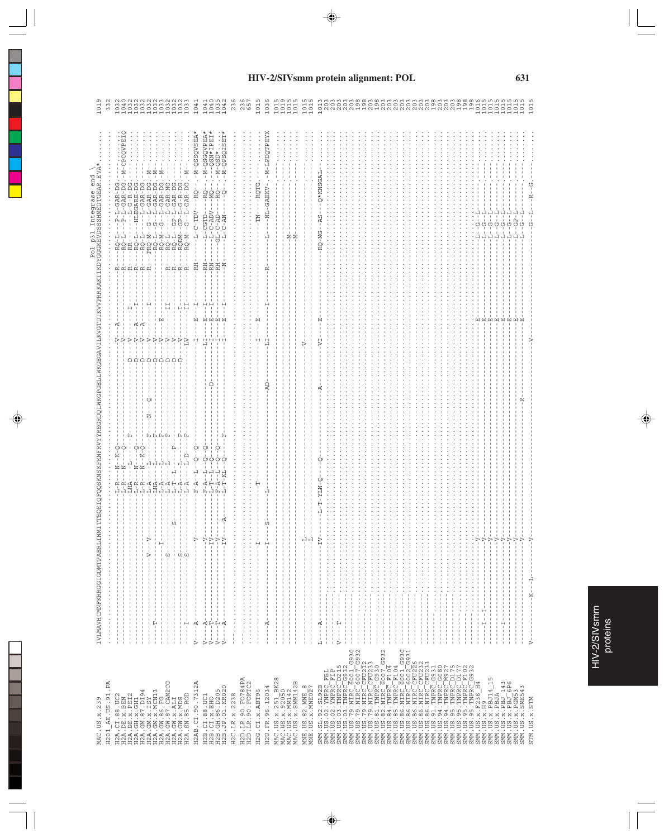| MAC.US.x.239                                                                                                                                                                                                                                                                                                                                                                                                                                                                                  |                                                                                                                                                                                                                                                                                                                                                                                                                                                                               | EAR YERELGEMESSSCARKSOSTAKIIKYANNALGIANIIAYORINIIKYOSEN TIROGONATÖGYSTAN AN NARKSÖSTÖ ISTIIMITIKHIKI HARGO ISONNAMALAI<br>\ puə əsrisəni ta to |                                                                           |                                                                                                                                                                                                                                                                                                                                                                                                                            | 1019                                    |
|-----------------------------------------------------------------------------------------------------------------------------------------------------------------------------------------------------------------------------------------------------------------------------------------------------------------------------------------------------------------------------------------------------------------------------------------------------------------------------------------------|-------------------------------------------------------------------------------------------------------------------------------------------------------------------------------------------------------------------------------------------------------------------------------------------------------------------------------------------------------------------------------------------------------------------------------------------------------------------------------|------------------------------------------------------------------------------------------------------------------------------------------------|---------------------------------------------------------------------------|----------------------------------------------------------------------------------------------------------------------------------------------------------------------------------------------------------------------------------------------------------------------------------------------------------------------------------------------------------------------------------------------------------------------------|-----------------------------------------|
| AE.US.91.PA<br>H201                                                                                                                                                                                                                                                                                                                                                                                                                                                                           |                                                                                                                                                                                                                                                                                                                                                                                                                                                                               |                                                                                                                                                |                                                                           |                                                                                                                                                                                                                                                                                                                                                                                                                            | $\sim$<br>$\overline{3}$                |
| H2A.CI.88.UC2                                                                                                                                                                                                                                                                                                                                                                                                                                                                                 | ł<br>ţ<br>f,<br>J.<br>$\overline{\phantom{a}}$<br>٠                                                                                                                                                                                                                                                                                                                                                                                                                           | $\circ$<br>O<br>$-5$<br>$\begin{array}{c}\n 7 \\  -1 \\  \end{array}$                                                                          |                                                                           | OIREADOP-N-1-<br>ひ<br>--P-L-GAR-D<br>--P-L-GAR-D<br><b>KKKKK</b>                                                                                                                                                                                                                                                                                                                                                           |                                         |
| H2A.DE.X.PEI2<br>H2A.DE.X.BEN                                                                                                                                                                                                                                                                                                                                                                                                                                                                 |                                                                                                                                                                                                                                                                                                                                                                                                                                                                               | F,<br>$\mathbf{I}$<br>부부                                                                                                                       |                                                                           |                                                                                                                                                                                                                                                                                                                                                                                                                            |                                         |
| $H2A. GH. x. GH1$<br>$H2A. GW. 87. D194$<br>$H2A. GW. x. ISY$<br>$H2A. GW. x. MCN13$<br>$H2A. GW. 86. PG$                                                                                                                                                                                                                                                                                                                                                                                     | п<br>j<br>I<br>J.                                                                                                                                                                                                                                                                                                                                                                                                                                                             | -<br>$-1 - N - - - Q$                                                                                                                          | Ļ<br>$\mathbf{I}$<br>⋗<br>$\Box$                                          | $\begin{small} \mathbf{N}=\mathbf{1}+\mathbf{1}+\mathbf{1}+\mathbf{1}+\mathbf{1}+\mathbf{1}+\mathbf{1}+\mathbf{1}+\mathbf{1}+\mathbf{1}+\mathbf{1}+\mathbf{1}+\mathbf{1}+\mathbf{1}+\mathbf{1}+\mathbf{1}+\mathbf{1}+\mathbf{1}+\mathbf{1}+\mathbf{1}+\mathbf{1}+\mathbf{1}+\mathbf{1}+\mathbf{1}+\mathbf{1}+\mathbf{1}+\mathbf{1}+\mathbf{1}+\mathbf{1}+\mathbf{1}+\mathbf{1}+\mathbf{1}+\mathbf{1}+\mathbf{1}+\mathbf{1$ | -------                                 |
|                                                                                                                                                                                                                                                                                                                                                                                                                                                                                               | $- - - - - - - - -$<br>٠<br>$\frac{1}{1}$<br>$\frac{1}{4}$<br>ı<br>f,<br>t<br>٠                                                                                                                                                                                                                                                                                                                                                                                               | ု<br>z<br>$\blacksquare$<br>$\mathbf{I}$                                                                                                       | $\overline{1}$<br>$\mathbf{I}$<br>$\mathsf I$<br>⊳<br>⊳                   | $\mathbf{I}$                                                                                                                                                                                                                                                                                                                                                                                                               |                                         |
|                                                                                                                                                                                                                                                                                                                                                                                                                                                                                               | ٠<br>$\mathbf{I}$<br>$\mathbf{I}$<br>턱<br>$\mathbf{I}$                                                                                                                                                                                                                                                                                                                                                                                                                        | 医医医医<br>1111<br>류부                                                                                                                             |                                                                           |                                                                                                                                                                                                                                                                                                                                                                                                                            |                                         |
|                                                                                                                                                                                                                                                                                                                                                                                                                                                                                               | $-1$<br>$\mathbf{I}$                                                                                                                                                                                                                                                                                                                                                                                                                                                          | - 1<br>ٻ<br>ڊ<br>$\frac{1}{4}$                                                                                                                 |                                                                           |                                                                                                                                                                                                                                                                                                                                                                                                                            |                                         |
| H2A.GW.87.CAM2CG<br>H2A. GW. x. ALI                                                                                                                                                                                                                                                                                                                                                                                                                                                           | $\mathbf{I}$<br>$\frac{1}{1}$<br>$- - -$<br>$\frac{1}{1}$<br>$\blacksquare$<br>$\blacksquare$<br>ı<br>$\,$ I<br>$\mathbf{I}$<br>t<br>1                                                                                                                                                                                                                                                                                                                                        | $\overline{\phantom{0}}$<br>$\frac{p}{1}$<br>-<br>$\mathsf I$<br>큐<br>ω                                                                        | $\mathbb{H}$<br>$\overline{\phantom{a}}$<br>$\overline{\phantom{a}}$<br>1 | $RQ - L$<br>$\overline{\phantom{a}}$                                                                                                                                                                                                                                                                                                                                                                                       |                                         |
|                                                                                                                                                                                                                                                                                                                                                                                                                                                                                               | ţ<br>$-2$<br>÷<br>-                                                                                                                                                                                                                                                                                                                                                                                                                                                           | 叫<br>л.<br>$\mathbf{I}$<br>부<br>$L - A$                                                                                                        | $\mathbf{I}$<br>$\vdash$<br>$\overline{\phantom{0}}$<br>$\bigcap$         | <b>KKKK</b>                                                                                                                                                                                                                                                                                                                                                                                                                | $\overline{ }$                          |
| H2A.GW.x.MDS<br>H2A.SN.85.ROD                                                                                                                                                                                                                                                                                                                                                                                                                                                                 | ÷<br>S<br>t<br>н<br>$\mathsf I$<br>$\mathbf{I}$                                                                                                                                                                                                                                                                                                                                                                                                                               | 圧<br>$-1 - 1 - D$<br>$L - A$                                                                                                                   | $\mathbf{H}$<br>$\mathbb{H}$<br>$-1V$                                     | RQDM-<br>RQ-M-                                                                                                                                                                                                                                                                                                                                                                                                             |                                         |
| H2AB.CI.90.7312A                                                                                                                                                                                                                                                                                                                                                                                                                                                                              | $- - -$<br>I.<br>ţ<br>t<br>$\mathbf I$<br>$- - A$<br>f,                                                                                                                                                                                                                                                                                                                                                                                                                       | O<br>$\circ$<br>루<br>Ŗ<br>$\mathbb{L}_1$                                                                                                       | $\mathbf{H}$<br>囜<br>н                                                    | $-M-QSSQVSEA$<br>- RQ<br>$-\mathbb{L}-\mathbb{C}-\mathbb{L}$ - $\mathbb{U}$<br>EH                                                                                                                                                                                                                                                                                                                                          | $\overline{04}$<br>$\overline{ }$       |
| H2B.CI.88.UC1                                                                                                                                                                                                                                                                                                                                                                                                                                                                                 | $-1$<br>I.<br>f,<br>÷<br>$\,$<br>$\mathbf{I}$<br>$\frac{1}{4}$                                                                                                                                                                                                                                                                                                                                                                                                                | $\circ$<br>$\mathbb{I}$<br>부<br>$-4$<br>$\mathbb{L}_4$                                                                                         | H H<br>$\mathbb{H}$                                                       | EH                                                                                                                                                                                                                                                                                                                                                                                                                         |                                         |
| H2B.CI.X.EHO                                                                                                                                                                                                                                                                                                                                                                                                                                                                                  | -<br>-<br>-<br>-<br>-<br>-<br>-<br>-<br>$\frac{1}{1}$<br>$\,$<br>$\blacksquare$<br>$\begin{array}{c}\n 1 \\  -1 \\  +1\n \end{array}$<br>J,<br>⊳                                                                                                                                                                                                                                                                                                                              | $\alpha$<br>루                                                                                                                                  | $\,$ I                                                                    | $-50$<br>-- 1-CGTD<br>-- C- ADV<br>-- C- ADV<br>-- C- AD<br>RN                                                                                                                                                                                                                                                                                                                                                             | $\overline{a}$                          |
| $\circ$<br>H2B.GH.86.D205<br>H2B.JP.01.KR02                                                                                                                                                                                                                                                                                                                                                                                                                                                   | $-1$ $-1$<br>$-$ - $\bot$ TV $-$<br>Ť<br>$\frac{1}{1}$<br>$\frac{1}{1}$<br>ŧ<br>$\frac{1}{1}$<br>ł.<br>$A -$<br>$\mathbf{I}$<br>Ĭ<br>$\frac{1}{4}$<br>÷<br>⋗<br>⋗                                                                                                                                                                                                                                                                                                             | Ŀ,<br>$\alpha$<br>$\alpha$<br>KL,<br>К<br>叫<br>Ą                                                                                               | Н<br>国国国国                                                                 | ă d<br>$C-AM$<br>딩<br>핁                                                                                                                                                                                                                                                                                                                                                                                                    | 00000<br>4404<br>0000<br>$\overline{a}$ |
| H2C.LR.x.2238                                                                                                                                                                                                                                                                                                                                                                                                                                                                                 | .<br>$\frac{1}{2}$ : $\frac{1}{2}$ : $\frac{1}{2}$ : $\frac{1}{2}$ : $\frac{1}{2}$<br>$\ddot{\cdot}$                                                                                                                                                                                                                                                                                                                                                                          |                                                                                                                                                |                                                                           |                                                                                                                                                                                                                                                                                                                                                                                                                            | $\sim$                                  |
| H2D.LR.90.FO784PA<br>H2D.LR.90.FORTC2                                                                                                                                                                                                                                                                                                                                                                                                                                                         | I<br>$\mathbf{I}$                                                                                                                                                                                                                                                                                                                                                                                                                                                             |                                                                                                                                                |                                                                           |                                                                                                                                                                                                                                                                                                                                                                                                                            | 36<br>57<br>6                           |
| H2G.CI.x.ABT96                                                                                                                                                                                                                                                                                                                                                                                                                                                                                | Ţ<br>$\mathbf{I}$                                                                                                                                                                                                                                                                                                                                                                                                                                                             |                                                                                                                                                | ⊡                                                                         | -RQTG<br>ă                                                                                                                                                                                                                                                                                                                                                                                                                 | 015<br>$\mathbf{\mathbf{r}}$            |
| H2U.FR.96.12034                                                                                                                                                                                                                                                                                                                                                                                                                                                                               | $-1$<br>J.<br>$\frac{1}{1}$<br>$\mathbf{I}$<br>$-4 - 7 - 1$<br>J.<br>٠                                                                                                                                                                                                                                                                                                                                                                                                        | R                                                                                                                                              | H                                                                         | YA'HALOUdT-W-<br>$-NT - GABKV -$<br>ᆸ<br>œ                                                                                                                                                                                                                                                                                                                                                                                 | 1036                                    |
|                                                                                                                                                                                                                                                                                                                                                                                                                                                                                               | $\frac{1}{1}$<br>$\,$<br>Ť                                                                                                                                                                                                                                                                                                                                                                                                                                                    |                                                                                                                                                |                                                                           |                                                                                                                                                                                                                                                                                                                                                                                                                            | L<br>$\mathbf{r}$                       |
| MAC.US.x.251_BK28<br>MAC.US.x.92050<br>MAC.US.x.MM142                                                                                                                                                                                                                                                                                                                                                                                                                                         | I,<br>ı<br>$\mathbf{I}$<br>$\sf I$<br>$\frac{1}{4}$<br>f,<br>$\mathbf{I}$<br>I.<br>ı<br>I,<br>$\mathbf{I}$<br>٠<br>I.<br>1<br>٠                                                                                                                                                                                                                                                                                                                                               |                                                                                                                                                |                                                                           | Σ<br>J.                                                                                                                                                                                                                                                                                                                                                                                                                    | σ<br>3333<br>$-1 - 1$                   |
| MAC.US.x.SMM142B                                                                                                                                                                                                                                                                                                                                                                                                                                                                              | $\,$<br>$\begin{array}{c} \frac{1}{2} & \frac{1}{2} \\ \frac{1}{2} & \frac{1}{2} \\ \frac{1}{2} & \frac{1}{2} \end{array}$<br>j,<br>J<br>J<br>f,<br>J<br>J.                                                                                                                                                                                                                                                                                                                   |                                                                                                                                                |                                                                           | Σ                                                                                                                                                                                                                                                                                                                                                                                                                          |                                         |
| $\infty$ $\sim$<br>MNE. US. 82. MNE                                                                                                                                                                                                                                                                                                                                                                                                                                                           | ך<br>י<br>ł.<br>ł.<br>$\mathbf{I}$<br>$\mathsf I$<br>1<br>$\mathbf{I}$<br>$\,$ I<br>$\mathbf{I}$                                                                                                                                                                                                                                                                                                                                                                              |                                                                                                                                                |                                                                           |                                                                                                                                                                                                                                                                                                                                                                                                                            | $\overline{C}$<br>$\overline{a}$        |
| MNE.US.x.MNE02                                                                                                                                                                                                                                                                                                                                                                                                                                                                                | نڊ<br>ڊ                                                                                                                                                                                                                                                                                                                                                                                                                                                                       |                                                                                                                                                | Ņ                                                                         |                                                                                                                                                                                                                                                                                                                                                                                                                            | $\overline{C}$<br>$\overline{ }$        |
| SMM. SL. 92. SL92B                                                                                                                                                                                                                                                                                                                                                                                                                                                                            | $-1 - \frac{1}{2} \Delta T$<br>$\mathbf{I}$<br>$-4$<br>ı<br>f,<br>1<br>貢                                                                                                                                                                                                                                                                                                                                                                                                      | $NTX -$                                                                                                                                        |                                                                           | Q*KNSGAL<br>$-4$<br>-NG<br>Ŕ                                                                                                                                                                                                                                                                                                                                                                                               | $\overline{C}$                          |
|                                                                                                                                                                                                                                                                                                                                                                                                                                                                                               | .<br>Ì<br>ţ                                                                                                                                                                                                                                                                                                                                                                                                                                                                   |                                                                                                                                                |                                                                           |                                                                                                                                                                                                                                                                                                                                                                                                                            |                                         |
|                                                                                                                                                                                                                                                                                                                                                                                                                                                                                               | .<br>---------<br>÷<br>$\geq$                                                                                                                                                                                                                                                                                                                                                                                                                                                 |                                                                                                                                                |                                                                           |                                                                                                                                                                                                                                                                                                                                                                                                                            |                                         |
|                                                                                                                                                                                                                                                                                                                                                                                                                                                                                               | .<br>$\begin{array}{c} \n\cdot & \cdot & \cdot \\ \n\cdot & \cdot & \cdot \\ \n\cdot & \cdot & \cdot \n\end{array}$                                                                                                                                                                                                                                                                                                                                                           |                                                                                                                                                |                                                                           |                                                                                                                                                                                                                                                                                                                                                                                                                            |                                         |
|                                                                                                                                                                                                                                                                                                                                                                                                                                                                                               | $\begin{bmatrix} 1 & 0 & 0 & 0 \\ 0 & 1 & 0 & 0 \\ 0 & 0 & 0 & 0 \\ 0 & 0 & 0 & 0 \\ 0 & 0 & 0 & 0 \\ 0 & 0 & 0 & 0 \\ 0 & 0 & 0 & 0 \\ 0 & 0 & 0 & 0 & 0 \\ 0 & 0 & 0 & 0 & 0 \\ 0 & 0 & 0 & 0 & 0 \\ 0 & 0 & 0 & 0 & 0 & 0 \\ 0 & 0 & 0 & 0 & 0 & 0 \\ 0 & 0 & 0 & 0 & 0 & 0 \\ 0 & 0 & 0 & 0 & 0 & 0 \\ 0 & 0 & 0 & 0 & $<br>$\frac{1}{1}$                                                                                                                                 |                                                                                                                                                |                                                                           |                                                                                                                                                                                                                                                                                                                                                                                                                            |                                         |
|                                                                                                                                                                                                                                                                                                                                                                                                                                                                                               | $\begin{aligned} \frac{1}{2} \left( \frac{1}{2} \right) \left( \frac{1}{2} \right) \left( \frac{1}{2} \right) \left( \frac{1}{2} \right) \left( \frac{1}{2} \right) \left( \frac{1}{2} \right) \left( \frac{1}{2} \right) \left( \frac{1}{2} \right) \left( \frac{1}{2} \right) \left( \frac{1}{2} \right) \left( \frac{1}{2} \right) \left( \frac{1}{2} \right) \left( \frac{1}{2} \right) \left( \frac{1}{2} \right) \left( \frac{1}{2} \right) \left( \frac{1}{2} \right)$ |                                                                                                                                                |                                                                           |                                                                                                                                                                                                                                                                                                                                                                                                                            |                                         |
|                                                                                                                                                                                                                                                                                                                                                                                                                                                                                               | f,                                                                                                                                                                                                                                                                                                                                                                                                                                                                            |                                                                                                                                                |                                                                           |                                                                                                                                                                                                                                                                                                                                                                                                                            |                                         |
|                                                                                                                                                                                                                                                                                                                                                                                                                                                                                               |                                                                                                                                                                                                                                                                                                                                                                                                                                                                               |                                                                                                                                                |                                                                           |                                                                                                                                                                                                                                                                                                                                                                                                                            |                                         |
|                                                                                                                                                                                                                                                                                                                                                                                                                                                                                               |                                                                                                                                                                                                                                                                                                                                                                                                                                                                               |                                                                                                                                                |                                                                           |                                                                                                                                                                                                                                                                                                                                                                                                                            |                                         |
|                                                                                                                                                                                                                                                                                                                                                                                                                                                                                               |                                                                                                                                                                                                                                                                                                                                                                                                                                                                               |                                                                                                                                                |                                                                           |                                                                                                                                                                                                                                                                                                                                                                                                                            |                                         |
|                                                                                                                                                                                                                                                                                                                                                                                                                                                                                               | .<br>$\frac{1}{1}$                                                                                                                                                                                                                                                                                                                                                                                                                                                            |                                                                                                                                                |                                                                           |                                                                                                                                                                                                                                                                                                                                                                                                                            |                                         |
|                                                                                                                                                                                                                                                                                                                                                                                                                                                                                               |                                                                                                                                                                                                                                                                                                                                                                                                                                                                               |                                                                                                                                                |                                                                           |                                                                                                                                                                                                                                                                                                                                                                                                                            |                                         |
|                                                                                                                                                                                                                                                                                                                                                                                                                                                                                               | ţ                                                                                                                                                                                                                                                                                                                                                                                                                                                                             |                                                                                                                                                |                                                                           |                                                                                                                                                                                                                                                                                                                                                                                                                            |                                         |
|                                                                                                                                                                                                                                                                                                                                                                                                                                                                                               | $\label{eq:2.1} \begin{split} \mathcal{L}_{\mathcal{A}}(\mathcal{A})&=\mathcal{L}_{\mathcal{A}}(\mathcal{A})\mathcal{A}(\mathcal{A})\mathcal{A}(\mathcal{A})\mathcal{A}(\mathcal{A})\mathcal{A}(\mathcal{A})\mathcal{A}(\mathcal{A})\mathcal{A}(\mathcal{A})\mathcal{A}(\mathcal{A})\mathcal{A}(\mathcal{A})\mathcal{A}(\mathcal{A})\mathcal{A}(\mathcal{A})\mathcal{A}(\mathcal{A})\mathcal{A}(\mathcal{A})\mathcal{A}(\mathcal{A})\mathcal{A}(\mathcal{A})\$                |                                                                                                                                                |                                                                           |                                                                                                                                                                                                                                                                                                                                                                                                                            |                                         |
|                                                                                                                                                                                                                                                                                                                                                                                                                                                                                               | Ť                                                                                                                                                                                                                                                                                                                                                                                                                                                                             |                                                                                                                                                |                                                                           |                                                                                                                                                                                                                                                                                                                                                                                                                            |                                         |
|                                                                                                                                                                                                                                                                                                                                                                                                                                                                                               | Ť<br>$\mathbf{I}$                                                                                                                                                                                                                                                                                                                                                                                                                                                             |                                                                                                                                                |                                                                           |                                                                                                                                                                                                                                                                                                                                                                                                                            |                                         |
|                                                                                                                                                                                                                                                                                                                                                                                                                                                                                               | J.                                                                                                                                                                                                                                                                                                                                                                                                                                                                            |                                                                                                                                                |                                                                           |                                                                                                                                                                                                                                                                                                                                                                                                                            |                                         |
|                                                                                                                                                                                                                                                                                                                                                                                                                                                                                               | ţ                                                                                                                                                                                                                                                                                                                                                                                                                                                                             |                                                                                                                                                |                                                                           |                                                                                                                                                                                                                                                                                                                                                                                                                            |                                         |
|                                                                                                                                                                                                                                                                                                                                                                                                                                                                                               | ÷                                                                                                                                                                                                                                                                                                                                                                                                                                                                             |                                                                                                                                                |                                                                           |                                                                                                                                                                                                                                                                                                                                                                                                                            |                                         |
|                                                                                                                                                                                                                                                                                                                                                                                                                                                                                               |                                                                                                                                                                                                                                                                                                                                                                                                                                                                               |                                                                                                                                                |                                                                           |                                                                                                                                                                                                                                                                                                                                                                                                                            |                                         |
|                                                                                                                                                                                                                                                                                                                                                                                                                                                                                               | $\mathbf{I}$                                                                                                                                                                                                                                                                                                                                                                                                                                                                  |                                                                                                                                                |                                                                           |                                                                                                                                                                                                                                                                                                                                                                                                                            |                                         |
|                                                                                                                                                                                                                                                                                                                                                                                                                                                                                               | $\frac{1}{1}$<br>$\frac{1}{4}$<br>$- - - - - - - - - - - -$<br>I<br>J.                                                                                                                                                                                                                                                                                                                                                                                                        |                                                                                                                                                |                                                                           | $\blacksquare$<br>$\mathbf{I}$<br>めめめめめめ<br>ᆸ                                                                                                                                                                                                                                                                                                                                                                              | $\overline{\phantom{0}}$                |
| 15<br>$\begin{array}{lll} \texttt{SMM. U3}\xspace & \texttt{x} \xspace & \texttt{H9} & \texttt{} \ \texttt{} \ \texttt{S} \\ \texttt{SMM. U3}\xspace & \texttt{x} \xspace & \texttt{PBJ14} \ \texttt{} \ \texttt{} \ \texttt{} \ \texttt{} \ \texttt{3} \\ \texttt{SMM. U3}\xspace & \texttt{x} \xspace & \texttt{PBJ2A} \ \texttt{} \ \texttt{} \ \texttt{} \ \texttt{} \ \texttt{} \ \texttt{7} \\ \texttt{SMM. U3}\xspace & \texttt{x} \xspace & \texttt{PBJ2A} \ \texttt{} \ \texttt{} \$ | $\frac{1}{1}$<br>Í                                                                                                                                                                                                                                                                                                                                                                                                                                                            |                                                                                                                                                |                                                                           | Ť                                                                                                                                                                                                                                                                                                                                                                                                                          |                                         |
|                                                                                                                                                                                                                                                                                                                                                                                                                                                                                               |                                                                                                                                                                                                                                                                                                                                                                                                                                                                               |                                                                                                                                                |                                                                           | Ŧ<br>부부부부                                                                                                                                                                                                                                                                                                                                                                                                                  |                                         |
| SMM.US.x.PBJ_143<br>SMM.US.x.PBJ_6P6                                                                                                                                                                                                                                                                                                                                                                                                                                                          | $\frac{1}{4}$<br>-- - - - - - -                                                                                                                                                                                                                                                                                                                                                                                                                                               |                                                                                                                                                |                                                                           | Ţ                                                                                                                                                                                                                                                                                                                                                                                                                          |                                         |
|                                                                                                                                                                                                                                                                                                                                                                                                                                                                                               | ٠                                                                                                                                                                                                                                                                                                                                                                                                                                                                             |                                                                                                                                                | 国国国国国国                                                                    | $\frac{1}{4}$                                                                                                                                                                                                                                                                                                                                                                                                              |                                         |
| SMM. US. x. SME543<br>SMM.US.x.PGM53                                                                                                                                                                                                                                                                                                                                                                                                                                                          | $\frac{1}{1}$                                                                                                                                                                                                                                                                                                                                                                                                                                                                 |                                                                                                                                                |                                                                           | $-9P - D$<br>Ó<br>Н<br>ᆸ                                                                                                                                                                                                                                                                                                                                                                                                   |                                         |
| STM.US.X.STM                                                                                                                                                                                                                                                                                                                                                                                                                                                                                  | $-7$<br>J.<br>$\begin{array}{c} \rule{0.2cm}{0.15mm} \rule{0.2cm}{0.15mm} \rule{0.2cm}{0.15mm} \rule{0.2cm}{0.15mm} \rule{0.2cm}{0.15mm} \rule{0.2cm}{0.15mm} \rule{0.2cm}{0.15mm} \rule{0.2cm}{0.15mm} \rule{0.2cm}{0.15mm} \rule{0.2cm}{0.15mm} \rule{0.2cm}{0.15mm} \rule{0.2cm}{0.15mm} \rule{0.2cm}{0.15mm} \rule{0.2cm}{0.15mm} \rule{0.2cm}{0.15mm} \rule{$<br>-------------<br>$V - -$                                                                                |                                                                                                                                                |                                                                           | Ė<br>Ú                                                                                                                                                                                                                                                                                                                                                                                                                     | 101                                     |
|                                                                                                                                                                                                                                                                                                                                                                                                                                                                                               |                                                                                                                                                                                                                                                                                                                                                                                                                                                                               |                                                                                                                                                |                                                                           |                                                                                                                                                                                                                                                                                                                                                                                                                            |                                         |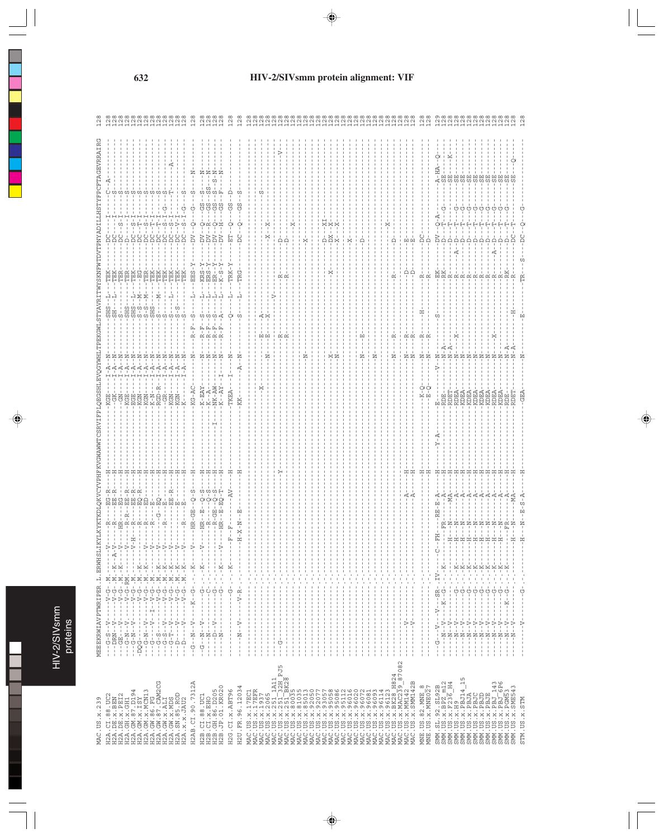| MAC.US.x.239                                                                                                                                                                                                                                                                                                                                                                                                                 | <b>CXVCY</b><br>ERWHSLI<br>MEEEKRWIAVPTWRIPER.L.<br>$\begin{array}{l} \mathbf{N}^{\mathbf{B}}_{\mathbf{A}} \mathbf{X}^{\mathbf{A}} = \mathbf{N}^{\mathbf{B}}_{\mathbf{A}} \mathbf{X}^{\mathbf{B}} = \mathbf{N}^{\mathbf{B}}_{\mathbf{A}} \mathbf{X}^{\mathbf{B}} = \mathbf{N}^{\mathbf{B}}_{\mathbf{A}} \mathbf{X}^{\mathbf{B}} = \mathbf{N}^{\mathbf{B}}_{\mathbf{A}} \mathbf{X}^{\mathbf{B}} = \mathbf{N}^{\mathbf{B}}_{\mathbf{A}} \mathbf{X}^{\mathbf{B}} = \mathbf{N}^{\math$                                                                                                                                              |                         | KALI NAVARA DA DA SHIRA DA SHIRA DO ARTI NA SHIRA DA NAVA NA SHIRA |                             | SKNFWTDVTPNYADILLHSTYFPCFTAGEVRRAIR                    |                            |
|------------------------------------------------------------------------------------------------------------------------------------------------------------------------------------------------------------------------------------------------------------------------------------------------------------------------------------------------------------------------------------------------------------------------------|---------------------------------------------------------------------------------------------------------------------------------------------------------------------------------------------------------------------------------------------------------------------------------------------------------------------------------------------------------------------------------------------------------------------------------------------------------------------------------------------------------------------------------------------------------------------------------------------------------------------------------|-------------------------|--------------------------------------------------------------------|-----------------------------|--------------------------------------------------------|----------------------------|
| $\begin{array}{l} \text{H2A, CL 18, UC} \\ \text{H2A, DB} \\ \text{H2A, DE} \\ \text{H2A, GL} \\ \text{H2A, GL} \\ \text{H2B, CH} \\ \text{H2B, CH} \\ \text{H2B, CH} \\ \text{H2B, CH} \\ \text{H2B, CH} \\ \text{H2B, CH} \\ \text{H2B, CH} \\ \text{H2B, CH} \\ \text{H2B, CH} \\ \text{H2B, CH} \\ \text{H2B, CH} \\ \text{H2B, CH} \\ \text{H2B, CH} \\ \text{H2B, L2B} \\ \text{H2B, CH} \\ \text{H2B$                 | $\geq$                                                                                                                                                                                                                                                                                                                                                                                                                                                                                                                                                                                                                          |                         |                                                                    |                             |                                                        |                            |
|                                                                                                                                                                                                                                                                                                                                                                                                                              | $--A-V$<br>$\begin{array}{c} \vdots \\ \vdots \\ \vdots \end{array}$                                                                                                                                                                                                                                                                                                                                                                                                                                                                                                                                                            |                         |                                                                    |                             |                                                        |                            |
|                                                                                                                                                                                                                                                                                                                                                                                                                              | <b>KKKKKK</b><br>7                                                                                                                                                                                                                                                                                                                                                                                                                                                                                                                                                                                                              | RRRRRRRRRR              |                                                                    |                             | ເທ ເທ                                                  |                            |
|                                                                                                                                                                                                                                                                                                                                                                                                                              | <b>KKK</b><br>្ងៃ<br><b>[x]</b><br>Ŗ<br>$\mathbf{I}$<br>÷.                                                                                                                                                                                                                                                                                                                                                                                                                                                                                                                                                                      | 뜅                       | Ŵ<br>Ξ<br>ÖÓ                                                       |                             |                                                        |                            |
|                                                                                                                                                                                                                                                                                                                                                                                                                              | 亩<br>7<br>÷.<br>$V -$<br>$N - D - -$                                                                                                                                                                                                                                                                                                                                                                                                                                                                                                                                                                                            | 믱                       | 00000<br>H + + H<br>00000                                          |                             | ເທ ເທ                                                  | ന ന<br>$\sim$ $\sim$       |
|                                                                                                                                                                                                                                                                                                                                                                                                                              | 岡田<br>$\mathbf I$<br>$\frac{1}{4}$<br>f,<br>$\mathbf{I}$<br>DQG.                                                                                                                                                                                                                                                                                                                                                                                                                                                                                                                                                                | $\mathbf{E}$            | t                                                                  | 岡田                          |                                                        |                            |
|                                                                                                                                                                                                                                                                                                                                                                                                                              | $\begin{array}{l} \mathbf{1} & -\mathbf{1} & -\mathbf{1} & -\mathbf{1} & -\mathbf{1} & -\mathbf{1} & -\mathbf{1} & -\mathbf{1} & -\mathbf{1} & -\mathbf{1} & -\mathbf{1} & -\mathbf{1} & -\mathbf{1} & -\mathbf{1} & -\mathbf{1} & -\mathbf{1} & -\mathbf{1} & -\mathbf{1} & -\mathbf{1} & -\mathbf{1} & -\mathbf{1} & -\mathbf{1} & -\mathbf{1} & -\mathbf{1} & -\mathbf{1} & -\mathbf{1} & -\mathbf{1$                                                                                                                                                                                                                        | ā                       |                                                                    |                             | τn<br>$0 \vdash 0 \vdash \vdash 0 \cup \triangleright$ |                            |
|                                                                                                                                                                                                                                                                                                                                                                                                                              | $\mathbf{I}$                                                                                                                                                                                                                                                                                                                                                                                                                                                                                                                                                                                                                    |                         |                                                                    |                             | ГŊ                                                     |                            |
|                                                                                                                                                                                                                                                                                                                                                                                                                              | てり<br>י<br>ו<br>$\frac{1}{4}$                                                                                                                                                                                                                                                                                                                                                                                                                                                                                                                                                                                                   | $-M - 1$                | N-<br><b>00 00 00 00 00</b>                                        | <b>ERRK</b>                 |                                                        | $\infty$ $\infty$ $\infty$ |
|                                                                                                                                                                                                                                                                                                                                                                                                                              |                                                                                                                                                                                                                                                                                                                                                                                                                                                                                                                                                                                                                                 | g                       |                                                                    |                             |                                                        |                            |
|                                                                                                                                                                                                                                                                                                                                                                                                                              | Ţ<br>$\frac{1}{1}$                                                                                                                                                                                                                                                                                                                                                                                                                                                                                                                                                                                                              |                         |                                                                    |                             | ひ                                                      |                            |
|                                                                                                                                                                                                                                                                                                                                                                                                                              | q<br>á<br>٠ı.<br>$\mathsf I$<br>$\frac{1}{1}$                                                                                                                                                                                                                                                                                                                                                                                                                                                                                                                                                                                   | š                       | ᆸ<br>၊ ဟ                                                           |                             |                                                        |                            |
|                                                                                                                                                                                                                                                                                                                                                                                                                              | ェ<br>7<br>f,<br>$\frac{1}{4}$                                                                                                                                                                                                                                                                                                                                                                                                                                                                                                                                                                                                   | <b>NO</b>               |                                                                    | TEK<br>TEK                  |                                                        | $^\infty$                  |
|                                                                                                                                                                                                                                                                                                                                                                                                                              | 모<br>ចិចច<br>$\frac{1}{1}$<br>$-1$                                                                                                                                                                                                                                                                                                                                                                                                                                                                                                                                                                                              |                         |                                                                    | 闰                           | m<br>ひ<br>CO.                                          |                            |
|                                                                                                                                                                                                                                                                                                                                                                                                                              |                                                                                                                                                                                                                                                                                                                                                                                                                                                                                                                                                                                                                                 |                         |                                                                    |                             |                                                        |                            |
| H2AB. CI.90.7312A                                                                                                                                                                                                                                                                                                                                                                                                            | ᄇ<br>C)<br>◠<br>ひ<br>$\tilde{z}$<br>$-8-$<br>$\mathbf{I}$<br>Ġ<br>$K-$<br>Ţ<br>$-Q$ – $N$ – $ \!N$ – $-$                                                                                                                                                                                                                                                                                                                                                                                                                                                                                                                        | $KG-AC$                 | τn<br>ġ                                                            | ă<br>EES                    | ひ<br>◠                                                 |                            |
| H2B.CI.88.UC1<br>H2B.CI.x.EHO<br>H2B.GH.86.D205<br>H2B.JP.01.KR020                                                                                                                                                                                                                                                                                                                                                           | 모<br>C)<br>$\Lambda$ – $-$<br>$\frac{c}{1}$<br>t<br>Ť<br>$\mathfrak l$<br>$- -N - -V$<br>$\frac{1}{\sqrt{2}}$                                                                                                                                                                                                                                                                                                                                                                                                                                                                                                                   | $-$ EAY                 | CO.<br>叫                                                           |                             | てり                                                     |                            |
|                                                                                                                                                                                                                                                                                                                                                                                                                              | ᄑ<br>$\mathbf{I}$<br>$\mathbf{I}$<br>$\blacksquare$<br>$\overline{\phantom{a}}$<br>J.<br>z<br>Ť                                                                                                                                                                                                                                                                                                                                                                                                                                                                                                                                 |                         | Н<br>m<br>$R$ $R$ $R$ $R$                                          | B<br>KRS-1<br>ERS-1<br>ER-1 | CO.<br><b>OK OH</b>                                    |                            |
|                                                                                                                                                                                                                                                                                                                                                                                                                              |                                                                                                                                                                                                                                                                                                                                                                                                                                                                                                                                                                                                                                 |                         |                                                                    |                             |                                                        |                            |
|                                                                                                                                                                                                                                                                                                                                                                                                                              | ᄑ<br>ωω⊢<br>$\circ$<br>뜅<br>$\begin{array}{c}\n 1.76 \\  1.76\n 1.76\n \end{array}$<br>ひひひ<br>Ť<br>$\sf I$<br>$\frac{1}{4}$                                                                                                                                                                                                                                                                                                                                                                                                                                                                                                     | NK-AW                   | 曰<br>U)<br>医医氏                                                     | ă                           | $N$ – S<br>CO.<br>9999                                 |                            |
|                                                                                                                                                                                                                                                                                                                                                                                                                              | ᄑ<br>∩<br>凹<br>凹<br>$\tilde{\phantom{a}}$<br>$\mathbf I$<br>$\begin{array}{cccccccccc} . & . & . & . & . & . & . \\ . & . & . & . & . & . \\ . & . & . & . & . & . \\ . & . & . & . & . & . \\ . & . & . & . & . & . \\ . & . & . & . & . & . \\ . & . & . & . & . & . \\ . & . & . & . & . & . \\ . & . & . & . & . & . \\ . & . & . & . & . & . \\ . & . & . & . & . & . \\ . & . & . & . & . & . \\ . & . & . & . & . & . \\ . & . & . & . & . & . \\ . & . & . & . & . & . \\ . & . & . & . & . & . \\ . & . & . & . & . & . \\ . & . & .$<br>$\mathbf{I}$<br>$\mathbf{I}$<br>$\mathfrak l$<br>$\mathbf{I}$<br>$\mathbf{I}$ |                         | Н                                                                  | ă<br>$K-S$                  | 四                                                      |                            |
| H2G.CI.x.ABT96                                                                                                                                                                                                                                                                                                                                                                                                               | $k - K -$<br>$\bar{1}$<br>ひ<br>÷<br>$\mathbf{I}$<br>L.<br>L.<br>$\mathbf{I}$<br>$\mathbf{I}$<br>$\mathsf I$<br>$\mathbf{I}$<br>$\mathbf{I}$                                                                                                                                                                                                                                                                                                                                                                                                                                                                                     | TKEA                    | ⌒≀                                                                 | 튭<br>TRK                    | 39<br>o                                                |                            |
|                                                                                                                                                                                                                                                                                                                                                                                                                              |                                                                                                                                                                                                                                                                                                                                                                                                                                                                                                                                                                                                                                 |                         |                                                                    |                             |                                                        |                            |
| H2U.FR.96.12034                                                                                                                                                                                                                                                                                                                                                                                                              | I,<br>$\cdot$<br>$-3 - 5 - 5 - 5$<br>÷.<br>$\mathbf{I}$<br>$- - N - - V -$<br>$\mathfrak l$                                                                                                                                                                                                                                                                                                                                                                                                                                                                                                                                     |                         | τn                                                                 | TRG                         | 3<br>C<br>O                                            |                            |
| $\begin{smallmatrix} \mathtt{MAC.GIS}, & \mathtt{1.715Cl} \\ \mathtt{MAC.GIS}, & \mathtt{1.715Cl} \\ \mathtt{MAC.GIS}, & \mathtt{1.715Cl} \\ \mathtt{MAC.GIS}, & \mathtt{2.715Cl} \\ \mathtt{MAC.GIS}, & \mathtt{2.715Cl} \\ \mathtt{MAC.GIS}, & \mathtt{2.715Cl} \\ \mathtt{MAC.GIS}, & \mathtt{2.715Cl} \\ \mathtt{MAC.GIS}, & \mathtt{2.715Cl} \\ \mathtt{MAC.GIS}, & \mathtt{2.715Cl} \\ \mathtt{MAC.GIS}, & \mathtt{2.$ | $\mathbf{I}$<br>$\mathbf{I}$<br>$\mathbf{I}$<br>$\mathbf{I}$<br>$\mathsf I$<br>$\mathbf{I}$<br>Ŷ.<br>$\mathbf I$<br>ł<br>$\mathsf I$<br>$\,$ I<br>$\mathsf I$<br>J.<br>$\mathbf I$                                                                                                                                                                                                                                                                                                                                                                                                                                              |                         |                                                                    |                             |                                                        |                            |
|                                                                                                                                                                                                                                                                                                                                                                                                                              | 봄<br>$\cdot$                                                                                                                                                                                                                                                                                                                                                                                                                                                                                                                                                                                                                    |                         |                                                                    |                             |                                                        |                            |
|                                                                                                                                                                                                                                                                                                                                                                                                                              | $\mathbf{I}$<br>$\,$ I<br>$\mathbf{I}$<br>$\,$ $\,$<br>$\frac{1}{4}$<br>$\,$ I<br>$\,$<br>$\,$ I<br>$\overline{\phantom{a}}$<br>$\,$ $\,$<br>$\mathbf{I}$                                                                                                                                                                                                                                                                                                                                                                                                                                                                       |                         |                                                                    |                             |                                                        |                            |
|                                                                                                                                                                                                                                                                                                                                                                                                                              | è<br>$\frac{1}{1}$<br>$\frac{1}{1}$<br>$\overline{1}$<br>t<br>$\mathbf{I}$<br>$\begin{array}{c} \hline \end{array}$<br>ŧ<br>$\mathbf{I}$<br>$\mathbf{I}$                                                                                                                                                                                                                                                                                                                                                                                                                                                                        |                         |                                                                    |                             |                                                        |                            |
|                                                                                                                                                                                                                                                                                                                                                                                                                              | Ť<br>$\,$ I<br>$\mathbf{I}$<br>$\mathsf I$                                                                                                                                                                                                                                                                                                                                                                                                                                                                                                                                                                                      |                         | [1] [1]                                                            |                             |                                                        |                            |
|                                                                                                                                                                                                                                                                                                                                                                                                                              | $\mathbf{I}$<br>$\mathbf{I}$                                                                                                                                                                                                                                                                                                                                                                                                                                                                                                                                                                                                    |                         |                                                                    |                             |                                                        |                            |
|                                                                                                                                                                                                                                                                                                                                                                                                                              |                                                                                                                                                                                                                                                                                                                                                                                                                                                                                                                                                                                                                                 |                         |                                                                    |                             |                                                        |                            |
|                                                                                                                                                                                                                                                                                                                                                                                                                              | $-5-$                                                                                                                                                                                                                                                                                                                                                                                                                                                                                                                                                                                                                           |                         | $\propto \propto$                                                  | $\propto \propto$           |                                                        |                            |
|                                                                                                                                                                                                                                                                                                                                                                                                                              |                                                                                                                                                                                                                                                                                                                                                                                                                                                                                                                                                                                                                                 |                         |                                                                    |                             |                                                        |                            |
|                                                                                                                                                                                                                                                                                                                                                                                                                              | $\,$ I<br>I<br>$\mathbf{I}$                                                                                                                                                                                                                                                                                                                                                                                                                                                                                                                                                                                                     |                         |                                                                    |                             |                                                        |                            |
|                                                                                                                                                                                                                                                                                                                                                                                                                              |                                                                                                                                                                                                                                                                                                                                                                                                                                                                                                                                                                                                                                 |                         |                                                                    |                             |                                                        |                            |
|                                                                                                                                                                                                                                                                                                                                                                                                                              | $\cdot$<br>$\,$<br>ŧ                                                                                                                                                                                                                                                                                                                                                                                                                                                                                                                                                                                                            |                         |                                                                    |                             |                                                        |                            |
|                                                                                                                                                                                                                                                                                                                                                                                                                              | $\mathbf{I}$<br>$\blacksquare$                                                                                                                                                                                                                                                                                                                                                                                                                                                                                                                                                                                                  |                         |                                                                    |                             |                                                        |                            |
|                                                                                                                                                                                                                                                                                                                                                                                                                              |                                                                                                                                                                                                                                                                                                                                                                                                                                                                                                                                                                                                                                 |                         |                                                                    |                             |                                                        |                            |
|                                                                                                                                                                                                                                                                                                                                                                                                                              | I<br>ı                                                                                                                                                                                                                                                                                                                                                                                                                                                                                                                                                                                                                          |                         |                                                                    |                             |                                                        | $\infty$                   |
|                                                                                                                                                                                                                                                                                                                                                                                                                              |                                                                                                                                                                                                                                                                                                                                                                                                                                                                                                                                                                                                                                 |                         |                                                                    |                             |                                                        |                            |
|                                                                                                                                                                                                                                                                                                                                                                                                                              | $\frac{1}{1}$<br>f,                                                                                                                                                                                                                                                                                                                                                                                                                                                                                                                                                                                                             |                         |                                                                    |                             |                                                        |                            |
|                                                                                                                                                                                                                                                                                                                                                                                                                              |                                                                                                                                                                                                                                                                                                                                                                                                                                                                                                                                                                                                                                 |                         |                                                                    |                             | <b>×××</b>                                             |                            |
|                                                                                                                                                                                                                                                                                                                                                                                                                              | è<br>.<br>$\frac{1}{1}$                                                                                                                                                                                                                                                                                                                                                                                                                                                                                                                                                                                                         |                         |                                                                    |                             |                                                        | m                          |
|                                                                                                                                                                                                                                                                                                                                                                                                                              | $\frac{1}{1}$                                                                                                                                                                                                                                                                                                                                                                                                                                                                                                                                                                                                                   |                         |                                                                    |                             |                                                        | $\infty$                   |
|                                                                                                                                                                                                                                                                                                                                                                                                                              | $\blacksquare$                                                                                                                                                                                                                                                                                                                                                                                                                                                                                                                                                                                                                  |                         |                                                                    |                             |                                                        | ന                          |
|                                                                                                                                                                                                                                                                                                                                                                                                                              |                                                                                                                                                                                                                                                                                                                                                                                                                                                                                                                                                                                                                                 |                         |                                                                    |                             |                                                        | $\infty$                   |
|                                                                                                                                                                                                                                                                                                                                                                                                                              |                                                                                                                                                                                                                                                                                                                                                                                                                                                                                                                                                                                                                                 |                         |                                                                    |                             |                                                        | $\infty$                   |
|                                                                                                                                                                                                                                                                                                                                                                                                                              | 1                                                                                                                                                                                                                                                                                                                                                                                                                                                                                                                                                                                                                               |                         |                                                                    |                             |                                                        |                            |
|                                                                                                                                                                                                                                                                                                                                                                                                                              | ŕ.<br>.<br>$\frac{1}{1}$<br>f,                                                                                                                                                                                                                                                                                                                                                                                                                                                                                                                                                                                                  |                         |                                                                    |                             |                                                        | $\infty$                   |
|                                                                                                                                                                                                                                                                                                                                                                                                                              | $\frac{1}{1}$<br>È.                                                                                                                                                                                                                                                                                                                                                                                                                                                                                                                                                                                                             |                         |                                                                    |                             |                                                        |                            |
|                                                                                                                                                                                                                                                                                                                                                                                                                              | $\mathbf{I}$                                                                                                                                                                                                                                                                                                                                                                                                                                                                                                                                                                                                                    |                         |                                                                    |                             |                                                        |                            |
|                                                                                                                                                                                                                                                                                                                                                                                                                              | $\mathfrak l$                                                                                                                                                                                                                                                                                                                                                                                                                                                                                                                                                                                                                   |                         |                                                                    |                             |                                                        | m                          |
|                                                                                                                                                                                                                                                                                                                                                                                                                              |                                                                                                                                                                                                                                                                                                                                                                                                                                                                                                                                                                                                                                 |                         |                                                                    |                             |                                                        |                            |
|                                                                                                                                                                                                                                                                                                                                                                                                                              | t<br>٠<br>$\,$                                                                                                                                                                                                                                                                                                                                                                                                                                                                                                                                                                                                                  |                         | œ                                                                  |                             |                                                        |                            |
|                                                                                                                                                                                                                                                                                                                                                                                                                              |                                                                                                                                                                                                                                                                                                                                                                                                                                                                                                                                                                                                                                 |                         |                                                                    |                             |                                                        |                            |
|                                                                                                                                                                                                                                                                                                                                                                                                                              | $\frac{1}{1}$<br>J<br>t<br>J.<br>J,<br>$\mathbb{I}$                                                                                                                                                                                                                                                                                                                                                                                                                                                                                                                                                                             |                         |                                                                    |                             |                                                        |                            |
|                                                                                                                                                                                                                                                                                                                                                                                                                              | $- -V - -$<br>$\mathbf{I}$<br>$\,$ $\,$                                                                                                                                                                                                                                                                                                                                                                                                                                                                                                                                                                                         |                         | $\propto \propto$                                                  | 69 G                        |                                                        |                            |
| $\mathbf{\underline{\alpha}}$<br>MAC.US.x.SMM142                                                                                                                                                                                                                                                                                                                                                                             | Ĵ<br>$--V--$<br>$\,$<br>$\,$ I<br>1<br>$\,$ $\,$                                                                                                                                                                                                                                                                                                                                                                                                                                                                                                                                                                                |                         |                                                                    |                             |                                                        |                            |
|                                                                                                                                                                                                                                                                                                                                                                                                                              | ᄑ                                                                                                                                                                                                                                                                                                                                                                                                                                                                                                                                                                                                                               |                         |                                                                    |                             |                                                        |                            |
|                                                                                                                                                                                                                                                                                                                                                                                                                              | $\cdot$<br>$\frac{1}{2}$<br>$\frac{1}{1}$<br>Ì<br>J,<br>1<br>$\mathbf{I}$                                                                                                                                                                                                                                                                                                                                                                                                                                                                                                                                                       | $\circ$<br>요 면          | $\propto \propto$                                                  | $\propto \propto$           |                                                        |                            |
|                                                                                                                                                                                                                                                                                                                                                                                                                              |                                                                                                                                                                                                                                                                                                                                                                                                                                                                                                                                                                                                                                 |                         |                                                                    |                             |                                                        |                            |
| $\begin{array}{ll} & \dots \dots \circ \circ \dots \mathsf{MME} \quad 8 \\ \mathsf{MME} \cdot \mathsf{US} \cdot \mathsf{x} \cdot \mathsf{MME} \, \mathsf{0} \, \overline{\mathsf{2}} \, \mathsf{7} \\ \mathsf{C} \mathsf{M} \mathsf{M} \quad \, \mathsf{C} \end{array}$                                                                                                                                                      | $\sum_{1}^{1}$<br>$\dot{c}$                                                                                                                                                                                                                                                                                                                                                                                                                                                                                                                                                                                                     |                         |                                                                    |                             |                                                        |                            |
|                                                                                                                                                                                                                                                                                                                                                                                                                              |                                                                                                                                                                                                                                                                                                                                                                                                                                                                                                                                                                                                                                 | 呂                       |                                                                    |                             | τŋ                                                     |                            |
|                                                                                                                                                                                                                                                                                                                                                                                                                              | $- -N - - - - - - - K - -$<br>$\mathbf I$                                                                                                                                                                                                                                                                                                                                                                                                                                                                                                                                                                                       |                         |                                                                    | ≏                           |                                                        |                            |
|                                                                                                                                                                                                                                                                                                                                                                                                                              | 보보보보<br>МÄ.<br>$\overline{\phantom{0}}$<br>$\mathsf I$<br>$\mathbf{I}$<br>$\mathbf{I}$<br>$\begin{array}{c}\n1 - 1 \\ 1 - 1 \\ 1 - 1\n\end{array}$<br>$-1$<br>$\,$ I                                                                                                                                                                                                                                                                                                                                                                                                                                                            |                         |                                                                    | $\Box$                      | 凹凹凹<br>ທ ທ                                             |                            |
|                                                                                                                                                                                                                                                                                                                                                                                                                              | Ť<br>$\mathcal{I}=-\mathcal{I}$<br>$N$ – –<br>$\mathsf I$                                                                                                                                                                                                                                                                                                                                                                                                                                                                                                                                                                       |                         |                                                                    | $\Box$                      | ひ                                                      |                            |
| LN,                                                                                                                                                                                                                                                                                                                                                                                                                          | $\mathbf{I}$<br>Ŷ.<br>Ĵ<br>$V -$<br>z<br>Ť<br>$\mathsf I$                                                                                                                                                                                                                                                                                                                                                                                                                                                                                                                                                                       |                         |                                                                    | $\circ$                     |                                                        |                            |
|                                                                                                                                                                                                                                                                                                                                                                                                                              | $\mathbf{I}$<br>$-1 - 1 - 1 - 1$<br>$\mathsf I$                                                                                                                                                                                                                                                                                                                                                                                                                                                                                                                                                                                 |                         |                                                                    | $\supseteq$                 |                                                        | ന ന<br>$\sim$ $\sim$       |
|                                                                                                                                                                                                                                                                                                                                                                                                                              | 出出出<br>みみみみみ<br>1<br>$N$ – –<br>$\mathbf{I}$                                                                                                                                                                                                                                                                                                                                                                                                                                                                                                                                                                                    | ERRER<br>ERRER<br>ERRER |                                                                    |                             | 国国国国国<br><b>00 00 00 00</b><br><b>ひひひひひひ</b>           |                            |
|                                                                                                                                                                                                                                                                                                                                                                                                                              | f,<br>z<br>Ť<br>$\mathsf I$<br>$\mathbf{I}$                                                                                                                                                                                                                                                                                                                                                                                                                                                                                                                                                                                     |                         |                                                                    | $\bigcap$                   |                                                        | ന ന                        |
|                                                                                                                                                                                                                                                                                                                                                                                                                              | ェェ<br>Ť<br>z<br>$\frac{1}{4}$<br>$\,$ I                                                                                                                                                                                                                                                                                                                                                                                                                                                                                                                                                                                         |                         |                                                                    | $\cap$                      |                                                        |                            |
|                                                                                                                                                                                                                                                                                                                                                                                                                              | $\,$ l<br>$\blacksquare$<br>$N -$<br>$\overline{\phantom{a}}$                                                                                                                                                                                                                                                                                                                                                                                                                                                                                                                                                                   |                         |                                                                    |                             |                                                        |                            |
|                                                                                                                                                                                                                                                                                                                                                                                                                              | ᄑ<br>$A \nA$<br>:<br>לְחַיְהוּ הוּ הוּ הוּ הוּ<br>לְחַי<br>Ť<br>Ť<br>$V -$<br>$N - 1$<br>$\mathsf I$<br>$\mathsf I$                                                                                                                                                                                                                                                                                                                                                                                                                                                                                                             | RDEJ                    |                                                                    | $\Box$<br>ERKKAKAKAKA       | 凹凹凹凹<br>CO.                                            |                            |
|                                                                                                                                                                                                                                                                                                                                                                                                                              | $\mathsf I$<br>$\mathbf{I}$<br>$\frac{1}{4}$<br>$-1$<br>$-1$<br>1<br>$\mathsf I$                                                                                                                                                                                                                                                                                                                                                                                                                                                                                                                                                | ξ                       |                                                                    | ≏                           | てり                                                     |                            |
|                                                                                                                                                                                                                                                                                                                                                                                                                              | $-5$<br>j<br>$V - 1$<br>$N$ – –<br>$\mathbf{I}$<br>ı                                                                                                                                                                                                                                                                                                                                                                                                                                                                                                                                                                            | ш                       |                                                                    | ≏                           | m w                                                    |                            |
|                                                                                                                                                                                                                                                                                                                                                                                                                              | $V - 1$<br>Z<br>t<br>$\mathbf{I}$                                                                                                                                                                                                                                                                                                                                                                                                                                                                                                                                                                                               |                         |                                                                    |                             |                                                        |                            |
|                                                                                                                                                                                                                                                                                                                                                                                                                              |                                                                                                                                                                                                                                                                                                                                                                                                                                                                                                                                                                                                                                 |                         |                                                                    |                             |                                                        |                            |
| STM.US.x.STM                                                                                                                                                                                                                                                                                                                                                                                                                 | $5 - A$<br>ಀೢಁ<br>٠<br>$\geq$                                                                                                                                                                                                                                                                                                                                                                                                                                                                                                                                                                                                   |                         |                                                                    |                             |                                                        |                            |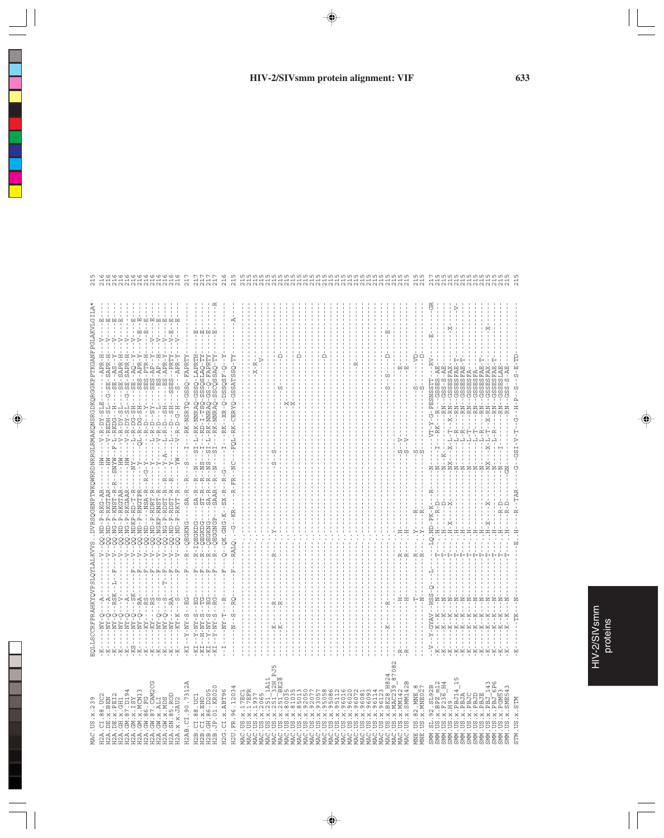| 239                                                                                                                                                                                                                                                                                               | DVRSQGENPTWKQWRRDNRRGLRMAKQNSRGDKQRGGKPPTKGANFPGLAKVLGILA<br>EQLLSCCRFPRAHKYQVPSLQYLALKVVS                                                                                                                                                                                                                                                                                                                                                                                                                                                                                                                                                                                                                                                                                                                                                                                                                                                                                                                                                                                                                                              |           |
|---------------------------------------------------------------------------------------------------------------------------------------------------------------------------------------------------------------------------------------------------------------------------------------------------|-----------------------------------------------------------------------------------------------------------------------------------------------------------------------------------------------------------------------------------------------------------------------------------------------------------------------------------------------------------------------------------------------------------------------------------------------------------------------------------------------------------------------------------------------------------------------------------------------------------------------------------------------------------------------------------------------------------------------------------------------------------------------------------------------------------------------------------------------------------------------------------------------------------------------------------------------------------------------------------------------------------------------------------------------------------------------------------------------------------------------------------------|-----------|
| .D194<br>DE.X.PEI<br>ΣS<br>GH.X.GH1<br>GM.x.I<br>GM.87.                                                                                                                                                                                                                                           | 凹凹凹凹<br>Ţ<br>--SNYM<br>$-HHW$<br>--- TY<br>$- R - R$<br>$Q \cdot NG - P -$<br>÷<br>SK.<br>$-$ -RSK<br>O-XN<br>NY-Q<br>$NY - \tilde{Q}$<br>$\Sigma$ – $\Omega$<br>$\overline{O}$<br>$\frac{1}{1}$<br>$KS-$<br>t,<br>$\frac{1}{4}$                                                                                                                                                                                                                                                                                                                                                                                                                                                                                                                                                                                                                                                                                                                                                                                                                                                                                                        |           |
| GW.87.CAM2CG<br>GW.x.ALI<br>GM.x.MCN13<br>$SN.85$ . ROD<br>GW.86.FG<br>GW.x.MDS<br>H2A. x. x. JAU2                                                                                                                                                                                                | 6060666666<br>Ţ<br>t<br>Ť<br>Ŧ<br>Ţ<br>Ŧ<br>$\frac{1}{2}$<br>$V - E$<br>$V - -$<br>$\triangleright$<br>$\geq$<br>$\begin{split} \mathbf{X}^{(1)}_1 &= \mathbf{Y}^{(1)}_1 + \mathbf{Y}^{(1)}_2 + \mathbf{Y}^{(2)}_3 + \mathbf{Y}^{(3)}_3 + \mathbf{Y}^{(4)}_3 + \mathbf{Y}^{(5)}_3 + \mathbf{Y}^{(6)}_3 + \mathbf{Y}^{(6)}_3 + \mathbf{Y}^{(6)}_3 + \mathbf{Y}^{(6)}_3 + \mathbf{Y}^{(6)}_3 + \mathbf{Y}^{(6)}_3 + \mathbf{Y}^{(6)}_3 + \mathbf{Y}^{(6)}_3 + \mathbf{Y}^{(6)}_3 + \mathbf{Y}^{$<br>S<br>$- -V - R - D - G - H$<br>$- A -$<br>$-WY$<br>$X$ – – – –<br>≻<br>Ŧ<br>$\approx \approx$<br>Ţ<br>Ţ<br>$\begin{array}{l} \mathcal{V}-\mathcal{Q}(2,100^{-2}+100^{-2}+100^{-2}+100^{-2}+100^{-2}+100^{-2}+100^{-2}+100^{-2}+100^{-2}+100^{-2}+100^{-2}+100^{-2}+100^{-2}+100^{-2}+100^{-2}+100^{-2}+100^{-2}+100^{-2}+100^{-2}+100^{-2}+100^{-2}+100^{-2}+100^{-2}+100^{-2}+100^{-2}+100^{-2}+100^{-2}+100^{-2}+100$<br>$V - -$<br>⋗<br>Ĩ.<br>Ĩ,<br>Eu Eu Eu Eu Eu Eu Eu<br>Ŗġ<br>$--RS$<br>S<br>C)<br>က်<br>$NY-Q$<br>$-5 - XN - -$<br>$KY - K$<br>J.<br>$KY -$<br>Ŧ<br>$\frac{1}{1}$<br>ţ<br>$K--$<br>$\mathsf I$<br>÷<br>Ť<br>Ť | 000000000 |
| 90.7312A                                                                                                                                                                                                                                                                                          | RK-NSRTQ-GSSQ-FAPRT<br>œ<br>ĸ<br>$S_{A}$ -<br>QEGKNG<br>$R - 1$<br>$\mathbb{L}$<br>.<br>ਜ਼ਿ<br>$S-XN-X--$                                                                                                                                                                                                                                                                                                                                                                                                                                                                                                                                                                                                                                                                                                                                                                                                                                                                                                                                                                                                                               |           |
| 6.D205<br>.88.021<br>L.X. EHO                                                                                                                                                                                                                                                                     | 凹凹凹凹<br>÷<br>$\,$ I<br>SCOSSAO<br>RK-NNRAQ-S<br>Ŧ<br>$-5-$<br>z<br> <br>ĸ<br>Ţ<br>$\begin{array}{c} \mathbf{S}\mathbf{T}-\mathbf{R}\\ \mathbf{S}\mathbf{A}-\mathbf{R} \end{array}$<br><b>SAAR</b><br>$\frac{1}{1}$<br>-- QEGGNGP<br>- R - IQEGKDG-<br>- R - - QEGKDG-<br>- R - - QEGKDG-<br>- R - - QEGGNGP<br>医医医医<br>Ġ<br>$\frac{1}{1}$<br>- S - ZN - Z - - 1<br>- S - ZN - H - - 1<br>- S - ZN - Z - - 1<br>$\frac{5}{1}$<br>$\Lambda N$ – $\Lambda$<br>Ţ<br>KI                                                                                                                                                                                                                                                                                                                                                                                                                                                                                                                                                                                                                                                                      |           |
| 6.1203<br>. x. ABT96                                                                                                                                                                                                                                                                              | FQL-RK-CERYQ-GSSATSSQ-T<br>RK--XR-Q-DSSQSF-Q<br>Ţ<br>$R - G$<br>$R - FR$<br>$Q$ - - $Q$ K . GHG - K - - SX - R - -<br>RALQ-G--KR<br>Ŀ,<br>Ŀ,<br>ŘÓ<br>$-{\it YY}-{\it T}$<br>CΩ                                                                                                                                                                                                                                                                                                                                                                                                                                                                                                                                                                                                                                                                                                                                                                                                                                                                                                                                                         |           |
| 3, X, 17BCC<br>3, X, 17BER<br>3, X, 1937<br>3, X, 1937<br>3, X, 2951 - 2015<br>X, 2951 - 281 - 282 8<br>3, 281 - 282 8<br>3, 80013<br>8, 80013<br>8, 80013<br>8, 80013<br>ntinnen<br>Roococh<br>Romann<br>601<br>602<br>x.95<br>$\mathbf{x} \cdot \mathbf{y}$<br>$\cdot$ x.<br>$\frac{36}{x}$ . 9 | $\overline{a}$<br>$- -X - R$<br>CΟ<br>R<br>α<br>œ                                                                                                                                                                                                                                                                                                                                                                                                                                                                                                                                                                                                                                                                                                                                                                                                                                                                                                                                                                                                                                                                                       |           |
| $\infty$<br>$\dot{\alpha}$<br>SMM142B<br>$MAC2\overline{3}9$<br>$. x.$ MM142<br>608<br>609<br>$\frac{1}{6}$<br>607<br>$\frac{5}{2}$<br>$\cdot$ $\cdot$ $\cdot$<br>$\cdot$ $\cdot$ $\cdot$ $\cdot$<br>$\overline{\mathbf{X}}$ .                                                                    | $\frac{1}{1}$<br>国国<br>$-2$<br>$-7$<br>$-7$<br>ω ω<br>ェェ<br>$\mathbf{I}$<br>$\propto \propto$<br>α                                                                                                                                                                                                                                                                                                                                                                                                                                                                                                                                                                                                                                                                                                                                                                                                                                                                                                                                                                                                                                      |           |
| ωL<br>$x.$ MNE0 $\overline{2}$<br>END.<br>$\frac{2}{8}$                                                                                                                                                                                                                                           | $-0.00$<br>$\approx \alpha$<br>Ŧ<br>1<br>ドア<br>$\mathbf{L}$<br>$\propto \propto$                                                                                                                                                                                                                                                                                                                                                                                                                                                                                                                                                                                                                                                                                                                                                                                                                                                                                                                                                                                                                                                        |           |
| LO<br>$3. x. PBJ14$<br>$3. x. PBJA$<br>$3. x. PBJC$<br>SME54<br>GM53<br>Ered x : s<br>ъ<br>В<br>LBL<br><b>MLS</b>                                                                                                                                                                                 | 凹<br>$---RV$<br>$S - E$<br>SSES <sub>1</sub><br>-PESNSSTT<br>59<br>$\ddot{S}$ – $\ddot{S}$<br>i<br>H<br>ம்<br> -<br>$---RK$<br>ŘÉŘ<br>AAA<br>$T - V - T S D - -D$<br>$---X$<br>$-NX$<br>Þ<br>ĸ<br>$-$ TAR<br>Ť<br>$- R - D$<br>$R - D$<br>$R - D$<br>$X - -$<br>$-LQ$ . $ND-PK-K$<br>α<br>$\begin{array}{c}\nH----\\ \nH-X--\n\end{array}$<br>보보<br>ΤŤ<br>冒出<br>$\frac{1}{4}$<br>$\frac{1}{4}$<br>$\frac{1}{4}$<br>$\mathbb{I}$<br>H<br>666<br>$\mathsf{H}$<br>$-255 - -$<br>$-1$<br>Ţ<br>ł.<br>KKKKKKKKK<br>Tilling<br>VAX5-<br>$ K$<br>$\frac{1}{1}$<br>Ŧ<br>Ŧ<br>Ţ<br>Ţ<br>$\frac{1}{1}$<br>$K-1$<br>1111<br>÷,<br>$\frac{1}{4}$<br>$\frac{1}{1}$                                                                                                                                                                                                                                                                                                                                                                                                                                                                                    |           |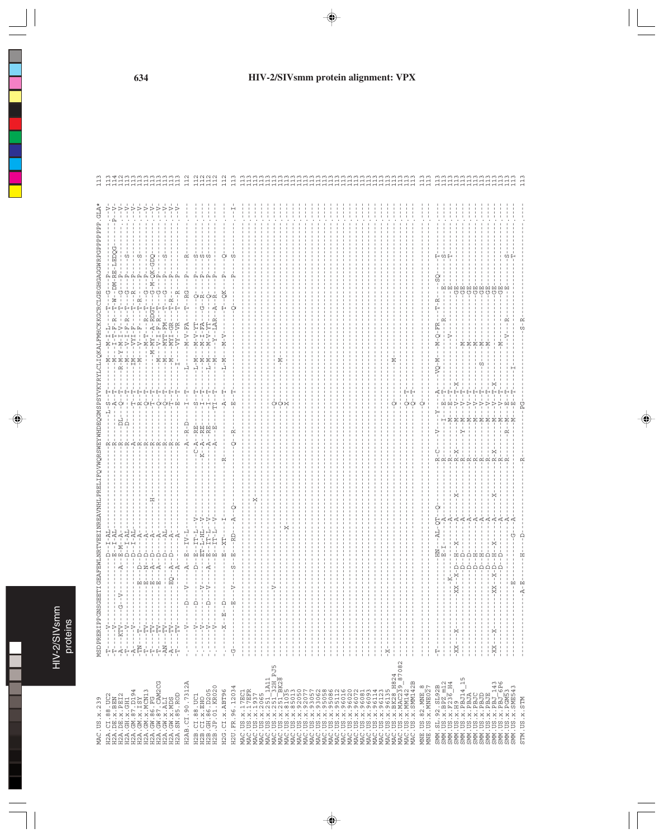| $\sigma$<br>MAC. US. x. 23                                                                                                                                                                                                                                                                                                                                                                                                                             | FEWLMRTVEEINREAVNHLPRELIFQVWQRSWEYWHDEQGMSPSYVKYRYLCLIQKALPMHCKKGCRCLGBGHGAGGWRPGPPPPPP<br>GEA<br>ISGEET<br>MSDPRERIPPGN                                                                                                                                                                                                                                                                                                                                                                                                                                                | GLA <sup>:</sup> |  |
|--------------------------------------------------------------------------------------------------------------------------------------------------------------------------------------------------------------------------------------------------------------------------------------------------------------------------------------------------------------------------------------------------------------------------------------------------------|-------------------------------------------------------------------------------------------------------------------------------------------------------------------------------------------------------------------------------------------------------------------------------------------------------------------------------------------------------------------------------------------------------------------------------------------------------------------------------------------------------------------------------------------------------------------------|------------------|--|
| $\begin{array}{l} \bf{H2A}, \bf{C1}, \bf{88}, \bf{UC2}\\ \bf{H2A}, \bf{DE}, \bf{x}, \bf{BEL1}\\ \bf{H2A}, \bf{GH}, \bf{x}, \bf{SFL2}\\ \bf{H2A}, \bf{GH}, \bf{x}, \bf{SFL3}\\ \bf{H2A}, \bf{GH}, \bf{X}, \bf{Y}, \bf{SFL3}\\ \bf{H2A}, \bf{GW}, \bf{x}, \bf{W} \bf{CW13}\\ \bf{H2A}, \bf{GW}, \bf{x}, \bf{W} \bf{CW13}\\ \bf{H2A}, \bf{GW}, \bf{x}, \bf{ALT}\\ \bf{H$                                                                                  | ω                                                                                                                                                                                                                                                                                                                                                                                                                                                                                                                                                                       |                  |  |
|                                                                                                                                                                                                                                                                                                                                                                                                                                                        | Н<br>Æ<br>$\circ$<br>л.<br>$\geq$<br><b>ДЫЩДДДД</b><br>A<br>Ů                                                                                                                                                                                                                                                                                                                                                                                                                                                                                                           |                  |  |
|                                                                                                                                                                                                                                                                                                                                                                                                                                                        | - R - M - Y - M - I<br>L - M - Y - M - R - -<br>$\mathbf{I}$<br>$\begin{array}{c}\n1 \\ -1 \\ -1\n\end{array}$<br>$I - A L$<br>÷<br>$\,$ l                                                                                                                                                                                                                                                                                                                                                                                                                              | $\geq$           |  |
|                                                                                                                                                                                                                                                                                                                                                                                                                                                        | ż.<br>f,<br>$-1M -$<br>$\overline{\phantom{a}}$<br>$\mathbf{I}$<br>$\frac{1}{4}$<br>$\frac{1}{1}$                                                                                                                                                                                                                                                                                                                                                                                                                                                                       | ⋗                |  |
|                                                                                                                                                                                                                                                                                                                                                                                                                                                        | $M-T$ .<br>$\dot{\triangleright}$<br>$\mathbf{I}$<br>$\mathbf{I}$<br>-<br>$\begin{array}{c}\n 1.1 \\  1.1 \\  1.1 \\  1.1 \\  1.1 \\  1.1 \\  1.1\n \end{array}$<br>÷<br>÷<br>$-774$<br>国国国国                                                                                                                                                                                                                                                                                                                                                                            | $\geq$           |  |
|                                                                                                                                                                                                                                                                                                                                                                                                                                                        | $-M-M -$                                                                                                                                                                                                                                                                                                                                                                                                                                                                                                                                                                | $\geq$           |  |
|                                                                                                                                                                                                                                                                                                                                                                                                                                                        | $V-I -$<br>W<br>1.1.1<br>$\mathbf{I}$<br>$\bigcap$<br>÷,                                                                                                                                                                                                                                                                                                                                                                                                                                                                                                                | $\geq$           |  |
|                                                                                                                                                                                                                                                                                                                                                                                                                                                        | $MYT - FM -$<br>$\mathbf{I}$<br>$-1$<br>$-1$<br>$-1$<br>$-1$<br>$-1$<br>윱<br>Ĵ.<br>$-1$ TV.                                                                                                                                                                                                                                                                                                                                                                                                                                                                             | ⊳                |  |
|                                                                                                                                                                                                                                                                                                                                                                                                                                                        | $\begin{array}{l} -\frac{1}{2} \, , \\ -\frac{1}{2} \, , \\ -\frac{1}{2} \, , \\ -\frac{1}{2} \, , \\ -\frac{1}{2} \, , \\ -\frac{1}{2} \, , \\ -\frac{1}{2} \, , \\ -\frac{1}{2} \, , \\ -\frac{1}{2} \, , \\ -\frac{1}{2} \, , \\ -\frac{1}{2} \, , \\ -\frac{1}{2} \, , \\ -\frac{1}{2} \, , \\ -\frac{1}{2} \, , \\ -\frac{1}{2} \, , \\ -\frac{1}{2} \, , \\ -\frac{1}{2} \, , \\ -\frac{1}{2} \$<br>$\frac{M}{V} = -\frac{GR}{VR}$<br>$\mathbf{I}$<br>÷<br>$\mathbf{I}$<br>8888888<br>HROHOOHE<br>$\blacksquare$<br>KRKRRKR<br>$- A$<br>$-4$<br>-- TV --<br>$-4-$ |                  |  |
| H2AB. CI.90.7312A                                                                                                                                                                                                                                                                                                                                                                                                                                      | ĸ<br>$\mathbf{p}$<br>ŖĠ<br>$\frac{1}{1+}$<br>$M - V - FA$<br>$\overline{\mathbb{H}}$<br>H<br>$R-D$<br>$A -$<br>$TV - I$<br>囯<br>К<br>$-1 - 1 - 1$<br>1                                                                                                                                                                                                                                                                                                                                                                                                                  |                  |  |
|                                                                                                                                                                                                                                                                                                                                                                                                                                                        | $\label{eq:reduced} -\mathbf{M} - \mathbf{V} - \mathbf{Y}\mathbf{T} \,.$ $\mathbf{M} - \mathbf{I} - \mathbf{F}\mathbf{A} \,.$<br>$C - A - -1$<br>$- - - - -1$<br>$T-TL$<br>٠<br>$\Box$<br>$-1 - V - 1$<br>٠<br>٠<br>$\frac{1}{2}$                                                                                                                                                                                                                                                                                                                                       |                  |  |
|                                                                                                                                                                                                                                                                                                                                                                                                                                                        | ω ω ω<br>٠<br>ひ<br>$\begin{array}{cccccc} & L-M-1 & & & \\ & -M & & -M-1 & & \\ & & -L & -M-1 & & \\ & & -L & -M-1 & & \\ \end{array}$<br>×<br>$-11 - H1$<br>Á<br>---V---<br>٠<br>ı<br>۱.                                                                                                                                                                                                                                                                                                                                                                               |                  |  |
| $\circ$<br>H2B.CI.88.UC1<br>H2B.CI.x.EHO<br>H2B.GH.86.D205<br>H2B.JP.01.KR020                                                                                                                                                                                                                                                                                                                                                                          | $\overline{\phantom{a}}$<br>$\Delta \Delta \Delta \Delta$<br>OROK<br>$A -$<br>LAR<br>$N-N$<br>Σ<br>88888<br><b>MHHH</b><br>医皮皮中<br>$\overline{A}$<br>$T-TL$<br>$T-TL$<br>$\mathbf{I}$<br>$\frac{1}{1}$<br>凹凹凹凹<br>A<br>$\Box$<br>---v-<br>---v----<br>$\overline{\phantom{a}}$<br>1<br>$\overline{\phantom{a}}$<br>1<br>ţ<br>ŀ,                                                                                                                                                                                                                                         |                  |  |
| H2G.CI.x.ABT96                                                                                                                                                                                                                                                                                                                                                                                                                                         | $\frac{1}{\sqrt{2}}$<br>$\mathsf{p}_4$<br>QK-<br>Н<br>$-V - M -$<br>$-1 -1$<br>$\vdash$<br>Ą<br>α<br>н<br>-XT-<br><b>[x]</b><br>≏<br>$- -X - -E$<br>٠<br>J.<br>$\begin{array}{c} \rule{0.2cm}{0.15mm} \rule{0.2cm}{0.15mm} \rule{0.2cm}{0.15mm} \rule{0.2cm}{0.15mm} \rule{0.2cm}{0.15mm} \rule{0.2cm}{0.15mm} \rule{0.2cm}{0.15mm} \rule{0.2cm}{0.15mm} \rule{0.2cm}{0.15mm} \rule{0.2cm}{0.15mm} \rule{0.2cm}{0.15mm} \rule{0.2cm}{0.15mm} \rule{0.2cm}{0.15mm} \rule{0.2cm}{0.15mm} \rule{0.2cm}{0.15mm} \rule{$<br>$\cdot$                                          |                  |  |
| H2U.FR.96.12034                                                                                                                                                                                                                                                                                                                                                                                                                                        | Ω<br>$\circ$<br>F-<br>凹<br>α<br>$\circ$<br>$\circ$<br>$\prec$<br>$-$ RD<br>凹<br>CΩ<br>囯<br>$\vec{c}$                                                                                                                                                                                                                                                                                                                                                                                                                                                                    |                  |  |
| $\begin{smallmatrix} \texttt{MAC\_UB} & \texttt{X-1} \texttt{JBCL} \\ \texttt{MAC\_UB} & \texttt{X-1} \texttt{JBFR} \\ \texttt{MAC\_UB} & \texttt{X-2} \texttt{S} & \texttt{I} \\ \texttt{MAC\_UB} & \texttt{X-2} \texttt{S} & \texttt{I} \\ \texttt{MAC\_UB} & \texttt{X-2} \texttt{S} & \texttt{I} \\ \texttt{MAC\_UB} & \texttt{X-2} \texttt{S} & \texttt{I} \\ \texttt{MAC\_UB} & \texttt{X-2} \texttt{S} & \texttt{I} \\$                         | ٠<br>J.                                                                                                                                                                                                                                                                                                                                                                                                                                                                                                                                                                 |                  |  |
|                                                                                                                                                                                                                                                                                                                                                                                                                                                        | ٠<br>J<br>J.                                                                                                                                                                                                                                                                                                                                                                                                                                                                                                                                                            |                  |  |
|                                                                                                                                                                                                                                                                                                                                                                                                                                                        |                                                                                                                                                                                                                                                                                                                                                                                                                                                                                                                                                                         |                  |  |
|                                                                                                                                                                                                                                                                                                                                                                                                                                                        |                                                                                                                                                                                                                                                                                                                                                                                                                                                                                                                                                                         |                  |  |
| PJ5                                                                                                                                                                                                                                                                                                                                                                                                                                                    |                                                                                                                                                                                                                                                                                                                                                                                                                                                                                                                                                                         |                  |  |
|                                                                                                                                                                                                                                                                                                                                                                                                                                                        | $\alpha \alpha \times$<br>I<br>í                                                                                                                                                                                                                                                                                                                                                                                                                                                                                                                                        |                  |  |
|                                                                                                                                                                                                                                                                                                                                                                                                                                                        |                                                                                                                                                                                                                                                                                                                                                                                                                                                                                                                                                                         |                  |  |
|                                                                                                                                                                                                                                                                                                                                                                                                                                                        |                                                                                                                                                                                                                                                                                                                                                                                                                                                                                                                                                                         |                  |  |
|                                                                                                                                                                                                                                                                                                                                                                                                                                                        |                                                                                                                                                                                                                                                                                                                                                                                                                                                                                                                                                                         |                  |  |
|                                                                                                                                                                                                                                                                                                                                                                                                                                                        |                                                                                                                                                                                                                                                                                                                                                                                                                                                                                                                                                                         |                  |  |
|                                                                                                                                                                                                                                                                                                                                                                                                                                                        | í<br>J                                                                                                                                                                                                                                                                                                                                                                                                                                                                                                                                                                  |                  |  |
|                                                                                                                                                                                                                                                                                                                                                                                                                                                        |                                                                                                                                                                                                                                                                                                                                                                                                                                                                                                                                                                         |                  |  |
|                                                                                                                                                                                                                                                                                                                                                                                                                                                        |                                                                                                                                                                                                                                                                                                                                                                                                                                                                                                                                                                         |                  |  |
|                                                                                                                                                                                                                                                                                                                                                                                                                                                        |                                                                                                                                                                                                                                                                                                                                                                                                                                                                                                                                                                         |                  |  |
|                                                                                                                                                                                                                                                                                                                                                                                                                                                        |                                                                                                                                                                                                                                                                                                                                                                                                                                                                                                                                                                         |                  |  |
|                                                                                                                                                                                                                                                                                                                                                                                                                                                        |                                                                                                                                                                                                                                                                                                                                                                                                                                                                                                                                                                         |                  |  |
|                                                                                                                                                                                                                                                                                                                                                                                                                                                        | 1                                                                                                                                                                                                                                                                                                                                                                                                                                                                                                                                                                       |                  |  |
|                                                                                                                                                                                                                                                                                                                                                                                                                                                        |                                                                                                                                                                                                                                                                                                                                                                                                                                                                                                                                                                         |                  |  |
|                                                                                                                                                                                                                                                                                                                                                                                                                                                        | $\frac{1}{1}$                                                                                                                                                                                                                                                                                                                                                                                                                                                                                                                                                           |                  |  |
|                                                                                                                                                                                                                                                                                                                                                                                                                                                        | Í<br>$-X-----$                                                                                                                                                                                                                                                                                                                                                                                                                                                                                                                                                          |                  |  |
| H824<br>39 87082                                                                                                                                                                                                                                                                                                                                                                                                                                       | O                                                                                                                                                                                                                                                                                                                                                                                                                                                                                                                                                                       |                  |  |
|                                                                                                                                                                                                                                                                                                                                                                                                                                                        | J.<br>$\overline{\phantom{a}}$                                                                                                                                                                                                                                                                                                                                                                                                                                                                                                                                          |                  |  |
| Щ<br>MAC.US.x.SMM142                                                                                                                                                                                                                                                                                                                                                                                                                                   | FН<br>$\alpha \alpha$                                                                                                                                                                                                                                                                                                                                                                                                                                                                                                                                                   |                  |  |
| $\infty$ r<br>MNE. US. x. MNE02<br>MNE. US. 82. MNE                                                                                                                                                                                                                                                                                                                                                                                                    | $\circ$<br>J<br>J.                                                                                                                                                                                                                                                                                                                                                                                                                                                                                                                                                      |                  |  |
|                                                                                                                                                                                                                                                                                                                                                                                                                                                        |                                                                                                                                                                                                                                                                                                                                                                                                                                                                                                                                                                         |                  |  |
|                                                                                                                                                                                                                                                                                                                                                                                                                                                        | များတွဲမျ<br>$\circ$<br>ÜΩ<br>™<br>⊢<br>$-M-Q-FR$<br>$-14 - Q$<br>κ⊢⊨<br>↻<br>$\circ$<br>$-AL-$<br>J<br>J.<br>j.                                                                                                                                                                                                                                                                                                                                                                                                                                                        |                  |  |
|                                                                                                                                                                                                                                                                                                                                                                                                                                                        | ⊳<br>면면 수<br>÷<br>$\mathbf{H}$<br>囸<br>t<br>I<br>J.<br>ı                                                                                                                                                                                                                                                                                                                                                                                                                                                                                                                |                  |  |
|                                                                                                                                                                                                                                                                                                                                                                                                                                                        | $\overline{X}$<br>$\frac{1}{\lambda}$<br>$\frac{1}{1}$<br>$-X -$<br>X<br>$-XX - -XX - -$                                                                                                                                                                                                                                                                                                                                                                                                                                                                                |                  |  |
| S                                                                                                                                                                                                                                                                                                                                                                                                                                                      | $\frac{\Gamma - X}{\Gamma - 1}$<br>$\mathbf{1}$<br>$\mathbf{1}$<br>÷<br>÷<br>I.<br>٠<br>ı                                                                                                                                                                                                                                                                                                                                                                                                                                                                               |                  |  |
|                                                                                                                                                                                                                                                                                                                                                                                                                                                        | $\stackrel{>}{\sim}$<br>$\mathbf{I}$<br>$\blacksquare$<br>- 11                                                                                                                                                                                                                                                                                                                                                                                                                                                                                                          |                  |  |
|                                                                                                                                                                                                                                                                                                                                                                                                                                                        | $\overline{\phantom{0}}$<br>$\mathbb{I}$<br>÷<br>÷,<br>٠,<br>٠                                                                                                                                                                                                                                                                                                                                                                                                                                                                                                          |                  |  |
|                                                                                                                                                                                                                                                                                                                                                                                                                                                        | ΣΣΣΣΣ<br>C)<br>$\mathbf{I}$<br>÷<br>$\blacksquare$<br>- 11<br>J,                                                                                                                                                                                                                                                                                                                                                                                                                                                                                                        |                  |  |
|                                                                                                                                                                                                                                                                                                                                                                                                                                                        | <b>PPBBBBBBBB</b><br>$\overline{\mathbb{T}}$ – X<br>$\geq$<br>$-\frac{1}{2}$<br><b>RRRRRRRRRRRR</b><br>ž<br>RARARARARA<br>HAAHHAHA<br>$\frac{1}{1}$<br><b>AAAAAAA</b><br>$-2X - 1$<br>₿<br>$-XX - -XX - -$                                                                                                                                                                                                                                                                                                                                                              |                  |  |
|                                                                                                                                                                                                                                                                                                                                                                                                                                                        | Σ<br>ΣΣ                                                                                                                                                                                                                                                                                                                                                                                                                                                                                                                                                                 |                  |  |
| $\begin{array}{l} \texttt{SMM}, \texttt{SD}, \texttt{25} \texttt{.5122B} \\ \texttt{SMM}, \texttt{US} \times \texttt{.512} \\ \texttt{SMM}, \texttt{US} \times \texttt{.123} \\ \texttt{SMM}, \texttt{US} \times \texttt{.123} \\ \texttt{SMM}, \texttt{US} \times \texttt{.123} \\ \texttt{SMM}, \texttt{US} \times \texttt{.123} \\ \texttt{SMM}, \texttt{US} \times \texttt{.123} \\ \texttt{SMM}, \texttt{US} \times \texttt{.123} \\ \texttt{SMM$ | 囯<br>回<br>Σ<br>α<br>ひ<br>囸                                                                                                                                                                                                                                                                                                                                                                                                                                                                                                                                              |                  |  |
| STM.US.x.STM                                                                                                                                                                                                                                                                                                                                                                                                                                           | S-R<br>$\Box$<br>$A - E$                                                                                                                                                                                                                                                                                                                                                                                                                                                                                                                                                |                  |  |
|                                                                                                                                                                                                                                                                                                                                                                                                                                                        |                                                                                                                                                                                                                                                                                                                                                                                                                                                                                                                                                                         |                  |  |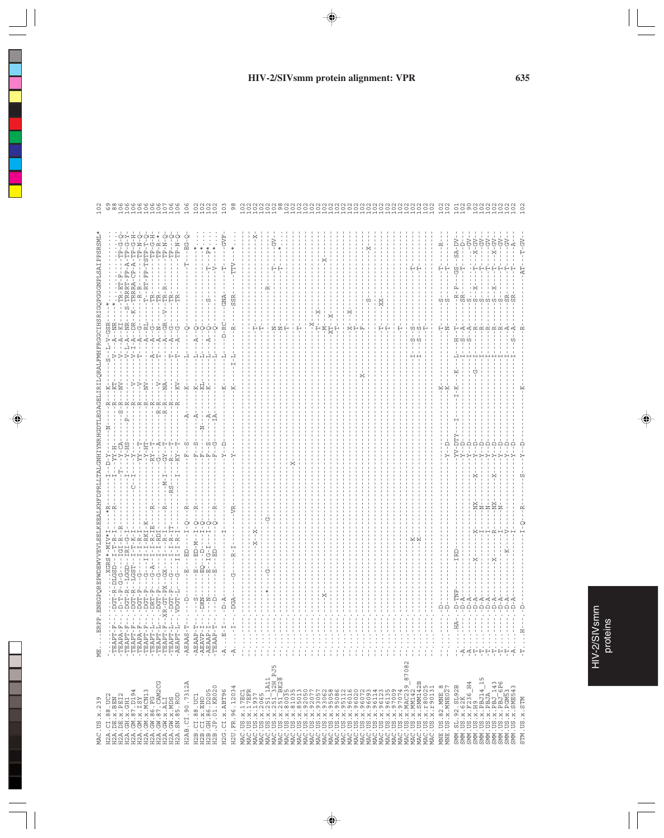| ľ | ź<br>Ω<br>ł |
|---|-------------|
|   |             |

|                                                                                           |                                                                                                                                                                                                |         |                                                                                 |                 |                                       |                                                        |         | のつつつつつ |  | 000000 | 000000 |  |  | 00000 |                                                                |     |         |                      |                                                                     |                   |        | 000000                                                                                                                                                                                                                                                           |   |                                                                                                                                                                                                                                                                                                                                                                                                                                                                                         |    |
|-------------------------------------------------------------------------------------------|------------------------------------------------------------------------------------------------------------------------------------------------------------------------------------------------|---------|---------------------------------------------------------------------------------|-----------------|---------------------------------------|--------------------------------------------------------|---------|--------|--|--------|--------|--|--|-------|----------------------------------------------------------------|-----|---------|----------------------|---------------------------------------------------------------------|-------------------|--------|------------------------------------------------------------------------------------------------------------------------------------------------------------------------------------------------------------------------------------------------------------------|---|-----------------------------------------------------------------------------------------------------------------------------------------------------------------------------------------------------------------------------------------------------------------------------------------------------------------------------------------------------------------------------------------------------------------------------------------------------------------------------------------|----|
| PPSRSML                                                                                   | $\begin{array}{l} -\mathbf{R} \\ -\mathbf{R} \\ \mathbf{TP} - \mathbf{N} - \mathbf{L} \end{array}$<br>$-N-TT-T$<br>$S - TRRRTT - FPP -- - TRRRA - CP -$<br>$-$ - $RT$ - $F$<br>$TR - R$<br>TR- | し<br>田  | $+^{*}_{\rm P+}$                                                                |                 | SSR                                   |                                                        |         |        |  |        |        |  |  |       |                                                                | ທ ທ |         | $-SA-DV$<br>3S<br>5R |                                                                     | $-X-CV$<br>ທ ທ່ ທ | 5      | $-2$<br>$-2$<br>$-2$<br>$-2$<br>$-2$<br>$-2$<br>$-2$<br>$-2$<br>$-2$<br>$-2$<br>$-2$<br>$-2$<br>$-2$<br>$-2$<br>$-2$<br>$-2$<br>$-2$<br>$-2$<br>$-2$<br>$-2$<br>$-2$<br>$-2$<br>$-2$<br>$-2$<br>$-2$<br>$-2$<br>$-2$<br>$-2$<br>$-2$<br>$-2$<br>$-2$<br>$-2$<br> | δ |                                                                                                                                                                                                                                                                                                                                                                                                                                                                                         |    |
|                                                                                           | g<br>뷶<br>ひ<br>$\square$<br>υ υ<br>ひ<br>FН                                                                                                                                                     | $\circ$ | $\circ$<br>O<br>o<br>К<br>Ą.<br>급                                               |                 |                                       |                                                        |         |        |  |        |        |  |  |       |                                                                |     |         |                      | ω ω                                                                 |                   |        | ≃<br>≃                                                                                                                                                                                                                                                           |   |                                                                                                                                                                                                                                                                                                                                                                                                                                                                                         | CΩ |
|                                                                                           | $---NA$<br>KV<br>$S - R$<br>$\approx$<br><b>KK</b><br>2<br>  R R R<br>  R R  <br>$\approx$                                                                                                     |         | $-4$                                                                            |                 |                                       |                                                        |         |        |  |        |        |  |  |       |                                                                |     |         |                      |                                                                     |                   |        |                                                                                                                                                                                                                                                                  |   |                                                                                                                                                                                                                                                                                                                                                                                                                                                                                         |    |
|                                                                                           | $Y-HS$<br>$\mathbf{L}\mathbf{H}\mathbf{-L}$<br>۳<br>ا<br>$RX - 1$<br>Ţ<br>Ţ<br>$KY - -1$<br>$-75$<br>φ<br>$-1$<br>RS<br>R                                                                      |         | ω<br>U)                                                                         |                 |                                       |                                                        |         |        |  |        |        |  |  |       |                                                                |     |         |                      | $\begin{array}{c} 2 \overline{1} & 0 \\ 0 & 1 \\ 0 & 1 \end{array}$ | Ŧ                 | T      | Ŧ                                                                                                                                                                                                                                                                |   |                                                                                                                                                                                                                                                                                                                                                                                                                                                                                         |    |
| ENBGPOREPWDEVVVENIJDSATKEEALKHFDPRLLITALGNHIYINRHGDTLEGAGELIFALAALFMHFRGGCLIHSRIGGGNPLSAL | α<br>$-T-K$<br>GGD.<br>0.0000000                                                                                                                                                               | q       | q<br>$\alpha \alpha$<br>M-CE<br>늡<br>国国国国                                       |                 |                                       |                                                        |         |        |  |        |        |  |  |       |                                                                |     |         |                      |                                                                     |                   |        |                                                                                                                                                                                                                                                                  |   |                                                                                                                                                                                                                                                                                                                                                                                                                                                                                         |    |
|                                                                                           | д<br>VDGT-<br>医医医口<br>급독급<br>$-TERAP$<br>-TEAPT<br>-TEAPA<br>-TEAPT<br>-TEAPT<br>-AEAPT<br>-TEAPT<br>-TEAPT<br>-<br>- TEAPT<br>-<br>-TEAP<br>$-TERAP$                                          | -AEAAS  | z<br>$\begin{array}{c} -ABRAP\\ -ABRVPP\\ -ABRAP\\ -BRAAP\\ -TBAAP \end{array}$ | $D - A$<br>$-1$ | DGA<br>$\ddot{\phantom{0}}$<br>$-A$ . | $\ddot{\phantom{0}}$<br>$\vdots$<br>$\cdot$<br>$\cdot$ | $\cdot$ |        |  |        |        |  |  |       | $\ddot{\phantom{0}}$<br>$\ddot{\phantom{0}}$<br>$\bullet$<br>ť | Ť   | $\cdot$ |                      |                                                                     | Ŕ,                | Ą<br>À | 4<br>$\overline{\overline{\square}}$                                                                                                                                                                                                                             |   | $\begin{tabular}{c} \multicolumn{1}{c}{\multicolumn{1}{c}{\textbf{A}}}\\ \multicolumn{1}{c}{\multicolumn{1}{c}{\textbf{A}}}\\ \multicolumn{1}{c}{\multicolumn{1}{c}{\textbf{A}}}\\ \multicolumn{1}{c}{\multicolumn{1}{c}{\textbf{A}}}\\ \multicolumn{1}{c}{\multicolumn{1}{c}{\textbf{A}}}\\ \multicolumn{1}{c}{\multicolumn{1}{c}{\textbf{A}}}\\ \multicolumn{1}{c}{\multicolumn{1}{c}{\textbf{A}}}\\ \multicolumn{1}{c}{\multicolumn{1}{c}{\textbf{A}}}\\ \multicolumn{1}{c}{\textbf$ |    |

HIV-2/SIVsmm protein alignment: VPR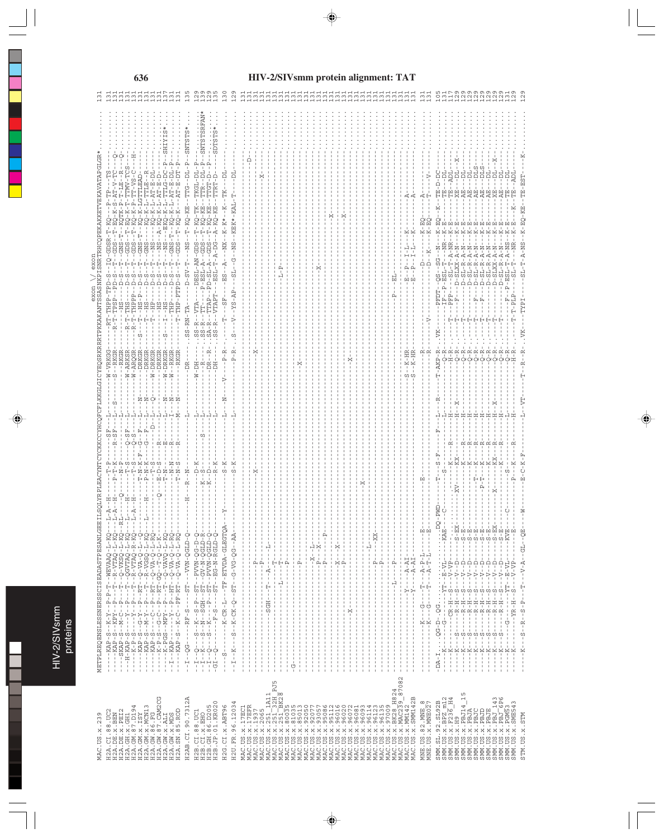HIV-2/SIVsmm<br>proteins

| . x. 239<br>5Ω<br>MAC.                                                                                                                                                                                                                                                                                                                                                                                                             | PISNRTRHCQPEKAKKETVEKAVATAPGLGR<br>exor<br>EILSQLYRPLEACYMTCYCKKCOPCOFLKKCOLOFOYBQSRKRRFFPKKAKANTSSASNK<br>METPLREQENSLESSNERSSCISEADASTPESANLGE                                                                                                                                                                                                                                                                                                                                                                                                                                                                                                                                                                                                                                                                                                                                                                                                                                                                                                                                                                                                                                                                                                                                                                                                                                                                                                                                                                                                                                                                                                                                                                                                                                                                                                                                                                                                                                                                                                                                                                                                                                                                                                                                                                                                                                                                                                                                                                                                                                                                                                                                                                                                                                                                                                                                          |        |
|------------------------------------------------------------------------------------------------------------------------------------------------------------------------------------------------------------------------------------------------------------------------------------------------------------------------------------------------------------------------------------------------------------------------------------|-------------------------------------------------------------------------------------------------------------------------------------------------------------------------------------------------------------------------------------------------------------------------------------------------------------------------------------------------------------------------------------------------------------------------------------------------------------------------------------------------------------------------------------------------------------------------------------------------------------------------------------------------------------------------------------------------------------------------------------------------------------------------------------------------------------------------------------------------------------------------------------------------------------------------------------------------------------------------------------------------------------------------------------------------------------------------------------------------------------------------------------------------------------------------------------------------------------------------------------------------------------------------------------------------------------------------------------------------------------------------------------------------------------------------------------------------------------------------------------------------------------------------------------------------------------------------------------------------------------------------------------------------------------------------------------------------------------------------------------------------------------------------------------------------------------------------------------------------------------------------------------------------------------------------------------------------------------------------------------------------------------------------------------------------------------------------------------------------------------------------------------------------------------------------------------------------------------------------------------------------------------------------------------------------------------------------------------------------------------------------------------------------------------------------------------------------------------------------------------------------------------------------------------------------------------------------------------------------------------------------------------------------------------------------------------------------------------------------------------------------------------------------------------------------------------------------------------------------------------------------------------------|--------|
| H2A.GW.86.FG<br>H2A.GW.87.CAM2CG<br>H2A.GH. x.GH1<br>H2A.GM.87.D194<br>H2A.GM.x.ISY<br>H2A.GM.x.MCN13<br>H2A. SN. 85. ROD<br>.88.02<br>H2A.DE.X.PEI2<br>H2A. DE. x. BEN<br>H2A.GW.x.MDS<br>H2A.GW.X.ALI<br>H2A.CI                                                                                                                                                                                                                  | 00<br>$\circ$<br>$\circ$<br>Ξ<br>4-DC-P<br>-- DL-P<br>--<br>۹<br>$\approx$<br>י<br>ד<br>H <sub>D</sub><br>q<br>학<br>S -- T-KQ- K- Þ-TT- VS-C<br>S -T-- KQ- K- LGTTLEAD<br>S -- -- KQ- K- LGTTLEAD<br>S -- -- KQ- K- L-AT- B- DL<br>Ŗ<br>$- -A - KQ - K - L - A T - E$<br>$-1 - T T L G$<br>$-AT - E$<br>$AT - E$<br>도 1-<br>-TTMTV<br>Ė<br>$Q - K - T$<br>- EKQ-K<br>$GNS-T--KQ-K$<br>$-T-KQ-K$<br>$-1 - 1 -$<br>$-$ K<br>GNS-T<br>ens<br>GDS<br>GDS.<br>GDS<br>$\frac{1}{4}$<br>$\frac{1}{4}$<br>÷,<br>$\bar{Q}$<br>÷<br>HEE<br>부부<br>Н<br>ωω<br>$-PTPD-S$<br>$\frac{0}{1}$<br>THPP-TPD-<br>PSP--PD-<br>$\bigcap_{i=1}^{n}$<br>È<br>$R - T - T$<br>÷<br>ပ္ပ<br>ပ္ပ<br>W-DRKGR-<br>$W - RRRKSR$<br>-RKGR<br>-RKGR<br><b>ARQGR</b><br>DRKGR<br>DRKGR<br>KGR<br>W-DRKGR<br>DRKGR<br>·RKGI<br>$\frac{1}{2}$<br>$\overline{\mathbf{x}}$<br>T<br>J.<br>$\overline{\mathsf{x}}$<br>C)<br>$\blacksquare$<br>J.<br>770<br>$\begin{array}{c}\n 27 \\  -1 \\  \end{array}$<br>$\overline{\phantom{a}}$<br>C)<br>$\blacksquare$<br>$\mathbb{I}$<br>ă<br>부부<br>Σ<br>$\mathbf{I}$<br>Ŗ<br>$-5 -$<br>国<br>55<br>匤<br>$\,$ $\,$<br>$\mathsf I$<br>م م به ب<br>α<br>民国民民<br>л.<br>뛱<br>$\begin{array}{cccc} \mathbf{P} & -\mathbf{T} - \mathbf{K} \\ \mathbf{P} & -\mathbf{N} - \mathbf{P} \\ \mathbf{P} & -\mathbf{P} & -\mathbf{S} \\ \mathbf{P} & -\mathbf{P} & -\mathbf{S} \\ \mathbf{P} & -\mathbf{N} & -\mathbf{K} \\ \mathbf{P} & -\mathbf{N} & -\mathbf{K} \end{array}$<br>C)<br>$N-N$<br>C)<br>U)<br>$\frac{1}{2}$<br>$\cup$<br>$\Gamma$ – $\rm N$<br>н<br>$\overline{\phantom{a}}$<br>л.<br>-<br>囜<br>$L - A$<br>$\begin{array}{l} -Y \rightarrow P-P \rightarrow F \rightarrow W \rightarrow \mathbb{Z} \setminus \mathbb{Z} \setminus \mathbb{Z} \setminus \mathbb{Z} \setminus \mathbb{Z} \setminus \mathbb{Z} \setminus \mathbb{Z} \setminus \mathbb{Z} \setminus \mathbb{Z} \setminus \mathbb{Z} \setminus \mathbb{Z} \setminus \mathbb{Z} \setminus \mathbb{Z} \setminus \mathbb{Z} \setminus \mathbb{Z} \setminus \mathbb{Z} \setminus \mathbb{Z} \setminus \mathbb{Z} \setminus \mathbb{Z} \setminus \mathbb{Z} \setminus \mathbb{Z} \setminus \mathbb{Z} \setminus \$<br>$\begin{array}{ll} \bar{r}-\bar{q}-\bar{q}-\bar{r}-\bar{r}+2\bar{r}+2\bar{r}-\bar{q}+\bar{r}-\bar{q}-\bar{r}-\bar{r}\\ \bar{r}-\bar{q}(\bar{p}\bar{r}-\bar{p}-\bar{r}\bar{r}-\bar{r}\bar{r}-\bar{r}-\bar{q}-\bar{r}\bar{q})\\ \bar{r}-\bar{r}(\bar{p}\bar{r}-\bar{p}-\bar{r}-\bar{r}-\bar{r}-\bar{r}\bar{r})\\ \bar{r}-\bar{r}-\bar{r}-\bar{r}-\bar{r}-\bar{r}-\bar{r}\bar{q$<br>$-1 - K - Y$<br>$\begin{aligned} -X - M & = -1 \\ -X - D & = -1 \\ -X & = -1 \end{aligned}$<br>$N-Y$<br>$\frac{1}{2}$<br><b>KPY</b><br>÷<br>÷<br>÷<br>÷.<br>$-5 - 5$<br>$-65 - 5 - 5$<br>---K-P-S<br>---K-PGS<br>---KAP---<br>ω<br>$-5 - 7 - 7 - 5$<br>$-$ KAP $-$ S<br>KAP-<br>Ţ<br>I.<br>ł<br>Ţ<br>J.<br>$\mathbf{I}$<br>٠ |        |
| H2AB.CI.90.7312A<br>$\circ$<br>H2B.GH.86.D205<br>H2B.JP.01.KR02<br>H2G.CI.x.ABT96<br>H2B.CI.88.UC1<br>H2B.CI.X.EHO                                                                                                                                                                                                                                                                                                                 | TSRFAN<br>ēΩ<br>SNT.<br><b>SNT</b><br><b>TGS</b><br>n<br>L-1<br>ېم<br>-DL-P<br>ρ<br>학<br>Ŗ<br>Ŗ<br>TTGT-<br>TTRT<br>TKGI<br>TTG<br>TTR<br>- TK<br>- KE<br>$T - KQ - KE$<br>$T - KQ - KE$<br>$-KQ-KE$<br>$A-KO$<br>$-NS$<br>C)<br>U<br>PO<br>GDS<br>$-NX$<br>GDS<br>$-PD-SL-A$<br>SV<br>EST.<br>$P - EST$<br>.<br>머<br>Ă<br>EQ-<br>$\mathbf I$<br>--VTAPT<br>TTAP-<br>$-5F$<br>TA.<br>$RM-$<br>$\mathbf{I}$<br>以 欠<br>$SS -$<br>$38 - 16$<br>$38 - 16$<br>$38 - 16$<br>ά,<br>$\frac{R}{I}$<br>$P - R$<br>Ħ<br>旨<br>α<br>旨<br>呂<br>$\bar{z}$<br>z<br>Н<br>占<br>Н<br>$3 - K$<br>$R - K$<br>$S - K$<br>$\overline{\Delta}$<br>z<br>÷<br>×<br>R<br>×<br>$-K-CR-IL--T1T-ETVDA-GLEGTQ$<br>- - K - - S - P - - S T - - P V V V - QG - D - Q<br>$-$ VW-QLD-Q<br>R-01D-03-7-05-1-05-1-05-<br>J,<br>$-3T-$<br>$\overline{\phantom{a}}$<br>$F-S$ –<br>$-$ -RF $-$ S<br>$- - K - -$<br>$-1$<br>Ţ<br>$-1 - 5$<br>w<br>$\mathsf I$<br>$QG - -$<br>$\blacksquare$<br>$\frac{1}{4}$<br>$\mathbf{I}$<br>$\mathbf{I}$<br>$\mathbf{I}$<br>$\mathsf I$<br>Ο×<br>$\begin{array}{c} \n\alpha & \alpha \\ \n\alpha & \beta \\ \n\alpha & \alpha \end{array}$<br>$-5 - -$<br>f,<br>Ħ<br>Ţ<br>Ğ<br>Ţ<br>Ţ<br>부<br>$\mathbf{I}$                                                                                                                                                                                                                                                                                                                                                                                                                                                                                                                                                                                                                                                                                                                                                                                                                                                                                                                                                                                                                                                                                                                                                                                                                                                                                                                                                                                                                                                                                                                                                                                                                                                                                      |        |
| H2U.FR.96.12034                                                                                                                                                                                                                                                                                                                                                                                                                    | KEK*<br>$-MS$<br>U<br>σj<br>д<br>YS.<br>U)<br>α<br>×<br>$\overline{O}$<br>$K - CK - Q - - ST - -G - VG - QG - - A A -$<br>÷<br>CΩ<br>÷<br>$-1 - K -$<br>Ĥ                                                                                                                                                                                                                                                                                                                                                                                                                                                                                                                                                                                                                                                                                                                                                                                                                                                                                                                                                                                                                                                                                                                                                                                                                                                                                                                                                                                                                                                                                                                                                                                                                                                                                                                                                                                                                                                                                                                                                                                                                                                                                                                                                                                                                                                                                                                                                                                                                                                                                                                                                                                                                                                                                                                                 |        |
| MAC.US.x.17EC1<br>MAC.US.x.17EFR<br>US.x.2065<br>MAC.US.x.1937<br>MAC.                                                                                                                                                                                                                                                                                                                                                             | $\Omega$<br>$\frac{1}{1}$<br>$\frac{1}{1}$<br>$\frac{1}{4}$<br>Ĵ<br>$\mathsf I$<br>$\,$ I<br>$-1$<br>$\ddot{a}$<br>f,<br>മ<br>부<br>Ţ<br>$-4 - 2$<br>$\,$<br>$\mathbf{I}$<br>f,<br>Ť<br>J.<br>$\mathbf{I}$<br>$\mathbf{I}$<br>$\bar{1}$<br>H---H50-------<br>$\,$<br>$\frac{1}{4}$<br>$\frac{1}{4}$<br>$\blacksquare$<br>$\frac{1}{4}$<br>Ħ<br>$\frac{1}{1}$<br>$\frac{1}{2}$<br>$\,$<br>÷<br>$\mathbf{1}$<br>$\frac{1}{4}$<br>$\frac{1}{2}$<br>ł<br>$\,$<br>f,<br>$\frac{1}{1}$<br>$\,$<br>$\,$ I<br>1<br>ı<br>$\mathbf{I}$<br>$\mathbf{I}$<br>$\mathbf{I}$<br>٠<br>1<br>$\mathbf{I}$<br>J.<br>J.<br>$\overline{\phantom{a}}$<br>٠<br>٠<br>٠<br>٠                                                                                                                                                                                                                                                                                                                                                                                                                                                                                                                                                                                                                                                                                                                                                                                                                                                                                                                                                                                                                                                                                                                                                                                                                                                                                                                                                                                                                                                                                                                                                                                                                                                                                                                                                                                                                                                                                                                                                                                                                                                                                                                                                                                                                                         |        |
|                                                                                                                                                                                                                                                                                                                                                                                                                                    | $\,$ l<br>$\frac{1}{4}$<br>$\mathbf{I}$<br>$\overline{\phantom{a}}$<br>$\blacksquare$<br>$\mathsf I$<br>$\,$ I<br>$\frac{1}{1}$<br>д<br>Ţ<br>$\mathbf{I}$<br>J.<br>$\mathbf{I}$<br>Ŷ.<br>$\mathsf{I}$<br>$\overline{\phantom{a}}$<br>J.<br>ဗံ                                                                                                                                                                                                                                                                                                                                                                                                                                                                                                                                                                                                                                                                                                                                                                                                                                                                                                                                                                                                                                                                                                                                                                                                                                                                                                                                                                                                                                                                                                                                                                                                                                                                                                                                                                                                                                                                                                                                                                                                                                                                                                                                                                                                                                                                                                                                                                                                                                                                                                                                                                                                                                             |        |
|                                                                                                                                                                                                                                                                                                                                                                                                                                    | $\frac{1}{1}$<br>j,<br>ŧ<br>$\mathsf I$<br>1<br>$\mathbf{I}$<br>$\mathsf I$<br>$\mathbf{L}$<br>$\mathbf{I}$<br>$\frac{1}{4}$<br>$\mathbf{I}$<br>ì.<br>÷.<br>$\mathbf{I}$<br>$\,$ $\,$<br>$\frac{1}{4}$<br>$\frac{1}{1}$<br>t<br>$\,$ I<br>$\frac{1}{1}$                                                                                                                                                                                                                                                                                                                                                                                                                                                                                                                                                                                                                                                                                                                                                                                                                                                                                                                                                                                                                                                                                                                                                                                                                                                                                                                                                                                                                                                                                                                                                                                                                                                                                                                                                                                                                                                                                                                                                                                                                                                                                                                                                                                                                                                                                                                                                                                                                                                                                                                                                                                                                                   |        |
|                                                                                                                                                                                                                                                                                                                                                                                                                                    | ł<br>$\frac{1}{1}$<br>Ĵ.<br>$\,$<br>$- -X - -$<br>J.<br>Ħ<br>$\sf I$<br>$\,$ I<br>- 1<br>$\frac{1}{1}$<br>$\begin{array}{c} \rule{0.2cm}{0.15mm} \rule{0.2cm}{0.15mm} \rule{0.2cm}{0.15mm} \rule{0.2cm}{0.15mm} \rule{0.2cm}{0.15mm} \rule{0.2cm}{0.15mm} \rule{0.2cm}{0.15mm} \rule{0.2cm}{0.15mm} \rule{0.2cm}{0.15mm} \rule{0.2cm}{0.15mm} \rule{0.2cm}{0.15mm} \rule{0.2cm}{0.15mm} \rule{0.2cm}{0.15mm} \rule{0.2cm}{0.15mm} \rule{0.2cm}{0.15mm} \rule{$<br>$\frac{1}{4}$<br>$-2X$<br>$-1$<br>$\mathsf I$<br>$\mathbf{I}$<br>$\frac{1}{4}$<br>ţ<br>$\frac{1}{4}$<br>Ť.<br>Ħ<br>$\frac{1}{4}$<br>$\frac{1}{4}$<br>$\frac{1}{2}$<br>$\begin{bmatrix} 1 \\ 1 \\ 1 \\ 1 \end{bmatrix}$<br>t<br>J                                                                                                                                                                                                                                                                                                                                                                                                                                                                                                                                                                                                                                                                                                                                                                                                                                                                                                                                                                                                                                                                                                                                                                                                                                                                                                                                                                                                                                                                                                                                                                                                                                                                                                                                                                                                                                                                                                                                                                                                                                                                                                                                                                                        |        |
| $\begin{smallmatrix} \texttt{MDC:UBIX} & \texttt{X} & \texttt{X} & \texttt{X} & \texttt{X} & \texttt{X} & \texttt{X} & \texttt{X} & \texttt{X} & \texttt{X} & \texttt{X} & \texttt{X} & \texttt{X} & \texttt{X} & \texttt{X} & \texttt{X} & \texttt{X} & \texttt{X} & \texttt{X} & \texttt{X} & \texttt{X} & \texttt{X} & \texttt{X} & \texttt{X} & \texttt{X} & \texttt{X} & \texttt{X} & \texttt{X} & \texttt{X} & \texttt{X} &$ | $- -XX - - - - - - - - - -$<br>$\mathbf{I}$<br>J.<br>$\mathsf I$<br>f,<br>$\mathsf I$<br>$-1 -$<br>$\mathbf{I}$<br>ı<br>J.<br>-<br>$\,$ $\,$<br>$\mathfrak l$<br>$\frac{1}{1}$<br>I<br>$\frac{1}{1}$<br>$\mathfrak l$<br>ţ<br>$\mathbf{I}$<br>J.<br>$\mathsf{I}$<br>J.<br>$\mathfrak l$<br>$\frac{1}{4}$<br>Î<br>Î<br>l,<br>I.<br>1<br>J.<br>٠                                                                                                                                                                                                                                                                                                                                                                                                                                                                                                                                                                                                                                                                                                                                                                                                                                                                                                                                                                                                                                                                                                                                                                                                                                                                                                                                                                                                                                                                                                                                                                                                                                                                                                                                                                                                                                                                                                                                                                                                                                                                                                                                                                                                                                                                                                                                                                                                                                                                                                                                            |        |
| MAC.US.x.SMM142B<br>US. x. MAC239<br>US. x. MAC239                                                                                                                                                                                                                                                                                                                                                                                 | Æ<br>К<br>$\mathbf{I}$<br>$\mathsf{I}$<br>$\Delta$<br>$\mathbf{I}$<br>囯<br>凹凹<br>-HR<br>$K-HIR$<br>m w<br>$\frac{1}{1}$<br>ţ<br>$\frac{1}{4}$<br>f,<br>ţ<br>$\frac{1}{4}$<br>$\mathbf{I}$<br>$\overline{\phantom{a}}$<br>$\mathsf I$<br>$\,$ $\,$<br>$-\frac{1}{2}$<br>$- -A - A I$<br>$A - A I$<br>Í<br>$- -X - - - - - -$<br>$-1 - X - -$<br>$\overline{\phantom{a}}$<br>$\mathsf I$<br>ţ<br>羽<br>$\blacksquare$<br>Ì<br>$\,$<br>$\,$ I<br>J<br>$\overline{\phantom{a}}$<br>f,<br>J,<br>J.                                                                                                                                                                                                                                                                                                                                                                                                                                                                                                                                                                                                                                                                                                                                                                                                                                                                                                                                                                                                                                                                                                                                                                                                                                                                                                                                                                                                                                                                                                                                                                                                                                                                                                                                                                                                                                                                                                                                                                                                                                                                                                                                                                                                                                                                                                                                                                                              |        |
| $\begin{array}{lll} & \dots \circ & \circ \cdot \text{MNE} & 8 \\ \text{MNE } \text{US } . \times \text{MNE} & 0 \, \overline{2} \, 7 \end{array}$                                                                                                                                                                                                                                                                                 | ΚΗ<br>않았<br>k.<br>$\Box$<br><b>KK</b><br>함부<br>$\begin{aligned} \Gamma &\texttt{--}\texttt{-} &\texttt{--} &\texttt{--} &\texttt{--} &\texttt{--} &\texttt{-} &\texttt{-} &\texttt{-} &\texttt{-} \\ \Gamma &\texttt{--}\texttt{-} &\texttt{-} &\texttt{--} &\texttt{--} &\texttt{--} &\texttt{-} &\texttt{-} &\texttt{-} &\texttt{-} &\texttt{-} &\texttt{-} \end{aligned}$<br>$\frac{1}{2}$<br>$- - - K - - - G - - - -$<br>f,<br>$\,$ I<br>$\mathbf{I}$                                                                                                                                                                                                                                                                                                                                                                                                                                                                                                                                                                                                                                                                                                                                                                                                                                                                                                                                                                                                                                                                                                                                                                                                                                                                                                                                                                                                                                                                                                                                                                                                                                                                                                                                                                                                                                                                                                                                                                                                                                                                                                                                                                                                                                                                                                                                                                                                                                |        |
| Б<br>$SMM$ . US. x. PBJ $-143$<br>SMM. US. x. PBJ $-6P6$<br>12<br>H4<br>$\overline{\phantom{0}}$<br>SMM.SL.92.SL92B<br>$\infty$<br>$\overline{a}$<br>SMM. US. x. PBJ14<br>SMM.US.x.SME54<br>$SMM. US . x. BPZ m1\nSMM. US . x. F236 F1\nSMM. US . x. H9$<br>SMM.US.x.PBJA<br>SMM.US.x.PBJC<br>SMM.US.x.PBJD<br>SMM.US.x.PBJE<br>SMM.US.x.PBJ_<br>SMM.US.x.PGM5                                                                     | <b>DLS</b><br><b>STG</b><br>Ę<br>吕<br>$D - D$<br>급<br><b>LICK</b><br>ដុ<br>ᆸ<br>Ę<br>- HT<br>888888888<br>凹<br>¥<br>ᅑᅎᅑᅕᅑᅕᅕᅕᅕ<br>囯<br><b>NR</b><br>$-A - NR$<br>$\mathbf{I}$<br>$-I - 5LXX - A - N$<br>-D-SL-R-A-N<br>A-A-A-D-SL-B-G-<br>$D-SL-R - A - N$<br>Ŧ<br>$-D-SL-R-A$<br>$R - A$<br>CO<br>SO<br>$-D-SLX2$<br>$-D-SL-$<br>$-1 - S$<br>C)<br>력<br>i<br>A<br>Ţ<br>PFDT<br>$\begin{array}{l} \mathbf{P}\mathbf{F}\mathbf{P}\\ \mathbf{F}-\mathbf{F} \end{array}$<br>dTd-<br>$\stackrel{+}{\mathbb{H}}\stackrel{+}{\mathbb{H}}$<br>叫<br>$\mathbf{I}$<br>Ŀ,<br>$\mathbf{I}$<br>$\blacksquare$<br>8888888<br>VK<br><b>KKKKKKKKKK</b><br>≃<br>AKP-<br>HOOOOOO<br>$\circ$<br>œ<br>I<br>$-7$<br>$\cdot$ X<br>٠<br>J.<br>Ξ<br>Ξ<br>冨<br>Ξ<br>Ξ<br>Ξ<br><b>KKKKKKK</b><br>≃<br>$\mathbf{I}$<br>$\mathbf{I}$<br>K<br>CΩ<br>$-K$<br>×<br>J.<br>I.<br>нн<br>д<br>위<br>. <u>.</u><br>HKAE<br>KVE<br>t<br>٠<br>$\frac{1}{1}$<br>--V-VP<br>$\begin{array}{c} 1 \ \hline 1 \end{array}$<br>۹,<br>$T - T - E - VI$<br>$-7$<br>$-1$<br>$\begin{array}{l} \mathbb{I} \ , \ \ldots \ , \ \mathbb{Q} \mathbb{G} - \mathbb{D} \ , \ \mathbb{Q} \mathbb{G} \ , \ \ldots \ , \ \ldots \ \\ \mathbb{I} \ , \ \ldots \ , \ \mathbb{Q} \mathbb{G} - \mathbb{D} \ , \ \mathbb{Q} \mathbb{G} \ , \ \ldots \ , \ \ldots \ \\ \mathbb{I} \ , \ \ldots \ , \ \mathbb{Q} \ , \ \ldots \ , \ \mathbb{Q} \ , \ \ldots \ , \ \mathbb{Q} \ , \ \ldots \ \\ \mathbb{I} \ , \ \ldots \ , \ \mathbb{Q} \ , \ \ldots \$<br>$- -YR - H - -S$<br>w<br>ω<br>ω<br>w<br>ω<br>$\frac{5}{1}$<br>$---R-H--S$<br>Y - -<br>÷<br>÷<br>÷<br>Ť<br>J.<br>$\begin{array}{cccccccccc} . & . & . & . & . & . \\ . & . & . & . & . & . \\ . & . & . & . & . & . \\ . & . & . & . & . & . \\ . & . & . & . & . & . \\ . & . & . & . & . & . \\ . & . & . & . & . & . \\ . & . & . & . & . & . \\ . & . & . & . & . & . \\ . & . & . & . & . & . \\ . & . & . & . & . & . \\ . & . & . & . & . & . \\ . & . & . & . & . & . \\ . & . & . & . & . & . \\ . & . & . & . & . & . \\ . & . & . & . & . & . \\ . & . & . & . & . & . \\ . & . & . & .$<br>t<br>$-9 - -$<br>$\frac{1}{1}$<br>Ť<br>Ť<br>ł.<br>÷<br>÷<br>$\mathbf{I}$<br>٠<br>ŧ<br>$\mathbf{I}$<br>K-<br>$---K$<br>$-K$<br>$-L-A-1$<br>Ţ<br>Ţ<br>$\frac{1}{4}$<br>Ť<br>$\frac{1}{4}$<br>$\frac{1}{4}$<br>÷<br>$\frac{1}{4}$<br>$\frac{1}{4}$<br>$\frac{1}{4}$<br>Ť<br>$\frac{1}{1}$                                                                                                                                                                                                                                                                                                                                                                                                                                                                                                       | $\sim$ |
| STM.US.x.STM                                                                                                                                                                                                                                                                                                                                                                                                                       | $_{\rm FO}$ – KE<br>$T - A - NS$<br>Ū<br>$E - C - K -$<br>$-1 - 4 - 6L - 6L - 2E$<br>$-1$<br>$-1 - R - S - P -$<br>$\frac{5}{1}$<br>$\overline{\phantom{a}}$<br>$\kappa$ -<br>$\frac{1}{1}$                                                                                                                                                                                                                                                                                                                                                                                                                                                                                                                                                                                                                                                                                                                                                                                                                                                                                                                                                                                                                                                                                                                                                                                                                                                                                                                                                                                                                                                                                                                                                                                                                                                                                                                                                                                                                                                                                                                                                                                                                                                                                                                                                                                                                                                                                                                                                                                                                                                                                                                                                                                                                                                                                               |        |

## HIV-2/SIVsmm protein alignment: TAT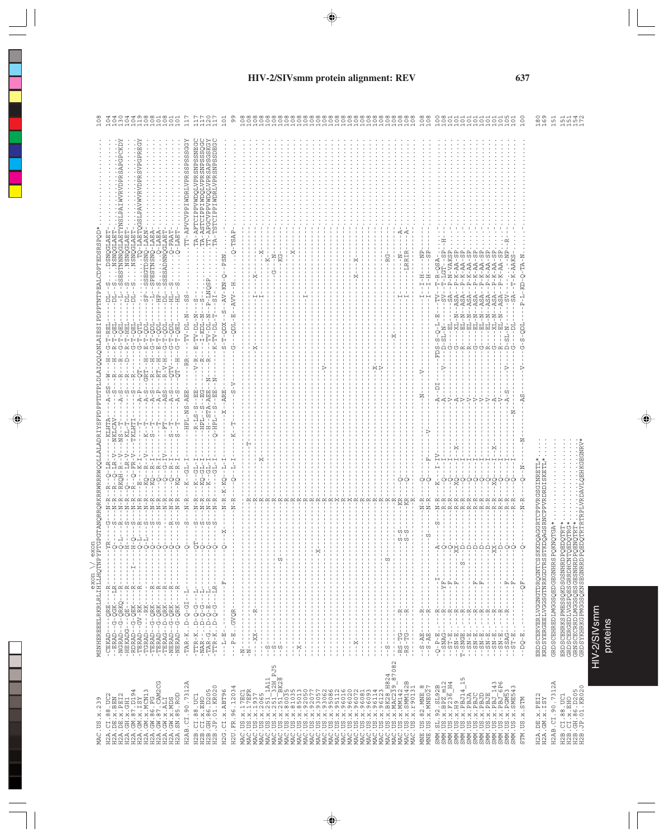|                                               | 000000                                                                                                                                                                                                                                                                                                                                                                                                                                                                                                                                                                                                                                                                                                                                                                      |                  | 1141 1                                                                                                                                                                                                                                                                                                                                                                                                   |                                                             |                                              |                                                     |          |                     |                                           |                                                                                                                    |                          |  |  |  |  |  |  |                                                                                                                                                                                                                                                                                                                                                                                                                                         |                              |                                                                                                                                                                   |                                    |                                                                                                                                                                                                                                                                                                                                                                             |                |                        |                                              |                                                                                                   |                    | 000000000000                                                                                                                                                                                                                                                                                                                                                                                                                                          |                                               |                                                                                                         |                                |              | $\infty$ $\infty$                                            | rU                          | ru ru ru                                                                                                                                    |              |          |
|-----------------------------------------------|-----------------------------------------------------------------------------------------------------------------------------------------------------------------------------------------------------------------------------------------------------------------------------------------------------------------------------------------------------------------------------------------------------------------------------------------------------------------------------------------------------------------------------------------------------------------------------------------------------------------------------------------------------------------------------------------------------------------------------------------------------------------------------|------------------|----------------------------------------------------------------------------------------------------------------------------------------------------------------------------------------------------------------------------------------------------------------------------------------------------------------------------------------------------------------------------------------------------------|-------------------------------------------------------------|----------------------------------------------|-----------------------------------------------------|----------|---------------------|-------------------------------------------|--------------------------------------------------------------------------------------------------------------------|--------------------------|--|--|--|--|--|--|-----------------------------------------------------------------------------------------------------------------------------------------------------------------------------------------------------------------------------------------------------------------------------------------------------------------------------------------------------------------------------------------------------------------------------------------|------------------------------|-------------------------------------------------------------------------------------------------------------------------------------------------------------------|------------------------------------|-----------------------------------------------------------------------------------------------------------------------------------------------------------------------------------------------------------------------------------------------------------------------------------------------------------------------------------------------------------------------------|----------------|------------------------|----------------------------------------------|---------------------------------------------------------------------------------------------------|--------------------|-------------------------------------------------------------------------------------------------------------------------------------------------------------------------------------------------------------------------------------------------------------------------------------------------------------------------------------------------------------------------------------------------------------------------------------------------------|-----------------------------------------------|---------------------------------------------------------------------------------------------------------|--------------------------------|--------------|--------------------------------------------------------------|-----------------------------|---------------------------------------------------------------------------------------------------------------------------------------------|--------------|----------|
|                                               |                                                                                                                                                                                                                                                                                                                                                                                                                                                                                                                                                                                                                                                                                                                                                                             |                  |                                                                                                                                                                                                                                                                                                                                                                                                          |                                                             |                                              |                                                     |          |                     |                                           |                                                                                                                    |                          |  |  |  |  |  |  |                                                                                                                                                                                                                                                                                                                                                                                                                                         |                              |                                                                                                                                                                   |                                    |                                                                                                                                                                                                                                                                                                                                                                             |                |                        |                                              |                                                                                                   |                    |                                                                                                                                                                                                                                                                                                                                                                                                                                                       |                                               |                                                                                                         |                                |              |                                                              |                             |                                                                                                                                             |              |          |
|                                               |                                                                                                                                                                                                                                                                                                                                                                                                                                                                                                                                                                                                                                                                                                                                                                             |                  |                                                                                                                                                                                                                                                                                                                                                                                                          |                                                             |                                              |                                                     |          |                     |                                           |                                                                                                                    |                          |  |  |  |  |  |  |                                                                                                                                                                                                                                                                                                                                                                                                                                         |                              |                                                                                                                                                                   |                                    |                                                                                                                                                                                                                                                                                                                                                                             |                |                        |                                              |                                                                                                   |                    |                                                                                                                                                                                                                                                                                                                                                                                                                                                       |                                               |                                                                                                         |                                |              |                                                              |                             |                                                                                                                                             |              |          |
|                                               |                                                                                                                                                                                                                                                                                                                                                                                                                                                                                                                                                                                                                                                                                                                                                                             |                  |                                                                                                                                                                                                                                                                                                                                                                                                          |                                                             |                                              |                                                     |          |                     |                                           |                                                                                                                    |                          |  |  |  |  |  |  |                                                                                                                                                                                                                                                                                                                                                                                                                                         |                              |                                                                                                                                                                   |                                    |                                                                                                                                                                                                                                                                                                                                                                             |                |                        |                                              |                                                                                                   |                    |                                                                                                                                                                                                                                                                                                                                                                                                                                                       |                                               |                                                                                                         |                                |              |                                                              |                             |                                                                                                                                             |              |          |
|                                               |                                                                                                                                                                                                                                                                                                                                                                                                                                                                                                                                                                                                                                                                                                                                                                             |                  |                                                                                                                                                                                                                                                                                                                                                                                                          |                                                             |                                              |                                                     |          |                     |                                           |                                                                                                                    |                          |  |  |  |  |  |  |                                                                                                                                                                                                                                                                                                                                                                                                                                         |                              |                                                                                                                                                                   |                                    |                                                                                                                                                                                                                                                                                                                                                                             |                |                        |                                              |                                                                                                   |                    |                                                                                                                                                                                                                                                                                                                                                                                                                                                       |                                               |                                                                                                         |                                |              |                                                              |                             |                                                                                                                                             |              |          |
|                                               |                                                                                                                                                                                                                                                                                                                                                                                                                                                                                                                                                                                                                                                                                                                                                                             |                  |                                                                                                                                                                                                                                                                                                                                                                                                          |                                                             |                                              |                                                     |          |                     |                                           |                                                                                                                    |                          |  |  |  |  |  |  |                                                                                                                                                                                                                                                                                                                                                                                                                                         |                              |                                                                                                                                                                   |                                    |                                                                                                                                                                                                                                                                                                                                                                             |                |                        |                                              |                                                                                                   |                    |                                                                                                                                                                                                                                                                                                                                                                                                                                                       |                                               |                                                                                                         |                                |              |                                                              |                             |                                                                                                                                             |              |          |
|                                               |                                                                                                                                                                                                                                                                                                                                                                                                                                                                                                                                                                                                                                                                                                                                                                             |                  |                                                                                                                                                                                                                                                                                                                                                                                                          |                                                             |                                              |                                                     |          |                     |                                           |                                                                                                                    |                          |  |  |  |  |  |  |                                                                                                                                                                                                                                                                                                                                                                                                                                         |                              |                                                                                                                                                                   |                                    |                                                                                                                                                                                                                                                                                                                                                                             |                |                        |                                              |                                                                                                   |                    |                                                                                                                                                                                                                                                                                                                                                                                                                                                       |                                               |                                                                                                         |                                |              |                                                              |                             |                                                                                                                                             |              |          |
|                                               |                                                                                                                                                                                                                                                                                                                                                                                                                                                                                                                                                                                                                                                                                                                                                                             |                  |                                                                                                                                                                                                                                                                                                                                                                                                          |                                                             |                                              |                                                     |          |                     |                                           |                                                                                                                    |                          |  |  |  |  |  |  |                                                                                                                                                                                                                                                                                                                                                                                                                                         |                              |                                                                                                                                                                   |                                    |                                                                                                                                                                                                                                                                                                                                                                             |                |                        |                                              |                                                                                                   |                    |                                                                                                                                                                                                                                                                                                                                                                                                                                                       |                                               | V----------<br>A--T-K-AAKS                                                                              |                                | $\circ$      |                                                              |                             |                                                                                                                                             |              |          |
|                                               |                                                                                                                                                                                                                                                                                                                                                                                                                                                                                                                                                                                                                                                                                                                                                                             |                  |                                                                                                                                                                                                                                                                                                                                                                                                          |                                                             |                                              |                                                     |          |                     |                                           |                                                                                                                    |                          |  |  |  |  |  |  |                                                                                                                                                                                                                                                                                                                                                                                                                                         |                              |                                                                                                                                                                   |                                    |                                                                                                                                                                                                                                                                                                                                                                             |                |                        |                                              |                                                                                                   |                    |                                                                                                                                                                                                                                                                                                                                                                                                                                                       |                                               |                                                                                                         |                                |              |                                                              |                             |                                                                                                                                             |              |          |
|                                               |                                                                                                                                                                                                                                                                                                                                                                                                                                                                                                                                                                                                                                                                                                                                                                             | $-1 - 2 - 2 - 1$ |                                                                                                                                                                                                                                                                                                                                                                                                          |                                                             |                                              |                                                     |          |                     |                                           |                                                                                                                    |                          |  |  |  |  |  |  |                                                                                                                                                                                                                                                                                                                                                                                                                                         |                              |                                                                                                                                                                   |                                    |                                                                                                                                                                                                                                                                                                                                                                             |                |                        |                                              |                                                                                                   |                    |                                                                                                                                                                                                                                                                                                                                                                                                                                                       |                                               |                                                                                                         |                                | E            |                                                              |                             |                                                                                                                                             |              |          |
|                                               | PGTANQRRKRRWRRRWQQLLALADRIYSFPDPPTPTPLDLAIQQLQNLAIESIPDPPTNTPBALCDPTEDSRSRGDQD                                                                                                                                                                                                                                                                                                                                                                                                                                                                                                                                                                                                                                                                                              |                  | $\begin{array}{l} R-1 \to \mathbb{R}^{n-1} \setminus \{1\} \to \mathbb{R}^{n-1} \setminus \{1\} \to \mathbb{R}^{n-1} \setminus \{1\} \to \mathbb{R}^{n-1} \setminus \{1\} \to \mathbb{R}^{n-1} \setminus \{1\} \to \mathbb{R}^{n-1} \setminus \{1\} \to \mathbb{R}^{n-1} \setminus \{1\} \to \mathbb{R}^{n-1} \setminus \{1\} \to \mathbb{R}^{n-1} \setminus \{1\} \to \mathbb{R}^{n-1} \setminus \{1\}$ |                                                             |                                              |                                                     |          |                     |                                           |                                                                                                                    |                          |  |  |  |  |  |  | $\begin{small} \begin{smallmatrix} \textbf{1} & \textbf{1} & \textbf{1} & \textbf{1} & \textbf{1} & \textbf{1} & \textbf{1} & \textbf{1} & \textbf{1} & \textbf{1} & \textbf{1} & \textbf{1} & \textbf{1} & \textbf{1} & \textbf{1} & \textbf{1} & \textbf{1} & \textbf{1} & \textbf{1} & \textbf{1} & \textbf{1} & \textbf{1} & \textbf{1} & \textbf{1} & \textbf{1} & \textbf{1} & \textbf{1} & \textbf{1} & \textbf{1} & \textbf{1}$ |                              |                                                                                                                                                                   |                                    |                                                                                                                                                                                                                                                                                                                                                                             |                |                        |                                              |                                                                                                   |                    |                                                                                                                                                                                                                                                                                                                                                                                                                                                       |                                               |                                                                                                         |                                | C)           |                                                              |                             |                                                                                                                                             |              |          |
|                                               |                                                                                                                                                                                                                                                                                                                                                                                                                                                                                                                                                                                                                                                                                                                                                                             |                  |                                                                                                                                                                                                                                                                                                                                                                                                          |                                                             |                                              |                                                     |          |                     |                                           |                                                                                                                    |                          |  |  |  |  |  |  |                                                                                                                                                                                                                                                                                                                                                                                                                                         |                              |                                                                                                                                                                   |                                    | $\sum_{i=1}^{n} \frac{1}{i} \prod_{i=1}^{n} \frac{1}{i} \prod_{i=1}^{n} \frac{1}{i} \prod_{i=1}^{n} \frac{1}{i} \prod_{i=1}^{n} \frac{1}{i} \prod_{i=1}^{n} \frac{1}{i} \prod_{i=1}^{n} \frac{1}{i} \prod_{i=1}^{n} \frac{1}{i} \prod_{i=1}^{n} \frac{1}{i} \prod_{i=1}^{n} \frac{1}{i} \prod_{i=1}^{n} \frac{1}{i} \prod_{i=1}^{n} \frac{1}{i} \prod_{i=1}^{n} \frac{1}{i$ |                |                        |                                              |                                                                                                   |                    |                                                                                                                                                                                                                                                                                                                                                                                                                                                       |                                               | $\tilde{\gamma}$                                                                                        |                                | Þ            |                                                              |                             |                                                                                                                                             |              |          |
|                                               | $\begin{array}{l} \begin{array}{l} \frac{1}{2} & \frac{1}{2} & \frac{1}{2} & \frac{1}{2} & \frac{1}{2} & \frac{1}{2} & \frac{1}{2} & \frac{1}{2} & \frac{1}{2} & \frac{1}{2} & \frac{1}{2} & \frac{1}{2} & \frac{1}{2} & \frac{1}{2} & \frac{1}{2} & \frac{1}{2} & \frac{1}{2} & \frac{1}{2} & \frac{1}{2} & \frac{1}{2} & \frac{1}{2} & \frac{1}{2} & \frac{1}{2} & \frac{1}{2} & \frac{1}{2} & \frac{1}{2$<br>$\begin{array}{l} \text{ADADR 133 BBDP 19111111} \\\ \hline 11 & -1 & 1 & 1 & 1 & 1 \\ \hline 12 & -1 & 1 & 1 & 1 & 1 \\ \hline 13 & -1 & 1 & 1 & 1 & 1 \\ \hline 14 & -1 & 1 & 1 & 1 & 1 \\ \hline 15 & -1 & 1 & 1 & 1 & 1 \\ \hline 16 & -1 & 1 & 1 & 1 & 1 \\ \hline 17 & -1 & -1 & 1 & 1 & 1 \\ \hline 18 & -1 & -1 & 1 & 1 & 1 \\ \hline 19 & -1 & -1$ |                  |                                                                                                                                                                                                                                                                                                                                                                                                          |                                                             |                                              |                                                     |          |                     |                                           |                                                                                                                    |                          |  |  |  |  |  |  |                                                                                                                                                                                                                                                                                                                                                                                                                                         |                              |                                                                                                                                                                   |                                    |                                                                                                                                                                                                                                                                                                                                                                             |                |                        |                                              |                                                                                                   |                    |                                                                                                                                                                                                                                                                                                                                                                                                                                                       |                                               | $- A - S$                                                                                               |                                |              |                                                              |                             |                                                                                                                                             |              |          |
|                                               |                                                                                                                                                                                                                                                                                                                                                                                                                                                                                                                                                                                                                                                                                                                                                                             |                  |                                                                                                                                                                                                                                                                                                                                                                                                          |                                                             |                                              |                                                     |          |                     |                                           |                                                                                                                    |                          |  |  |  |  |  |  |                                                                                                                                                                                                                                                                                                                                                                                                                                         |                              |                                                                                                                                                                   |                                    |                                                                                                                                                                                                                                                                                                                                                                             |                |                        |                                              |                                                                                                   |                    |                                                                                                                                                                                                                                                                                                                                                                                                                                                       |                                               |                                                                                                         | ž                              |              |                                                              |                             |                                                                                                                                             |              |          |
|                                               |                                                                                                                                                                                                                                                                                                                                                                                                                                                                                                                                                                                                                                                                                                                                                                             |                  |                                                                                                                                                                                                                                                                                                                                                                                                          |                                                             |                                              |                                                     |          |                     |                                           |                                                                                                                    |                          |  |  |  |  |  |  |                                                                                                                                                                                                                                                                                                                                                                                                                                         |                              |                                                                                                                                                                   |                                    |                                                                                                                                                                                                                                                                                                                                                                             |                |                        |                                              |                                                                                                   |                    |                                                                                                                                                                                                                                                                                                                                                                                                                                                       |                                               |                                                                                                         |                                |              |                                                              |                             |                                                                                                                                             |              |          |
|                                               |                                                                                                                                                                                                                                                                                                                                                                                                                                                                                                                                                                                                                                                                                                                                                                             |                  |                                                                                                                                                                                                                                                                                                                                                                                                          |                                                             |                                              |                                                     |          |                     |                                           |                                                                                                                    |                          |  |  |  |  |  |  |                                                                                                                                                                                                                                                                                                                                                                                                                                         |                              | $\frac{1}{2}$                                                                                                                                                     |                                    | $-\frac{1}{1}$                                                                                                                                                                                                                                                                                                                                                              |                |                        | ннн<br>                                      | $\mathbf{I}$                                                                                      |                    |                                                                                                                                                                                                                                                                                                                                                                                                                                                       | - 11                                          |                                                                                                         |                                |              |                                                              |                             |                                                                                                                                             |              |          |
|                                               |                                                                                                                                                                                                                                                                                                                                                                                                                                                                                                                                                                                                                                                                                                                                                                             |                  |                                                                                                                                                                                                                                                                                                                                                                                                          |                                                             |                                              |                                                     |          |                     |                                           |                                                                                                                    |                          |  |  |  |  |  |  |                                                                                                                                                                                                                                                                                                                                                                                                                                         |                              |                                                                                                                                                                   |                                    |                                                                                                                                                                                                                                                                                                                                                                             |                |                        |                                              |                                                                                                   |                    |                                                                                                                                                                                                                                                                                                                                                                                                                                                       |                                               |                                                                                                         |                                |              |                                                              |                             |                                                                                                                                             |              |          |
|                                               |                                                                                                                                                                                                                                                                                                                                                                                                                                                                                                                                                                                                                                                                                                                                                                             |                  |                                                                                                                                                                                                                                                                                                                                                                                                          |                                                             | $-1$ $-1$ $-1$ $-1$ $-1$ $-1$ $-1$           |                                                     |          |                     |                                           |                                                                                                                    |                          |  |  |  |  |  |  |                                                                                                                                                                                                                                                                                                                                                                                                                                         |                              |                                                                                                                                                                   |                                    |                                                                                                                                                                                                                                                                                                                                                                             |                |                        |                                              |                                                                                                   |                    |                                                                                                                                                                                                                                                                                                                                                                                                                                                       |                                               |                                                                                                         |                                |              |                                                              |                             |                                                                                                                                             |              |          |
|                                               |                                                                                                                                                                                                                                                                                                                                                                                                                                                                                                                                                                                                                                                                                                                                                                             |                  |                                                                                                                                                                                                                                                                                                                                                                                                          |                                                             |                                              |                                                     |          |                     |                                           |                                                                                                                    |                          |  |  |  |  |  |  |                                                                                                                                                                                                                                                                                                                                                                                                                                         |                              |                                                                                                                                                                   |                                    |                                                                                                                                                                                                                                                                                                                                                                             |                |                        |                                              |                                                                                                   |                    |                                                                                                                                                                                                                                                                                                                                                                                                                                                       |                                               |                                                                                                         |                                |              |                                                              |                             |                                                                                                                                             |              |          |
|                                               | $\frac{1}{4}$<br>÷<br>÷<br>÷<br>÷<br>44<br>44<br>÷                                                                                                                                                                                                                                                                                                                                                                                                                                                                                                                                                                                                                                                                                                                          | ÷                | Ħ<br>÷<br>₩                                                                                                                                                                                                                                                                                                                                                                                              | ţ<br>÷<br>Ť                                                 |                                              |                                                     |          |                     |                                           |                                                                                                                    |                          |  |  |  |  |  |  |                                                                                                                                                                                                                                                                                                                                                                                                                                         | Ť                            | ï                                                                                                                                                                 | $- - - - - - - - -$                |                                                                                                                                                                                                                                                                                                                                                                             |                | $-22$<br>÷<br>$-5 - 0$ | Ť                                            | Ŧ<br>ł                                                                                            | ÷<br>$\frac{1}{4}$ | $\begin{array}{c} 1 & 0 & 0 \\ 0 & 0 & 0 \\ 0 & 0 & 0 \\ 0 & 0 & 0 \\ 0 & 0 & 0 \\ 0 & 0 & 0 \\ 0 & 0 & 0 \\ 0 & 0 & 0 \\ 0 & 0 & 0 \\ 0 & 0 & 0 \\ 0 & 0 & 0 \\ 0 & 0 & 0 \\ 0 & 0 & 0 \\ 0 & 0 & 0 \\ 0 & 0 & 0 \\ 0 & 0 & 0 \\ 0 & 0 & 0 \\ 0 & 0 & 0 \\ 0 & 0 & 0 \\ 0 & 0 & 0 & 0 \\ 0 & 0 & 0 & 0 \\ 0 & 0 & 0 & 0 \\ 0 & 0 &$                                                                                                                  |                                               | $\,$ $\,$                                                                                               |                                |              |                                                              |                             |                                                                                                                                             |              |          |
|                                               | Ħ                                                                                                                                                                                                                                                                                                                                                                                                                                                                                                                                                                                                                                                                                                                                                                           | $\frac{1}{4}$    |                                                                                                                                                                                                                                                                                                                                                                                                          | $\mathbf{I}$<br>$\frac{1}{1}$                               | $\mathbf{1}$<br>$\mathbf{I}$<br>$\mathbf{I}$ |                                                     |          |                     |                                           |                                                                                                                    |                          |  |  |  |  |  |  |                                                                                                                                                                                                                                                                                                                                                                                                                                         | $\frac{1}{1}$                | $\mathbf{I}$<br>$\frac{1}{1}$                                                                                                                                     |                                    |                                                                                                                                                                                                                                                                                                                                                                             | $\blacksquare$ | ÷.<br>A.               | ÷<br>$\mathbf{I}$                            | 44<br>$\begin{array}{c} \mathbf{B}_1 \\ \mathbf{B}_2 \\ \mathbf{C}_3 \\ \mathbf{D}_4 \end{array}$ | $\pm$              | $\frac{1}{1}$<br>$\mathbf{I}$<br>÷.<br>$\mathbf{I}$<br>$\mathbf{I}$<br>$\overline{\phantom{a}}$                                                                                                                                                                                                                                                                                                                                                       | ł<br>$\mathbf{I}$<br>$\overline{\phantom{a}}$ | $\frac{1}{4}$<br>$\frac{1}{1}$<br>$\begin{array}{c} \mathbf{E} \\ \mathbf{I} \\ \mathbf{I} \end{array}$ | $\blacksquare$<br>$\mathbf{I}$ | $-5$         |                                                              |                             |                                                                                                                                             |              |          |
|                                               |                                                                                                                                                                                                                                                                                                                                                                                                                                                                                                                                                                                                                                                                                                                                                                             | $-1 - 1 -$       |                                                                                                                                                                                                                                                                                                                                                                                                          | J.                                                          | $\mathbf{I}$<br>$\mathbf{I}$                 |                                                     |          |                     |                                           |                                                                                                                    |                          |  |  |  |  |  |  |                                                                                                                                                                                                                                                                                                                                                                                                                                         | $\mathbf{I}$<br>$\mathbf{I}$ | $\mathbb{L}$<br>$\mathbf{I}$<br>$\mathbf{I}$                                                                                                                      | $\mathbf{I}$<br>$\mathbf{I}$<br>İ. |                                                                                                                                                                                                                                                                                                                                                                             |                |                        | $\mathbf{I}$<br>$\mathbf{I}$<br>$\mathsf{I}$ | 羽<br>Ĵ                                                                                            | $\,$ I             | $\mathbf{I}$<br>$\mathbf{I}$                                                                                                                                                                                                                                                                                                                                                                                                                          | $\blacksquare$<br>$\mathbf{I}$<br>$\,$ I      | $\mathbf{I}$<br>$\mathbf{I}$<br>$\,$ I                                                                  |                                |              |                                                              |                             |                                                                                                                                             |              |          |
|                                               |                                                                                                                                                                                                                                                                                                                                                                                                                                                                                                                                                                                                                                                                                                                                                                             | $-5-0-1$         |                                                                                                                                                                                                                                                                                                                                                                                                          | J.<br>$\mathbf{I}$<br>$\mathsf I$<br>$\mathbf I$<br>$\cdot$ | $\cdot$ . GVQR-                              |                                                     |          |                     |                                           |                                                                                                                    |                          |  |  |  |  |  |  |                                                                                                                                                                                                                                                                                                                                                                                                                                         | $\mathbf{I}$                 | $- R -$<br>$\mathbf{I}$<br>$\frac{1}{1}$<br>÷.                                                                                                                    |                                    |                                                                                                                                                                                                                                                                                                                                                                             |                |                        |                                              | $-1$ R                                                                                            | ÷.                 | <b>RRRR</b><br>Ŧ<br>÷<br>ţ.                                                                                                                                                                                                                                                                                                                                                                                                                           | Ŧ<br>$\mathbb T$<br>$\bullet$                 | Ŧ<br>$\blacksquare$<br>$\mathbb{C}^+$                                                                   | $\vdots$                       |              |                                                              |                             |                                                                                                                                             |              |          |
| мзинвяввлякитититином // ехоп<br>сохэ // сохэ | $\begin{array}{ll} -{\rm CERAD}_{1} & -\sim -{\rm QRE}_{2} \\ -{\rm CERAD}_{2} & -{\rm CERCD}_{1} \\ -{\rm TERAD}_{2} & -{\rm CERCD}_{2} \\ -{\rm TERAD}_{2} & -{\rm CERCD}_{2} \\ -{\rm TERAD}_{2} & -{\rm CERCD}_{2} \\ -{\rm TERAD}_{2} & -{\rm TERCD}_{2} \\ -{\rm TERAD}_{2} & -{\rm TERCD}_{2} \\ -{\rm TERAD}_{2} & -{\rm TERCD}_{2} \\ -{\rm TERAD}_{2} & -{\rm TERCD}_{2} \\ -{\rm TERAD}_{2} & -{\rm TERCD}_{2} \\ -{\rm TERAD}_{2} & -$                                                                                                                                                                                                                                                                                                                          | $-TAR-K$         | -TTR-K.<br>--NAR--<br>-TAR-G.<br>-TTR-K.                                                                                                                                                                                                                                                                                                                                                                 | $-1 - E$                                                    | $- - P - E$                                  | Ť.<br>$-1$<br>$\frac{1}{4}$<br>$\frac{1}{\sqrt{2}}$ | $- XX -$ | - 1<br>$\mathbf{1}$ | $\frac{1}{2}$ $\frac{1}{2}$ $\frac{1}{2}$ | $\begin{array}{cccccc} 1 & 1 & 1 & 1 & 1 \\ 1 & 1 & 1 & 1 & 1 \\ 1 & 1 & 1 & 1 & 1 \\ \end{array}$<br>$\mathbf{I}$ | $\overline{\phantom{a}}$ |  |  |  |  |  |  |                                                                                                                                                                                                                                                                                                                                                                                                                                         |                              | $-5 - AB$<br>$-5 - AB$                                                                                                                                            |                                    |                                                                                                                                                                                                                                                                                                                                                                             |                |                        |                                              |                                                                                                   |                    |                                                                                                                                                                                                                                                                                                                                                                                                                                                       |                                               |                                                                                                         |                                | 凹<br>$-50 -$ | ERDSCERVERLVGGNGTDRQGNTCSSKK<br>KRDSYERGEELVGGSGTNRKGDTRSSTK | GRDSCEHREDLMGGSQEDGEMHRSPQI | ERDSCEHRKSPMESSQKDSGSNHRDPQEDQTRT<br>GRDSCERGEDLVGSPQESGRRDHCWTQEDQTRT<br>PATQCERGEDLVGSPQESGRRDHCWTQEDQTRT<br>PRDSCERGEDLVGSPQSSQRREDPQDRT | HIV-2/SIVsmm | proteins |
|                                               |                                                                                                                                                                                                                                                                                                                                                                                                                                                                                                                                                                                                                                                                                                                                                                             |                  |                                                                                                                                                                                                                                                                                                                                                                                                          |                                                             |                                              |                                                     |          |                     |                                           |                                                                                                                    |                          |  |  |  |  |  |  |                                                                                                                                                                                                                                                                                                                                                                                                                                         |                              |                                                                                                                                                                   |                                    |                                                                                                                                                                                                                                                                                                                                                                             |                | LO                     |                                              |                                                                                                   |                    |                                                                                                                                                                                                                                                                                                                                                                                                                                                       |                                               |                                                                                                         |                                |              |                                                              |                             |                                                                                                                                             |              |          |
|                                               |                                                                                                                                                                                                                                                                                                                                                                                                                                                                                                                                                                                                                                                                                                                                                                             |                  |                                                                                                                                                                                                                                                                                                                                                                                                          | $\circ$                                                     | 4                                            |                                                     |          |                     |                                           |                                                                                                                    |                          |  |  |  |  |  |  |                                                                                                                                                                                                                                                                                                                                                                                                                                         |                              |                                                                                                                                                                   |                                    |                                                                                                                                                                                                                                                                                                                                                                             |                |                        |                                              |                                                                                                   |                    |                                                                                                                                                                                                                                                                                                                                                                                                                                                       |                                               |                                                                                                         |                                |              |                                                              |                             |                                                                                                                                             |              |          |
|                                               | $\begin{array}{ll} \text{H2A}, \text{C1}, \text{88}, \text{UC2}\\ \text{H2A}, \text{DE}, \text{x}, \text{BEN}\\ \text{H2A}, \text{GE}, \text{x}, \text{GEL}\\ \text{H2A}, \text{GH}, \text{x}, \text{GFL}\\ \text{H2A}, \text{GH}, \text{GH}, \text{GH}, \text{GFL}\\ \text{H2A}, \text{GW}, \text{x}, \text{MCM13}\\ \text{H2A}, \text{GW}, \text{GW}, \text{GF}, \text{GW2CC}\\ \text{H2A}, \text{GW}, \text{GW}, \text{GF}, \text{GW2CC$<br>. x. 239                                                                                                                                                                                                                                                                                                                     | H2AB.CI.90.7312A | H2B.CI.88.UC1<br>H2B.CI.x.EHO<br>H2B.CH.86.D205<br>H2B.JP.01.KR020                                                                                                                                                                                                                                                                                                                                       | H2G.CI.x.ABT96                                              | H2U. FR. 96.1203                             |                                                     |          |                     |                                           |                                                                                                                    |                          |  |  |  |  |  |  |                                                                                                                                                                                                                                                                                                                                                                                                                                         |                              | $\begin{array}{lll} \text{min.} & \text{min.} & \text{sum.} \\ \text{MNE.} & \text{US.} \times \text{.} & \text{MNE} \\ \text{max.} & \text{max.} \\ \end{array}$ |                                    |                                                                                                                                                                                                                                                                                                                                                                             |                |                        |                                              |                                                                                                   |                    | $\begin{array}{l} \texttt{SMM}, \texttt{SD}, \texttt{22}, \texttt{S129B} \\ \texttt{SMM}, \texttt{US} \; \texttt{x}, \texttt{B2} \\ \texttt{SMM}, \texttt{US} \; \texttt{x}, \texttt{H33} \\ \texttt{SMM}, \texttt{US} \; \texttt{x}, \texttt{H33} \\ \texttt{SMM}, \texttt{US} \; \texttt{x}, \texttt{H33} \\ \texttt{SMM}, \texttt{US} \; \texttt{x}, \texttt{H33} \\ \texttt{SMM}, \texttt{US} \; \texttt{x}, \texttt{H33} \\ \texttt{SMM}, \text$ |                                               |                                                                                                         |                                | .x.STM       | H2A.DE.X.PEI2<br>H2A.GM.X.ISY                                | H2AB.CI.90.7312A            | H2B.CI.88.UC1<br>H2B.CI.x.EHO<br>H2B.GH.86.D205<br>H2B.JP.01.KR020                                                                          |              |          |
|                                               | MAC.US                                                                                                                                                                                                                                                                                                                                                                                                                                                                                                                                                                                                                                                                                                                                                                      |                  |                                                                                                                                                                                                                                                                                                                                                                                                          |                                                             |                                              |                                                     |          |                     |                                           |                                                                                                                    |                          |  |  |  |  |  |  |                                                                                                                                                                                                                                                                                                                                                                                                                                         |                              |                                                                                                                                                                   |                                    |                                                                                                                                                                                                                                                                                                                                                                             |                |                        |                                              |                                                                                                   |                    |                                                                                                                                                                                                                                                                                                                                                                                                                                                       |                                               |                                                                                                         |                                | STM.US       |                                                              |                             |                                                                                                                                             |              |          |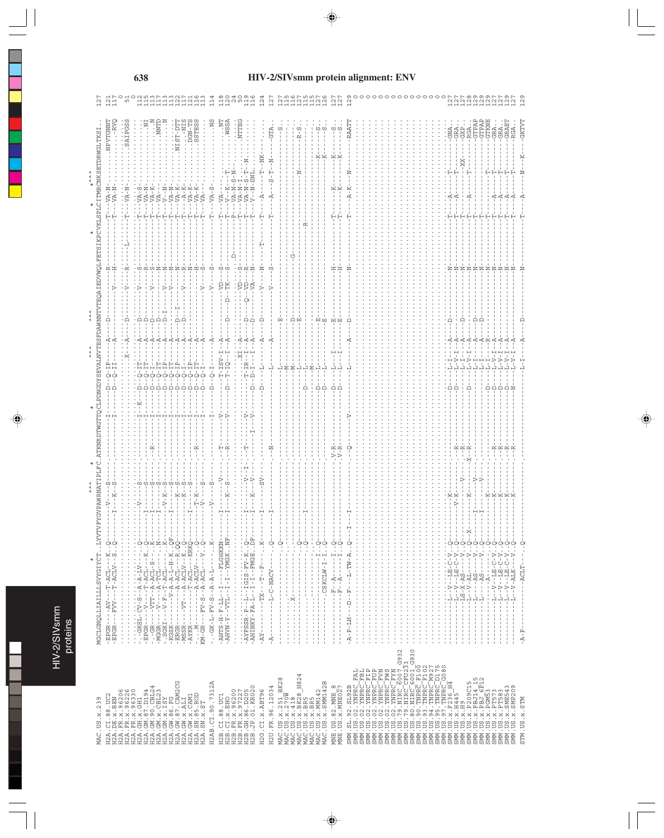|         | ë                                                                                                     |                                                                                                                                                                                                                                                                                                                                                           | 117                      | in                                                                             |                                                 |        | 113                                                                 | $\underset{1.13}{\pm}$                                                                                                                                                                                                                                                                                  |                                                                                                                                                                                                           | $\ddot{\sim}$                                                    |                                                                                                                                                                                                                                                                                                                                                                                                                                                          |                                |                                                                                                 |                                                    |                       |                                                                                                                                            |                                  |                                                                 | $\overline{c}$                                                    |                                                                                                                |                                                                                                                                                                                                             |         |                                    |                               |                |                                                                                                       |                                                                                                                      |                                                                                                                                                                                                                    |                                               |  |  |  |  |                                                           |                                                | エエエエエエエ<br>- マンスコンコンコン<br>- マンスコンスプリン                                                         |                                                                                               |                                                                                                                                                                                                                                                                                                                                                                                                                                                                                                                                                                                                                                                                                                                                                                       |                                                                                                                                                                                                                                                                                                                                                                                                                                                                                    |                                                                                                                                                                                                                                                                                                                                                                                                                                                                                        |                                                |                                                |                                 |
|---------|-------------------------------------------------------------------------------------------------------|-----------------------------------------------------------------------------------------------------------------------------------------------------------------------------------------------------------------------------------------------------------------------------------------------------------------------------------------------------------|--------------------------|--------------------------------------------------------------------------------|-------------------------------------------------|--------|---------------------------------------------------------------------|---------------------------------------------------------------------------------------------------------------------------------------------------------------------------------------------------------------------------------------------------------------------------------------------------------|-----------------------------------------------------------------------------------------------------------------------------------------------------------------------------------------------------------|------------------------------------------------------------------|----------------------------------------------------------------------------------------------------------------------------------------------------------------------------------------------------------------------------------------------------------------------------------------------------------------------------------------------------------------------------------------------------------------------------------------------------------|--------------------------------|-------------------------------------------------------------------------------------------------|----------------------------------------------------|-----------------------|--------------------------------------------------------------------------------------------------------------------------------------------|----------------------------------|-----------------------------------------------------------------|-------------------------------------------------------------------|----------------------------------------------------------------------------------------------------------------|-------------------------------------------------------------------------------------------------------------------------------------------------------------------------------------------------------------|---------|------------------------------------|-------------------------------|----------------|-------------------------------------------------------------------------------------------------------|----------------------------------------------------------------------------------------------------------------------|--------------------------------------------------------------------------------------------------------------------------------------------------------------------------------------------------------------------|-----------------------------------------------|--|--|--|--|-----------------------------------------------------------|------------------------------------------------|-----------------------------------------------------------------------------------------------|-----------------------------------------------------------------------------------------------|-----------------------------------------------------------------------------------------------------------------------------------------------------------------------------------------------------------------------------------------------------------------------------------------------------------------------------------------------------------------------------------------------------------------------------------------------------------------------------------------------------------------------------------------------------------------------------------------------------------------------------------------------------------------------------------------------------------------------------------------------------------------------|------------------------------------------------------------------------------------------------------------------------------------------------------------------------------------------------------------------------------------------------------------------------------------------------------------------------------------------------------------------------------------------------------------------------------------------------------------------------------------|----------------------------------------------------------------------------------------------------------------------------------------------------------------------------------------------------------------------------------------------------------------------------------------------------------------------------------------------------------------------------------------------------------------------------------------------------------------------------------------|------------------------------------------------|------------------------------------------------|---------------------------------|
|         | FYGVPAWRNATIPLEC.ATKNRDTWGTTOCCLPDNGDYSEVALNVTESFDAWNNTVTEQAIEDVWQLFETSIKPCVKLSPLCITMRCNKSETDRWGLTKSI | NPVTGNN'<br>-VA-N                                                                                                                                                                                                                                                                                                                                         | $\cdots$ - RV<br>$-NA-N$ | SAIPGS<br>$\ddot{v}_{A-N}$                                                     | $: \mathfrak{g} \rightarrow$<br>ß               | Ķ      | CLINIC<br>$VA - K$<br>ß<br>C)                                       | $V - -N$<br>z                                                                                                                                                                                                                                                                                           | z<br>Ķ,                                                                                                                                                                                                   | NIST-DTI<br>×<br>ß                                               | BL-NPCT<br>SIL-NPCT<br>¥<br>Š<br>≃                                                                                                                                                                                                                                                                                                                                                                                                                       | SSTESS<br>Š<br>ェ               | Ņ<br>CO.                                                                                        | $\ldots$ NS<br>$VA-S$<br>m                         | EX.<br>va<br>m        | .WSSA<br>$-N-S$<br>Š                                                                                                                       | $\ldots$ NTTEC<br>$VA-N-$<br>. O | $V - N - SNL$ .<br>$VA - N - S - T$<br>≃<br>z                   | -A<br>z                                                           | GTA<br>ż<br>$\mathbb{S}$ – $\mathbb{T}$ –<br>$\overline{A}$<br>CO                                              | CO                                                                                                                                                                                                          |         | C)<br>$\overline{R}$               |                               |                | ωω<br>$\times$                                                                                        | CΩ<br>×<br>ェ                                                                                                         | $\mathbb{C}\Omega$<br>**<br>×<br>보                                                                                                                                                                                 | RAAT.<br>z<br>×<br>Ą<br>z                     |  |  |  |  |                                                           | GNA.<br>$\overline{A}$                         | GXP.<br>$-XX$<br>$-1\overline{4}$<br>z<br>z                                                   | RGA.<br>E<br>$-4$                                                                             | <b>GTPAP</b><br>GTPAP<br>F                                                                                                                                                                                                                                                                                                                                                                                                                                                                                                                                                                                                                                                                                                                                            | GTKNE<br><b>ZZZZZZ</b>                                                                                                                                                                                                                                                                                                                                                                                                                                                             | GRA.<br>ΑA                                                                                                                                                                                                                                                                                                                                                                                                                                                                             | GRAET<br>GRA.<br>К<br>z                        | RGA.<br>$\vec{A}$<br>z                         | GKTV.                           |
|         |                                                                                                       |                                                                                                                                                                                                                                                                                                                                                           |                          |                                                                                |                                                 |        | $\triangleright$                                                    | Þ                                                                                                                                                                                                                                                                                                       |                                                                                                                                                                                                           |                                                                  |                                                                                                                                                                                                                                                                                                                                                                                                                                                          |                                | ⋗                                                                                               | ♪                                                  | ġ                     | $-TK$                                                                                                                                      | $:\; \mathbb{R}$                 | Š<br>₿<br>΄¦<br>ό                                               | ら                                                                 | ♭                                                                                                              |                                                                                                                                                                                                             |         |                                    |                               |                |                                                                                                       |                                                                                                                      |                                                                                                                                                                                                                    |                                               |  |  |  |  |                                                           |                                                |                                                                                               |                                                                                               |                                                                                                                                                                                                                                                                                                                                                                                                                                                                                                                                                                                                                                                                                                                                                                       |                                                                                                                                                                                                                                                                                                                                                                                                                                                                                    |                                                                                                                                                                                                                                                                                                                                                                                                                                                                                        |                                                |                                                |                                 |
|         |                                                                                                       | ؋<br>$- A -$<br>$Q - IP$<br>$\mathop{\cap}\limits^{\scriptscriptstyle +} \mathop{\cap}\limits^{\scriptscriptstyle +}$                                                                                                                                                                                                                                     |                          |                                                                                | $\cdot \cap$<br>Æ                               | $\Box$ | $\frac{1}{\Omega} \frac{1}{\Omega} \frac{1}{\Omega}$<br>RARARA<br>Á | Н<br>古古古<br>$\stackrel{+}{\triangle}\stackrel{+}{\triangle}\stackrel{+}{\triangle}$                                                                                                                                                                                                                     |                                                                                                                                                                                                           | $I - T$<br>$\overline{a}$<br>$\frac{1}{\alpha} \frac{1}{\alpha}$ | <b>₽</b><br>Æ<br>$\mathbf{a}$<br>999999999<br>$\stackrel{\scriptscriptstyle +}{\scriptscriptstyle \simeq}$                                                                                                                                                                                                                                                                                                                                               | Æ<br>$\sigma$<br>Á             | К<br>$\sigma$<br>Ä                                                                              | $\frac{1}{\mathcal{O}}$<br>≏                       | K,<br>ISV-            | Ţ<br>$\overline{\Delta}$                                                                                                                   | Æ                                | $\Box$<br>$\Box$<br>Ą<br>К<br>로<br>$\frac{1}{\Box}$<br>$\Delta$ | $\Box$<br>К<br>Á                                                  | К                                                                                                              |                                                                                                                                                                                                             | $\Box$  | [1]                                | $\Box$                        |                | 固固<br>$\Box$                                                                                          | 凹                                                                                                                    | 囯<br>Á Á                                                                                                                                                                                                           |                                               |  |  |  |  |                                                           | <b>△</b><br>⊄⊄<br>≏                            | $\Box$<br>Ħ<br>н<br>T.<br>Ė<br>$\Box$                                                         | $\mathbb{L}-\mathbb{V}-\mathbb{I}$<br>Ä                                                       | 휴휴<br>$\mathbf I$<br>$\,$<br>$\begin{array}{c} 1 \\ 1 \\ 4 \end{array}$                                                                                                                                                                                                                                                                                                                                                                                                                                                                                                                                                                                                                                                                                               | Н                                                                                                                                                                                                                                                                                                                                                                                                                                                                                  | A,<br>부<br>$L - V$<br>ÀÀÀÀ                                                                                                                                                                                                                                                                                                                                                                                                                                                             | К<br>K,<br>부<br>⊳<br>⋗                         | $L - V$<br>Ż                                   |                                 |
|         |                                                                                                       | ω                                                                                                                                                                                                                                                                                                                                                         | U.                       |                                                                                |                                                 |        | q                                                                   | ທ ທ<br>$-V-K$                                                                                                                                                                                                                                                                                           |                                                                                                                                                                                                           | თ თ<br>÷Κ                                                        | C)<br>ΞK                                                                                                                                                                                                                                                                                                                                                                                                                                                 | $-K$                           | Ω                                                                                               | CO.                                                |                       | $\mathbbmss{E}$<br>¥                                                                                                                       |                                  | ¥                                                               | SV                                                                |                                                                                                                |                                                                                                                                                                                                             |         |                                    |                               |                |                                                                                                       | $V - R$                                                                                                              | $\approx$<br>$\triangleright$                                                                                                                                                                                      | O                                             |  |  |  |  |                                                           |                                                | ≃<br>$\alpha$<br>⋗                                                                            | $\approx$<br>×                                                                                | $\overline{\phantom{0}}$<br>⊳                                                                                                                                                                                                                                                                                                                                                                                                                                                                                                                                                                                                                                                                                                                                         |                                                                                                                                                                                                                                                                                                                                                                                                                                                                                    | $R$ $R$ $R$<br>⊻⊻                                                                                                                                                                                                                                                                                                                                                                                                                                                                      |                                                | $\alpha$                                       |                                 |
| $\star$ | MGCLGNQLLLAILLLSVYGIYCTLYVT                                                                           | $\mathbf{I}$<br>$\ddot{\circ}$<br>$\begin{split} \texttt{EPGR}\texttt{--}\texttt{--}\texttt{AV}\texttt{--}\texttt{-}\texttt{-}\texttt{ACL}\texttt{--}\texttt{-}\texttt{K} \\ \texttt{EPGR}\texttt{--}\texttt{-}\texttt{F} \texttt{V} \texttt{V}\texttt{-}\texttt{-}\texttt{T}\texttt{-}\texttt{ACL} \texttt{V}\texttt{-}\texttt{-}\texttt{S} \end{split}$ | $\,$ I                   |                                                                                | $\cdots$<br>$\cdots$<br>$\cdots$<br>S-AD-TSX5-- | EPGR-  | $\frac{1}{4}$                                                       | $\begin{array}{l} -\,\mathrm{NGG}\mathrm{R}\,{-}\,{-}\,{-}\,V\,{-}\,{-}\,{-}\,{-}\,\mathrm{R}\,{-}\,\mathrm{TC}\mathrm{L}\,{-}\,{-}\\ -\,\mathrm{G}\,\mathrm{G}\mathrm{K}\,\mathrm{I}\,{-}\,{-}\,V\,{-}\,\mathrm{F}\,{-}\,{-}\,\mathrm{T}\,{-}\,\mathrm{R}\,\mathrm{C}\mathrm{L}\,{-}\,{-} \end{array}$ |                                                                                                                                                                                                           |                                                                  | $\begin{array}{r} - .80811 - 1 - V - P - T - P - \Omega \Box 1 - .1 \times 1 - .1 \times 1 - .1 \times 1 - .1 \times 1 - .1 \times 1 - .1 \times 1 - .1 \times 1 - .1 \times 1 - .1 \times 1 - .1 \times 1 - .1 \times 1 - .1 \times 1 - .1 \times 1 - .1 \times 1 - .1 \times 1 - .1 \times 1 - .1 \times 1 - .1 \times 1 - .1 \times 1 - .1 \times 1 - .1 \times 1 - .1 \times 1 - .1 \times 1 - .1 \times 1 - .1 \times 1 - .1 \times 1 - .1 \times $ |                                | - M - - - - - - - - - - A - ACLIV - - - - - - 0<br>EM - GR - - - FV - S - - A - CCLIV - - - V Q | $-1$ . $K$<br>$-GK - L - FV - S - - A - A - L - -$ | AHTS-H-F-LL------FLU- | $\begin{array}{lll} \texttt{AHVN} = \texttt{Y} - \texttt{VTL} - \texttt{I} - \texttt{I} - \texttt{YMGK} \ . \ . \ \texttt{NF} \end{array}$ |                                  | ÷,<br>AHINKY-FA-L--I-FMGEDF-<br>-AYFSSR-P--1--1-SIB-FV-K        | $-1$ $K-$<br>$-1 - TX - 1 - T - - F -$<br>$\mathbf{I}$<br>$-AY -$ | $\ddot{\circ}$<br>$\mathbf{I}$<br>$-1 - 1 - 1 - 1 - 1$<br>$\,$ $\,$<br>$\frac{1}{1}$<br>$\mathbf{I}$<br>$-A -$ | ı<br>J<br>$\begin{array}{c} \n\alpha + \beta \\ \vdots \\ \vdots \\ \vdots\n\end{array}$<br>J.<br>٠<br>t<br>$\mathbf I$<br>$\frac{1}{1}$<br>t<br>$\frac{1}{1}$<br>J<br>J.<br>J.<br>$\overline{\phantom{a}}$ | $\cdot$ | $\ddot{\cdot}$<br>٠<br>$\mathsf I$ | ़<br>:<br>٠                   | $\ddot{\cdot}$ | $\dot{\circ}$<br>਼<br>$---CSKCLW - I - I$<br>Ţ<br>$\mathbf{I}$<br>$\mathfrak l$<br>ł<br>$\frac{1}{1}$ | $\,$ I<br>$\ddot{\circ}$<br>$\mathsf I$<br>$\sf I$<br>$\frac{1}{1}$<br>$\mathbf{I}$<br>$\frac{1}{1}$<br>$\mathbf{I}$ | $\ddot{\cdot}$<br>$\mathbf{I}$<br>$\mathsf I$<br>$\frac{1}{4}$<br>$\,$ $\,$<br>$\frac{1}{4}$                                                                                                                       | $- A - P - LH - - - - P - - - L - LW - A - C$ |  |  |  |  | <b>+++++++++++++++++++++</b><br>$\frac{1}{2}$<br>$\vdots$ | ਼<br>$\frac{1}{4}$<br>$\overline{\phantom{a}}$ | t<br>$\frac{1}{2}$<br>$- - LS - X - AS - -$<br>$\frac{1}{1}$<br>$\frac{1}{1}$<br>ı<br>ţ.<br>п | $-1$<br>$0.9$<br>$-7.7$<br>$-1$<br>$- -1A - -1C - -1 - -1 - -$<br>$\mathbf{I}$<br>$\,$ I<br>- | Ť<br>$-1$ $-1$<br>$- -2A$<br>$\begin{array}{c} \rule{0.2cm}{0.15mm} \rule{0.2cm}{0.15mm} \rule{0.2cm}{0.15mm} \rule{0.2cm}{0.15mm} \rule{0.2cm}{0.15mm} \rule{0.2cm}{0.15mm} \rule{0.2cm}{0.15mm} \rule{0.2cm}{0.15mm} \rule{0.2cm}{0.15mm} \rule{0.2cm}{0.15mm} \rule{0.2cm}{0.15mm} \rule{0.2cm}{0.15mm} \rule{0.2cm}{0.15mm} \rule{0.2cm}{0.15mm} \rule{0.2cm}{0.15mm} \rule{$<br>$\begin{array}{c} \rule{0.2cm}{0.15mm} \rule{0.2cm}{0.15mm} \rule{0.2cm}{0.15mm} \rule{0.2cm}{0.15mm} \rule{0.2cm}{0.15mm} \rule{0.2cm}{0.15mm} \rule{0.2cm}{0.15mm} \rule{0.2cm}{0.15mm} \rule{0.2cm}{0.15mm} \rule{0.2cm}{0.15mm} \rule{0.2cm}{0.15mm} \rule{0.2cm}{0.15mm} \rule{0.2cm}{0.15mm} \rule{0.2cm}{0.15mm} \rule{0.2cm}{0.15mm} \rule{$<br>J.<br>J<br>$\frac{1}{4}$ | Ť<br>$\frac{1}{4}$<br>$\ddot{\circ}$<br>$\overline{\phantom{a}}$<br>$-4$<br>$\begin{array}{c} \rule{0.2cm}{0.15mm} \rule{0.2cm}{0.15mm} \rule{0.2cm}{0.15mm} \rule{0.2cm}{0.15mm} \rule{0.2cm}{0.15mm} \rule{0.2cm}{0.15mm} \rule{0.2cm}{0.15mm} \rule{0.2cm}{0.15mm} \rule{0.2cm}{0.15mm} \rule{0.2cm}{0.15mm} \rule{0.2cm}{0.15mm} \rule{0.2cm}{0.15mm} \rule{0.2cm}{0.15mm} \rule{0.2cm}{0.15mm} \rule{0.2cm}{0.15mm} \rule{$<br>$\mathbf{I}$<br>$\frac{1}{1}$<br>$\frac{1}{4}$ | $\frac{1}{1}$<br>$\ddot{\cdot}$<br>$\begin{aligned} \mathbf{1} & = \mathbf{1} - \mathbf{1} - \mathbf{1} - \mathbf{1} - \mathbf{1} - \mathbf{1} - \mathbf{1} - \mathbf{1} - \mathbf{1} - \mathbf{1} - \mathbf{1} - \mathbf{1} - \mathbf{1} - \mathbf{1} - \mathbf{1} - \mathbf{1} - \mathbf{1} - \mathbf{1} - \mathbf{1} - \mathbf{1} - \mathbf{1} - \mathbf{1} - \mathbf{1} - \mathbf{1} - \mathbf{1} - \mathbf{1} - \mathbf{1} - \mathbf{1} - \mathbf{1} - \mathbf{$<br>$\frac{1}{4}$ | $\frac{1}{4}$<br>਼<br>਼<br>$\blacksquare$<br>٠ | ़<br>:<br>$\geq$<br>$-L$ - $V$ - $ALK$ -<br>J. | Ó,<br>$-1$ -ACLIT<br>$-2 - P -$ |
|         | σ<br>. x. 23<br>MAC.US                                                                                | .88.02<br>H <sub>2</sub> A.CI                                                                                                                                                                                                                                                                                                                             | H2A.DE.X.BEN             | H2A. FR. x. 96206<br>H2A. FR. x. 96226<br>H2A. FR. x. 96330<br>H2A. GH. x. GH1 |                                                 |        | 4<br>H2A.GM.87.D194<br>H2A.GM.90.CBL24<br>H2A.GM.x.CBL23            |                                                                                                                                                                                                                                                                                                         | $\begin{array}{l} \tt HZA. \tt GLN \ . \tt X. \tt IZZ' \ . \tt HZA. \tt GLN \ . \ 86 . \  \tt FQ \ . \ \tt HZA. \ \tt GW \ . \ 87 . \ \tt CAMZ \ \tt HZA. \ \tt GW \ . \  \tt X. \ \tt ALI \ \end{array}$ |                                                                  |                                                                                                                                                                                                                                                                                                                                                                                                                                                          | H2A.GW.X.CAM1<br>H2A.SN.85.ROD | H2A.SN.x.ST                                                                                     | H2AB.CI.90.7312A                                   | H2B.CI.88.UC1         | H2B.CI.x.EHO<br>H2B.FR.x.96200<br>H2B.FR.x.97227<br>H2B.GH.86.D205                                                                         |                                  | $\circ$<br>H2B.JP.01.KR02                                       | H2G.CI.x.ABT96                                                    | H2U.FR.96.12034                                                                                                | $\infty$<br>MAC.US.x.251 BK2<br>MAC.US.x.270W<br>MAC.US.x.418                                                                                                                                               |         | H82                                | MAC.US.x.BK28<br>MAC.US.x.BR5 | MAC.US.x.BR5   | $\mathbf{\underline{\mathsf{m}}}$<br>MAC.US.x.SMM142<br>MAC.US.x.MM142                                | MNE. US. 82. MNE                                                                                                     | $\begin{array}{lll} \texttt{E} \cdot \texttt{US} \cdot \texttt{x} \cdot \texttt{MME} & \texttt{8} \\ \texttt{E} \cdot \texttt{US} \cdot \texttt{x} \cdot \texttt{MME} & \texttt{027} \\ \end{array}$<br><b>MNE</b> |                                               |  |  |  |  |                                                           |                                                |                                                                                               |                                                                                               |                                                                                                                                                                                                                                                                                                                                                                                                                                                                                                                                                                                                                                                                                                                                                                       |                                                                                                                                                                                                                                                                                                                                                                                                                                                                                    | SMM.US.x.PT573<br>SMM.US.x.PT583                                                                                                                                                                                                                                                                                                                                                                                                                                                       |                                                | SMM. US. x. SME543<br>SMM. US. x. SMP209       | STM.US.X.STM                    |

## HIV-2/SIVsmm protein alignment: ENV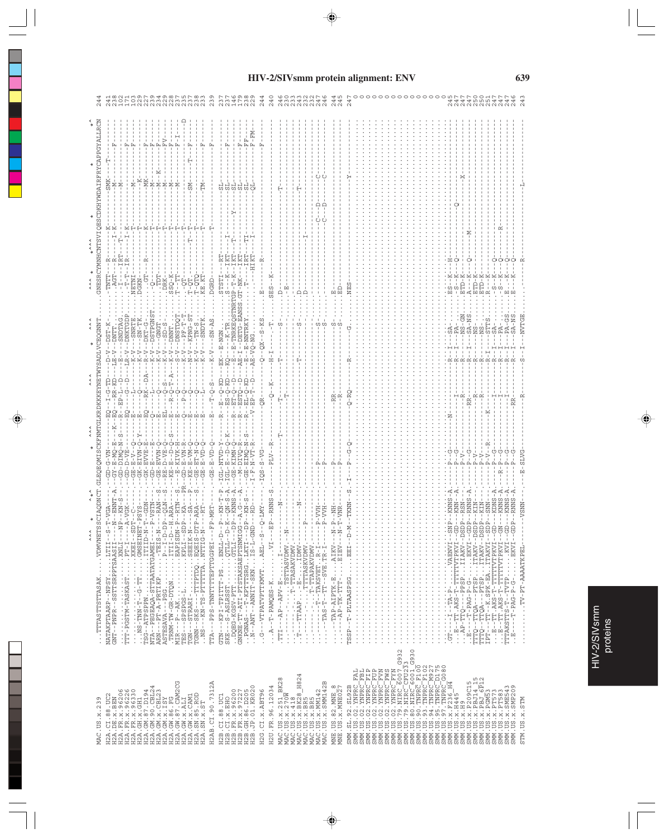| MAC.US.x.239                                                                                                                                                                                                                                                               | GNESRCYMNHCNTSVIQESCDKHYWDAIRFRYCAPPGYALLRCN<br>SCKFNMTGLKRDKKKEYNETWYSADLVCEQGNN<br><b>GLEOEOMI</b><br>CIAODNC"<br>VDMVNETS<br>$\lambda$ $\lambda$ $\lambda$<br>TTTASTTSTTASAK.                                                                                                                                                                                                                                                                                                                                                                                                                                                                                                                                                                                                                                                                                                                                                                                                                                                                                                                                     |                                                  |
|----------------------------------------------------------------------------------------------------------------------------------------------------------------------------------------------------------------------------------------------------------------------------|----------------------------------------------------------------------------------------------------------------------------------------------------------------------------------------------------------------------------------------------------------------------------------------------------------------------------------------------------------------------------------------------------------------------------------------------------------------------------------------------------------------------------------------------------------------------------------------------------------------------------------------------------------------------------------------------------------------------------------------------------------------------------------------------------------------------------------------------------------------------------------------------------------------------------------------------------------------------------------------------------------------------------------------------------------------------------------------------------------------------|--------------------------------------------------|
|                                                                                                                                                                                                                                                                            |                                                                                                                                                                                                                                                                                                                                                                                                                                                                                                                                                                                                                                                                                                                                                                                                                                                                                                                                                                                                                                                                                                                      |                                                  |
| H2A.CI.88.UC2                                                                                                                                                                                                                                                              |                                                                                                                                                                                                                                                                                                                                                                                                                                                                                                                                                                                                                                                                                                                                                                                                                                                                                                                                                                                                                                                                                                                      |                                                  |
| H2A.DE.X.BEN                                                                                                                                                                                                                                                               | .AGT<br>$- B - MO - E$<br>š<br>NATAKPTAARP--NPSYTTII--S-<br>GNT--PNPR--SSTTSRPPTSAASII---                                                                                                                                                                                                                                                                                                                                                                                                                                                                                                                                                                                                                                                                                                                                                                                                                                                                                                                                                                                                                            |                                                  |
| HZA, FR. x. 96206<br>HZA, FR. x. 96226<br>HZA, FR. x. 96330<br>HZA, GH. x. GH1                                                                                                                                                                                             | -SNDTAG<br>벽<br>GD-DIMO-N                                                                                                                                                                                                                                                                                                                                                                                                                                                                                                                                                                                                                                                                                                                                                                                                                                                                                                                                                                                                                                                                                            |                                                  |
|                                                                                                                                                                                                                                                                            | $-\mathbf{T}-\mathbf{T}$ –<br>--DNKTGDE<br>$GD - D - VE$                                                                                                                                                                                                                                                                                                                                                                                                                                                                                                                                                                                                                                                                                                                                                                                                                                                                                                                                                                                                                                                             |                                                  |
|                                                                                                                                                                                                                                                                            | NETNI<br>$-$ SNRTE<br>o<br>-<br>GE-E-V                                                                                                                                                                                                                                                                                                                                                                                                                                                                                                                                                                                                                                                                                                                                                                                                                                                                                                                                                                                                                                                                               |                                                  |
|                                                                                                                                                                                                                                                                            | $-SN-TK$<br>Y                                                                                                                                                                                                                                                                                                                                                                                                                                                                                                                                                                                                                                                                                                                                                                                                                                                                                                                                                                                                                                                                                                        | $\frac{0}{2}$ $\frac{0}{2}$                      |
|                                                                                                                                                                                                                                                                            | $-DDA$<br>PSYS-                                                                                                                                                                                                                                                                                                                                                                                                                                                                                                                                                                                                                                                                                                                                                                                                                                                                                                                                                                                                                                                                                                      |                                                  |
|                                                                                                                                                                                                                                                                            | $\ddot{5}$<br>--DKT-G<br>$- R$                                                                                                                                                                                                                                                                                                                                                                                                                                                                                                                                                                                                                                                                                                                                                                                                                                                                                                                                                                                                                                                                                       |                                                  |
|                                                                                                                                                                                                                                                                            | $\alpha$ .<br>$\begin{bmatrix} 1 & 1 & 1 & 1 & 1 \\ 1 & 0 & 1 & 1 & 1 \\ 0 & 0 & 0 & 0 & 0 \\ 0 & 0 & 0 & 0 & 0 \\ 0 & 0 & 0 & 0 & 0 \\ 0 & 0 & 0 & 0 & 0 \\ 0 & 0 & 0 & 0 & 0 \\ 0 & 0 & 0 & 0 & 0 \\ 0 & 0 & 0 & 0 & 0 \\ 0 & 0 & 0 & 0 & 0 \\ 0 & 0 & 0 & 0 & 0 \\ 0 & 0 & 0 & 0 & 0 \\ 0 & 0 & 0 & 0 & 0 \\ 0 & 0 & 0 & 0 & 0 \\ 0 & $<br>$\begin{array}{r} -GX - E\, \text{I} \, \text{V} \, \text{N} - \bar{Q} \\ -GK - E\, \text{V} \, \text{V} \, E - E \\ -GD - E - - - - - E \\ -GD - E - - - - E \\ -E - E \end{array}$<br>$\begin{array}{ll} (-1.512,0.524,0.524,0.524,0.524,0.524,0.524,0.524,0.524,0.524,0.524,0.524,0.524,0.524,0.524,0.524,0.524,0.524,0.524,0.524,0.524,0.524,0.524,0.524,0.524,0.524,0.524,0.524,0.524,0.524,0.524,0.524,0.524,0.524,0.524,0.$                                                                                                                                                                                                                                                                                                                                     |                                                  |
|                                                                                                                                                                                                                                                                            | $-15$<br>$\ldots$ TDT                                                                                                                                                                                                                                                                                                                                                                                                                                                                                                                                                                                                                                                                                                                                                                                                                                                                                                                                                                                                                                                                                                |                                                  |
|                                                                                                                                                                                                                                                                            | DRK<br>$-9 - 8$<br>ပ္ပ<br>$\alpha$<br>ò<br>RE-D-VE<br>C)                                                                                                                                                                                                                                                                                                                                                                                                                                                                                                                                                                                                                                                                                                                                                                                                                                                                                                                                                                                                                                                             |                                                  |
|                                                                                                                                                                                                                                                                            | $S-SQ-K$<br>-DNNT<br>$-T - A$<br>$-5 - 1$<br>国国<br>s<br>i<br>$\circ$<br>$KE - E$                                                                                                                                                                                                                                                                                                                                                                                                                                                                                                                                                                                                                                                                                                                                                                                                                                                                                                                                                                                                                                     |                                                  |
| H2A, (3M, 87, 1)<br>H2A, (3M, 90, CBL24<br>H2A, (3M, x, CBL23<br>H2A, (3M, 8, 16<br>H2A, (3M, 87, CAM2CG<br>H2A, (3W, 87, CAM2CG                                                                                                                                           | 胃上口<br>--DNSTDQ<br>$-E-KIVK-H$<br>S<br>RTN.                                                                                                                                                                                                                                                                                                                                                                                                                                                                                                                                                                                                                                                                                                                                                                                                                                                                                                                                                                                                                                                                          |                                                  |
| H2A. GW. x. ALI                                                                                                                                                                                                                                                            | $L - dd -$<br>$GD - E$                                                                                                                                                                                                                                                                                                                                                                                                                                                                                                                                                                                                                                                                                                                                                                                                                                                                                                                                                                                                                                                                                               |                                                  |
|                                                                                                                                                                                                                                                                            | Ċ٥<br>정하면<br>KPNG-S<br>$\mathbf{a}$                                                                                                                                                                                                                                                                                                                                                                                                                                                                                                                                                                                                                                                                                                                                                                                                                                                                                                                                                                                                                                                                                  |                                                  |
|                                                                                                                                                                                                                                                                            |                                                                                                                                                                                                                                                                                                                                                                                                                                                                                                                                                                                                                                                                                                                                                                                                                                                                                                                                                                                                                                                                                                                      |                                                  |
| H2A.GW.X.CAM1<br>H2A.SN.85.ROD<br>H2A.SN.X.ST                                                                                                                                                                                                                              | KE.K.<br><b>TONS</b><br>○□□□<br>O                                                                                                                                                                                                                                                                                                                                                                                                                                                                                                                                                                                                                                                                                                                                                                                                                                                                                                                                                                                                                                                                                    |                                                  |
|                                                                                                                                                                                                                                                                            |                                                                                                                                                                                                                                                                                                                                                                                                                                                                                                                                                                                                                                                                                                                                                                                                                                                                                                                                                                                                                                                                                                                      |                                                  |
| H2AB.CI.90.7312A                                                                                                                                                                                                                                                           | DGRD<br>$SN - AS$<br>O<br>$E-VD$<br>$TTA--PPS-TNNTTTTTEPTTGGPEL--T-F$                                                                                                                                                                                                                                                                                                                                                                                                                                                                                                                                                                                                                                                                                                                                                                                                                                                                                                                                                                                                                                                |                                                  |
| H2B.CI.88.UC1                                                                                                                                                                                                                                                              | <b>STSTI</b><br>E-NGN<br>$X - \Omega V T N - 15$<br>$\texttt{G}^T\texttt{N}--\texttt{K}^T\texttt{T}-\texttt{T}^T\texttt{T}^T\texttt{T}-\texttt{PS} \texttt{I} \texttt{I}^T\texttt{I}^T-\texttt{D}-$                                                                                                                                                                                                                                                                                                                                                                                                                                                                                                                                                                                                                                                                                                                                                                                                                                                                                                                  |                                                  |
|                                                                                                                                                                                                                                                                            | CO <sub>1</sub><br>모<br>남                                                                                                                                                                                                                                                                                                                                                                                                                                                                                                                                                                                                                                                                                                                                                                                                                                                                                                                                                                                                                                                                                            |                                                  |
|                                                                                                                                                                                                                                                                            |                                                                                                                                                                                                                                                                                                                                                                                                                                                                                                                                                                                                                                                                                                                                                                                                                                                                                                                                                                                                                                                                                                                      |                                                  |
|                                                                                                                                                                                                                                                                            | CO.<br>$A-T-T-CD$<br>$  E$ $ T$ NRKE<br>GE-KIMN-<br><b>KNNS</b>                                                                                                                                                                                                                                                                                                                                                                                                                                                                                                                                                                                                                                                                                                                                                                                                                                                                                                                                                                                                                                                      |                                                  |
| HZB.CI.X.BHO<br>HZB.FR.X.96200<br>HZB.FR.X.97227<br>HZB.GH.86.D205<br>HZB.JP.01.KR020                                                                                                                                                                                      | CO.<br>'-NK<br>Ţ<br>STO<br>현현혔법법<br>            <u> </u><br>$-M-DIV$                                                                                                                                                                                                                                                                                                                                                                                                                                                                                                                                                                                                                                                                                                                                                                                                                                                                                                                                                                                                                                                 |                                                  |
|                                                                                                                                                                                                                                                                            | E.<br>CO.<br>н<br>$E - NNTR$<br>$L - Q$<br>GE-EIMC<br>$KN-S$                                                                                                                                                                                                                                                                                                                                                                                                                                                                                                                                                                                                                                                                                                                                                                                                                                                                                                                                                                                                                                                         |                                                  |
|                                                                                                                                                                                                                                                                            | $-$ FM $-$<br>ά,                                                                                                                                                                                                                                                                                                                                                                                                                                                                                                                                                                                                                                                                                                                                                                                                                                                                                                                                                                                                                                                                                                     |                                                  |
|                                                                                                                                                                                                                                                                            |                                                                                                                                                                                                                                                                                                                                                                                                                                                                                                                                                                                                                                                                                                                                                                                                                                                                                                                                                                                                                                                                                                                      |                                                  |
| H2G.CI.x.ABT96                                                                                                                                                                                                                                                             | $S - KS$<br>$-0X$<br>Ġ.<br>$S-VG$<br>SO<br>-TWZ-<br>- - S - - - JRA TVPTTYNVT AEL - - S - -                                                                                                                                                                                                                                                                                                                                                                                                                                                                                                                                                                                                                                                                                                                                                                                                                                                                                                                                                                                                                          | यं                                               |
| H2U.FR.96.12034                                                                                                                                                                                                                                                            | SES<br>Ξ<br>-RNNS                                                                                                                                                                                                                                                                                                                                                                                                                                                                                                                                                                                                                                                                                                                                                                                                                                                                                                                                                                                                                                                                                                    | 240                                              |
|                                                                                                                                                                                                                                                                            | $\ldots$ $A - T - PAMQES - K$ , $\ldots$ $\ldots$ $VI - T - E$                                                                                                                                                                                                                                                                                                                                                                                                                                                                                                                                                                                                                                                                                                                                                                                                                                                                                                                                                                                                                                                       |                                                  |
| $\infty$                                                                                                                                                                                                                                                                   | C)                                                                                                                                                                                                                                                                                                                                                                                                                                                                                                                                                                                                                                                                                                                                                                                                                                                                                                                                                                                                                                                                                                                   |                                                  |
| MAC. US. x. 251_BK2                                                                                                                                                                                                                                                        |                                                                                                                                                                                                                                                                                                                                                                                                                                                                                                                                                                                                                                                                                                                                                                                                                                                                                                                                                                                                                                                                                                                      |                                                  |
| MAC.US.x.270W                                                                                                                                                                                                                                                              |                                                                                                                                                                                                                                                                                                                                                                                                                                                                                                                                                                                                                                                                                                                                                                                                                                                                                                                                                                                                                                                                                                                      |                                                  |
|                                                                                                                                                                                                                                                                            |                                                                                                                                                                                                                                                                                                                                                                                                                                                                                                                                                                                                                                                                                                                                                                                                                                                                                                                                                                                                                                                                                                                      |                                                  |
|                                                                                                                                                                                                                                                                            | m                                                                                                                                                                                                                                                                                                                                                                                                                                                                                                                                                                                                                                                                                                                                                                                                                                                                                                                                                                                                                                                                                                                    |                                                  |
| MAC.US.x.418<br>MAC.US.x.BK28 H824<br>MAC.US.x.BK5                                                                                                                                                                                                                         |                                                                                                                                                                                                                                                                                                                                                                                                                                                                                                                                                                                                                                                                                                                                                                                                                                                                                                                                                                                                                                                                                                                      |                                                  |
|                                                                                                                                                                                                                                                                            |                                                                                                                                                                                                                                                                                                                                                                                                                                                                                                                                                                                                                                                                                                                                                                                                                                                                                                                                                                                                                                                                                                                      |                                                  |
| MAC.US.x.BR5                                                                                                                                                                                                                                                               |                                                                                                                                                                                                                                                                                                                                                                                                                                                                                                                                                                                                                                                                                                                                                                                                                                                                                                                                                                                                                                                                                                                      |                                                  |
|                                                                                                                                                                                                                                                                            |                                                                                                                                                                                                                                                                                                                                                                                                                                                                                                                                                                                                                                                                                                                                                                                                                                                                                                                                                                                                                                                                                                                      |                                                  |
| MAC.US.x.MM142                                                                                                                                                                                                                                                             | $\cap$<br>ω ω                                                                                                                                                                                                                                                                                                                                                                                                                                                                                                                                                                                                                                                                                                                                                                                                                                                                                                                                                                                                                                                                                                        |                                                  |
| MAC.US.x.SMM142B                                                                                                                                                                                                                                                           | C<br>$\Omega$                                                                                                                                                                                                                                                                                                                                                                                                                                                                                                                                                                                                                                                                                                                                                                                                                                                                                                                                                                                                                                                                                                        |                                                  |
|                                                                                                                                                                                                                                                                            |                                                                                                                                                                                                                                                                                                                                                                                                                                                                                                                                                                                                                                                                                                                                                                                                                                                                                                                                                                                                                                                                                                                      |                                                  |
|                                                                                                                                                                                                                                                                            | <b>F</b><br>m                                                                                                                                                                                                                                                                                                                                                                                                                                                                                                                                                                                                                                                                                                                                                                                                                                                                                                                                                                                                                                                                                                        |                                                  |
| $\begin{array}{l} \tt MME.UG.S.32.MME 8 \\ \tt MME.UG.A.ME0Z7 \end{array}$                                                                                                                                                                                                 | $\cdots \cdots - TAP - ALPPTK - E \cdots AIKN - - - N -$ $\cdots \cdots - -AP - TK - TTT - \cdots BIEN - - - N -$                                                                                                                                                                                                                                                                                                                                                                                                                                                                                                                                                                                                                                                                                                                                                                                                                                                                                                                                                                                                    |                                                  |
|                                                                                                                                                                                                                                                                            |                                                                                                                                                                                                                                                                                                                                                                                                                                                                                                                                                                                                                                                                                                                                                                                                                                                                                                                                                                                                                                                                                                                      |                                                  |
| SMM.SL.92.SL92B                                                                                                                                                                                                                                                            | TKNIN<br>M-d--IFRECOSSASPECT4--BSSL                                                                                                                                                                                                                                                                                                                                                                                                                                                                                                                                                                                                                                                                                                                                                                                                                                                                                                                                                                                                                                                                                  |                                                  |
|                                                                                                                                                                                                                                                                            |                                                                                                                                                                                                                                                                                                                                                                                                                                                                                                                                                                                                                                                                                                                                                                                                                                                                                                                                                                                                                                                                                                                      |                                                  |
|                                                                                                                                                                                                                                                                            |                                                                                                                                                                                                                                                                                                                                                                                                                                                                                                                                                                                                                                                                                                                                                                                                                                                                                                                                                                                                                                                                                                                      |                                                  |
|                                                                                                                                                                                                                                                                            |                                                                                                                                                                                                                                                                                                                                                                                                                                                                                                                                                                                                                                                                                                                                                                                                                                                                                                                                                                                                                                                                                                                      |                                                  |
| $\begin{small} & 0.02 & 0.02 & 0.03 & 0.04 & 0.05 & 0.04 & 0.04 & 0.04 & 0.04 & 0.04 & 0.04 & 0.04 & 0.04 & 0.04 & 0.04 & 0.04 & 0.04 & 0.04 & 0.04 & 0.04 & 0.04 & 0.04 & 0.04 & 0.04 & 0.04 & 0.04 & 0.04 & 0.04 & 0.04 & 0.04 & 0.04 & 0.04 & 0.04 & 0.04 & 0.04 & 0.0$ |                                                                                                                                                                                                                                                                                                                                                                                                                                                                                                                                                                                                                                                                                                                                                                                                                                                                                                                                                                                                                                                                                                                      |                                                  |
|                                                                                                                                                                                                                                                                            |                                                                                                                                                                                                                                                                                                                                                                                                                                                                                                                                                                                                                                                                                                                                                                                                                                                                                                                                                                                                                                                                                                                      |                                                  |
|                                                                                                                                                                                                                                                                            |                                                                                                                                                                                                                                                                                                                                                                                                                                                                                                                                                                                                                                                                                                                                                                                                                                                                                                                                                                                                                                                                                                                      |                                                  |
|                                                                                                                                                                                                                                                                            |                                                                                                                                                                                                                                                                                                                                                                                                                                                                                                                                                                                                                                                                                                                                                                                                                                                                                                                                                                                                                                                                                                                      |                                                  |
|                                                                                                                                                                                                                                                                            |                                                                                                                                                                                                                                                                                                                                                                                                                                                                                                                                                                                                                                                                                                                                                                                                                                                                                                                                                                                                                                                                                                                      |                                                  |
|                                                                                                                                                                                                                                                                            |                                                                                                                                                                                                                                                                                                                                                                                                                                                                                                                                                                                                                                                                                                                                                                                                                                                                                                                                                                                                                                                                                                                      |                                                  |
|                                                                                                                                                                                                                                                                            |                                                                                                                                                                                                                                                                                                                                                                                                                                                                                                                                                                                                                                                                                                                                                                                                                                                                                                                                                                                                                                                                                                                      |                                                  |
|                                                                                                                                                                                                                                                                            |                                                                                                                                                                                                                                                                                                                                                                                                                                                                                                                                                                                                                                                                                                                                                                                                                                                                                                                                                                                                                                                                                                                      |                                                  |
| G932                                                                                                                                                                                                                                                                       |                                                                                                                                                                                                                                                                                                                                                                                                                                                                                                                                                                                                                                                                                                                                                                                                                                                                                                                                                                                                                                                                                                                      |                                                  |
|                                                                                                                                                                                                                                                                            |                                                                                                                                                                                                                                                                                                                                                                                                                                                                                                                                                                                                                                                                                                                                                                                                                                                                                                                                                                                                                                                                                                                      |                                                  |
| G930                                                                                                                                                                                                                                                                       |                                                                                                                                                                                                                                                                                                                                                                                                                                                                                                                                                                                                                                                                                                                                                                                                                                                                                                                                                                                                                                                                                                                      |                                                  |
|                                                                                                                                                                                                                                                                            |                                                                                                                                                                                                                                                                                                                                                                                                                                                                                                                                                                                                                                                                                                                                                                                                                                                                                                                                                                                                                                                                                                                      |                                                  |
|                                                                                                                                                                                                                                                                            |                                                                                                                                                                                                                                                                                                                                                                                                                                                                                                                                                                                                                                                                                                                                                                                                                                                                                                                                                                                                                                                                                                                      |                                                  |
|                                                                                                                                                                                                                                                                            |                                                                                                                                                                                                                                                                                                                                                                                                                                                                                                                                                                                                                                                                                                                                                                                                                                                                                                                                                                                                                                                                                                                      |                                                  |
|                                                                                                                                                                                                                                                                            |                                                                                                                                                                                                                                                                                                                                                                                                                                                                                                                                                                                                                                                                                                                                                                                                                                                                                                                                                                                                                                                                                                                      |                                                  |
|                                                                                                                                                                                                                                                                            |                                                                                                                                                                                                                                                                                                                                                                                                                                                                                                                                                                                                                                                                                                                                                                                                                                                                                                                                                                                                                                                                                                                      |                                                  |
|                                                                                                                                                                                                                                                                            |                                                                                                                                                                                                                                                                                                                                                                                                                                                                                                                                                                                                                                                                                                                                                                                                                                                                                                                                                                                                                                                                                                                      |                                                  |
|                                                                                                                                                                                                                                                                            |                                                                                                                                                                                                                                                                                                                                                                                                                                                                                                                                                                                                                                                                                                                                                                                                                                                                                                                                                                                                                                                                                                                      |                                                  |
|                                                                                                                                                                                                                                                                            |                                                                                                                                                                                                                                                                                                                                                                                                                                                                                                                                                                                                                                                                                                                                                                                                                                                                                                                                                                                                                                                                                                                      |                                                  |
|                                                                                                                                                                                                                                                                            |                                                                                                                                                                                                                                                                                                                                                                                                                                                                                                                                                                                                                                                                                                                                                                                                                                                                                                                                                                                                                                                                                                                      |                                                  |
| SMM. US. x. H445                                                                                                                                                                                                                                                           | ÷<br>$\frac{1}{2}$<br>KNN                                                                                                                                                                                                                                                                                                                                                                                                                                                                                                                                                                                                                                                                                                                                                                                                                                                                                                                                                                                                                                                                                            |                                                  |
|                                                                                                                                                                                                                                                                            |                                                                                                                                                                                                                                                                                                                                                                                                                                                                                                                                                                                                                                                                                                                                                                                                                                                                                                                                                                                                                                                                                                                      |                                                  |
| SMM.US.x.H9                                                                                                                                                                                                                                                                | $ETD-1$<br>q<br><b>RSN</b><br>$AP - T TQ - --- P P S P$ $I I A KV - - D S D$                                                                                                                                                                                                                                                                                                                                                                                                                                                                                                                                                                                                                                                                                                                                                                                                                                                                                                                                                                                                                                         |                                                  |
|                                                                                                                                                                                                                                                                            | $\frac{\text{NS} - \text{GN}}{\text{SA} - \text{NS}}$<br>RR-                                                                                                                                                                                                                                                                                                                                                                                                                                                                                                                                                                                                                                                                                                                                                                                                                                                                                                                                                                                                                                                         |                                                  |
|                                                                                                                                                                                                                                                                            | ပှံ<br>RNNS-A                                                                                                                                                                                                                                                                                                                                                                                                                                                                                                                                                                                                                                                                                                                                                                                                                                                                                                                                                                                                                                                                                                        |                                                  |
| SMM.US.x.P209C15<br>SMM.US.x.PBJ14 15<br>SMM.US.x.PBJ_6P12                                                                                                                                                                                                                 | $\begin{bmatrix} 1 & 1 & 1 \\ 1 & 1 & 1 \\ 1 & 1 & 1 \\ 1 & 1 & 1 \\ 1 & 1 & 1 \\ 1 & 1 & 1 \\ 1 & 1 & 1 \\ 1 & 1 & 1 \\ 1 & 1 & 1 \\ 1 & 1 & 1 \\ 1 & 1 & 1 \\ 1 & 1 & 1 \\ 1 & 1 & 1 \\ 1 & 1 & 1 \\ 1 & 1 & 1 \\ 1 & 1 & 1 \\ 1 & 1 & 1 \\ 1 & 1 & 1 \\ 1 & 1 & 1 \\ 1 & 1 & 1 \\ 1 & 1 & 1 \\ 1 & 1 & 1 & 1 \\ 1 & 1 & 1 & 1 \\ $<br>$NS -$<br><b>KKKKKKK</b><br>α<br>$\sum_{i=1}^{n}$<br>$\begin{array}{ll} \dots \mathbb{B} & \dashrightarrow \mathbb{T}^{-1} \mathbb{P} \mathbb{A} \mathbb{G}^{-1} \stackrel{\frown}{\longrightarrow} \dots \stackrel{\frown}{\longrightarrow} \dots \stackrel{\frown}{\longrightarrow} \dots \stackrel{\frown}{\longrightarrow} \dots \stackrel{\frown}{\longrightarrow} \dots \stackrel{\frown}{\longrightarrow} \dots \stackrel{\frown}{\longrightarrow} \dots \stackrel{\frown}{\longrightarrow} \dots \stackrel{\frown}{\longrightarrow} \dots \stackrel{\frown}{\longrightarrow} \dots \stackrel{\frown}{\longrightarrow} \dots \stackrel{\frown}{\longrightarrow} \dots \stackrel{\frown}{\longrightarrow} \dots \stackrel{\frown}{\longrightarrow} \dots \stackrel{\$ | フフフOOユフフ<br>4 4 4 5 5 5 4 4<br>3 4 4 5 5 5 5 4 5 |
|                                                                                                                                                                                                                                                                            | $-R$<br>i<br>A                                                                                                                                                                                                                                                                                                                                                                                                                                                                                                                                                                                                                                                                                                                                                                                                                                                                                                                                                                                                                                                                                                       |                                                  |
|                                                                                                                                                                                                                                                                            | H<br>$\geq$                                                                                                                                                                                                                                                                                                                                                                                                                                                                                                                                                                                                                                                                                                                                                                                                                                                                                                                                                                                                                                                                                                          |                                                  |
| SMM. US. x. PGM53                                                                                                                                                                                                                                                          |                                                                                                                                                                                                                                                                                                                                                                                                                                                                                                                                                                                                                                                                                                                                                                                                                                                                                                                                                                                                                                                                                                                      |                                                  |
| SMM. US. x. PT573                                                                                                                                                                                                                                                          | J,<br>$\frac{5}{1}$<br>NS-<br>STTS:<br>SA-<br>$\frac{1}{1}$<br>ひ<br>KDNS-A                                                                                                                                                                                                                                                                                                                                                                                                                                                                                                                                                                                                                                                                                                                                                                                                                                                                                                                                                                                                                                           |                                                  |
| SMM. US. x. PT583                                                                                                                                                                                                                                                          | PA-.<br>ロー<br>KNNS-<br>$-1.7T \cdot AXS-T-TTTTTTTVTZXVI-\\$<br>È.                                                                                                                                                                                                                                                                                                                                                                                                                                                                                                                                                                                                                                                                                                                                                                                                                                                                                                                                                                                                                                                    |                                                  |
|                                                                                                                                                                                                                                                                            | $\alpha\alpha\alpha$                                                                                                                                                                                                                                                                                                                                                                                                                                                                                                                                                                                                                                                                                                                                                                                                                                                                                                                                                                                                                                                                                                 |                                                  |
| SMM.US.x.SME543                                                                                                                                                                                                                                                            | Ο<br>$\begin{array}{lll} \texttt{T} & \texttt{T} & \texttt{X} & \texttt{X} \\ \texttt{T} & \texttt{T} & \texttt{Y} & \texttt{X} & \texttt{X} \\ \texttt{T} & \texttt{T} & \texttt{T} & \texttt{X} & \texttt{X} \\ \texttt{T} & \texttt{Y} & \texttt{T} & \texttt{T} & \texttt{X} \\ \texttt{X} & \texttt{Y} & \texttt{T} & \texttt{Y} & \texttt{X} \\ \texttt{X} & \texttt{Y} & \texttt{T} & \texttt{Y} & \texttt{X} \\ \texttt{X} & \texttt{Y} & \texttt{T} & \$                                                                                                                                                                                                                                                                                                                                                                                                                                                                                                                                                                                                                                                    |                                                  |
| SMM. US. x. SMP209                                                                                                                                                                                                                                                         | $SA-N$<br>$\mathbf{a}$                                                                                                                                                                                                                                                                                                                                                                                                                                                                                                                                                                                                                                                                                                                                                                                                                                                                                                                                                                                                                                                                                               |                                                  |
|                                                                                                                                                                                                                                                                            |                                                                                                                                                                                                                                                                                                                                                                                                                                                                                                                                                                                                                                                                                                                                                                                                                                                                                                                                                                                                                                                                                                                      |                                                  |
| STM.US.x.STM                                                                                                                                                                                                                                                               | NVTGI<br>$E-SLVG$<br>vsn                                                                                                                                                                                                                                                                                                                                                                                                                                                                                                                                                                                                                                                                                                                                                                                                                                                                                                                                                                                                                                                                                             |                                                  |
|                                                                                                                                                                                                                                                                            |                                                                                                                                                                                                                                                                                                                                                                                                                                                                                                                                                                                                                                                                                                                                                                                                                                                                                                                                                                                                                                                                                                                      |                                                  |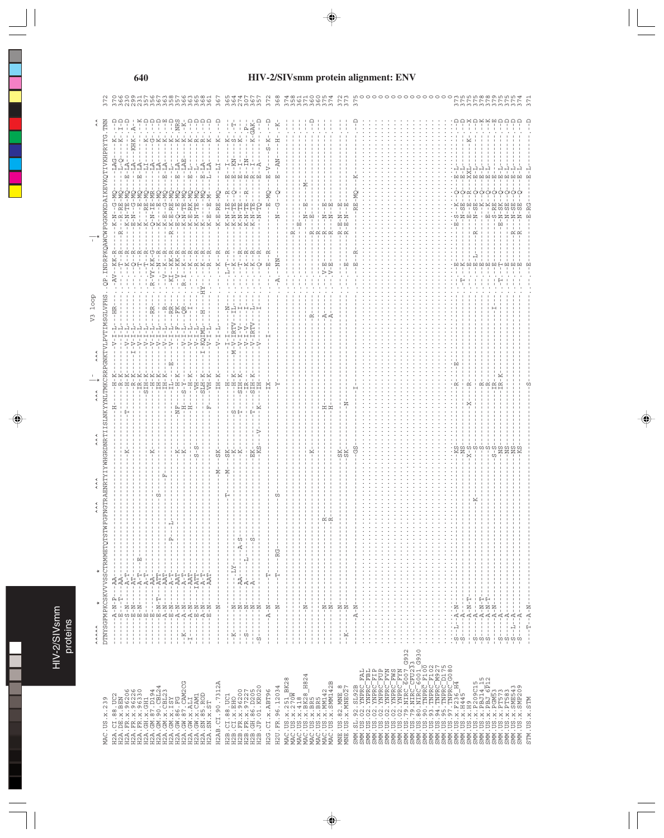| ł, |
|----|
|    |
| í  |
|    |
|    |

|                                                                                                                                                                                                                                                                                                                                                                                                                         | ×<br>$\star$<br>ベススへん                                                                                                                                                                                                                                                                                                                                                                                                                   | loop<br>V3<br>くくく<br>$\lambda$                                                                                                                                                                                                                                                                                                                                                                                                                                                                                                                                                                                                      |                                                                                                                                                                                                                                                                                                                                                                                                           |                                                                                                      |
|-------------------------------------------------------------------------------------------------------------------------------------------------------------------------------------------------------------------------------------------------------------------------------------------------------------------------------------------------------------------------------------------------------------------------|-----------------------------------------------------------------------------------------------------------------------------------------------------------------------------------------------------------------------------------------------------------------------------------------------------------------------------------------------------------------------------------------------------------------------------------------|-------------------------------------------------------------------------------------------------------------------------------------------------------------------------------------------------------------------------------------------------------------------------------------------------------------------------------------------------------------------------------------------------------------------------------------------------------------------------------------------------------------------------------------------------------------------------------------------------------------------------------------|-----------------------------------------------------------------------------------------------------------------------------------------------------------------------------------------------------------------------------------------------------------------------------------------------------------------------------------------------------------------------------------------------------------|------------------------------------------------------------------------------------------------------|
| .8.239<br>MAC.US                                                                                                                                                                                                                                                                                                                                                                                                        | WFGFNGTRAENRTY IYWHGRDNRTI ISLMKYYNLTMKCRRPGNKTVLPVTIMSGLVFHS<br>DTNYSGFMPKCSKVVVSSCTRMMETQTST                                                                                                                                                                                                                                                                                                                                          |                                                                                                                                                                                                                                                                                                                                                                                                                                                                                                                                                                                                                                     | .QP.INDRPKQAWCWFGGKWKDAIKEVKQTIVKHPRYTG.TNN                                                                                                                                                                                                                                                                                                                                                               | 372                                                                                                  |
| H2A.CI.88.UC2                                                                                                                                                                                                                                                                                                                                                                                                           | Ξ<br>$-AA$ -<br>$A-N-P-$                                                                                                                                                                                                                                                                                                                                                                                                                | $-HR$<br>후류<br>$\triangleright$<br>KK                                                                                                                                                                                                                                                                                                                                                                                                                                                                                                                                                                                               | $7 + 7$<br>$+ 7$<br>$+ 7$<br>Κ<br>$\mathbf I$<br>$149$<br>$-1 - 0$                                                                                                                                                                                                                                                                                                                                        |                                                                                                      |
| H2A. DE. x. BEN                                                                                                                                                                                                                                                                                                                                                                                                         | ×<br>$\mathsf I$<br>$\mathbf{I}$<br>$\mathbf{I}$<br>$\,$ I<br>$-AA-$<br>÷<br>$\,$ I<br>á<br>$\mathbf{I}$                                                                                                                                                                                                                                                                                                                                | 루                                                                                                                                                                                                                                                                                                                                                                                                                                                                                                                                                                                                                                   | K-.<br>T<br>$-1 - 1$<br>$E - LA -$<br>÷<br>Ŕ<br>T                                                                                                                                                                                                                                                                                                                                                         |                                                                                                      |
|                                                                                                                                                                                                                                                                                                                                                                                                                         | J.<br>t<br>$\sf I$<br>$- -P - T - - -$<br>ł<br>Ţ<br>ı<br>ı<br>$\mathbf{I}$                                                                                                                                                                                                                                                                                                                                                              | Ļ<br>$\mathbf I$                                                                                                                                                                                                                                                                                                                                                                                                                                                                                                                                                                                                                    | KHK-.<br>$\frac{1}{4}$<br>$---LA$<br>$\frac{1}{4}$                                                                                                                                                                                                                                                                                                                                                        |                                                                                                      |
|                                                                                                                                                                                                                                                                                                                                                                                                                         | $- -A - T - - -E - -$<br>Ĵ<br>혼혼년<br>- 무료<br>- 여보번번<br>Ţ<br>t<br>1<br>f,                                                                                                                                                                                                                                                                                                                                                                | H                                                                                                                                                                                                                                                                                                                                                                                                                                                                                                                                                                                                                                   | $E-LA$<br>$\mathbb{I}$<br>÷<br>Ť                                                                                                                                                                                                                                                                                                                                                                          |                                                                                                      |
|                                                                                                                                                                                                                                                                                                                                                                                                                         | ĸ<br>$\begin{array}{c} \hline \end{array}$<br>$- - - - - - - - - - - - -$<br>1<br>ï<br>t<br>ļ<br>$\frac{1}{1}$<br>$\frac{1}{1}$                                                                                                                                                                                                                                                                                                         | $-RR$<br>부<br>$\mathbf{I}$                                                                                                                                                                                                                                                                                                                                                                                                                                                                                                                                                                                                          | ÷<br>ŦΤ                                                                                                                                                                                                                                                                                                                                                                                                   |                                                                                                      |
|                                                                                                                                                                                                                                                                                                                                                                                                                         | İ<br>$-AA-$<br>$\frac{1}{\left\vert \mathbf{L}\right\vert }$<br>Ţ<br>Î                                                                                                                                                                                                                                                                                                                                                                  | $\mathbf{I}$<br>$\mathbf{I}$<br>부<br>부<br>$\mathbf{I}$<br>$\mathbf{I}$<br>$\begin{array}{r@{\hspace{1em}}l@{\hspace{1em}}l@{\hspace{1em}}l@{\hspace{1em}}l@{\hspace{1em}}l@{\hspace{1em}}l@{\hspace{1em}}l@{\hspace{1em}}l@{\hspace{1em}}l@{\hspace{1em}}l@{\hspace{1em}}l@{\hspace{1em}}l@{\hspace{1em}}l@{\hspace{1em}}l@{\hspace{1em}}l@{\hspace{1em}}l@{\hspace{1em}}l@{\hspace{1em}}l@{\hspace{1em}}l@{\hspace{1em}}l@{\hspace{1em}}l@{\hspace{1em}}l@{\hspace{1em}}l@{\hspace{1em$<br>٠                                                                                                                                       | $\begin{array}{lllllllll} &\textbf{K-1} &\textbf{A-1} &\textbf{B-1} &\textbf{B-1} &\textbf{B-1} &\textbf{B-1} &\textbf{B-1} &\textbf{B-1} &\textbf{B-1} &\textbf{B-1} &\textbf{B-1} &\textbf{B-1} &\textbf{B-1} &\textbf{B-1} &\textbf{B-1} &\textbf{B-1} &\textbf{B-1} &\textbf{B-1} &\textbf{B-1} &\textbf{B-1} &\textbf{B-1} &\textbf{B-1} &\textbf{B-1} &\$<br>$-14$<br>$-14$<br>$-14$<br>÷<br>÷<br>÷ |                                                                                                      |
|                                                                                                                                                                                                                                                                                                                                                                                                                         | Ŀ,<br>Ì<br>$\begin{array}{c} \begin{array}{c} \text{1} \\ \text{2} \\ \text{3} \\ \text{4} \end{array} \end{array}$<br>$-AA$ T<br>$- -A - N$<br>$\frac{1}{1}$                                                                                                                                                                                                                                                                           | $\mathbf{I}$<br>$\begin{array}{c c c c c} \hline \multicolumn{3}{c }{\vdots} & \multicolumn{3}{c }{\vdots} & \multicolumn{3}{c }{\vdots} \\ \hline \multicolumn{3}{c }{\vdots} & \multicolumn{3}{c }{\vdots} & \multicolumn{3}{c }{\vdots} \\ \hline \multicolumn{3}{c }{\vdots} & \multicolumn{3}{c }{\vdots} & \multicolumn{3}{c }{\vdots} \\ \hline \multicolumn{3}{c }{\vdots} & \multicolumn{3}{c }{\vdots} & \multicolumn{3}{c }{\vdots} \\ \hline \multicolumn{3}{c }{$<br>부<br>÷.<br>$\overline{\phantom{a}}$                                                                                                               | $-LA$<br>囜<br>$\mathsf I$<br>÷                                                                                                                                                                                                                                                                                                                                                                            |                                                                                                      |
|                                                                                                                                                                                                                                                                                                                                                                                                                         | -----------<br>$---A-T$<br>j<br>$N - H - I$<br>$\frac{1}{1}$                                                                                                                                                                                                                                                                                                                                                                            | $\blacksquare$<br>$\mathbf{I}$<br>부<br>$\mathbf{L}$<br>뚜                                                                                                                                                                                                                                                                                                                                                                                                                                                                                                                                                                            | 부<br>$-R$ –                                                                                                                                                                                                                                                                                                                                                                                               |                                                                                                      |
|                                                                                                                                                                                                                                                                                                                                                                                                                         | FN-<br>×<br>×<br>$\frac{1}{1}$<br>$\frac{1}{4}$<br>$-$ -AAT<br>$---A-T$<br>j.<br>$\frac{1}{1}$<br>$----P-1$<br>$- - K - -$<br>j                                                                                                                                                                                                                                                                                                         | ÷<br>$\mathbb{I}$<br>$\mathbf{I}$<br>부<br>Π.<br>$\mathbf{L}$<br>$-H-K$<br>$X - S$<br>$\mathbf{I}$                                                                                                                                                                                                                                                                                                                                                                                                                                                                                                                                   | ΞK<br>囯<br>л.<br>÷                                                                                                                                                                                                                                                                                                                                                                                        |                                                                                                      |
|                                                                                                                                                                                                                                                                                                                                                                                                                         | 出出<br>$-PAT$<br>$\frac{1}{4}$<br>$\mathbb{I}$<br>$\mapsto$                                                                                                                                                                                                                                                                                                                                                                              | $1 - 1$<br>부<br>$-H-K$ -                                                                                                                                                                                                                                                                                                                                                                                                                                                                                                                                                                                                            | ÷                                                                                                                                                                                                                                                                                                                                                                                                         |                                                                                                      |
|                                                                                                                                                                                                                                                                                                                                                                                                                         | $\frac{1}{2}$<br>C)<br>÷<br>$-12ATT$<br>$\mathsf I$                                                                                                                                                                                                                                                                                                                                                                                     | 부<br>$\begin{array}{c} \n\Gamma - 1 \\ \n\Gamma - 1 \\ \n\Gamma - 1 \end{array}$<br>$-{\rm VH}-$                                                                                                                                                                                                                                                                                                                                                                                                                                                                                                                                    | ÷                                                                                                                                                                                                                                                                                                                                                                                                         |                                                                                                      |
| $[\begin{array}{l} \bf 1231, \bf 1721, \bf 182, \bf 362, \bf 062, \bf 081, \bf 123, \bf 173, \bf 183, \bf 206, \bf 071, \bf 173, \bf 183, \bf 081, \bf 371, \bf 183, \bf 091, \bf 301, \bf 091, \bf 091, \bf 091, \bf 091, \bf 091, \bf 091, \bf 091, \bf 091, \bf 091, \bf 091, \bf 091, \bf 091, \$                                                                                                                   | $\mathsf I$<br>$-{\bf A}-{\bf T}$<br>$\mathbf{I}$                                                                                                                                                                                                                                                                                                                                                                                       | $\begin{array}{l} \begin{array}{l} \scriptstyle{1,1}\\[-10pt] \scriptstyle{1,1}\\[-10pt] \scriptstyle{1,1}\\[-10pt] \scriptstyle{1,1}\\[-10pt] \scriptstyle{1,1}\\[-10pt] \scriptstyle{1,1}\\[-10pt] \scriptstyle{1,1}\\[-10pt] \scriptstyle{1,1}\\[-10pt] \scriptstyle{1,1}\\[-10pt] \scriptstyle{1,1}\\[-10pt] \scriptstyle{1,1}\\[-10pt] \scriptstyle{1,1}\\[-10pt] \scriptstyle{1,1}\\[-10pt] \scriptstyle{1,1}\\[-10pt] \scriptstyle{1,1}\\[-10pt] \scriptstyle{1,1}\\[-10$<br>$\mathbf{I}$<br>$\frac{1}{1}$<br>KQIML-<br>$\blacksquare$<br>$\begin{array}{c}\n\text{SLH}-\text{K} \\ \text{-}\text{VH}-\text{K}\n\end{array}$ | .<br>노<br>서 부 자<br>$\blacksquare$                                                                                                                                                                                                                                                                                                                                                                         | O W O のエアらアろ 8 ア 9 M U 8 H<br>ア 9 M のうち D D W D D D D D D D D D D<br>M M N N N M M M M M M M M M M M |
|                                                                                                                                                                                                                                                                                                                                                                                                                         | Ŀ,<br>$ PAT$<br>J.<br>$\mathbf I$<br>I<br>J.<br>$\mathsf I$<br>$\mathbf I$                                                                                                                                                                                                                                                                                                                                                              | Ļ<br>T                                                                                                                                                                                                                                                                                                                                                                                                                                                                                                                                                                                                                              |                                                                                                                                                                                                                                                                                                                                                                                                           |                                                                                                      |
| H2AB.CI.90.7312A                                                                                                                                                                                                                                                                                                                                                                                                        | K<br>ω<br>Σ<br>J.<br>$\mathbf{I}$<br>$\mathbf{I}$<br>$\frac{1}{2}$<br>I,<br>٠<br>$\mathbf I$<br>I,                                                                                                                                                                                                                                                                                                                                      | $\mathbf I$<br>$\mathsf I$<br>$V - I$<br>$IH - K$                                                                                                                                                                                                                                                                                                                                                                                                                                                                                                                                                                                   | $\Box$<br>$\rm K$ -<br>$-LI$<br>RE-MQ<br>$K - E - J$<br>$\mathbbm{R}$<br>$\frac{1}{4}$<br>×                                                                                                                                                                                                                                                                                                               | $\frac{6}{5}$                                                                                        |
|                                                                                                                                                                                                                                                                                                                                                                                                                         | ω<br>Σ<br>I<br>$\frac{1}{1}$<br>Ħ<br>J.<br>J.<br>I.<br>ı<br>ı                                                                                                                                                                                                                                                                                                                                                                           | á<br>$\vdash$                                                                                                                                                                                                                                                                                                                                                                                                                                                                                                                                                                                                                       | ÷<br>$\simeq$<br>$\alpha$                                                                                                                                                                                                                                                                                                                                                                                 | 36 V                                                                                                 |
|                                                                                                                                                                                                                                                                                                                                                                                                                         | ω⊣<br>KKK<br>$\mathsf I$<br>$-$ - $-\chi_{\rm L}$ .<br><br>- $-$ - $-$<br>$\frac{1}{4}$<br>$\mathbf{I}$<br>$N -$<br>$\mathbf{I}$<br>$-K-$                                                                                                                                                                                                                                                                                               | $\mathbb{I}$<br>$\Gamma = 1$<br>$\,$ $\,$<br>Σ<br>$\blacksquare$<br>$\begin{array}{r} -\,H\,-\,N\,\\ -\,H\,-\,K\,\\ -\,S\,IH\,-\,K\,\\ -\,IR\,-\,\\ -\,IR\,-\,\\ \end{array}$                                                                                                                                                                                                                                                                                                                                                                                                                                                       | $\frac{1}{2}$<br>$K = 1$<br>÷<br>$\circ$<br>÷<br>부모터                                                                                                                                                                                                                                                                                                                                                      | O                                                                                                    |
|                                                                                                                                                                                                                                                                                                                                                                                                                         | $\blacksquare$<br>$\,$ $\,$<br>$-8 - 5 -$<br>$\,$ I<br>$---AA---$<br>Ĵ<br>j<br>$-1$<br>$\frac{1}{4}$<br>J,<br>$\frac{5}{1}$                                                                                                                                                                                                                                                                                                             | $\mathbf{I}$<br>$\mathbb{I}$<br>$\blacksquare$<br>$\blacksquare$<br>$\mathbb{L}$<br>$\overline{\phantom{a}}$<br>$\triangleright$<br>⊳                                                                                                                                                                                                                                                                                                                                                                                                                                                                                               | $\stackrel{1}{\Delta}$<br>H<br>÷<br>÷<br>$- R$<br>보니<br>÷<br>T                                                                                                                                                                                                                                                                                                                                            |                                                                                                      |
| $\begin{array}{l} \rm{H2B\cdot Cl.\ 88\cdot UCl} \\ \rm{H2B\cdot Cl.\ x.\  \, BEO} \\ \rm{H2B\cdot FR.\ x.\  \, $96200} \\ \rm{H2B\cdot GR.\  \, $26200} \\ \rm{H2B\cdot GH.\  \, $6.12205} \\ \rm{H2B\cdot GHz.\  \, $46.12205} \\ \rm{H2B\cdot J2.\  \, $J2.\  \, $01.1 \times R020} \end{array}$                                                                                                                     | Н<br>×<br>囸<br>$-5 -$<br>$\frac{1}{1}$<br>$N -$<br>$N -$<br>Ţ<br>$\frac{1}{1}$                                                                                                                                                                                                                                                                                                                                                          | $\mathsf{I}$<br>$\mathsf I$<br>$\mathbf{I}$<br>:-I-----<br>7-IRTV<br>7-I-V---<br>7-IRTV-<br>7-IRTV-<br>⊳<br>`-K<br>CΩ                                                                                                                                                                                                                                                                                                                                                                                                                                                                                                               | N M M M<br>$K-GAK$<br>$\,$ $\,$<br>因因因因以<br>н<br>Û.<br>$K-N$<br><b>1 R R R R</b><br>÷<br>FKHKKO                                                                                                                                                                                                                                                                                                           | $\circ$                                                                                              |
|                                                                                                                                                                                                                                                                                                                                                                                                                         | ×<br>$\overline{\phantom{a}}$<br>₽<br>KS<br>Í<br>t<br>J<br>J.<br>ï<br>t<br>J.<br>J.<br>$\mathbf I$<br>$\overline{N}$<br>Ţ<br>J.<br>J<br>$\mathbf{1}$<br>C)                                                                                                                                                                                                                                                                              | HH                                                                                                                                                                                                                                                                                                                                                                                                                                                                                                                                                                                                                                  | $\Box$<br>$\circ$<br>ż                                                                                                                                                                                                                                                                                                                                                                                    | u w                                                                                                  |
| H2G.CI.x.ABT96                                                                                                                                                                                                                                                                                                                                                                                                          | $\mathbf{I}$<br>$\mathbf I$<br>$\mathbf I$<br>$-1$<br>$\mathbf{I}$<br>$-4 - N$<br>t<br>$\overline{\phantom{a}}$<br>$\mathbf I$                                                                                                                                                                                                                                                                                                          | X                                                                                                                                                                                                                                                                                                                                                                                                                                                                                                                                                                                                                                   | $\Box$<br>$-K-$<br>C)<br>$\tilde{\gamma}$<br>凹<br>$E-MQ$<br>α<br>凹                                                                                                                                                                                                                                                                                                                                        | 37                                                                                                   |
| H2U.FR.96.12034                                                                                                                                                                                                                                                                                                                                                                                                         | $-58-$<br>÷<br> <br>$-1$<br>t<br>J.<br>$\mathfrak l$                                                                                                                                                                                                                                                                                                                                                                                    |                                                                                                                                                                                                                                                                                                                                                                                                                                                                                                                                                                                                                                     | $\pm$<br>囯<br>ひ<br>$\square$<br>ă                                                                                                                                                                                                                                                                                                                                                                         | $\overline{36}$                                                                                      |
|                                                                                                                                                                                                                                                                                                                                                                                                                         | ÷<br>Ì                                                                                                                                                                                                                                                                                                                                                                                                                                  | A.                                                                                                                                                                                                                                                                                                                                                                                                                                                                                                                                                                                                                                  | ĀN<br>$\circ$                                                                                                                                                                                                                                                                                                                                                                                             |                                                                                                      |
| $\begin{array}{l} \tt MAC~\tt US~.~x~.~251\_BK28\\ \tt MAC~\tt US~.~x~.~270W\\ \tt MAC~\tt US~.~x~.~BCB\\ \tt MAC~\tt US~.~x~.~BCS\\ \tt MAC~\tt US~.~x~.~BES \end{array}$                                                                                                                                                                                                                                              | J.<br>J.<br>$\mathsf I$<br>$\,$<br>Ť<br>$\mathbf I$<br>$\begin{array}{c} \rule{0.2cm}{0.15mm} \rule{0.2cm}{0.15mm} \rule{0.2cm}{0.15mm} \rule{0.2cm}{0.15mm} \rule{0.2cm}{0.15mm} \rule{0.2cm}{0.15mm} \rule{0.2cm}{0.15mm} \rule{0.2cm}{0.15mm} \rule{0.2cm}{0.15mm} \rule{0.2cm}{0.15mm} \rule{0.2cm}{0.15mm} \rule{0.2cm}{0.15mm} \rule{0.2cm}{0.15mm} \rule{0.2cm}{0.15mm} \rule{0.2cm}{0.15mm} \rule{$<br>J.<br>٠<br>$\mathfrak l$ |                                                                                                                                                                                                                                                                                                                                                                                                                                                                                                                                                                                                                                     |                                                                                                                                                                                                                                                                                                                                                                                                           | 756<br>756                                                                                           |
|                                                                                                                                                                                                                                                                                                                                                                                                                         | $\,$ I<br>$\mathbf{I}$<br>$\overline{\phantom{a}}$<br>÷<br>$\mathbf{I}$<br>$\,$ I<br>$\mathsf I$<br>$\mathbf{I}$<br>$\,$ I<br>1                                                                                                                                                                                                                                                                                                         |                                                                                                                                                                                                                                                                                                                                                                                                                                                                                                                                                                                                                                     | 凹<br>≃                                                                                                                                                                                                                                                                                                                                                                                                    |                                                                                                      |
|                                                                                                                                                                                                                                                                                                                                                                                                                         | <b>M------</b><br>٠<br>$\mathsf I$                                                                                                                                                                                                                                                                                                                                                                                                      |                                                                                                                                                                                                                                                                                                                                                                                                                                                                                                                                                                                                                                     | Σ<br>囸<br>$\mathbf{I}$                                                                                                                                                                                                                                                                                                                                                                                    | 57                                                                                                   |
|                                                                                                                                                                                                                                                                                                                                                                                                                         | ×<br>$\frac{1}{4}$<br>$\mathbf{I}$                                                                                                                                                                                                                                                                                                                                                                                                      | R                                                                                                                                                                                                                                                                                                                                                                                                                                                                                                                                                                                                                                   | $\sum_{i=1}^{n}$                                                                                                                                                                                                                                                                                                                                                                                          |                                                                                                      |
| MAC.US.x.BR5                                                                                                                                                                                                                                                                                                                                                                                                            | $\mathbf{I}$                                                                                                                                                                                                                                                                                                                                                                                                                            |                                                                                                                                                                                                                                                                                                                                                                                                                                                                                                                                                                                                                                     | <b>KKKK</b>                                                                                                                                                                                                                                                                                                                                                                                               | OOFF<br>MMMM                                                                                         |
| MAC.US.x.MM142                                                                                                                                                                                                                                                                                                                                                                                                          | Ξ<br>R<br>ĵ<br>$N -$<br>$\,$ I                                                                                                                                                                                                                                                                                                                                                                                                          | $\frac{1}{2}$<br>$\overline{V}$<br>in in 1<br>$\triangle$ $\triangle$                                                                                                                                                                                                                                                                                                                                                                                                                                                                                                                                                               | 凹凹<br>÷<br>$\begin{array}{c}\n 2 \\  - \\  + \\  + \\  + \n \end{array}$<br>国国                                                                                                                                                                                                                                                                                                                            |                                                                                                      |
| $\mathbf{\underline{m}}$<br>MAC.US.x.SMM142                                                                                                                                                                                                                                                                                                                                                                             | ᄇ<br>$\overline{\phantom{a}}$<br>$\mathbf{I}$<br>$-1$                                                                                                                                                                                                                                                                                                                                                                                   |                                                                                                                                                                                                                                                                                                                                                                                                                                                                                                                                                                                                                                     |                                                                                                                                                                                                                                                                                                                                                                                                           |                                                                                                      |
| $\begin{array}{l} \hspace{-2.5mm}\textbf{MNE} \hspace{-2.5mm} \textbf{8} \\ \textbf{MNE} \hspace{-2.5mm} \textbf{. US} \hspace{-2.5mm} \textbf{. X} \hspace{-2.5mm} \textbf{.} \hspace{-2.5mm} \textbf{MNE} \hspace{-2.5mm} \textbf{8} \\ \textbf{.} \hspace{-2.5mm} \textbf{.} \hspace{-2.5mm} \textbf{.} \hspace{-2.5mm} \textbf{.} \hspace{-2.5mm} \textbf{.} \hspace{-2.5mm} \textbf{.} \hspace{-2.5mm} \textbf{.}$ | K<br>CΩ<br>$\begin{array}{ccc} \n 1 & 1 & 1 \\  1 & 1 & 1 \\  1 & 1 & 1\n \end{array}$<br>$-1$<br>1                                                                                                                                                                                                                                                                                                                                     |                                                                                                                                                                                                                                                                                                                                                                                                                                                                                                                                                                                                                                     | 凹凹<br>$\mathsf I$<br>$\begin{array}{c}\n 2 \\  4 \\  4\n \end{array}$<br>$\stackrel{-}{\mathbb R}$                                                                                                                                                                                                                                                                                                        | 37.<br>37.                                                                                           |
|                                                                                                                                                                                                                                                                                                                                                                                                                         | ž<br>×<br>C)<br>$-1$<br>$\mathbf I$<br>$-K-$                                                                                                                                                                                                                                                                                                                                                                                            |                                                                                                                                                                                                                                                                                                                                                                                                                                                                                                                                                                                                                                     | 回                                                                                                                                                                                                                                                                                                                                                                                                         |                                                                                                      |
| SMM. SL. 92. SL92B                                                                                                                                                                                                                                                                                                                                                                                                      | 39<br>$-1 - A - N -$<br>$\mathbf{I}$<br>$\overline{\phantom{a}}$                                                                                                                                                                                                                                                                                                                                                                        |                                                                                                                                                                                                                                                                                                                                                                                                                                                                                                                                                                                                                                     | E-MO<br>α<br>E.                                                                                                                                                                                                                                                                                                                                                                                           | 37                                                                                                   |
|                                                                                                                                                                                                                                                                                                                                                                                                                         |                                                                                                                                                                                                                                                                                                                                                                                                                                         |                                                                                                                                                                                                                                                                                                                                                                                                                                                                                                                                                                                                                                     |                                                                                                                                                                                                                                                                                                                                                                                                           |                                                                                                      |
|                                                                                                                                                                                                                                                                                                                                                                                                                         |                                                                                                                                                                                                                                                                                                                                                                                                                                         |                                                                                                                                                                                                                                                                                                                                                                                                                                                                                                                                                                                                                                     |                                                                                                                                                                                                                                                                                                                                                                                                           |                                                                                                      |
| $\begin{tabular}{l c c c c c} \hline \textbf{SNNR1} & \textbf{135} & \textbf{136} & \textbf{136} & \textbf{136} & \textbf{136} & \textbf{136} & \textbf{136} & \textbf{136} & \textbf{136} & \textbf{136} & \textbf{136} & \textbf{136} & \textbf{136} & \textbf{136} & \textbf{136} & \textbf{136} & \textbf{136} & \textbf{136} & \textbf{136} & \textbf{136} & \textbf{136} &$                                       |                                                                                                                                                                                                                                                                                                                                                                                                                                         |                                                                                                                                                                                                                                                                                                                                                                                                                                                                                                                                                                                                                                     |                                                                                                                                                                                                                                                                                                                                                                                                           |                                                                                                      |
|                                                                                                                                                                                                                                                                                                                                                                                                                         |                                                                                                                                                                                                                                                                                                                                                                                                                                         |                                                                                                                                                                                                                                                                                                                                                                                                                                                                                                                                                                                                                                     |                                                                                                                                                                                                                                                                                                                                                                                                           |                                                                                                      |
|                                                                                                                                                                                                                                                                                                                                                                                                                         |                                                                                                                                                                                                                                                                                                                                                                                                                                         |                                                                                                                                                                                                                                                                                                                                                                                                                                                                                                                                                                                                                                     |                                                                                                                                                                                                                                                                                                                                                                                                           |                                                                                                      |
|                                                                                                                                                                                                                                                                                                                                                                                                                         |                                                                                                                                                                                                                                                                                                                                                                                                                                         |                                                                                                                                                                                                                                                                                                                                                                                                                                                                                                                                                                                                                                     |                                                                                                                                                                                                                                                                                                                                                                                                           |                                                                                                      |
|                                                                                                                                                                                                                                                                                                                                                                                                                         |                                                                                                                                                                                                                                                                                                                                                                                                                                         |                                                                                                                                                                                                                                                                                                                                                                                                                                                                                                                                                                                                                                     |                                                                                                                                                                                                                                                                                                                                                                                                           |                                                                                                      |
|                                                                                                                                                                                                                                                                                                                                                                                                                         |                                                                                                                                                                                                                                                                                                                                                                                                                                         |                                                                                                                                                                                                                                                                                                                                                                                                                                                                                                                                                                                                                                     |                                                                                                                                                                                                                                                                                                                                                                                                           |                                                                                                      |
|                                                                                                                                                                                                                                                                                                                                                                                                                         |                                                                                                                                                                                                                                                                                                                                                                                                                                         |                                                                                                                                                                                                                                                                                                                                                                                                                                                                                                                                                                                                                                     |                                                                                                                                                                                                                                                                                                                                                                                                           |                                                                                                      |
|                                                                                                                                                                                                                                                                                                                                                                                                                         |                                                                                                                                                                                                                                                                                                                                                                                                                                         |                                                                                                                                                                                                                                                                                                                                                                                                                                                                                                                                                                                                                                     |                                                                                                                                                                                                                                                                                                                                                                                                           |                                                                                                      |
|                                                                                                                                                                                                                                                                                                                                                                                                                         |                                                                                                                                                                                                                                                                                                                                                                                                                                         |                                                                                                                                                                                                                                                                                                                                                                                                                                                                                                                                                                                                                                     |                                                                                                                                                                                                                                                                                                                                                                                                           |                                                                                                      |
|                                                                                                                                                                                                                                                                                                                                                                                                                         |                                                                                                                                                                                                                                                                                                                                                                                                                                         |                                                                                                                                                                                                                                                                                                                                                                                                                                                                                                                                                                                                                                     |                                                                                                                                                                                                                                                                                                                                                                                                           | 00000                                                                                                |
|                                                                                                                                                                                                                                                                                                                                                                                                                         |                                                                                                                                                                                                                                                                                                                                                                                                                                         |                                                                                                                                                                                                                                                                                                                                                                                                                                                                                                                                                                                                                                     |                                                                                                                                                                                                                                                                                                                                                                                                           |                                                                                                      |
|                                                                                                                                                                                                                                                                                                                                                                                                                         |                                                                                                                                                                                                                                                                                                                                                                                                                                         |                                                                                                                                                                                                                                                                                                                                                                                                                                                                                                                                                                                                                                     |                                                                                                                                                                                                                                                                                                                                                                                                           |                                                                                                      |
|                                                                                                                                                                                                                                                                                                                                                                                                                         | $\frac{1}{2}$                                                                                                                                                                                                                                                                                                                                                                                                                           | $\mathbf{I}$<br>・回<br>$\cdot$ 1<br>∙ ≃                                                                                                                                                                                                                                                                                                                                                                                                                                                                                                                                                                                              | ÷Τ<br>$+50$<br>$\blacksquare$                                                                                                                                                                                                                                                                                                                                                                             |                                                                                                      |
|                                                                                                                                                                                                                                                                                                                                                                                                                         | $- -A -$<br>$\frac{1}{1}$<br>$\frac{1}{2}$                                                                                                                                                                                                                                                                                                                                                                                              | $\blacksquare$<br>턱                                                                                                                                                                                                                                                                                                                                                                                                                                                                                                                                                                                                                 |                                                                                                                                                                                                                                                                                                                                                                                                           |                                                                                                      |
| SMM. US. x. H9                                                                                                                                                                                                                                                                                                                                                                                                          | : מַטְ מַטְ מַטְ מַטְ<br>אֲבֶרֶ יִךְ יִךְ אֲלָלִי.<br>אֲבָרָ יִרְ<br>$-1 - P - N - I$<br>$\frac{1}{1}$                                                                                                                                                                                                                                                                                                                                  | $\mathbf{I}$<br>$\mathbf{I}$<br>$\approx$                                                                                                                                                                                                                                                                                                                                                                                                                                                                                                                                                                                           | $-K-$                                                                                                                                                                                                                                                                                                                                                                                                     |                                                                                                      |
|                                                                                                                                                                                                                                                                                                                                                                                                                         | $\frac{1}{1}$                                                                                                                                                                                                                                                                                                                                                                                                                           | ٠<br>1                                                                                                                                                                                                                                                                                                                                                                                                                                                                                                                                                                                                                              | $\left(\begin{array}{c} 1 \\ -\frac{1}{2} \\ 1 \end{array}\right)$<br>루                                                                                                                                                                                                                                                                                                                                   |                                                                                                      |
|                                                                                                                                                                                                                                                                                                                                                                                                                         | $- -A - N - T$<br>$\frac{1}{1}$                                                                                                                                                                                                                                                                                                                                                                                                         | ٠<br>$\mathbb{I}$                                                                                                                                                                                                                                                                                                                                                                                                                                                                                                                                                                                                                   | $\mathbf{L}$<br>л.                                                                                                                                                                                                                                                                                                                                                                                        |                                                                                                      |
| SMM.US.x.P209C15<br>SMM.US.x.PBJ14_15<br>SMM.US.x.PBJ_6P12                                                                                                                                                                                                                                                                                                                                                              | $- -A - N - T$<br>$\frac{1}{1}$<br>0000                                                                                                                                                                                                                                                                                                                                                                                                 | $\mathbf{I}$<br>$\mathbf{I}$<br>$\propto \propto$                                                                                                                                                                                                                                                                                                                                                                                                                                                                                                                                                                                   |                                                                                                                                                                                                                                                                                                                                                                                                           |                                                                                                      |
| SMM.US.x.PGM53                                                                                                                                                                                                                                                                                                                                                                                                          | Ω<br>$-4 - N$<br>$\mathbf{I}$                                                                                                                                                                                                                                                                                                                                                                                                           | $\mathbf{I}$<br>$\mathbf{I}$<br>$\frac{TR}{IR-1}$                                                                                                                                                                                                                                                                                                                                                                                                                                                                                                                                                                                   |                                                                                                                                                                                                                                                                                                                                                                                                           |                                                                                                      |
| SMM.US.x.PT573<br>SMM.US.x.PT583<br>SMM.US.x.SME543<br>SMM.US.x.SME543                                                                                                                                                                                                                                                                                                                                                  | $-4 -$<br>٠<br>ω ω ω ω                                                                                                                                                                                                                                                                                                                                                                                                                  | $\mathbf{I}$<br>Ļ<br>×                                                                                                                                                                                                                                                                                                                                                                                                                                                                                                                                                                                                              | <b>ДХДХХЮДДДД</b><br>0000000000<br><b>XAAAXXAXAAA</b><br>$\,$ 1<br>$\mathbf{L}$<br>因义因因因因因于因因因                                                                                                                                                                                                                                                                                                            | מטעשטטטטטטטט<br>גרברברברברברבר<br>גרפסטטטטט                                                          |
|                                                                                                                                                                                                                                                                                                                                                                                                                         | $284 - 28$<br>$- - A - -$                                                                                                                                                                                                                                                                                                                                                                                                               |                                                                                                                                                                                                                                                                                                                                                                                                                                                                                                                                                                                                                                     | $\mathbf{I}$                                                                                                                                                                                                                                                                                                                                                                                              |                                                                                                      |
|                                                                                                                                                                                                                                                                                                                                                                                                                         | $---A---A$<br>$\overline{1}$                                                                                                                                                                                                                                                                                                                                                                                                            |                                                                                                                                                                                                                                                                                                                                                                                                                                                                                                                                                                                                                                     | - 11<br>$R$ $R$<br>l.                                                                                                                                                                                                                                                                                                                                                                                     |                                                                                                      |
|                                                                                                                                                                                                                                                                                                                                                                                                                         | $-4 - 2$<br>J.<br>٠                                                                                                                                                                                                                                                                                                                                                                                                                     |                                                                                                                                                                                                                                                                                                                                                                                                                                                                                                                                                                                                                                     |                                                                                                                                                                                                                                                                                                                                                                                                           |                                                                                                      |
| STM.US.x.STM                                                                                                                                                                                                                                                                                                                                                                                                            | $T - A - N$<br>$\mathbf{I}$                                                                                                                                                                                                                                                                                                                                                                                                             |                                                                                                                                                                                                                                                                                                                                                                                                                                                                                                                                                                                                                                     | 囟<br>亩<br><b>E</b>                                                                                                                                                                                                                                                                                                                                                                                        | 37.                                                                                                  |
|                                                                                                                                                                                                                                                                                                                                                                                                                         |                                                                                                                                                                                                                                                                                                                                                                                                                                         |                                                                                                                                                                                                                                                                                                                                                                                                                                                                                                                                                                                                                                     |                                                                                                                                                                                                                                                                                                                                                                                                           |                                                                                                      |

| HIV-2/SIVsmm protein alignment: ENV |
|-------------------------------------|

640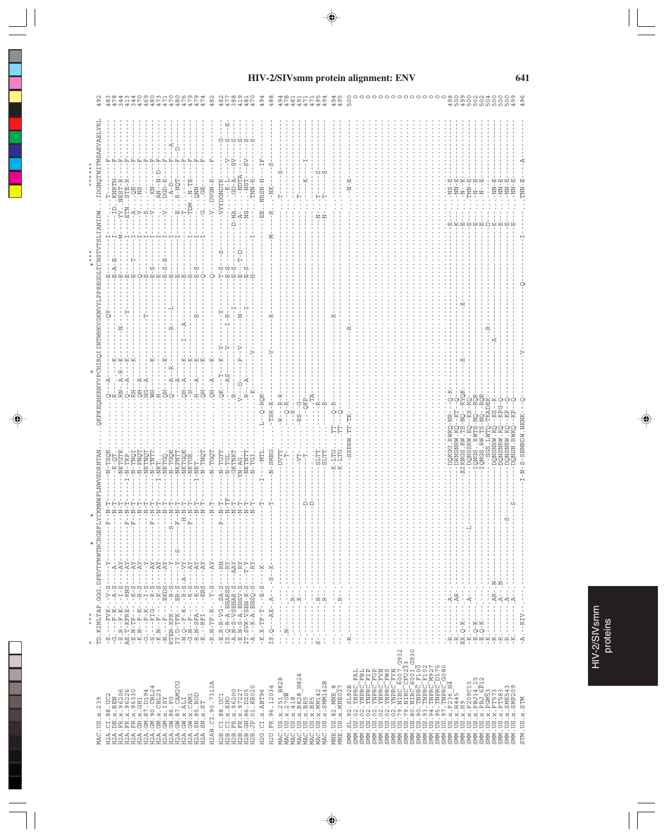|                                                                                                                  | ×<br>$\lambda$<br>≺                                                                                                                                                                                                                                                                                                                                                                                                                                                                                                                                                                                                                                                           |                                                    |                                                        |                            |                                                                                                                               |                                                   |
|------------------------------------------------------------------------------------------------------------------|-------------------------------------------------------------------------------------------------------------------------------------------------------------------------------------------------------------------------------------------------------------------------------------------------------------------------------------------------------------------------------------------------------------------------------------------------------------------------------------------------------------------------------------------------------------------------------------------------------------------------------------------------------------------------------|----------------------------------------------------|--------------------------------------------------------|----------------------------|-------------------------------------------------------------------------------------------------------------------------------|---------------------------------------------------|
| ጣ<br>4AC.US.x.23                                                                                                 | LYCKMNWFLNWVEDRNTAN<br>TD. KINLTAP. GGG. DPEVTFMWTNCRGEF                                                                                                                                                                                                                                                                                                                                                                                                                                                                                                                                                                                                                      |                                                    | QKPKEQHKRNYVPCHIRQIINTWHKVGKNVYLPPREGDLTCNSTVTSLIANIDW |                            | .IDGNQTNITMSAEVAELYRL                                                                                                         |                                                   |
| 8.UC2<br>$\infty$<br>2A.CI                                                                                       | $\mathbb{E}$<br>ļ.                                                                                                                                                                                                                                                                                                                                                                                                                                                                                                                                                                                                                                                            |                                                    |                                                        |                            |                                                                                                                               |                                                   |
|                                                                                                                  | $- - - - - - - - - - - -$                                                                                                                                                                                                                                                                                                                                                                                                                                                                                                                                                                                                                                                     |                                                    |                                                        | t<br>凹                     | <b>KNRTH</b>                                                                                                                  |                                                   |
|                                                                                                                  | $\frac{1}{4}$<br>$-2AY -$                                                                                                                                                                                                                                                                                                                                                                                                                                                                                                                                                                                                                                                     | $RN - A$<br>NKTGT                                  |                                                        |                            | .NEST                                                                                                                         | 4                                                 |
|                                                                                                                  | 区<br>J                                                                                                                                                                                                                                                                                                                                                                                                                                                                                                                                                                                                                                                                        | $-4$<br>$N-TKP$                                    |                                                        |                            | ř<br>STE                                                                                                                      |                                                   |
|                                                                                                                  | Ŀц<br>ļ.                                                                                                                                                                                                                                                                                                                                                                                                                                                                                                                                                                                                                                                                      | -TNQ                                               |                                                        | [1]                        |                                                                                                                               | 344                                               |
|                                                                                                                  | j.                                                                                                                                                                                                                                                                                                                                                                                                                                                                                                                                                                                                                                                                            | $-1 - 1$<br>5<br>N-PNOT                            |                                                        | $\circ$                    | XS                                                                                                                            | 470                                               |
|                                                                                                                  |                                                                                                                                                                                                                                                                                                                                                                                                                                                                                                                                                                                                                                                                               | f,<br>옆<br>NKTNQT                                  |                                                        | ш                          |                                                                                                                               | 469                                               |
|                                                                                                                  | Щ                                                                                                                                                                                                                                                                                                                                                                                                                                                                                                                                                                                                                                                                             | $\mathbf{N}-\mathbf{T}\mathbf{N}\mathbf{T}$        |                                                        | $\frac{1}{2}$<br><b>Ed</b> | KN-                                                                                                                           | 48                                                |
|                                                                                                                  |                                                                                                                                                                                                                                                                                                                                                                                                                                                                                                                                                                                                                                                                               | <b>NKT</b>                                         |                                                        |                            | <b>G-N--NA.</b>                                                                                                               |                                                   |
|                                                                                                                  |                                                                                                                                                                                                                                                                                                                                                                                                                                                                                                                                                                                                                                                                               | NKTGO                                              | 囸                                                      | 뛰<br>ပ္ပ                   | GD-R                                                                                                                          |                                                   |
|                                                                                                                  | $S$ - - - - -                                                                                                                                                                                                                                                                                                                                                                                                                                                                                                                                                                                                                                                                 | К<br>$N-TGQ$                                       | Ŗ                                                      | <b>[1]</b> [1]             | $A-D-$                                                                                                                        |                                                   |
|                                                                                                                  | 国                                                                                                                                                                                                                                                                                                                                                                                                                                                                                                                                                                                                                                                                             | К<br>NKPNT                                         |                                                        | œ                          | $\overline{a}$<br>R-NQT<br>回                                                                                                  | $\frac{8}{4}$                                     |
|                                                                                                                  | —<br>∓                                                                                                                                                                                                                                                                                                                                                                                                                                                                                                                                                                                                                                                                        |                                                    |                                                        |                            |                                                                                                                               |                                                   |
|                                                                                                                  | $\mathsf I$<br>ĵ                                                                                                                                                                                                                                                                                                                                                                                                                                                                                                                                                                                                                                                              | К<br>픙<br>NKTGO                                    |                                                        | 61                         |                                                                                                                               |                                                   |
|                                                                                                                  | ſц,<br>$\frac{1}{2}$                                                                                                                                                                                                                                                                                                                                                                                                                                                                                                                                                                                                                                                          | NKTGE                                              |                                                        | 凹                          | $TDM$ $N-TE$                                                                                                                  |                                                   |
|                                                                                                                  | -NKT<br>t<br>ł                                                                                                                                                                                                                                                                                                                                                                                                                                                                                                                                                                                                                                                                | К                                                  |                                                        | C)<br>[1]                  | $\overline{M}$                                                                                                                |                                                   |
|                                                                                                                  | z<br>j                                                                                                                                                                                                                                                                                                                                                                                                                                                                                                                                                                                                                                                                        | $\ddot{5}$<br>N-TNQI                               |                                                        | O                          | $\overline{AB}$ .<br>ひ                                                                                                        |                                                   |
|                                                                                                                  |                                                                                                                                                                                                                                                                                                                                                                                                                                                                                                                                                                                                                                                                               |                                                    |                                                        |                            |                                                                                                                               |                                                   |
| H2AB.CI.90.7312A                                                                                                 | $\mathbf{I}$<br>$---AY$<br>$R \cdot M - T F - K - . - T - S$                                                                                                                                                                                                                                                                                                                                                                                                                                                                                                                                                                                                                  | HO<br>$N-TGQT$                                     |                                                        |                            | .DVGN-R                                                                                                                       | $\frac{\infty}{4}$                                |
|                                                                                                                  | ł<br>$\,$<br>$---RH---$<br>Ť                                                                                                                                                                                                                                                                                                                                                                                                                                                                                                                                                                                                                                                  | ΘK<br>$N-TGTT$                                     | Н                                                      | Ω                          | てり<br>-VYYDGNDTK                                                                                                              | $\frac{8}{4}$                                     |
|                                                                                                                  | Ĵ<br>$-$ -RY<br>$\frac{1}{4}$                                                                                                                                                                                                                                                                                                                                                                                                                                                                                                                                                                                                                                                 | $- - A S$<br>$N-TGL$                               |                                                        | C)                         | - K - L                                                                                                                       |                                                   |
|                                                                                                                  | $---AAY$                                                                                                                                                                                                                                                                                                                                                                                                                                                                                                                                                                                                                                                                      | GKTNKI                                             |                                                        | ω                          | $A-GD - A$<br>$D-NA$ .                                                                                                        | $\infty$                                          |
|                                                                                                                  | $\frac{1}{1}$<br>ł                                                                                                                                                                                                                                                                                                                                                                                                                                                                                                                                                                                                                                                            | ۹<br>۱<br>$YN-AG$                                  | z                                                      | - T - T                    | ω ω ω<br>-NDTA                                                                                                                |                                                   |
| H2B.CI.88.UC1<br>H2B.CI.x.BHO<br>H2B.FR.x.96200<br>H2B.GH.86.D205<br>H2B.GH.86.D205<br>H2B.JP.01.KR020           | $---RY$                                                                                                                                                                                                                                                                                                                                                                                                                                                                                                                                                                                                                                                                       | q<br>NKTNT                                         |                                                        | U)                         | C)<br>$-MS$<br>$-A-$                                                                                                          | $\frac{8}{4}$                                     |
|                                                                                                                  | Ħ<br>$\begin{array}{l} \mathbb{L} \mathbb{L} \mathbb{L} \mathbb{L} \mathbb{L} \mathbb{L} \mathbb{L} \mathbb{L} \mathbb{L} \mathbb{L} \mathbb{L} \mathbb{L} \mathbb{L} \mathbb{L} \mathbb{L} \mathbb{L} \mathbb{L} \mathbb{L} \mathbb{L} \mathbb{L} \mathbb{L} \mathbb{L} \mathbb{L} \mathbb{L} \mathbb{L} \mathbb{L} \mathbb{L} \mathbb{L} \mathbb{L} \mathbb{L} \mathbb{L} \mathbb{L} \mathbb{L} \mathbb{L} \mathbb{L} \mathbb$                                                                                                                                                                                                                                              |                                                    |                                                        |                            | SV<br>$-$ NST                                                                                                                 |                                                   |
| $\circ$                                                                                                          | $\begin{array}{lll} -\mathbf{E} & \mathbf{R} - \mathbf{R} - \mathbf{V} \mathbf{G} - \cdot \mathbf{S} \mathbf{A} - \mathbf{S} - \\ \mathbf{I} \mathbf{S} & \mathbf{Q} - \mathbf{R} - \mathbf{R} & \mathbf{S}\mathbf{H} \mathbf{R} \mathbf{R} \mathbf{S} \mathbf{S} - \\ -\mathbf{A} & \mathbf{M} - \mathbf{S} - \mathbf{V} \mathbf{S}\mathbf{B} \mathbf{H} \mathbf{R} \mathbf{R} - \mathbf{S} - \\ -\mathbf{A} & \mathbf{M} - \math$                                                                                                                                                                                                                                           | $N-TGT$                                            |                                                        |                            | U.<br>$TNN - R$                                                                                                               |                                                   |
| H2G.CI.x.ABT96                                                                                                   | $- - K - - - -$<br>$\frac{1}{4}$<br>$-\mathbf{K} \cdot \mathbf{X} - \mathbf{T} \mathbf{F} - \mathbf{T} - \mathbf{F} - \mathbf{S}$                                                                                                                                                                                                                                                                                                                                                                                                                                                                                                                                             | $Q - RQR$<br>$-11M -$                              |                                                        |                            | NRSN-H<br>因                                                                                                                   | o                                                 |
|                                                                                                                  |                                                                                                                                                                                                                                                                                                                                                                                                                                                                                                                                                                                                                                                                               |                                                    |                                                        |                            |                                                                                                                               |                                                   |
| H2U.FR.96.12034                                                                                                  | $\frac{1}{1}$<br>$- - K - -$<br>$TS - 2 - - 2E - 2 - - - 5$                                                                                                                                                                                                                                                                                                                                                                                                                                                                                                                                                                                                                   | $TSR - R$<br>N-SMEG                                |                                                        |                            | $. -NK$<br>멲                                                                                                                  | $\frac{4}{3}$                                     |
|                                                                                                                  |                                                                                                                                                                                                                                                                                                                                                                                                                                                                                                                                                                                                                                                                               |                                                    |                                                        |                            |                                                                                                                               |                                                   |
| MAC. US. . x . 251_BK28<br>MAC. US. . x . 270W<br>MAC. US. . x . 418<br>MAC. US. . x . BR5<br>MAC. US. . x . BR5 |                                                                                                                                                                                                                                                                                                                                                                                                                                                                                                                                                                                                                                                                               | $R - - - - R - R$<br>LLA                           |                                                        |                            | C                                                                                                                             |                                                   |
|                                                                                                                  |                                                                                                                                                                                                                                                                                                                                                                                                                                                                                                                                                                                                                                                                               | $- - Q - R$<br>텃                                   |                                                        |                            |                                                                                                                               |                                                   |
|                                                                                                                  |                                                                                                                                                                                                                                                                                                                                                                                                                                                                                                                                                                                                                                                                               | R                                                  |                                                        |                            |                                                                                                                               | $\frac{4}{8}$                                     |
|                                                                                                                  |                                                                                                                                                                                                                                                                                                                                                                                                                                                                                                                                                                                                                                                                               | Ċ<br>RS<br>$-VT$                                   |                                                        |                            |                                                                                                                               |                                                   |
|                                                                                                                  |                                                                                                                                                                                                                                                                                                                                                                                                                                                                                                                                                                                                                                                                               | $-9RP$                                             |                                                        |                            |                                                                                                                               |                                                   |
|                                                                                                                  |                                                                                                                                                                                                                                                                                                                                                                                                                                                                                                                                                                                                                                                                               |                                                    |                                                        |                            |                                                                                                                               |                                                   |
|                                                                                                                  |                                                                                                                                                                                                                                                                                                                                                                                                                                                                                                                                                                                                                                                                               | $\begin{array}{c} \vdots \\ \vdots \\ \end{array}$ |                                                        |                            |                                                                                                                               |                                                   |
| IAC.US.x.MM142                                                                                                   | C)                                                                                                                                                                                                                                                                                                                                                                                                                                                                                                                                                                                                                                                                            | <b>SLITT</b>                                       |                                                        |                            | C)<br>⊢<br>주                                                                                                                  |                                                   |
| $\mathbf{\underline{m}}$<br>AAC.US.x.SMM142                                                                      |                                                                                                                                                                                                                                                                                                                                                                                                                                                                                                                                                                                                                                                                               | R<br>SLITI                                         |                                                        |                            | m<br>z                                                                                                                        |                                                   |
|                                                                                                                  |                                                                                                                                                                                                                                                                                                                                                                                                                                                                                                                                                                                                                                                                               | $\mathbb{R}$<br>O<br>-LTG                          |                                                        |                            |                                                                                                                               | 49 <sup>6</sup>                                   |
| $\begin{array}{l} \texttt{MNE. US. 82. MNE} \\ \texttt{MNE. US. x. MNE027} \end{array}$                          |                                                                                                                                                                                                                                                                                                                                                                                                                                                                                                                                                                                                                                                                               | O<br>E<br>$-LTG$                                   |                                                        |                            |                                                                                                                               | 4                                                 |
|                                                                                                                  |                                                                                                                                                                                                                                                                                                                                                                                                                                                                                                                                                                                                                                                                               |                                                    |                                                        |                            |                                                                                                                               |                                                   |
|                                                                                                                  |                                                                                                                                                                                                                                                                                                                                                                                                                                                                                                                                                                                                                                                                               | – TK<br>SSPRW                                      |                                                        |                            |                                                                                                                               | Ğ,                                                |
|                                                                                                                  |                                                                                                                                                                                                                                                                                                                                                                                                                                                                                                                                                                                                                                                                               |                                                    |                                                        |                            |                                                                                                                               |                                                   |
|                                                                                                                  |                                                                                                                                                                                                                                                                                                                                                                                                                                                                                                                                                                                                                                                                               |                                                    |                                                        |                            |                                                                                                                               |                                                   |
|                                                                                                                  |                                                                                                                                                                                                                                                                                                                                                                                                                                                                                                                                                                                                                                                                               |                                                    |                                                        |                            |                                                                                                                               |                                                   |
|                                                                                                                  |                                                                                                                                                                                                                                                                                                                                                                                                                                                                                                                                                                                                                                                                               |                                                    |                                                        |                            |                                                                                                                               |                                                   |
|                                                                                                                  |                                                                                                                                                                                                                                                                                                                                                                                                                                                                                                                                                                                                                                                                               |                                                    |                                                        |                            |                                                                                                                               |                                                   |
|                                                                                                                  |                                                                                                                                                                                                                                                                                                                                                                                                                                                                                                                                                                                                                                                                               |                                                    |                                                        |                            |                                                                                                                               |                                                   |
|                                                                                                                  |                                                                                                                                                                                                                                                                                                                                                                                                                                                                                                                                                                                                                                                                               |                                                    |                                                        |                            |                                                                                                                               |                                                   |
|                                                                                                                  |                                                                                                                                                                                                                                                                                                                                                                                                                                                                                                                                                                                                                                                                               |                                                    |                                                        |                            |                                                                                                                               |                                                   |
|                                                                                                                  |                                                                                                                                                                                                                                                                                                                                                                                                                                                                                                                                                                                                                                                                               |                                                    |                                                        |                            |                                                                                                                               |                                                   |
|                                                                                                                  |                                                                                                                                                                                                                                                                                                                                                                                                                                                                                                                                                                                                                                                                               |                                                    |                                                        |                            |                                                                                                                               |                                                   |
|                                                                                                                  |                                                                                                                                                                                                                                                                                                                                                                                                                                                                                                                                                                                                                                                                               |                                                    |                                                        |                            |                                                                                                                               |                                                   |
|                                                                                                                  |                                                                                                                                                                                                                                                                                                                                                                                                                                                                                                                                                                                                                                                                               |                                                    |                                                        |                            |                                                                                                                               |                                                   |
|                                                                                                                  |                                                                                                                                                                                                                                                                                                                                                                                                                                                                                                                                                                                                                                                                               |                                                    |                                                        |                            |                                                                                                                               |                                                   |
|                                                                                                                  |                                                                                                                                                                                                                                                                                                                                                                                                                                                                                                                                                                                                                                                                               |                                                    |                                                        |                            |                                                                                                                               |                                                   |
|                                                                                                                  |                                                                                                                                                                                                                                                                                                                                                                                                                                                                                                                                                                                                                                                                               |                                                    |                                                        |                            |                                                                                                                               |                                                   |
|                                                                                                                  |                                                                                                                                                                                                                                                                                                                                                                                                                                                                                                                                                                                                                                                                               |                                                    |                                                        |                            |                                                                                                                               |                                                   |
|                                                                                                                  |                                                                                                                                                                                                                                                                                                                                                                                                                                                                                                                                                                                                                                                                               |                                                    |                                                        |                            |                                                                                                                               |                                                   |
|                                                                                                                  |                                                                                                                                                                                                                                                                                                                                                                                                                                                                                                                                                                                                                                                                               |                                                    |                                                        |                            |                                                                                                                               |                                                   |
|                                                                                                                  |                                                                                                                                                                                                                                                                                                                                                                                                                                                                                                                                                                                                                                                                               |                                                    |                                                        |                            |                                                                                                                               |                                                   |
|                                                                                                                  |                                                                                                                                                                                                                                                                                                                                                                                                                                                                                                                                                                                                                                                                               | <b>DQKGG</b>                                       |                                                        |                            | $-KS$ –                                                                                                                       | 4                                                 |
|                                                                                                                  |                                                                                                                                                                                                                                                                                                                                                                                                                                                                                                                                                                                                                                                                               | -DRNSNRW.KQ--KT-                                   |                                                        |                            | $-NN-E$                                                                                                                       |                                                   |
| SMM. US. x.H9                                                                                                    | $\begin{bmatrix} 1 & 0 & 0 \\ 0 & 1 & 0 \\ 0 & 0 & 0 \\ 0 & 0 & 0 \\ 0 & 0 & 0 \\ 0 & 0 & 0 \\ 0 & 0 & 0 & 0 \\ 0 & 0 & 0 & 0 \\ 0 & 0 & 0 & 0 \\ 0 & 0 & 0 & 0 & 0 \\ 0 & 0 & 0 & 0 & 0 \\ 0 & 0 & 0 & 0 & 0 \\ 0 & 0 & 0 & 0 & 0 & 0 \\ 0 & 0 & 0 & 0 & 0 & 0 \\ 0 & 0 & 0 & 0 & 0 & 0 & 0 \\ 0 & 0 & 0 & 0 & 0 & 0 & 0 \\ $                                                                                                                                                                                                                                                                                                                                                | XIKNGS.RW.TS-NQ--RYQK                              |                                                        |                            | $-1$ $-1$                                                                                                                     |                                                   |
| SMM.US.x.P209C15<br>SMM.US.x.PBJ14 15<br>SMM.US.x.PBJ6P12                                                        | $\begin{array}{c} -1 \\ -1 \end{array}$<br>$----2$                                                                                                                                                                                                                                                                                                                                                                                                                                                                                                                                                                                                                            | -DQNSSRW.EQ--KS-KQ-                                |                                                        |                            | $\begin{array}{c}\n\mathbf{T}\mathbf{M}\mathbf{N}-\mathbf{E}\cdot\\ \mathbf{N}\cdot\mathbf{K}\cdot\mathbf{E}\cdot\end{array}$ |                                                   |
|                                                                                                                  | $\,$<br>$\frac{1}{1}$                                                                                                                                                                                                                                                                                                                                                                                                                                                                                                                                                                                                                                                         | B<br>$- R($<br>$S - NO$                            |                                                        |                            |                                                                                                                               |                                                   |
|                                                                                                                  |                                                                                                                                                                                                                                                                                                                                                                                                                                                                                                                                                                                                                                                                               | $- - R$<br>$-15 - NO$<br>IQNGSRWT<br>IQNGS.RW.T    |                                                        |                            |                                                                                                                               |                                                   |
| SMM.US.x.PGM53                                                                                                   |                                                                                                                                                                                                                                                                                                                                                                                                                                                                                                                                                                                                                                                                               | <b>IMTQ-TKADE</b><br>ທ<br>ບ<br>ตุ                  |                                                        | 区区区区区口                     |                                                                                                                               | n 4 r r r r r r<br>O 9 0 0 0 0 0<br>O 9 0 0 1 4 0 |
|                                                                                                                  |                                                                                                                                                                                                                                                                                                                                                                                                                                                                                                                                                                                                                                                                               |                                                    |                                                        |                            |                                                                                                                               |                                                   |
| SMM.US.X.PT573<br>SMM.US.X.PT583<br>SMM.US.X.SME543<br>SMM.US.X.SMP209                                           | $-1 - 1 - 2R - 1 = 0$<br>$\begin{array}{c} \n\lambda \rightarrow \mathbf{K} \rightarrow \mathbf{K} \rightarrow \mathbf{K} \rightarrow \mathbf{K} \rightarrow \mathbf{K} \rightarrow \mathbf{K} \rightarrow \mathbf{K} \rightarrow \mathbf{K} \rightarrow \mathbf{K} \rightarrow \mathbf{K} \rightarrow \mathbf{K} \rightarrow \mathbf{K} \rightarrow \mathbf{K} \rightarrow \mathbf{K} \rightarrow \mathbf{K} \rightarrow \mathbf{K} \rightarrow \mathbf{K} \rightarrow \mathbf{K} \rightarrow \mathbf{K} \rightarrow \mathbf{K} \rightarrow \mathbf{K} \rightarrow \mathbf{K} \rightarrow \mathbf{K} \rightarrow \mathbf{K} \rightarrow \mathbf{K} \rightarrow \mathbf{K} \$ | - - ES<br>DQNSNRW.KQ                               |                                                        |                            | 퍼<br>- NN - E                                                                                                                 |                                                   |
|                                                                                                                  |                                                                                                                                                                                                                                                                                                                                                                                                                                                                                                                                                                                                                                                                               | ଼<br>--KPG-<br>DQNSNRW.KQ                          |                                                        | [1]                        | $-NN - E$                                                                                                                     | 500                                               |
|                                                                                                                  |                                                                                                                                                                                                                                                                                                                                                                                                                                                                                                                                                                                                                                                                               | $-$ KP.<br>g<br><b>DONSNRW</b>                     |                                                        | 囯                          | $-NN-E$                                                                                                                       | $\tilde{50}$                                      |
|                                                                                                                  | $-. A--.$                                                                                                                                                                                                                                                                                                                                                                                                                                                                                                                                                                                                                                                                     | -KP<br>DONSN.RWKC                                  |                                                        |                            | $-MN -$                                                                                                                       |                                                   |
| STM.US.x.STM                                                                                                     | $---RIV---$<br>$\overline{A}$                                                                                                                                                                                                                                                                                                                                                                                                                                                                                                                                                                                                                                                 | -N-S-SEMRDW.NKNK                                   |                                                        |                            | ENN-E                                                                                                                         |                                                   |
|                                                                                                                  |                                                                                                                                                                                                                                                                                                                                                                                                                                                                                                                                                                                                                                                                               |                                                    |                                                        |                            |                                                                                                                               |                                                   |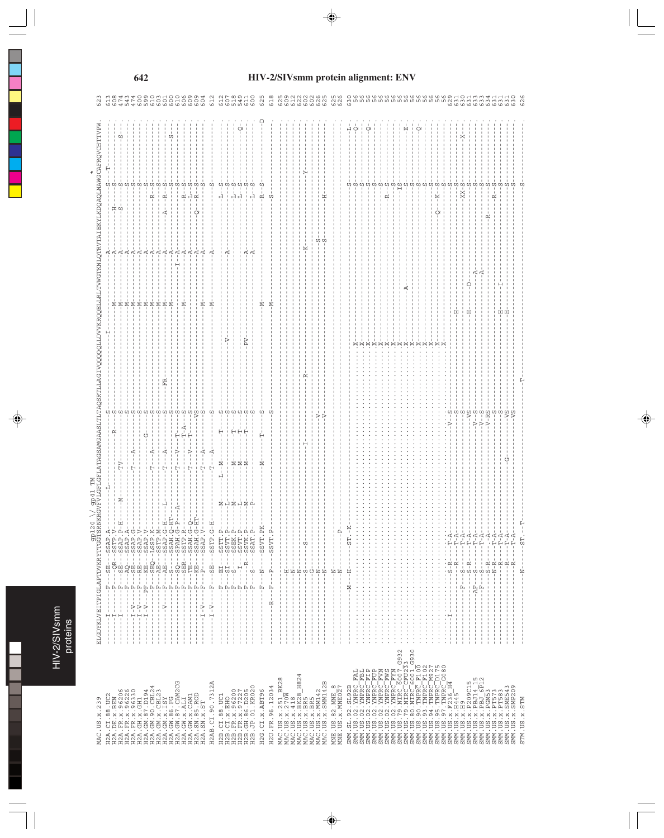HIV-2/SIVsmm<br>proteins

| MAC.US.X.239                                                                                                                                                                                                                                                                                                                                | <b>SRNKR</b><br>சி<br>TGGT<br>ELGDYKLVEITPIGLAPTDVKRY                                                                                                                                                                                                                                                                                                                                                                                                                                                                                                                                                                                                | FVLGFLATAGSAMGAASLLTLTAQSRTLLAGIVQQQQLLLDVVKRQQBLLRLTVWGTKQTATAQTRVTAI EKYLKDQAQLMAMGCAFRQVCHTTVFW |
|---------------------------------------------------------------------------------------------------------------------------------------------------------------------------------------------------------------------------------------------------------------------------------------------------------------------------------------------|------------------------------------------------------------------------------------------------------------------------------------------------------------------------------------------------------------------------------------------------------------------------------------------------------------------------------------------------------------------------------------------------------------------------------------------------------------------------------------------------------------------------------------------------------------------------------------------------------------------------------------------------------|----------------------------------------------------------------------------------------------------|
| .88.02<br>H <sub>2</sub> A.CI                                                                                                                                                                                                                                                                                                               | සි<br>$\mathbb{I}$<br>$-5E$<br>$\mathsf I$<br>I.<br>٠<br>$\mathsf I$<br>$\mathbf{I}$<br>L.                                                                                                                                                                                                                                                                                                                                                                                                                                                                                                                                                           |                                                                                                    |
| H2A.DE.X.BEN                                                                                                                                                                                                                                                                                                                                | α<br>57<br>nin<br>T∣<br>ţ<br>ĤĤ<br>TT<br>f,<br>ı<br>I<br>J.                                                                                                                                                                                                                                                                                                                                                                                                                                                                                                                                                                                          | ΞS                                                                                                 |
|                                                                                                                                                                                                                                                                                                                                             | ------------<br>$\frac{1}{1}$                                                                                                                                                                                                                                                                                                                                                                                                                                                                                                                                                                                                                        |                                                                                                    |
|                                                                                                                                                                                                                                                                                                                                             |                                                                                                                                                                                                                                                                                                                                                                                                                                                                                                                                                                                                                                                      |                                                                                                    |
|                                                                                                                                                                                                                                                                                                                                             | C)<br>Ė,<br>SÄ<br>SA<br>I<br>I<br>$\mathbf{I}$<br>٠                                                                                                                                                                                                                                                                                                                                                                                                                                                                                                                                                                                                  | Σ                                                                                                  |
|                                                                                                                                                                                                                                                                                                                                             | τŋ<br>SAP.<br>$-1 - 1 - 1 - 1 - 1$<br>J.<br>л.                                                                                                                                                                                                                                                                                                                                                                                                                                                                                                                                                                                                       | Σ                                                                                                  |
|                                                                                                                                                                                                                                                                                                                                             | ωω<br>.gB.<br>ţ                                                                                                                                                                                                                                                                                                                                                                                                                                                                                                                                                                                                                                      | α<br>Σ                                                                                             |
|                                                                                                                                                                                                                                                                                                                                             | CO.<br>STP.<br>SAP.<br>$\begin{array}{l} -\frac{1}{2} \frac{1}{2} \frac{1}{2} \frac{1}{2} \frac{1}{2} \frac{1}{2} \frac{1}{2} \frac{1}{2} \frac{1}{2} \frac{1}{2} \frac{1}{2} \frac{1}{2} \frac{1}{2} \frac{1}{2} \frac{1}{2} \frac{1}{2} \frac{1}{2} \frac{1}{2} \frac{1}{2} \frac{1}{2} \frac{1}{2} \frac{1}{2} \frac{1}{2} \frac{1}{2} \frac{1}{2} \frac{1}{2} \frac{1}{2} \frac{1}{2} \frac{1}{2} \frac{1}{2} \frac$<br>Ť                                                                                                                                                                                                                        | Σ                                                                                                  |
|                                                                                                                                                                                                                                                                                                                                             | $\frac{1}{1}$                                                                                                                                                                                                                                                                                                                                                                                                                                                                                                                                                                                                                                        | $\frac{R}{I}$<br>К<br>$\alpha$                                                                     |
| $\begin{array}{l} \bf H2A\cdot\bf R3.1\cdot\bf R4.2\cdot\bf 96206\\ \bf H2A\cdot\bf R4.2\cdot\bf R5.3\cdot\bf 96226\\ \bf H2A\cdot\bf R1.2\cdot\bf 124.3\cdot\bf 124.4\cdot\bf 124.5\cdot\bf 124.6\cdot\bf 124.7\cdot\bf 124.7\cdot\bf 124.7\cdot\bf 124.8\cdot\bf 124.7\cdot\bf 124.8\cdot\bf 124.9\cdot\bf 124.9\cdot\bf 124.9\cdot\bf 1$ | m<br>PAH.<br>$\begin{array}{l} 2 \cdot \cdot \cdot - 2 \cdot \cdot \cdot - 2 \cdot \cdot \cdot \\ - 2 \cdot \cdot \cdot \cdot \cdot \\ - 2 \cdot \cdot \cdot \cdot \cdot \\ - 2 \cdot \cdot \cdot \cdot \cdot \\ - 2 \cdot \cdot \cdot \cdot \cdot \\ - 2 \cdot \cdot \cdot \cdot \cdot \\ - 2 \cdot \cdot \cdot \cdot \cdot \\ - 2 \cdot \cdot \cdot \cdot \cdot \\ - 2 \cdot \cdot \cdot \cdot \cdot \\ - 2 \cdot \cdot \cdot \cdot \cdot \\ - 2 \cdot \cdot \cdot \cdot \cdot \\ - 2 \cdot \cdot \cdot \cdot \cdot \\ - 2 \cdot \cdot \cdot \cdot \cdot \\ - 2 \cdot \cdot \cdot \cdot \cdot \\ - 2 \$<br>ŧ<br>$\frac{1}{1}$<br>I<br>$\mathbf{I}$ | К                                                                                                  |
|                                                                                                                                                                                                                                                                                                                                             | ω<br>$-4$<br>STP.<br>1<br>л.                                                                                                                                                                                                                                                                                                                                                                                                                                                                                                                                                                                                                         | w<br>$\approx$<br>К<br>ΣĻ                                                                          |
| H2A.GW.X.CAM1<br>H2A.SN.85.ROD<br>H2A.SN.X.ST                                                                                                                                                                                                                                                                                               | S<br>SAH.<br>$\begin{array}{l} -d-1 - \Delta -1 = -\\ -d-1 = -\\ -d-1 = -\\ -d-1 = -\\ -d-1 = -\\ -d-1 = -\\ -d-1 = -\\ -d-1 = -\\ -d-1 = -\\ -d-1 = -\\ -d-1 = -\\ -d-1 = -\\ -d-1 = -\\ -d-1 = -\\ -d-1 = -\\ -d-1 = -\\ -d-1 = -\\ -d-1 = -\\ -d-1 = -\\ -d-1 = -\\ -d-1 = -\\ -d-1 = -\\ -d-1 = -\\ -d-1 = -\\ -d-1 = -\\ -d-1 = -\\ -d-1 = -\\ -d-1 = -\\ -d-1 = -\\ -d-1 =$<br>ţ                                                                                                                                                                                                                                                               | CO.<br>$-1$<br>Æ                                                                                   |
|                                                                                                                                                                                                                                                                                                                                             | C)<br>SAH.<br>ł.                                                                                                                                                                                                                                                                                                                                                                                                                                                                                                                                                                                                                                     | O<br>К                                                                                             |
|                                                                                                                                                                                                                                                                                                                                             | CO.<br>SAP.<br>$\,$<br>$\,$ $\,$                                                                                                                                                                                                                                                                                                                                                                                                                                                                                                                                                                                                                     | ż                                                                                                  |
| H2AB. CI.90.7312A                                                                                                                                                                                                                                                                                                                           | <b>SSTP</b><br>$-5E-$<br>$\mathbb{L}_1$<br>$\frac{1}{4}$<br>$-$ - $-$ - $\hbox{--}$ - $-$ - $-$ -<br>J.                                                                                                                                                                                                                                                                                                                                                                                                                                                                                                                                              |                                                                                                    |
| H2B. CI. 88. UC1                                                                                                                                                                                                                                                                                                                            | Σ-<br>5ST<br>t                                                                                                                                                                                                                                                                                                                                                                                                                                                                                                                                                                                                                                       |                                                                                                    |
|                                                                                                                                                                                                                                                                                                                                             | ທ ທ<br><b>TAS</b><br>1                                                                                                                                                                                                                                                                                                                                                                                                                                                                                                                                                                                                                               |                                                                                                    |
|                                                                                                                                                                                                                                                                                                                                             | CO.<br>н<br>Σ<br>SEK.<br>ı<br>$\frac{1}{1}$                                                                                                                                                                                                                                                                                                                                                                                                                                                                                                                                                                                                          |                                                                                                    |
|                                                                                                                                                                                                                                                                                                                                             | ω ω<br>е<br>5<br>? – – – – – – – – – 2<br>? – – – – – – – – – 2<br><b>First contract of the contract of the contract of the contract of the contract of the contract of the contract of the contract of the contract of the contract of the contract of the contract of the contract of the contrac</b><br>$\frac{1}{1}$                                                                                                                                                                                                                                                                                                                             | <b>00 00 00 00</b><br>å                                                                            |
| H2B.CI.X.BHO<br>H2B.FR.X.96200<br>H2B.FR.X.97227<br>H2B.GH.86.D205<br>H2B.JP.01.KR020                                                                                                                                                                                                                                                       | Σ<br>SVK.<br>Ŀ,<br>$\frac{1}{4}$                                                                                                                                                                                                                                                                                                                                                                                                                                                                                                                                                                                                                     | К<br>R                                                                                             |
| $\circ$                                                                                                                                                                                                                                                                                                                                     | $-5 - -$<br>Ŀ,<br>$\,$<br>$\begin{array}{c} \hline \end{array}$<br>-1                                                                                                                                                                                                                                                                                                                                                                                                                                                                                                                                                                                |                                                                                                    |
| H2G.CI.x.ABT96                                                                                                                                                                                                                                                                                                                              | C)<br>Σ<br>SSVT.PI<br>$- - N - -$<br>$\mathbf{I}$<br><b>F-------</b><br>$\frac{1}{1}$<br>1                                                                                                                                                                                                                                                                                                                                                                                                                                                                                                                                                           | CO.<br>Ŕ<br>Σ                                                                                      |
| H2U.FR.96.12034                                                                                                                                                                                                                                                                                                                             | SSVT.<br>$\,$ I                                                                                                                                                                                                                                                                                                                                                                                                                                                                                                                                                                                                                                      | CO                                                                                                 |
|                                                                                                                                                                                                                                                                                                                                             |                                                                                                                                                                                                                                                                                                                                                                                                                                                                                                                                                                                                                                                      |                                                                                                    |
| MAC.US.x.251_BK28<br>MAC.US.x.270W<br>MAC.US.x.170W<br>MAC.US.x.BK28_H824<br>MAC.US.x.BK5                                                                                                                                                                                                                                                   | I<br>J<br>$\frac{1}{1}$<br>ł                                                                                                                                                                                                                                                                                                                                                                                                                                                                                                                                                                                                                         |                                                                                                    |
|                                                                                                                                                                                                                                                                                                                                             | $\frac{1}{1}$                                                                                                                                                                                                                                                                                                                                                                                                                                                                                                                                                                                                                                        |                                                                                                    |
|                                                                                                                                                                                                                                                                                                                                             | $\,$<br>$\mathbf{I}$                                                                                                                                                                                                                                                                                                                                                                                                                                                                                                                                                                                                                                 |                                                                                                    |
|                                                                                                                                                                                                                                                                                                                                             | ı<br>$\frac{1}{1}$                                                                                                                                                                                                                                                                                                                                                                                                                                                                                                                                                                                                                                   |                                                                                                    |
| MAC.US.x.BR5                                                                                                                                                                                                                                                                                                                                | $-1 - 5 - 1$<br>$\,$                                                                                                                                                                                                                                                                                                                                                                                                                                                                                                                                                                                                                                 |                                                                                                    |
| MAC.US.x.MM142                                                                                                                                                                                                                                                                                                                              | $\frac{1}{1}$<br>$\frac{1}{1}$                                                                                                                                                                                                                                                                                                                                                                                                                                                                                                                                                                                                                       | ᄑ<br>ທ ທ                                                                                           |
| MAC.US.x.SMM142B                                                                                                                                                                                                                                                                                                                            | $- - - - - - - - - - - -$                                                                                                                                                                                                                                                                                                                                                                                                                                                                                                                                                                                                                            |                                                                                                    |
| $\begin{array}{ll} & \dots \circ \circ \dots \text{MNE} & 8 \\ \text{MNE } \text{US } \cdot \text{x } \dots \text{MNE} & 027 \\ \text{s} & \dots \end{array}$                                                                                                                                                                               | $-1 - N -$<br>$-1 - N - -$<br>$\frac{1}{1}$<br>$\,$                                                                                                                                                                                                                                                                                                                                                                                                                                                                                                                                                                                                  |                                                                                                    |
|                                                                                                                                                                                                                                                                                                                                             |                                                                                                                                                                                                                                                                                                                                                                                                                                                                                                                                                                                                                                                      |                                                                                                    |
| SMM. SL. 92. SL92B                                                                                                                                                                                                                                                                                                                          | - - - H - - - M - - - - - - - - - -<br>$\frac{1}{1}$                                                                                                                                                                                                                                                                                                                                                                                                                                                                                                                                                                                                 |                                                                                                    |
|                                                                                                                                                                                                                                                                                                                                             |                                                                                                                                                                                                                                                                                                                                                                                                                                                                                                                                                                                                                                                      |                                                                                                    |
|                                                                                                                                                                                                                                                                                                                                             |                                                                                                                                                                                                                                                                                                                                                                                                                                                                                                                                                                                                                                                      |                                                                                                    |
|                                                                                                                                                                                                                                                                                                                                             |                                                                                                                                                                                                                                                                                                                                                                                                                                                                                                                                                                                                                                                      |                                                                                                    |
|                                                                                                                                                                                                                                                                                                                                             |                                                                                                                                                                                                                                                                                                                                                                                                                                                                                                                                                                                                                                                      |                                                                                                    |
|                                                                                                                                                                                                                                                                                                                                             |                                                                                                                                                                                                                                                                                                                                                                                                                                                                                                                                                                                                                                                      | ÷                                                                                                  |
|                                                                                                                                                                                                                                                                                                                                             |                                                                                                                                                                                                                                                                                                                                                                                                                                                                                                                                                                                                                                                      |                                                                                                    |
|                                                                                                                                                                                                                                                                                                                                             |                                                                                                                                                                                                                                                                                                                                                                                                                                                                                                                                                                                                                                                      |                                                                                                    |
|                                                                                                                                                                                                                                                                                                                                             |                                                                                                                                                                                                                                                                                                                                                                                                                                                                                                                                                                                                                                                      |                                                                                                    |
|                                                                                                                                                                                                                                                                                                                                             |                                                                                                                                                                                                                                                                                                                                                                                                                                                                                                                                                                                                                                                      |                                                                                                    |
|                                                                                                                                                                                                                                                                                                                                             |                                                                                                                                                                                                                                                                                                                                                                                                                                                                                                                                                                                                                                                      |                                                                                                    |
|                                                                                                                                                                                                                                                                                                                                             |                                                                                                                                                                                                                                                                                                                                                                                                                                                                                                                                                                                                                                                      |                                                                                                    |
|                                                                                                                                                                                                                                                                                                                                             |                                                                                                                                                                                                                                                                                                                                                                                                                                                                                                                                                                                                                                                      |                                                                                                    |
|                                                                                                                                                                                                                                                                                                                                             | .                                                                                                                                                                                                                                                                                                                                                                                                                                                                                                                                                                                                                                                    | $-K-$                                                                                              |
|                                                                                                                                                                                                                                                                                                                                             | $\vdots$                                                                                                                                                                                                                                                                                                                                                                                                                                                                                                                                                                                                                                             |                                                                                                    |
|                                                                                                                                                                                                                                                                                                                                             |                                                                                                                                                                                                                                                                                                                                                                                                                                                                                                                                                                                                                                                      |                                                                                                    |
| SMM.US.x.H9                                                                                                                                                                                                                                                                                                                                 | CO.<br>$\frac{1}{4}$<br>$\,$<br>Í                                                                                                                                                                                                                                                                                                                                                                                                                                                                                                                                                                                                                    | $-XX$                                                                                              |
|                                                                                                                                                                                                                                                                                                                                             | $-5 - R -$<br>$\frac{1}{1}$                                                                                                                                                                                                                                                                                                                                                                                                                                                                                                                                                                                                                          |                                                                                                    |
|                                                                                                                                                                                                                                                                                                                                             | Ť<br>----------AF-<br>J<br>t                                                                                                                                                                                                                                                                                                                                                                                                                                                                                                                                                                                                                         | $\mathbf{A}^-$                                                                                     |
| SMM.US.x.P209C15<br>SMM.US.x.PBJ14 15<br>SMM.US.x.PBJ_6P12                                                                                                                                                                                                                                                                                  | $-5 - 75$<br>$V - 5 - 5$<br>$\begin{array}{cccc}\nA & A & A & A \\ F & F & F & F \\ F & F & F & F\n\end{array}$<br>J,<br>S<br>Í<br>Í                                                                                                                                                                                                                                                                                                                                                                                                                                                                                                                 | K.                                                                                                 |
| SMM. US. x. PGM53                                                                                                                                                                                                                                                                                                                           | $V - RS - S - - S - - S - 1$<br>$\overline{1}$                                                                                                                                                                                                                                                                                                                                                                                                                                                                                                                                                                                                       |                                                                                                    |
| SMM.US.x.PT573<br>SMM.US.x.PT583                                                                                                                                                                                                                                                                                                            | $\mathsf I$                                                                                                                                                                                                                                                                                                                                                                                                                                                                                                                                                                                                                                          | $\frac{R}{I}$<br>보                                                                                 |
|                                                                                                                                                                                                                                                                                                                                             | $\tilde{A}$                                                                                                                                                                                                                                                                                                                                                                                                                                                                                                                                                                                                                                          |                                                                                                    |
| SMM.US.x.SME543<br>SMM.US.x.SMP209                                                                                                                                                                                                                                                                                                          |                                                                                                                                                                                                                                                                                                                                                                                                                                                                                                                                                                                                                                                      |                                                                                                    |
| STM.US.X.STM                                                                                                                                                                                                                                                                                                                                | $-1 - N -$                                                                                                                                                                                                                                                                                                                                                                                                                                                                                                                                                                                                                                           |                                                                                                    |
|                                                                                                                                                                                                                                                                                                                                             |                                                                                                                                                                                                                                                                                                                                                                                                                                                                                                                                                                                                                                                      |                                                                                                    |

ת הספעופים המספטמספט הפוטמטים המשמט ה המספטמסטמט מה ה<br>נא הסבטמטמספט הספטמט בין הסבטמט הוא הספטמטמט מאו שהמשפט הוא המשמעות המשמעה המספטמט המשמעה המשמעות המ<br>ה הספטמטמספטמטמט ה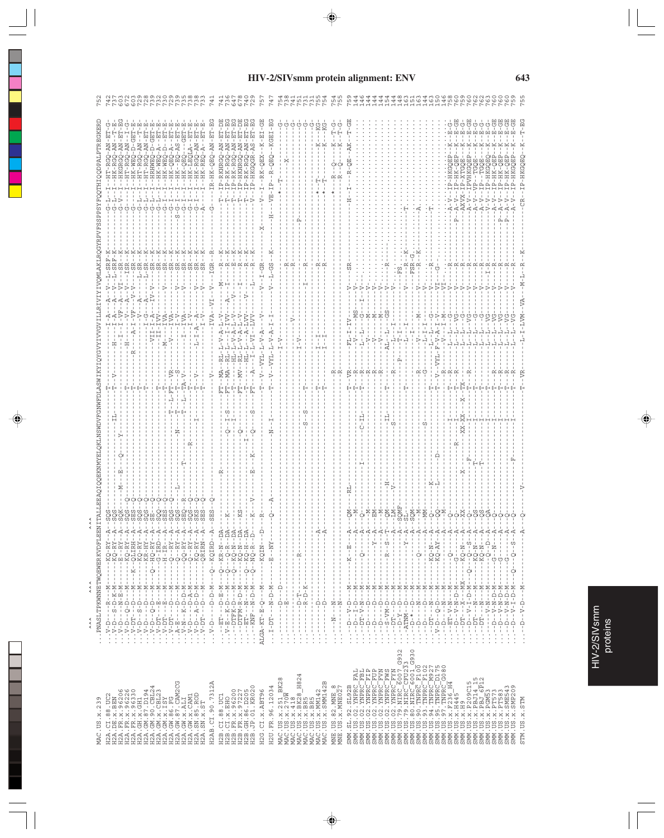| αα<br>×<br>O<br>↷<br>$Q - - KR - N - - DZ$<br>$Q$ --- $Q$ -R--D2<br>$- - KQ - N - DZ$<br>$- - KQ - H - DF$<br>$-1 - Q - -KQ - N - -D$<br>PNASLTPKWNNETWQEWERKVDFLE<br>$---NQ - R - D$<br>Ť<br>$\frac{1}{1}$<br>f,<br>f,<br>$---E12E1 - -C12E1 - -$<br>$---KQ - RX - -$<br>÷<br>-- - xa-- - x-----<br>?-- xa-- - x-----<br>$-22 - RY - -$<br>$- -X -Y - -C - -$<br>$- - KQ - RX - -$<br>$-$ -QRIRN $-$<br>$-$ -KQIRD $-$<br>$- - KQ I N - -$<br>÷<br>f,<br>í<br>- - Y - - - - -<br>$- - X - - -$<br>J<br>$\frac{1}{1}$<br>ł<br>$- - KQ - N - - -$<br>í<br>$- -NQ - N - - -$<br>$- - KQ - N - - -$<br>$-1$ - $-1$ - $-1$<br>ŀ<br>$-5 -$<br>$\mathbf I$<br>$-$ KQ $-$ AY<br>$KQ - RY$<br>$- -E - -RY$<br>$-XQ - RY$<br>$-$ - KR $-$ HY<br>$E - NY$<br>ł<br>--E -- K -- E --<br>$-8 - -8 - -8$<br>$\,$<br>$KQ - RY$<br>$-$ KQ $-$ N $-$<br>$-1$<br>$- - 2 - - -$<br>$\frac{1}{1}$<br>$---B---$<br>ţ.<br>$\frac{1}{1}$<br>$\frac{1}{1}$<br>$\frac{1}{1}$<br>ł<br>t<br>t<br>$\frac{1}{1}$<br>$\frac{1}{1}$<br>J.<br>$\overline{\phantom{a}}$<br>$\mathbf{I}$<br>Ì<br>$\frac{1}{2}$<br>やーー<br>ı<br>$\frac{1}{1}$<br>$\begin{array}{c} \rule{0.2cm}{0.15mm} \rule{0.2cm}{0.15mm} \rule{0.2cm}{0.15mm} \rule{0.2cm}{0.15mm} \rule{0.2cm}{0.15mm} \rule{0.2cm}{0.15mm} \rule{0.2cm}{0.15mm} \rule{0.2cm}{0.15mm} \rule{0.2cm}{0.15mm} \rule{0.2cm}{0.15mm} \rule{0.2cm}{0.15mm} \rule{0.2cm}{0.15mm} \rule{0.2cm}{0.15mm} \rule{0.2cm}{0.15mm} \rule{0.2cm}{0.15mm} \rule{$<br>$\mathbf{I}$<br>$\,$ $\,$<br>$\frac{1}{1}$<br>$\frac{1}{1}$<br>ţ<br>t<br>$\,$ I<br>J.<br>$\,$ I<br>$\mathbf{I}$<br>٠<br>$\mathbf{I}$<br>$\mathbf{I}$<br>J.<br>$\,$ I<br>$\mathbf{I}$<br>J.<br>$\mathbf{I}$<br>$\mathbf{I}$<br>٠<br>-<br>J.<br>٠<br>f,<br>f,<br>f,<br>$\overline{C}$<br>$\circ$<br>$\circ$<br>f,<br>$\frac{1}{1}$<br>$\mathfrak l$<br>$\overline{\phantom{a}}$<br>J,<br>$\,$<br>$\frac{1}{1}$<br>$\frac{1}{1}$<br>$\frac{1}{1}$<br>$\frac{1}{1}$<br>$\,$ I<br>t<br>$-$ MX - -<br>$\frac{1}{1}$<br>$\mathbf{I}$<br>$\frac{1}{1}$<br>J<br>÷<br>$\frac{1}{1}$<br>I.<br>Í<br>t<br>t<br>t<br>$\frac{1}{4}$<br>$\,$ I<br>J<br>î.<br>$\overline{\phantom{a}}$<br>$\mathbf{I}$<br>$\mathbf{I}$<br>$\mathbf{I}$<br>$\lambda$<br>$-M-S-D-S$<br>$N - DT - -D - -N$<br>$N - -1 - S - 5 - N$<br>$-1 - 5$<br>$-1$ - $-1$<br>$M - G - G - -$<br>$M - D - N - N - N - N - N$<br>$\begin{aligned} &\text{ALGA}-\text{KT}-\text{E}-\text{Q}---\text{M} \end{aligned}$<br>$\mathbf{I}$<br>$\mathbf{I}$<br>$N - C - T - \Lambda - - C - -$<br>$- -N - -N - -10 - -$<br>Σ-<br>$-1 - N - E - M$<br>$N - -1 - 1 - 2 - 1 - 1$<br>$- - -N$<br>$N - DT - -D - -N$<br>M-------<br>$-M-D-D$<br>$- - -$<br>--DTFM-R-D-M<br>$\mathbf I$<br>$- -R - D - K$<br>$- - -$<br>$-1$<br>$- - -N$<br>$\begin{split} \mathbf{y} &= -\mathbf{y} - \mathbf{y} - \mathbf{y} - \mathbf{y} - \mathbf{y} - \mathbf{y} - \mathbf{y} - \mathbf{y} - \mathbf{y} - \mathbf{y} - \mathbf{y} - \mathbf{y} - \mathbf{y} - \mathbf{y} - \mathbf{y} - \mathbf{y} - \mathbf{y} - \mathbf{y} - \mathbf{y} - \mathbf{y} - \mathbf{y} - \mathbf{y} - \mathbf{y} - \mathbf{y} - \mathbf{y} - \mathbf{y} - \mathbf{y} - \mathbf{y} - \mathbf{y} - \mathbf{$<br>$- - -N$<br>$- - - M$<br>N-<br>$M - G - N - N - N - -$<br>$\mathbf{M}--\mathbf{M}--\mathbf{M}--\mathbf{L}$<br>$\overline{\mathbb{N}}$<br>$M - D - D - -C - -C - -$<br>$- -K - D - D - M$<br>$N - -1$<br>$- - -N$<br>$M - -1$<br>$M$ – – –<br>$- - -N$<br>$-1-\Box -1$<br>$\,$ I<br>$\overline{\phantom{a}}$<br>$-1$<br>f,<br>J.<br>$-$ - $-$ ET $-$ V $-$ N $  -$<br>$---Z---X---T$ |
|---------------------------------------------------------------------------------------------------------------------------------------------------------------------------------------------------------------------------------------------------------------------------------------------------------------------------------------------------------------------------------------------------------------------------------------------------------------------------------------------------------------------------------------------------------------------------------------------------------------------------------------------------------------------------------------------------------------------------------------------------------------------------------------------------------------------------------------------------------------------------------------------------------------------------------------------------------------------------------------------------------------------------------------------------------------------------------------------------------------------------------------------------------------------------------------------------------------------------------------------------------------------------------------------------------------------------------------------------------------------------------------------------------------------------------------------------------------------------------------------------------------------------------------------------------------------------------------------------------------------------------------------------------------------------------------------------------------------------------------------------------------------------------------------------------------------------------------------------------------------------------------------------------------------------------------------------------------------------------------------------------------------------------------------------------------------------------------------------------------------------------------------------------------------------------------------------------------------------------------------------------------------------------------------------------------------------------------------------------------------------------------------------------------------------------------------------------------------------------------------------------------------------------------------------------------------------------------------------------------------------------------------------------------------------------------------------------------------------------------------------------------------------------------------------------------------------------------------------------------------------------------------------------------------------------------------------------------------------------------------------------------------------------------------------------------------------------------------------------------------------------------------------------------------------------------------------------------------------------------------------------------------------------------------------------------------------------------------------------------------------------------------------------------------------------------------------------------------------------------------------------------------------------------------------------------------------|
|                                                                                                                                                                                                                                                                                                                                                                                                                                                                                                                                                                                                                                                                                                                                                                                                                                                                                                                                                                                                                                                                                                                                                                                                                                                                                                                                                                                                                                                                                                                                                                                                                                                                                                                                                                                                                                                                                                                                                                                                                                                                                                                                                                                                                                                                                                                                                                                                                                                                                                                                                                                                                                                                                                                                                                                                                                                                                                                                                                                                                                                                                                                                                                                                                                                                                                                                                                                                                                                                                                                                                                           |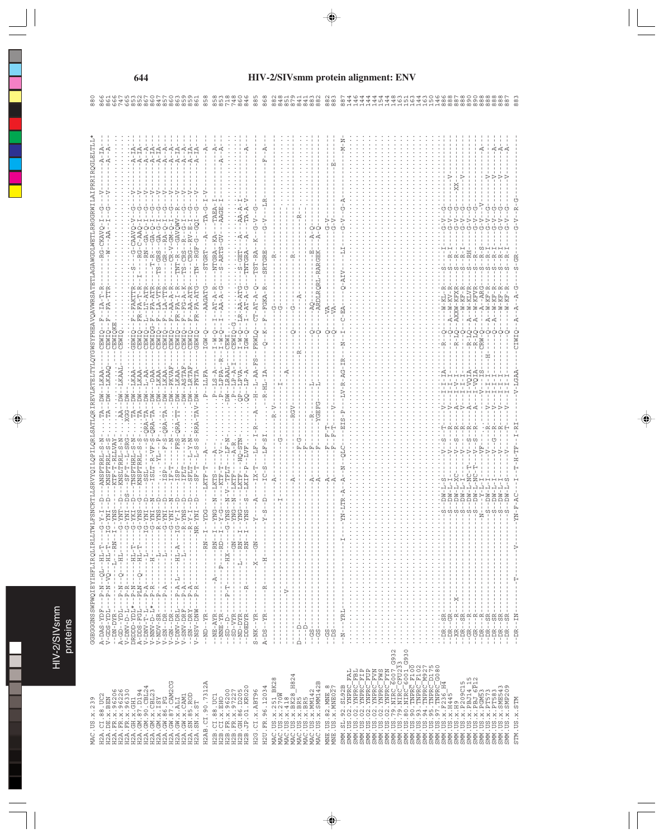Ξ

HIV-2/SIVsmm protein alignment: ENV

- - - - - - - - - - - - - - - - -

 $---DR - - **IN** - -$ 

STM.US.x.STM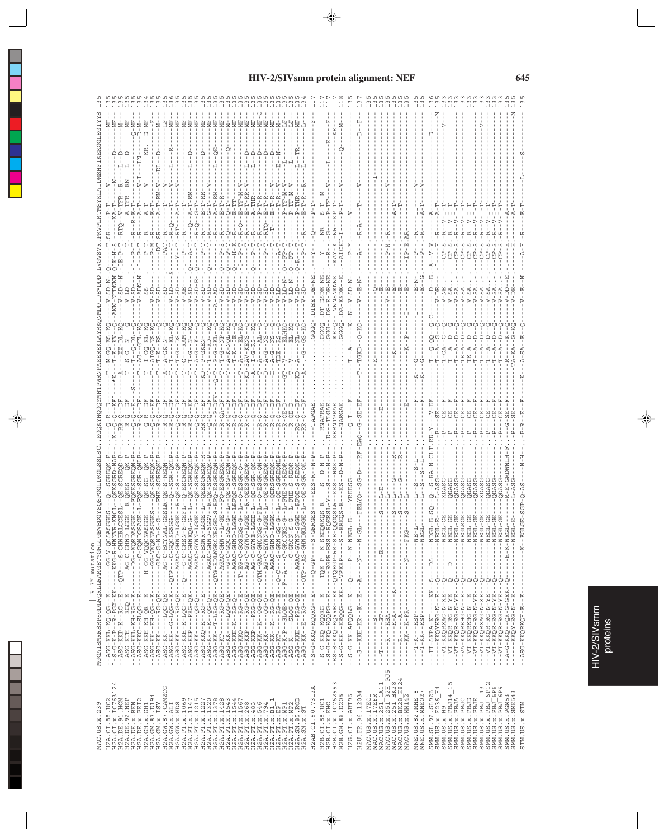|                                                     |                                                                                                                           |                                                                                                                                                      |                    |                                                                                                        |                 |                                                                                                                                                                                                                                                                                                                                                                                                                                      |   | $\frac{1}{2}$                         |                                      |    |                      | $\circ$ |                        |                    |                                                                                                                      |             |                                  |                                    |                    |                      |                                   |                                                                   |                                                                           |                             |                                  |                                                                                                                                                                                                                                                                                                                                                                                                                       |                                                                                                                |                     |                                                                                                                                                                                                                                                          |                      |                                                                                                      |                               |             |                                                                   |                              |                                                                                                                                                |                                                      |                                                        |                                         |
|-----------------------------------------------------|---------------------------------------------------------------------------------------------------------------------------|------------------------------------------------------------------------------------------------------------------------------------------------------|--------------------|--------------------------------------------------------------------------------------------------------|-----------------|--------------------------------------------------------------------------------------------------------------------------------------------------------------------------------------------------------------------------------------------------------------------------------------------------------------------------------------------------------------------------------------------------------------------------------------|---|---------------------------------------|--------------------------------------|----|----------------------|---------|------------------------|--------------------|----------------------------------------------------------------------------------------------------------------------|-------------|----------------------------------|------------------------------------|--------------------|----------------------|-----------------------------------|-------------------------------------------------------------------|---------------------------------------------------------------------------|-----------------------------|----------------------------------|-----------------------------------------------------------------------------------------------------------------------------------------------------------------------------------------------------------------------------------------------------------------------------------------------------------------------------------------------------------------------------------------------------------------------|----------------------------------------------------------------------------------------------------------------|---------------------|----------------------------------------------------------------------------------------------------------------------------------------------------------------------------------------------------------------------------------------------------------|----------------------|------------------------------------------------------------------------------------------------------|-------------------------------|-------------|-------------------------------------------------------------------|------------------------------|------------------------------------------------------------------------------------------------------------------------------------------------|------------------------------------------------------|--------------------------------------------------------|-----------------------------------------|
|                                                     |                                                                                                                           |                                                                                                                                                      |                    |                                                                                                        |                 |                                                                                                                                                                                                                                                                                                                                                                                                                                      |   |                                       |                                      |    |                      |         |                        |                    |                                                                                                                      |             |                                  |                                    |                    |                      |                                   |                                                                   |                                                                           |                             |                                  |                                                                                                                                                                                                                                                                                                                                                                                                                       |                                                                                                                |                     |                                                                                                                                                                                                                                                          |                      |                                                                                                      |                               |             |                                                                   |                              |                                                                                                                                                |                                                      |                                                        |                                         |
|                                                     |                                                                                                                           |                                                                                                                                                      |                    |                                                                                                        |                 |                                                                                                                                                                                                                                                                                                                                                                                                                                      |   |                                       |                                      |    | $\alpha\alpha\alpha$ |         |                        |                    |                                                                                                                      |             |                                  |                                    |                    |                      |                                   |                                                                   |                                                                           |                             |                                  |                                                                                                                                                                                                                                                                                                                                                                                                                       |                                                                                                                |                     |                                                                                                                                                                                                                                                          |                      |                                                                                                      |                               |             |                                                                   |                              |                                                                                                                                                |                                                      |                                                        |                                         |
|                                                     |                                                                                                                           |                                                                                                                                                      |                    |                                                                                                        |                 |                                                                                                                                                                                                                                                                                                                                                                                                                                      |   |                                       |                                      |    |                      |         |                        |                    |                                                                                                                      |             |                                  |                                    |                    |                      |                                   |                                                                   |                                                                           |                             |                                  |                                                                                                                                                                                                                                                                                                                                                                                                                       |                                                                                                                |                     |                                                                                                                                                                                                                                                          |                      |                                                                                                      |                               |             |                                                                   |                              |                                                                                                                                                |                                                      |                                                        |                                         |
|                                                     |                                                                                                                           |                                                                                                                                                      |                    |                                                                                                        |                 |                                                                                                                                                                                                                                                                                                                                                                                                                                      |   |                                       |                                      |    |                      |         |                        |                    |                                                                                                                      |             |                                  |                                    |                    |                      |                                   |                                                                   |                                                                           |                             |                                  |                                                                                                                                                                                                                                                                                                                                                                                                                       |                                                                                                                |                     |                                                                                                                                                                                                                                                          |                      | aaaaaaaa                                                                                             |                               |             |                                                                   |                              |                                                                                                                                                |                                                      |                                                        |                                         |
|                                                     |                                                                                                                           |                                                                                                                                                      |                    |                                                                                                        | GK-             | ひ                                                                                                                                                                                                                                                                                                                                                                                                                                    | ひ | <b>GXEI</b><br>$\frac{1}{\mathbf{C}}$ | ά                                    | ひど |                      |         | $\frac{1}{\mathbf{C}}$ |                    |                                                                                                                      |             |                                  |                                    |                    |                      |                                   |                                                                   |                                                                           |                             |                                  |                                                                                                                                                                                                                                                                                                                                                                                                                       |                                                                                                                |                     |                                                                                                                                                                                                                                                          |                      |                                                                                                      |                               |             |                                                                   |                              |                                                                                                                                                |                                                      |                                                        |                                         |
|                                                     |                                                                                                                           |                                                                                                                                                      |                    |                                                                                                        |                 |                                                                                                                                                                                                                                                                                                                                                                                                                                      |   |                                       | $\mathbb{A} \models$<br>$\mathbf{a}$ |    |                      |         |                        |                    |                                                                                                                      |             |                                  |                                    |                    |                      |                                   |                                                                   |                                                                           |                             |                                  |                                                                                                                                                                                                                                                                                                                                                                                                                       |                                                                                                                |                     |                                                                                                                                                                                                                                                          |                      |                                                                                                      |                               |             |                                                                   |                              |                                                                                                                                                |                                                      |                                                        |                                         |
|                                                     |                                                                                                                           |                                                                                                                                                      |                    |                                                                                                        |                 |                                                                                                                                                                                                                                                                                                                                                                                                                                      |   |                                       |                                      |    |                      |         |                        |                    |                                                                                                                      |             |                                  |                                    |                    |                      |                                   |                                                                   |                                                                           |                             |                                  |                                                                                                                                                                                                                                                                                                                                                                                                                       |                                                                                                                |                     |                                                                                                                                                                                                                                                          |                      |                                                                                                      |                               |             |                                                                   |                              |                                                                                                                                                |                                                      |                                                        |                                         |
|                                                     |                                                                                                                           |                                                                                                                                                      |                    |                                                                                                        |                 |                                                                                                                                                                                                                                                                                                                                                                                                                                      |   |                                       |                                      |    |                      |         |                        |                    |                                                                                                                      |             |                                  |                                    |                    |                      |                                   |                                                                   |                                                                           |                             |                                  |                                                                                                                                                                                                                                                                                                                                                                                                                       |                                                                                                                |                     |                                                                                                                                                                                                                                                          |                      |                                                                                                      |                               |             | 国国<br>U<br>↻                                                      | ↻                            | U                                                                                                                                              |                                                      |                                                        |                                         |
|                                                     |                                                                                                                           |                                                                                                                                                      |                    |                                                                                                        |                 |                                                                                                                                                                                                                                                                                                                                                                                                                                      |   |                                       |                                      |    |                      |         |                        |                    |                                                                                                                      |             |                                  |                                    |                    |                      |                                   |                                                                   |                                                                           |                             |                                  |                                                                                                                                                                                                                                                                                                                                                                                                                       |                                                                                                                |                     |                                                                                                                                                                                                                                                          |                      |                                                                                                      |                               |             |                                                                   |                              | A A A A A A A                                                                                                                                  |                                                      |                                                        |                                         |
|                                                     |                                                                                                                           |                                                                                                                                                      |                    |                                                                                                        |                 |                                                                                                                                                                                                                                                                                                                                                                                                                                      |   |                                       |                                      |    |                      |         |                        |                    |                                                                                                                      |             |                                  |                                    |                    |                      |                                   |                                                                   |                                                                           |                             |                                  |                                                                                                                                                                                                                                                                                                                                                                                                                       |                                                                                                                |                     |                                                                                                                                                                                                                                                          |                      |                                                                                                      |                               |             |                                                                   |                              |                                                                                                                                                |                                                      |                                                        |                                         |
|                                                     |                                                                                                                           |                                                                                                                                                      |                    |                                                                                                        |                 |                                                                                                                                                                                                                                                                                                                                                                                                                                      |   |                                       |                                      |    |                      |         |                        |                    |                                                                                                                      |             |                                  |                                    |                    |                      |                                   |                                                                   |                                                                           |                             |                                  |                                                                                                                                                                                                                                                                                                                                                                                                                       |                                                                                                                |                     |                                                                                                                                                                                                                                                          |                      |                                                                                                      |                               |             |                                                                   |                              |                                                                                                                                                |                                                      |                                                        |                                         |
|                                                     |                                                                                                                           |                                                                                                                                                      |                    |                                                                                                        |                 |                                                                                                                                                                                                                                                                                                                                                                                                                                      |   |                                       |                                      |    |                      |         |                        |                    |                                                                                                                      |             |                                  |                                    |                    |                      |                                   |                                                                   |                                                                           |                             |                                  |                                                                                                                                                                                                                                                                                                                                                                                                                       |                                                                                                                | U)                  |                                                                                                                                                                                                                                                          |                      |                                                                                                      |                               |             |                                                                   |                              |                                                                                                                                                |                                                      |                                                        |                                         |
|                                                     |                                                                                                                           |                                                                                                                                                      |                    |                                                                                                        |                 |                                                                                                                                                                                                                                                                                                                                                                                                                                      |   |                                       |                                      |    |                      |         |                        |                    |                                                                                                                      |             |                                  |                                    |                    |                      | $-5 - 5 - 5$                      | $- -K - SEGC$                                                     | $-5 - 5 - 5$                                                              | $- -K - WEGI$               |                                  | ţ<br>$\mathsf I$                                                                                                                                                                                                                                                                                                                                                                                                      | İ<br>$\mathbf{I}$                                                                                              | J.                  | $-ME - I$<br>$--WEGI$                                                                                                                                                                                                                                    | $-10$ CM $-1$        | --- MEGL<br>--- MEGL                                                                                 |                               | $- - - - -$ | -WEGL<br><b>CDHN------</b><br>$\,$ I                              | ------ WEG                   | $--WEGI$<br>$-WW - T$                                                                                                                          | $- - WEGI$<br>-WEGI                                  |                                                        | $--WEGL$<br>$- -K - -EGI$               |
| MGGAISMRRSRPSGDLRQRLLRARGETYGRLLGE<br>R17Y mutation | $- -G - V - QCSAC$<br>---KKG-R-HWNVR<br>$- - - QTP - - -S - GHWHRL$<br>--AG-C-GHE-1                                       | -------DG---<br>KQRDAS                                                                                                                               |                    |                                                                                                        | --AG-C-ECYNAL   |                                                                                                                                                                                                                                                                                                                                                                                                                                      |   |                                       |                                      |    |                      |         |                        | SONUHU-UAU-HHU---H |                                                                                                                      |             | $- - F - - A - - - C - GRCCNKSE$ | 5-NU45-U------                     | --AGAC-DEDK--      | $---QTP---AS-GHWDKL$ | $\frac{1}{4}$<br>$-1 - 0 - 0 - 1$ | $-$ -RGPR-ESS---R                                                 | BS-S-KKQ-KQRRR--BK--QTQBGP-RK-SB-<br>--S-G-KK--BRQQG--BK---VPBRP------S-- |                             | --S--KKH-KR--K---A-----N----W-GI | ------------<br>$\begin{bmatrix} 1 & 1 & 1 \\ 1 & 1 & 1 \\ 1 & 1 & 1 \\ 1 & 1 & 1 \\ 1 & 1 & 1 \\ 1 & 1 & 1 \\ 1 & 1 & 1 \\ 1 & 1 & 1 \\ 1 & 1 & 1 \\ 1 & 1 & 1 \\ 1 & 1 & 1 \\ 1 & 1 & 1 \\ 1 & 1 & 1 \\ 1 & 1 & 1 \\ 1 & 1 & 1 & 1 \\ 1 & 1 & 1 & 1 \\ 1 & 1 & 1 & 1 \\ 1 & 1 & 1 & 1 \\ 1 & 1 & 1 & 1 \\ 1 & 1 & 1 & 1 \\ 1 & 1 & 1 & 1 \\ 1 & $<br>$\frac{1}{1}$<br>$\mathbf{I}$<br>$\frac{1}{1}$<br>$\mathbf{I}$ | $\begin{array}{c} \begin{array}{c} \uparrow \\ \downarrow \\ \downarrow \\ \downarrow \end{array} \end{array}$ |                     | $\mathbf{I}$<br>$\frac{1}{4}$<br>$\mathbf{I}$<br>f,<br>Ħ                                                                                                                                                                                                 | Ť                    | ţ<br>$\mathbf{I}$<br>$\begin{array}{c} 1 & 1 & 1 \\ 0 & 1 & 1 \\ 1 & 1 & 1 \\ 1 & 1 & 1 \end{array}$ | -------------                 |             | Ť                                                                 |                              | ţ<br>$\frac{1}{4}$                                                                                                                             | $\frac{1}{4}$<br>$\frac{1}{1}$<br>÷<br>$\frac{1}{4}$ |                                                        | ł                                       |
|                                                     | İ                                                                                                                         |                                                                                                                                                      |                    | $\mathbf{I}$                                                                                           | $\,$ l          |                                                                                                                                                                                                                                                                                                                                                                                                                                      |   |                                       |                                      |    |                      |         |                        |                    |                                                                                                                      | $- - - - -$ |                                  | f,                                 | ł<br>囯             | 囸                    | 囸                                 | 8-----TQE-P-<br>8--------RGPR<br>囸                                |                                                                           | --S-G-KK-APQQLG--K---Q----P |                                  | $\frac{1}{4}$<br>ł.<br>$\frac{1}{4}$<br>÷<br>$\frac{1}{4}$                                                                                                                                                                                                                                                                                                                                                            | $\frac{1}{2}$ – – – – – – – $K$ – – – – –                                                                      |                     | $\,$ $\,$<br>$\mathbf{I}$<br>$\mathbf{I}$<br>- 1<br>$\mathsf I$                                                                                                                                                                                          | 000<br>-- KK --      |                                                                                                      |                               |             |                                                                   |                              |                                                                                                                                                | $\frac{1}{\alpha}$                                   |                                                        |                                         |
|                                                     | $-PCQ - E$                                                                                                                | 円1<br>自主<br>$2 - 5LQ$                                                                                                                                |                    |                                                                                                        |                 |                                                                                                                                                                                                                                                                                                                                                                                                                                      |   |                                       |                                      |    |                      |         |                        |                    |                                                                                                                      |             |                                  |                                    |                    |                      |                                   | 뛰<br>Ŧ                                                            |                                                                           |                             |                                  | $\frac{1}{4}$<br>$- + - - \Xi \Xi - - - - - -$<br>÷                                                                                                                                                                                                                                                                                                                                                                   |                                                                                                                | $\frac{1}{4}$       | $\mathbf{I}$<br>$\overline{\phantom{a}}$<br>$\mathbf{I}$                                                                                                                                                                                                 |                      |                                                                                                      |                               |             |                                                                   |                              |                                                                                                                                                |                                                      |                                                        |                                         |
|                                                     | - - ASG - KKL - KQ - QG - - E - - -<br>I - S - G - K - P - - R - PGX - KK - -<br>--ASG-KKP-K--RG--E<br>$- -RSG - KTH - -$ | --ASG-KKL-KH-RG<br>$-ASG-KKC$                                                                                                                        | --ASG-KKH-KH-QR--E | - ASG - KK - - EH - ĜG - - E -<br>- ASG - KK - - - - - - RG - QE -<br>- ASG - KK - - - - - - DG - QE - |                 |                                                                                                                                                                                                                                                                                                                                                                                                                                      |   |                                       |                                      |    |                      |         |                        |                    | -- ASG- KK -- K -- QG--QB-<br>-- ASG- KK -- -- -- QG--Q=-<br>-- ASG- KK -- K -- RG-QB-<br>-- ASG- KT -- -- -- RG--B- |             | $-ASG - K - P - - SLQE - - E$    | -ASG--K----SLQG-QB                 | $-ASG-KKH---PRG-S$ | -ASG-KK--E--RG--     | - - 5 - G - KKQ - KQQRG - -       | $- -S - G - KKQ - KQQRG -$<br>$-G-KKQ-KQQPC$<br>$-ES-S-KKQ-KQRRE$ |                                                                           |                             |                                  | $--- - - R - - KSA - - - - - -$<br>$\mathsf I$<br>$\,$ I<br>ĵ.                                                                                                                                                                                                                                                                                                                                                        | - - - - - - - - - - K-A<br>- - - - - - - R - - - - - A -                                                       | $--KK--K-FR$        | $-1 - 25X - 2X - 2X - 1 - - - -$                                                                                                                                                                                                                         | $-12T - SKPA - KH -$ | - - - VT - KKQRXAG - N - XE - - - Q<br>$-$ - KKQYKRG-N--E                                            |                               |             |                                                                   | $- -VT - KKQR - RG - N - YE$ |                                                                                                                                                |                                                      |                                                        | --ASG-KKORKOH-E--E-<br>$--KKQY-RG-N--E$ |
|                                                     |                                                                                                                           |                                                                                                                                                      |                    |                                                                                                        |                 |                                                                                                                                                                                                                                                                                                                                                                                                                                      |   |                                       |                                      |    |                      |         |                        |                    |                                                                                                                      |             |                                  |                                    |                    |                      |                                   | $\frac{0}{1}$                                                     |                                                                           |                             |                                  | ÷.<br>$\mathsf I$<br>$\mathbf{I}$                                                                                                                                                                                                                                                                                                                                                                                     |                                                                                                                | $\frac{1}{1}$<br>J. |                                                                                                                                                                                                                                                          |                      |                                                                                                      |                               |             |                                                                   |                              |                                                                                                                                                |                                                      |                                                        | I.<br>$\frac{1}{1}$                     |
|                                                     |                                                                                                                           |                                                                                                                                                      |                    |                                                                                                        |                 |                                                                                                                                                                                                                                                                                                                                                                                                                                      |   |                                       |                                      |    |                      |         |                        |                    |                                                                                                                      |             |                                  |                                    |                    |                      | Ą<br>$\sim$                       | $\sim$                                                            |                                                                           |                             |                                  | $\begin{array}{ll} \tt MAC. \tt US. x. 17BC1 \\ \tt MAC. \tt US. x. 17BFR \\ \tt MAC. \tt US. x. 251\_1AL1 \\ \tt MAC. \tt US. x. 251\_2AL1\_BUS \\ \tt MAC. \tt US. x. 251\_2K2B\_BUS \\ \tt MAC. \tt US. x. BK2B\_H82B\_4 \end{array} \; .$                                                                                                                                                                         |                                                                                                                |                     |                                                                                                                                                                                                                                                          |                      |                                                                                                      | Б<br>$\overline{\phantom{a}}$ |             |                                                                   |                              |                                                                                                                                                |                                                      |                                                        |                                         |
| . x. 23                                             | 8.UC2<br>91.HOM                                                                                                           | $\sim$                                                                                                                                               |                    |                                                                                                        |                 |                                                                                                                                                                                                                                                                                                                                                                                                                                      |   |                                       |                                      |    |                      |         |                        |                    |                                                                                                                      |             |                                  |                                    | 5.ROD              |                      |                                   |                                                                   |                                                                           |                             |                                  |                                                                                                                                                                                                                                                                                                                                                                                                                       |                                                                                                                |                     |                                                                                                                                                                                                                                                          |                      |                                                                                                      |                               |             |                                                                   |                              |                                                                                                                                                |                                                      |                                                        |                                         |
| MAC.US                                              | H2A. CI. x. IC763124<br>H2A. DE. 92. NEP<br>H2A.CI.8<br>H2A.DE.                                                           | $\begin{array}{l} \mathrm{H2A\cdot DE\cdot x\cdot BEN} \\ \mathrm{H2A\cdot DE\cdot x\cdot PEI2} \\ \mathrm{H2A\cdot GH\cdot x\cdot GH1} \end{array}$ | H2A. GM. 87. D194  | H2A.GM.x.ISY<br>H2A.GW.87.CAM2CG                                                                       | H2A. GW. x. ALI | $[\begin{array}{l} [\mathbf{2}\overline{1}\overline{2}1\overline{3}1\overline{4}1\overline{3}1\overline{4}1\overline{3}1\overline{4}1\overline{4}1\overline{4}1\overline{4}1\overline{4}1\overline{4}1\overline{4}1\overline{4}1\overline{4}1\overline{4}1\overline{4}1\overline{4}1\overline{4}1\overline{4}1\overline{4}1\overline{4}1\overline{4}1\overline{4}1\overline{4}1\overline{4}1\overline{4}1\overline{4}1\overline{4}1$ |   |                                       |                                      |    |                      |         |                        |                    |                                                                                                                      |             |                                  | H2A. PT. x. MP1<br>H2A. PT. x. MP2 | H2A.SN.8           | H2A.SN.X.ST          | H2AB.CI.90.731                    | H2B.CI.88.UC1<br>H2B.CI.x.EHO<br>H2B.CI.x.IC762993                | H2B.GH.86.D205                                                            | H2G.CI.x.ABT96              | H2U.FR.96.12034                  |                                                                                                                                                                                                                                                                                                                                                                                                                       |                                                                                                                | MAC.US.x.MM142      | $\begin{array}{ll} & \dots \circ \circ \text{ } \dots \text{ } \text{~MNE} \quad \text{8} \\ \text{MNE } \text{~US } \dots \text{x } \text{~MNE} \, \text{0} \, \overline{\text{2}} \, \text{7} \\ & \text{C} \, \text{MMS } \quad \text{C} \end{array}$ |                      | SMM.SL.92.SL92B<br>SMM.US.x.F236 H4<br>SMM.US.x.H9                                                   |                               |             | SMM.US.X.PBJ14<br>SMM.US.X.PBJA<br>SMM.US.X.PBJC<br>SMM.US.X.PBJC | SMM. US. x. PBJE             | $\frac{\texttt{SMM}}{\texttt{SMM}}.\texttt{US}.\texttt{x}.\texttt{PBJ}\_143\\ \texttt{SMM}.\texttt{US}.\texttt{x}.\texttt{PBJ}\_6\texttt{P12}$ |                                                      | SMM.US.X.PBJ_6P6<br>SMM.US.X.PBJ_6P9<br>SMM.US.X.PGM53 | SMM.US.x.SME543<br>STM.US.x.STM         |